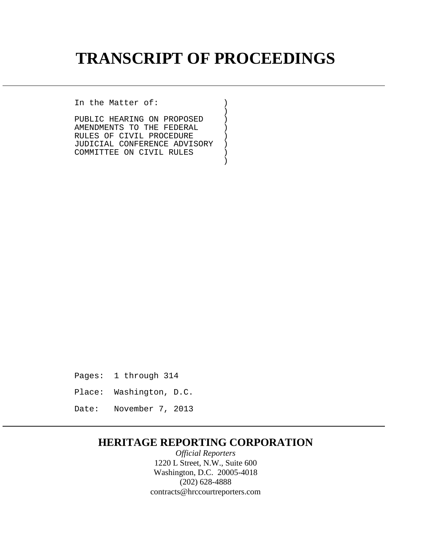## **TRANSCRIPT OF PROCEEDINGS**

In the Matter of: )

 $)$ PUBLIC HEARING ON PROPOSED ) AMENDMENTS TO THE FEDERAL  $)$ <br>RULES OF CIVIL PROCEDURE  $)$ RULES OF CIVIL PROCEDURE )<br>JUDICIAL CONFERENCE ADVISORY ) JUDICIAL CONFERENCE ADVISORY ) COMMITTEE ON CIVIL RULES )

)

Pages: 1 through 314

Place: Washington, D.C.

Date: November 7, 2013

## **HERITAGE REPORTING CORPORATION**

*Official Reporters* 1220 L Street, N.W., Suite 600 Washington, D.C. 20005-4018 (202) 628-4888 contracts@hrccourtreporters.com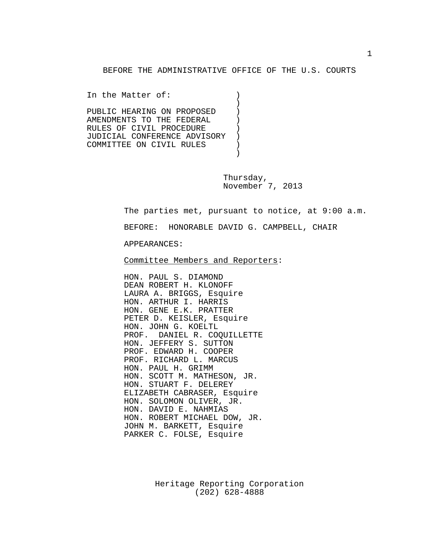BEFORE THE ADMINISTRATIVE OFFICE OF THE U.S. COURTS

In the Matter of: ) ) PUBLIC HEARING ON PROPOSED ) AMENDMENTS TO THE FEDERAL ()<br>RULES OF CIVIL PROCEDURE RULES OF CIVIL PROCEDURE )<br>JUDICIAL CONFERENCE ADVISORY ) JUDICIAL CONFERENCE ADVISORY ) COMMITTEE ON CIVIL RULES )

)

Thursday, November 7, 2013

The parties met, pursuant to notice, at 9:00 a.m.

BEFORE: HONORABLE DAVID G. CAMPBELL, CHAIR

APPEARANCES:

Committee Members and Reporters:

HON. PAUL S. DIAMOND DEAN ROBERT H. KLONOFF LAURA A. BRIGGS, Esquire HON. ARTHUR I. HARRIS HON. GENE E.K. PRATTER PETER D. KEISLER, Esquire HON. JOHN G. KOELTL PROF. DANIEL R. COQUILLETTE HON. JEFFERY S. SUTTON PROF. EDWARD H. COOPER PROF. RICHARD L. MARCUS HON. PAUL H. GRIMM HON. SCOTT M. MATHESON, JR. HON. STUART F. DELEREY ELIZABETH CABRASER, Esquire HON. SOLOMON OLIVER, JR. HON. DAVID E. NAHMIAS HON. ROBERT MICHAEL DOW, JR. JOHN M. BARKETT, Esquire PARKER C. FOLSE, Esquire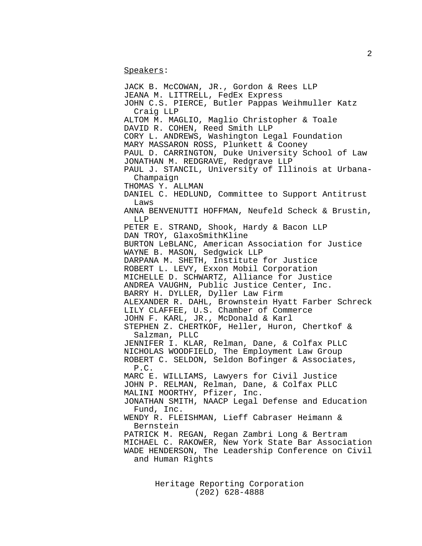Speakers:

JACK B. McCOWAN, JR., Gordon & Rees LLP JEANA M. LITTRELL, FedEx Express JOHN C.S. PIERCE, Butler Pappas Weihmuller Katz Craig LLP ALTOM M. MAGLIO, Maglio Christopher & Toale DAVID R. COHEN, Reed Smith LLP CORY L. ANDREWS, Washington Legal Foundation MARY MASSARON ROSS, Plunkett & Cooney PAUL D. CARRINGTON, Duke University School of Law JONATHAN M. REDGRAVE, Redgrave LLP PAUL J. STANCIL, University of Illinois at Urbana- Champaign THOMAS Y. ALLMAN DANIEL C. HEDLUND, Committee to Support Antitrust Laws ANNA BENVENUTTI HOFFMAN, Neufeld Scheck & Brustin, LLP PETER E. STRAND, Shook, Hardy & Bacon LLP DAN TROY, GlaxoSmithKline BURTON LeBLANC, American Association for Justice WAYNE B. MASON, Sedgwick LLP DARPANA M. SHETH, Institute for Justice ROBERT L. LEVY, Exxon Mobil Corporation MICHELLE D. SCHWARTZ, Alliance for Justice ANDREA VAUGHN, Public Justice Center, Inc. BARRY H. DYLLER, Dyller Law Firm ALEXANDER R. DAHL, Brownstein Hyatt Farber Schreck LILY CLAFFEE, U.S. Chamber of Commerce JOHN F. KARL, JR., McDonald & Karl STEPHEN Z. CHERTKOF, Heller, Huron, Chertkof & Salzman, PLLC JENNIFER I. KLAR, Relman, Dane, & Colfax PLLC NICHOLAS WOODFIELD, The Employment Law Group ROBERT C. SELDON, Seldon Bofinger & Associates, P.C. MARC E. WILLIAMS, Lawyers for Civil Justice JOHN P. RELMAN, Relman, Dane, & Colfax PLLC MALINI MOORTHY, Pfizer, Inc. JONATHAN SMITH, NAACP Legal Defense and Education Fund, Inc. WENDY R. FLEISHMAN, Lieff Cabraser Heimann & Bernstein PATRICK M. REGAN, Regan Zambri Long & Bertram MICHAEL C. RAKOWER, New York State Bar Association WADE HENDERSON, The Leadership Conference on Civil and Human Rights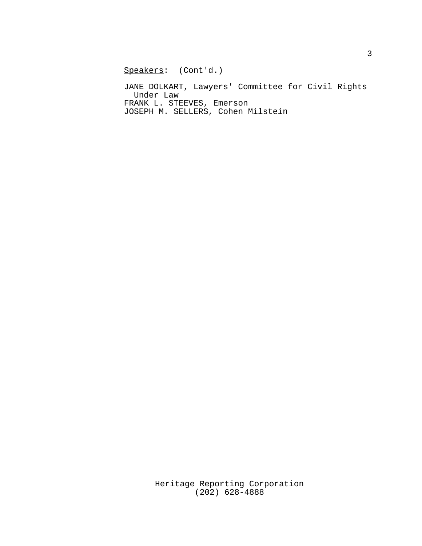Speakers: (Cont'd.)

JANE DOLKART, Lawyers' Committee for Civil Rights Under Law FRANK L. STEEVES, Emerson JOSEPH M. SELLERS, Cohen Milstein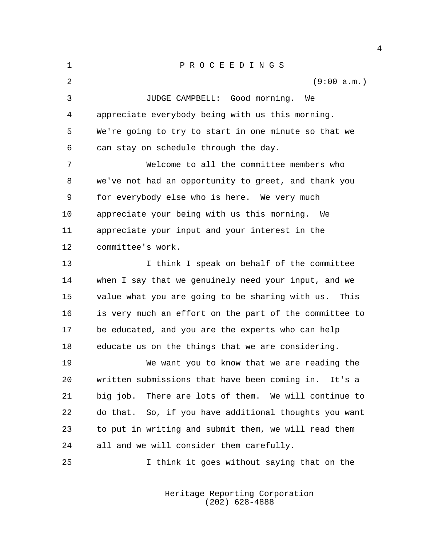| 1  | $\underline{P} \underline{R} \underline{O} \underline{C} \underline{E} \underline{E} \underline{D} \underline{I} \underline{N} \underline{G} \underline{S}$ |
|----|-------------------------------------------------------------------------------------------------------------------------------------------------------------|
| 2  | (9:00 a.m.)                                                                                                                                                 |
| 3  | JUDGE CAMPBELL: Good morning.<br>We                                                                                                                         |
| 4  | appreciate everybody being with us this morning.                                                                                                            |
| 5  | We're going to try to start in one minute so that we                                                                                                        |
| 6  | can stay on schedule through the day.                                                                                                                       |
| 7  | Welcome to all the committee members who                                                                                                                    |
| 8  | we've not had an opportunity to greet, and thank you                                                                                                        |
| 9  | for everybody else who is here. We very much                                                                                                                |
| 10 | appreciate your being with us this morning. We                                                                                                              |
| 11 | appreciate your input and your interest in the                                                                                                              |
| 12 | committee's work.                                                                                                                                           |
| 13 | I think I speak on behalf of the committee                                                                                                                  |
| 14 | when I say that we genuinely need your input, and we                                                                                                        |
| 15 | value what you are going to be sharing with us.<br>This                                                                                                     |
| 16 | is very much an effort on the part of the committee to                                                                                                      |
| 17 | be educated, and you are the experts who can help                                                                                                           |
| 18 | educate us on the things that we are considering.                                                                                                           |
| 19 | We want you to know that we are reading the                                                                                                                 |
| 20 | written submissions that have been coming in. It's a                                                                                                        |
| 21 | big job. There are lots of them. We will continue to                                                                                                        |
| 22 | do that. So, if you have additional thoughts you want                                                                                                       |
| 23 | to put in writing and submit them, we will read them                                                                                                        |
| 24 | all and we will consider them carefully.                                                                                                                    |
| 25 | I think it goes without saying that on the                                                                                                                  |

Heritage Reporting Corporation (202) 628-4888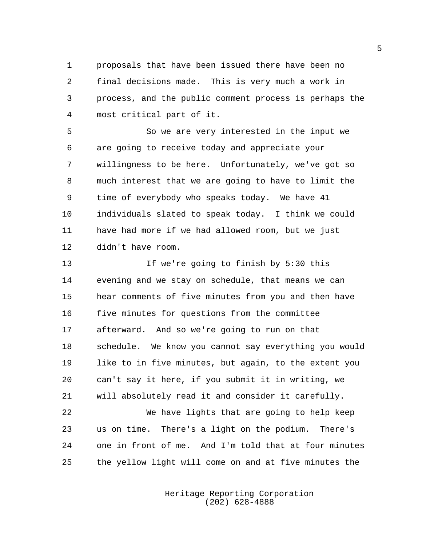proposals that have been issued there have been no final decisions made. This is very much a work in process, and the public comment process is perhaps the most critical part of it.

 So we are very interested in the input we are going to receive today and appreciate your willingness to be here. Unfortunately, we've got so much interest that we are going to have to limit the time of everybody who speaks today. We have 41 individuals slated to speak today. I think we could have had more if we had allowed room, but we just didn't have room.

 If we're going to finish by 5:30 this evening and we stay on schedule, that means we can hear comments of five minutes from you and then have five minutes for questions from the committee afterward. And so we're going to run on that schedule. We know you cannot say everything you would like to in five minutes, but again, to the extent you can't say it here, if you submit it in writing, we will absolutely read it and consider it carefully.

 We have lights that are going to help keep us on time. There's a light on the podium. There's one in front of me. And I'm told that at four minutes the yellow light will come on and at five minutes the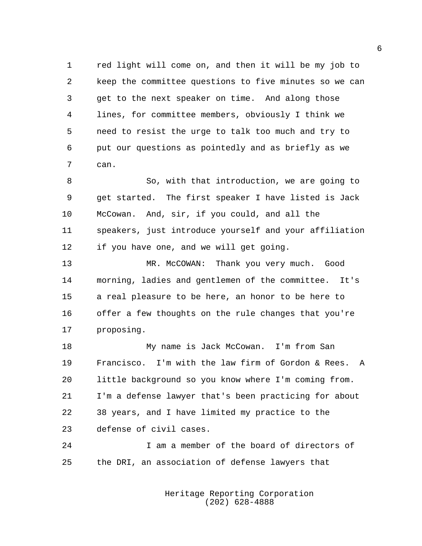red light will come on, and then it will be my job to keep the committee questions to five minutes so we can get to the next speaker on time. And along those lines, for committee members, obviously I think we need to resist the urge to talk too much and try to put our questions as pointedly and as briefly as we can.

 So, with that introduction, we are going to get started. The first speaker I have listed is Jack McCowan. And, sir, if you could, and all the speakers, just introduce yourself and your affiliation if you have one, and we will get going.

 MR. McCOWAN: Thank you very much. Good morning, ladies and gentlemen of the committee. It's a real pleasure to be here, an honor to be here to offer a few thoughts on the rule changes that you're proposing.

 My name is Jack McCowan. I'm from San Francisco. I'm with the law firm of Gordon & Rees. A little background so you know where I'm coming from. I'm a defense lawyer that's been practicing for about 38 years, and I have limited my practice to the defense of civil cases.

 I am a member of the board of directors of the DRI, an association of defense lawyers that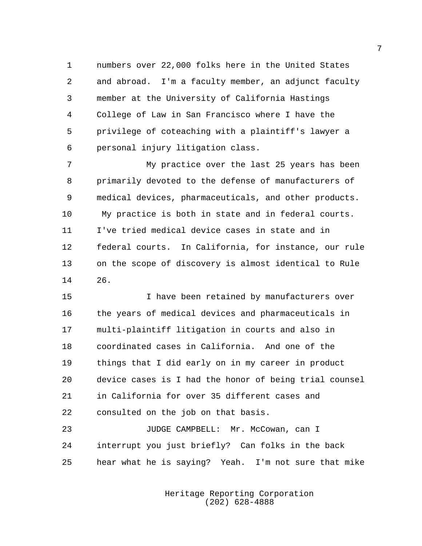numbers over 22,000 folks here in the United States and abroad. I'm a faculty member, an adjunct faculty member at the University of California Hastings College of Law in San Francisco where I have the privilege of coteaching with a plaintiff's lawyer a personal injury litigation class.

 My practice over the last 25 years has been primarily devoted to the defense of manufacturers of medical devices, pharmaceuticals, and other products. My practice is both in state and in federal courts. I've tried medical device cases in state and in federal courts. In California, for instance, our rule on the scope of discovery is almost identical to Rule 26.

 I have been retained by manufacturers over the years of medical devices and pharmaceuticals in multi-plaintiff litigation in courts and also in coordinated cases in California. And one of the things that I did early on in my career in product device cases is I had the honor of being trial counsel in California for over 35 different cases and consulted on the job on that basis.

23 JUDGE CAMPBELL: Mr. McCowan, can I interrupt you just briefly? Can folks in the back hear what he is saying? Yeah. I'm not sure that mike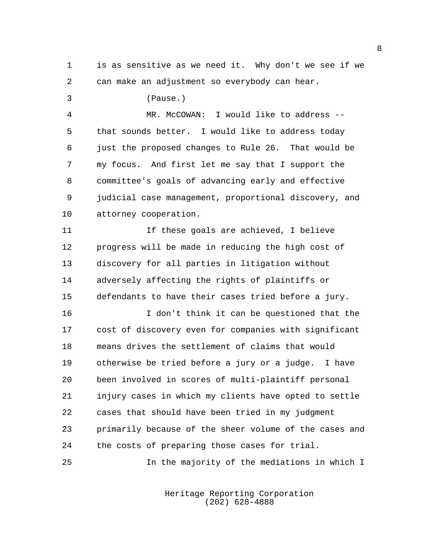is as sensitive as we need it. Why don't we see if we can make an adjustment so everybody can hear.

 (Pause.) MR. McCOWAN: I would like to address -- that sounds better. I would like to address today just the proposed changes to Rule 26. That would be my focus. And first let me say that I support the committee's goals of advancing early and effective judicial case management, proportional discovery, and attorney cooperation.

 If these goals are achieved, I believe progress will be made in reducing the high cost of discovery for all parties in litigation without adversely affecting the rights of plaintiffs or defendants to have their cases tried before a jury.

 I don't think it can be questioned that the cost of discovery even for companies with significant means drives the settlement of claims that would otherwise be tried before a jury or a judge. I have been involved in scores of multi-plaintiff personal injury cases in which my clients have opted to settle cases that should have been tried in my judgment primarily because of the sheer volume of the cases and the costs of preparing those cases for trial.

In the majority of the mediations in which I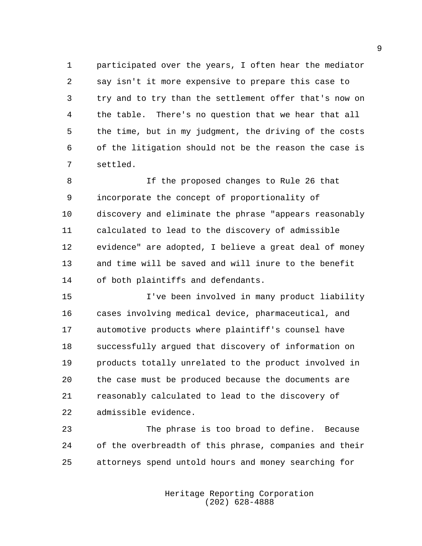participated over the years, I often hear the mediator say isn't it more expensive to prepare this case to try and to try than the settlement offer that's now on the table. There's no question that we hear that all the time, but in my judgment, the driving of the costs of the litigation should not be the reason the case is settled.

 If the proposed changes to Rule 26 that incorporate the concept of proportionality of discovery and eliminate the phrase "appears reasonably calculated to lead to the discovery of admissible evidence" are adopted, I believe a great deal of money and time will be saved and will inure to the benefit of both plaintiffs and defendants.

 I've been involved in many product liability cases involving medical device, pharmaceutical, and automotive products where plaintiff's counsel have successfully argued that discovery of information on products totally unrelated to the product involved in the case must be produced because the documents are reasonably calculated to lead to the discovery of admissible evidence.

 The phrase is too broad to define. Because of the overbreadth of this phrase, companies and their attorneys spend untold hours and money searching for

> Heritage Reporting Corporation (202) 628-4888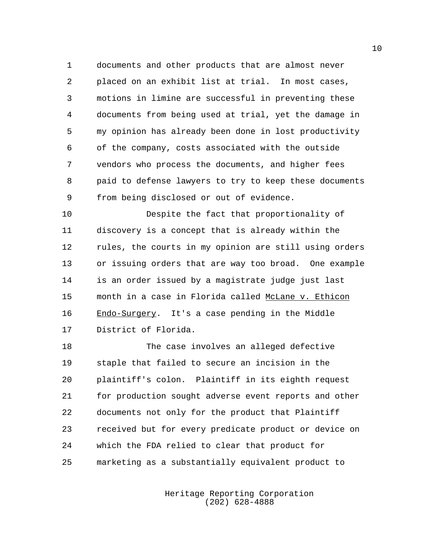documents and other products that are almost never placed on an exhibit list at trial. In most cases, motions in limine are successful in preventing these documents from being used at trial, yet the damage in my opinion has already been done in lost productivity of the company, costs associated with the outside vendors who process the documents, and higher fees paid to defense lawyers to try to keep these documents from being disclosed or out of evidence.

 Despite the fact that proportionality of discovery is a concept that is already within the rules, the courts in my opinion are still using orders or issuing orders that are way too broad. One example is an order issued by a magistrate judge just last 15 month in a case in Florida called McLane v. Ethicon Endo-Surgery. It's a case pending in the Middle District of Florida.

 The case involves an alleged defective staple that failed to secure an incision in the plaintiff's colon. Plaintiff in its eighth request for production sought adverse event reports and other documents not only for the product that Plaintiff received but for every predicate product or device on which the FDA relied to clear that product for marketing as a substantially equivalent product to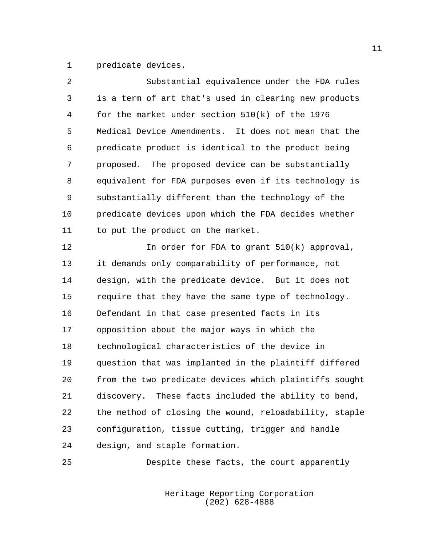predicate devices.

| $\overline{a}$ | Substantial equivalence under the FDA rules            |
|----------------|--------------------------------------------------------|
| 3              | is a term of art that's used in clearing new products  |
| 4              | for the market under section $510(k)$ of the 1976      |
| 5              | Medical Device Amendments. It does not mean that the   |
| 6              | predicate product is identical to the product being    |
| 7              | proposed. The proposed device can be substantially     |
| 8              | equivalent for FDA purposes even if its technology is  |
| 9              | substantially different than the technology of the     |
| 10             | predicate devices upon which the FDA decides whether   |
| 11             | to put the product on the market.                      |
| 12             | In order for FDA to grant $510(k)$ approval,           |
| 13             | it demands only comparability of performance, not      |
| 14             | design, with the predicate device. But it does not     |
| 15             | require that they have the same type of technology.    |
| 16             | Defendant in that case presented facts in its          |
| 17             | opposition about the major ways in which the           |
| 18             | technological characteristics of the device in         |
| 19             | question that was implanted in the plaintiff differed  |
| 20             | from the two predicate devices which plaintiffs sought |
| 21             | discovery. These facts included the ability to bend,   |
| 22             | the method of closing the wound, reloadability, staple |
| 23             | configuration, tissue cutting, trigger and handle      |
| 24             | design, and staple formation.                          |

Despite these facts, the court apparently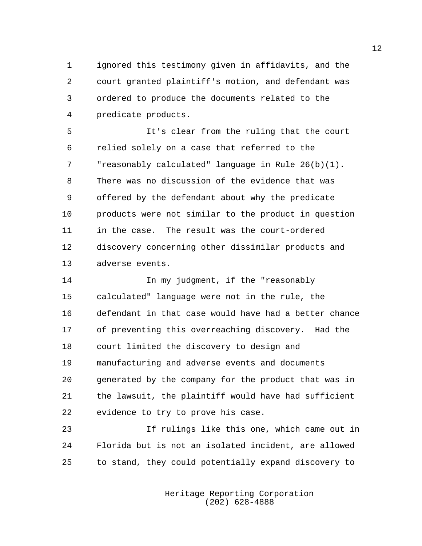ignored this testimony given in affidavits, and the court granted plaintiff's motion, and defendant was ordered to produce the documents related to the predicate products.

 It's clear from the ruling that the court relied solely on a case that referred to the "reasonably calculated" language in Rule 26(b)(1). There was no discussion of the evidence that was offered by the defendant about why the predicate products were not similar to the product in question in the case. The result was the court-ordered discovery concerning other dissimilar products and adverse events.

**In my judgment, if the "reasonably**  calculated" language were not in the rule, the defendant in that case would have had a better chance of preventing this overreaching discovery. Had the court limited the discovery to design and manufacturing and adverse events and documents generated by the company for the product that was in the lawsuit, the plaintiff would have had sufficient evidence to try to prove his case.

 If rulings like this one, which came out in Florida but is not an isolated incident, are allowed to stand, they could potentially expand discovery to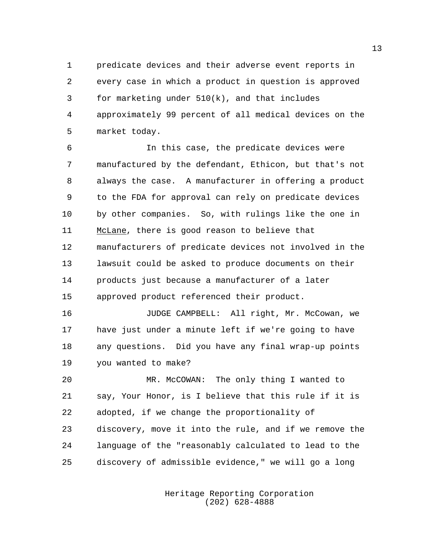predicate devices and their adverse event reports in every case in which a product in question is approved for marketing under 510(k), and that includes approximately 99 percent of all medical devices on the market today.

 In this case, the predicate devices were manufactured by the defendant, Ethicon, but that's not always the case. A manufacturer in offering a product to the FDA for approval can rely on predicate devices by other companies. So, with rulings like the one in McLane, there is good reason to believe that manufacturers of predicate devices not involved in the lawsuit could be asked to produce documents on their products just because a manufacturer of a later approved product referenced their product.

 JUDGE CAMPBELL: All right, Mr. McCowan, we have just under a minute left if we're going to have any questions. Did you have any final wrap-up points you wanted to make?

 MR. McCOWAN: The only thing I wanted to say, Your Honor, is I believe that this rule if it is adopted, if we change the proportionality of discovery, move it into the rule, and if we remove the language of the "reasonably calculated to lead to the discovery of admissible evidence," we will go a long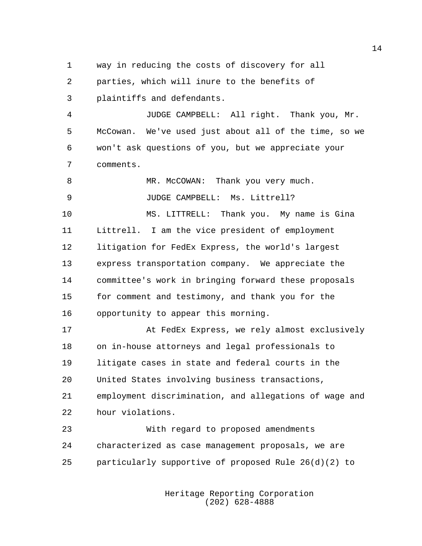way in reducing the costs of discovery for all

parties, which will inure to the benefits of

plaintiffs and defendants.

 JUDGE CAMPBELL: All right. Thank you, Mr. McCowan. We've used just about all of the time, so we won't ask questions of you, but we appreciate your comments.

8 MR. McCOWAN: Thank you very much. 9 JUDGE CAMPBELL: Ms. Littrell?

 MS. LITTRELL: Thank you. My name is Gina Littrell. I am the vice president of employment litigation for FedEx Express, the world's largest express transportation company. We appreciate the committee's work in bringing forward these proposals for comment and testimony, and thank you for the opportunity to appear this morning.

 At FedEx Express, we rely almost exclusively on in-house attorneys and legal professionals to litigate cases in state and federal courts in the United States involving business transactions, employment discrimination, and allegations of wage and hour violations.

 With regard to proposed amendments characterized as case management proposals, we are particularly supportive of proposed Rule 26(d)(2) to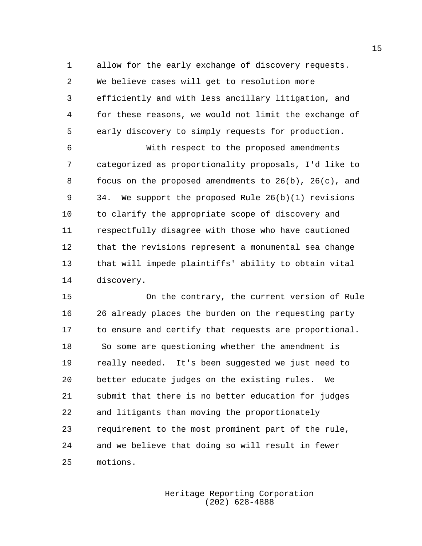allow for the early exchange of discovery requests. We believe cases will get to resolution more efficiently and with less ancillary litigation, and for these reasons, we would not limit the exchange of early discovery to simply requests for production.

 With respect to the proposed amendments categorized as proportionality proposals, I'd like to focus on the proposed amendments to 26(b), 26(c), and 34. We support the proposed Rule 26(b)(1) revisions to clarify the appropriate scope of discovery and respectfully disagree with those who have cautioned that the revisions represent a monumental sea change that will impede plaintiffs' ability to obtain vital discovery.

 On the contrary, the current version of Rule 26 already places the burden on the requesting party to ensure and certify that requests are proportional. So some are questioning whether the amendment is really needed. It's been suggested we just need to better educate judges on the existing rules. We submit that there is no better education for judges and litigants than moving the proportionately requirement to the most prominent part of the rule, and we believe that doing so will result in fewer motions.

> Heritage Reporting Corporation (202) 628-4888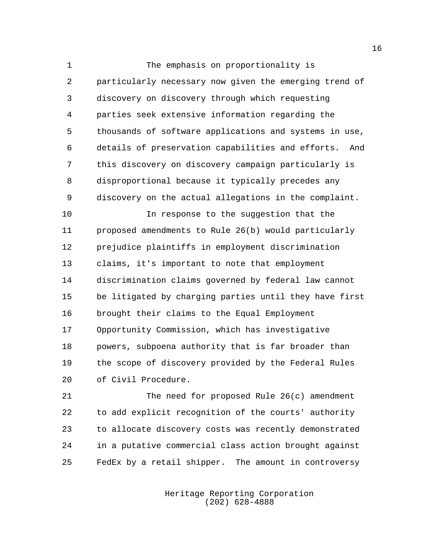1 The emphasis on proportionality is particularly necessary now given the emerging trend of discovery on discovery through which requesting parties seek extensive information regarding the thousands of software applications and systems in use, details of preservation capabilities and efforts. And this discovery on discovery campaign particularly is disproportional because it typically precedes any discovery on the actual allegations in the complaint.

 In response to the suggestion that the proposed amendments to Rule 26(b) would particularly prejudice plaintiffs in employment discrimination claims, it's important to note that employment discrimination claims governed by federal law cannot be litigated by charging parties until they have first brought their claims to the Equal Employment Opportunity Commission, which has investigative powers, subpoena authority that is far broader than the scope of discovery provided by the Federal Rules of Civil Procedure.

 The need for proposed Rule 26(c) amendment to add explicit recognition of the courts' authority to allocate discovery costs was recently demonstrated in a putative commercial class action brought against FedEx by a retail shipper. The amount in controversy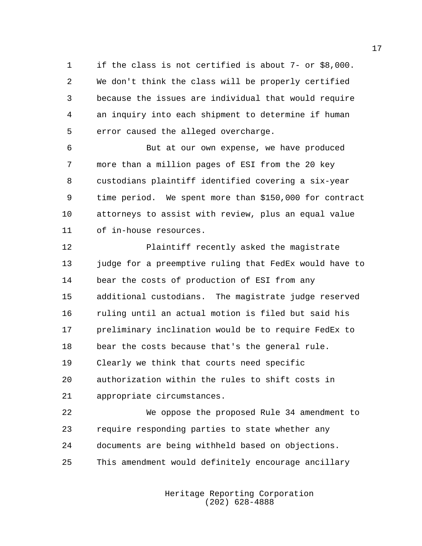if the class is not certified is about 7- or \$8,000. We don't think the class will be properly certified because the issues are individual that would require an inquiry into each shipment to determine if human error caused the alleged overcharge.

 But at our own expense, we have produced more than a million pages of ESI from the 20 key custodians plaintiff identified covering a six-year time period. We spent more than \$150,000 for contract attorneys to assist with review, plus an equal value of in-house resources.

 Plaintiff recently asked the magistrate judge for a preemptive ruling that FedEx would have to bear the costs of production of ESI from any additional custodians. The magistrate judge reserved ruling until an actual motion is filed but said his preliminary inclination would be to require FedEx to bear the costs because that's the general rule. Clearly we think that courts need specific authorization within the rules to shift costs in appropriate circumstances.

 We oppose the proposed Rule 34 amendment to require responding parties to state whether any documents are being withheld based on objections. This amendment would definitely encourage ancillary

> Heritage Reporting Corporation (202) 628-4888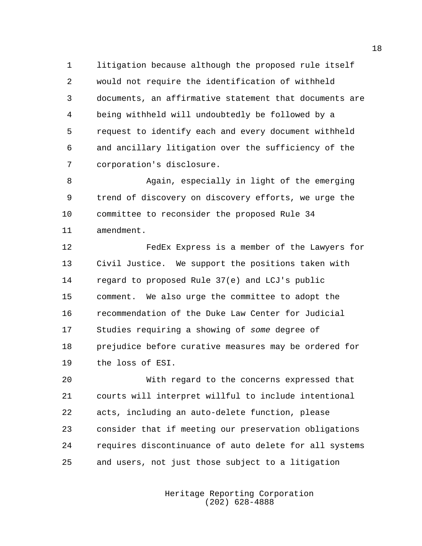litigation because although the proposed rule itself would not require the identification of withheld documents, an affirmative statement that documents are being withheld will undoubtedly be followed by a request to identify each and every document withheld and ancillary litigation over the sufficiency of the corporation's disclosure.

 Again, especially in light of the emerging trend of discovery on discovery efforts, we urge the committee to reconsider the proposed Rule 34 amendment.

 FedEx Express is a member of the Lawyers for Civil Justice. We support the positions taken with regard to proposed Rule 37(e) and LCJ's public comment. We also urge the committee to adopt the recommendation of the Duke Law Center for Judicial Studies requiring a showing of *some* degree of prejudice before curative measures may be ordered for the loss of ESI.

 With regard to the concerns expressed that courts will interpret willful to include intentional acts, including an auto-delete function, please consider that if meeting our preservation obligations requires discontinuance of auto delete for all systems and users, not just those subject to a litigation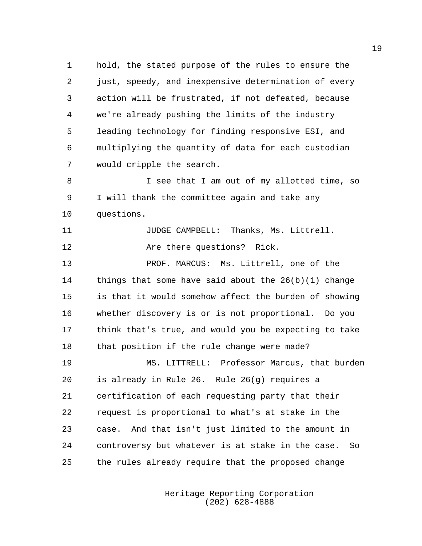hold, the stated purpose of the rules to ensure the just, speedy, and inexpensive determination of every action will be frustrated, if not defeated, because we're already pushing the limits of the industry leading technology for finding responsive ESI, and multiplying the quantity of data for each custodian would cripple the search.

 I see that I am out of my allotted time, so I will thank the committee again and take any questions.

**JUDGE CAMPBELL:** Thanks, Ms. Littrell. **Are there questions?** Rick.

 PROF. MARCUS: Ms. Littrell, one of the things that some have said about the 26(b)(1) change is that it would somehow affect the burden of showing whether discovery is or is not proportional. Do you think that's true, and would you be expecting to take that position if the rule change were made?

 MS. LITTRELL: Professor Marcus, that burden is already in Rule 26. Rule 26(g) requires a certification of each requesting party that their request is proportional to what's at stake in the case. And that isn't just limited to the amount in controversy but whatever is at stake in the case. So the rules already require that the proposed change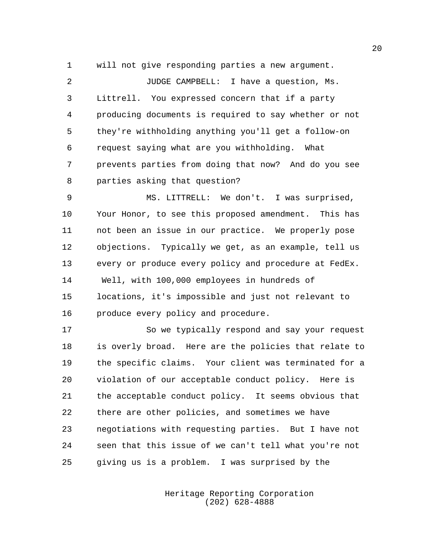will not give responding parties a new argument.

 JUDGE CAMPBELL: I have a question, Ms. Littrell. You expressed concern that if a party producing documents is required to say whether or not they're withholding anything you'll get a follow-on request saying what are you withholding. What prevents parties from doing that now? And do you see parties asking that question?

 MS. LITTRELL: We don't. I was surprised, Your Honor, to see this proposed amendment. This has not been an issue in our practice. We properly pose objections. Typically we get, as an example, tell us 13 every or produce every policy and procedure at FedEx. Well, with 100,000 employees in hundreds of locations, it's impossible and just not relevant to produce every policy and procedure.

 So we typically respond and say your request is overly broad. Here are the policies that relate to the specific claims. Your client was terminated for a violation of our acceptable conduct policy. Here is the acceptable conduct policy. It seems obvious that there are other policies, and sometimes we have negotiations with requesting parties. But I have not seen that this issue of we can't tell what you're not giving us is a problem. I was surprised by the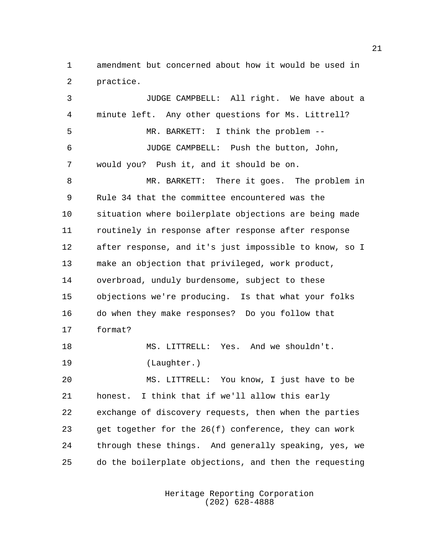amendment but concerned about how it would be used in practice.

 JUDGE CAMPBELL: All right. We have about a minute left. Any other questions for Ms. Littrell? MR. BARKETT: I think the problem -- JUDGE CAMPBELL: Push the button, John, would you? Push it, and it should be on. MR. BARKETT: There it goes. The problem in Rule 34 that the committee encountered was the situation where boilerplate objections are being made routinely in response after response after response after response, and it's just impossible to know, so I make an objection that privileged, work product, overbroad, unduly burdensome, subject to these objections we're producing. Is that what your folks do when they make responses? Do you follow that format? MS. LITTRELL: Yes. And we shouldn't. (Laughter.) MS. LITTRELL: You know, I just have to be honest. I think that if we'll allow this early exchange of discovery requests, then when the parties get together for the 26(f) conference, they can work through these things. And generally speaking, yes, we do the boilerplate objections, and then the requesting

> Heritage Reporting Corporation (202) 628-4888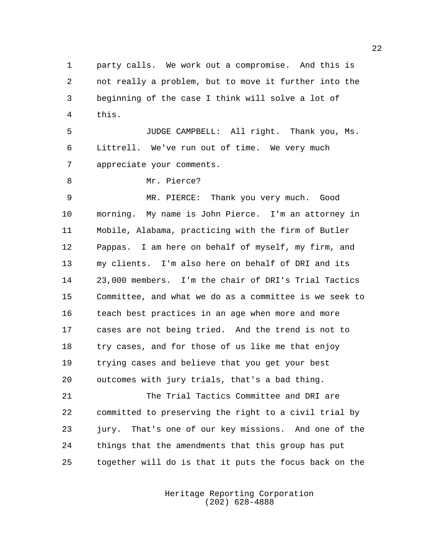party calls. We work out a compromise. And this is not really a problem, but to move it further into the beginning of the case I think will solve a lot of this.

 JUDGE CAMPBELL: All right. Thank you, Ms. Littrell. We've run out of time. We very much appreciate your comments.

8 Mr. Pierce?

 MR. PIERCE: Thank you very much. Good morning. My name is John Pierce. I'm an attorney in Mobile, Alabama, practicing with the firm of Butler Pappas. I am here on behalf of myself, my firm, and my clients. I'm also here on behalf of DRI and its 23,000 members. I'm the chair of DRI's Trial Tactics Committee, and what we do as a committee is we seek to teach best practices in an age when more and more cases are not being tried. And the trend is not to try cases, and for those of us like me that enjoy trying cases and believe that you get your best outcomes with jury trials, that's a bad thing.

 The Trial Tactics Committee and DRI are committed to preserving the right to a civil trial by jury. That's one of our key missions. And one of the things that the amendments that this group has put together will do is that it puts the focus back on the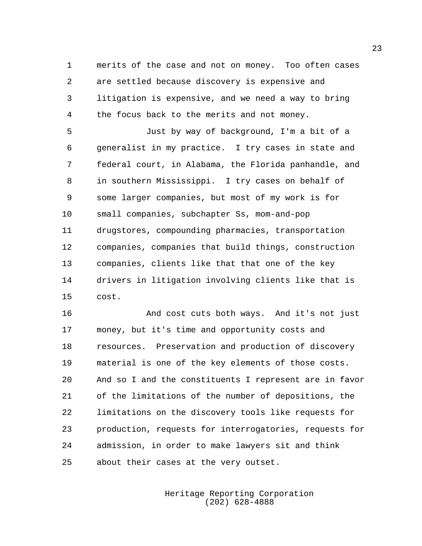merits of the case and not on money. Too often cases are settled because discovery is expensive and litigation is expensive, and we need a way to bring the focus back to the merits and not money.

 Just by way of background, I'm a bit of a generalist in my practice. I try cases in state and federal court, in Alabama, the Florida panhandle, and in southern Mississippi. I try cases on behalf of some larger companies, but most of my work is for small companies, subchapter Ss, mom-and-pop drugstores, compounding pharmacies, transportation companies, companies that build things, construction companies, clients like that that one of the key drivers in litigation involving clients like that is cost.

 And cost cuts both ways. And it's not just money, but it's time and opportunity costs and resources. Preservation and production of discovery material is one of the key elements of those costs. And so I and the constituents I represent are in favor of the limitations of the number of depositions, the limitations on the discovery tools like requests for production, requests for interrogatories, requests for admission, in order to make lawyers sit and think about their cases at the very outset.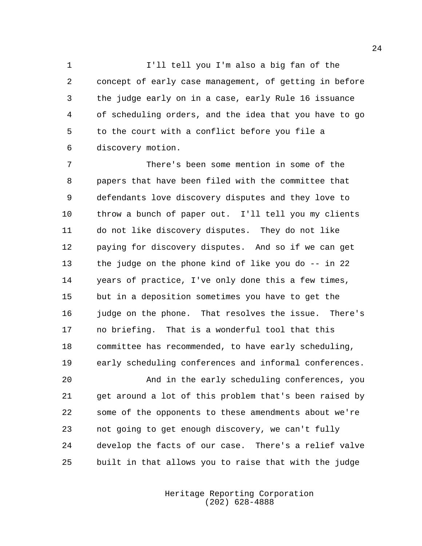I'll tell you I'm also a big fan of the concept of early case management, of getting in before the judge early on in a case, early Rule 16 issuance of scheduling orders, and the idea that you have to go to the court with a conflict before you file a discovery motion.

 There's been some mention in some of the papers that have been filed with the committee that defendants love discovery disputes and they love to throw a bunch of paper out. I'll tell you my clients do not like discovery disputes. They do not like paying for discovery disputes. And so if we can get the judge on the phone kind of like you do -- in 22 years of practice, I've only done this a few times, but in a deposition sometimes you have to get the judge on the phone. That resolves the issue. There's no briefing. That is a wonderful tool that this committee has recommended, to have early scheduling, early scheduling conferences and informal conferences.

 And in the early scheduling conferences, you get around a lot of this problem that's been raised by some of the opponents to these amendments about we're not going to get enough discovery, we can't fully develop the facts of our case. There's a relief valve built in that allows you to raise that with the judge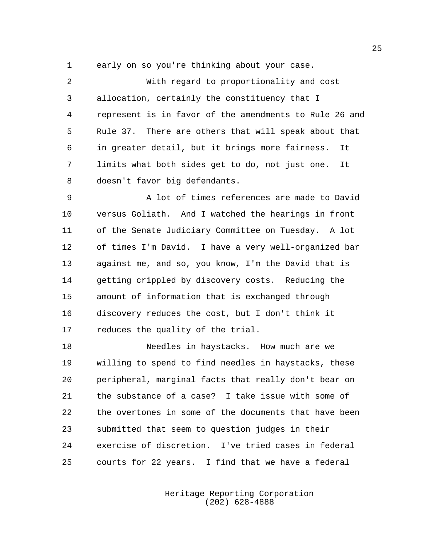early on so you're thinking about your case.

 With regard to proportionality and cost allocation, certainly the constituency that I represent is in favor of the amendments to Rule 26 and Rule 37. There are others that will speak about that in greater detail, but it brings more fairness. It limits what both sides get to do, not just one. It doesn't favor big defendants.

 A lot of times references are made to David versus Goliath. And I watched the hearings in front of the Senate Judiciary Committee on Tuesday. A lot of times I'm David. I have a very well-organized bar against me, and so, you know, I'm the David that is getting crippled by discovery costs. Reducing the amount of information that is exchanged through discovery reduces the cost, but I don't think it reduces the quality of the trial.

 Needles in haystacks. How much are we willing to spend to find needles in haystacks, these peripheral, marginal facts that really don't bear on the substance of a case? I take issue with some of the overtones in some of the documents that have been submitted that seem to question judges in their exercise of discretion. I've tried cases in federal courts for 22 years. I find that we have a federal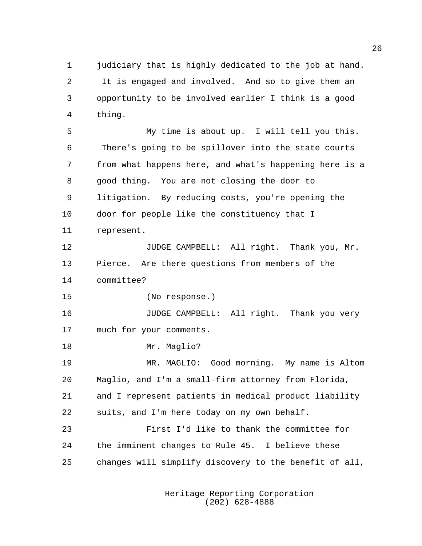judiciary that is highly dedicated to the job at hand. It is engaged and involved. And so to give them an opportunity to be involved earlier I think is a good thing.

 My time is about up. I will tell you this. There's going to be spillover into the state courts from what happens here, and what's happening here is a good thing. You are not closing the door to litigation. By reducing costs, you're opening the door for people like the constituency that I represent.

12 JUDGE CAMPBELL: All right. Thank you, Mr. Pierce. Are there questions from members of the committee?

(No response.)

 JUDGE CAMPBELL: All right. Thank you very much for your comments.

Mr. Maglio?

 MR. MAGLIO: Good morning. My name is Altom Maglio, and I'm a small-firm attorney from Florida, and I represent patients in medical product liability suits, and I'm here today on my own behalf.

 First I'd like to thank the committee for the imminent changes to Rule 45. I believe these changes will simplify discovery to the benefit of all,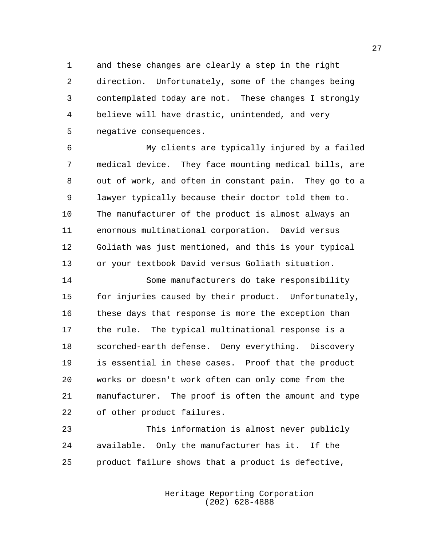and these changes are clearly a step in the right direction. Unfortunately, some of the changes being contemplated today are not. These changes I strongly believe will have drastic, unintended, and very negative consequences.

 My clients are typically injured by a failed medical device. They face mounting medical bills, are out of work, and often in constant pain. They go to a lawyer typically because their doctor told them to. The manufacturer of the product is almost always an enormous multinational corporation. David versus Goliath was just mentioned, and this is your typical or your textbook David versus Goliath situation.

 Some manufacturers do take responsibility for injuries caused by their product. Unfortunately, these days that response is more the exception than the rule. The typical multinational response is a scorched-earth defense. Deny everything. Discovery is essential in these cases. Proof that the product works or doesn't work often can only come from the manufacturer. The proof is often the amount and type of other product failures.

 This information is almost never publicly available. Only the manufacturer has it. If the product failure shows that a product is defective,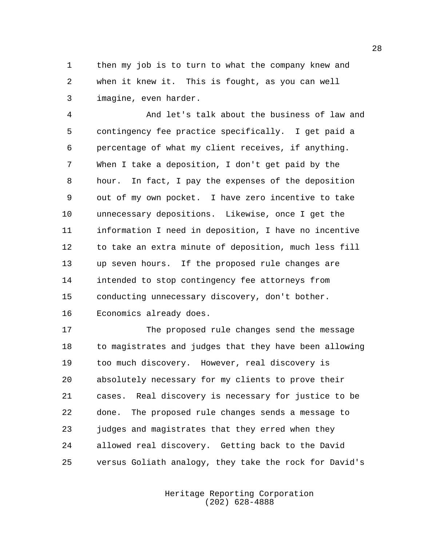then my job is to turn to what the company knew and when it knew it. This is fought, as you can well imagine, even harder.

 And let's talk about the business of law and contingency fee practice specifically. I get paid a percentage of what my client receives, if anything. When I take a deposition, I don't get paid by the hour. In fact, I pay the expenses of the deposition out of my own pocket. I have zero incentive to take unnecessary depositions. Likewise, once I get the information I need in deposition, I have no incentive to take an extra minute of deposition, much less fill up seven hours. If the proposed rule changes are intended to stop contingency fee attorneys from conducting unnecessary discovery, don't bother. Economics already does.

 The proposed rule changes send the message to magistrates and judges that they have been allowing too much discovery. However, real discovery is absolutely necessary for my clients to prove their cases. Real discovery is necessary for justice to be done. The proposed rule changes sends a message to judges and magistrates that they erred when they allowed real discovery. Getting back to the David versus Goliath analogy, they take the rock for David's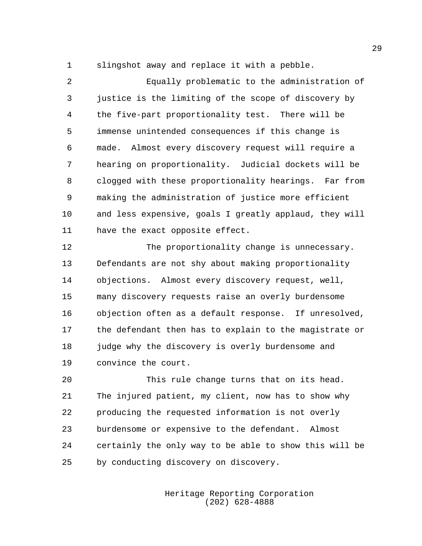slingshot away and replace it with a pebble.

 Equally problematic to the administration of justice is the limiting of the scope of discovery by the five-part proportionality test. There will be immense unintended consequences if this change is made. Almost every discovery request will require a hearing on proportionality. Judicial dockets will be clogged with these proportionality hearings. Far from making the administration of justice more efficient and less expensive, goals I greatly applaud, they will have the exact opposite effect.

 The proportionality change is unnecessary. Defendants are not shy about making proportionality objections. Almost every discovery request, well, many discovery requests raise an overly burdensome objection often as a default response. If unresolved, the defendant then has to explain to the magistrate or 18 judge why the discovery is overly burdensome and convince the court.

 This rule change turns that on its head. The injured patient, my client, now has to show why producing the requested information is not overly burdensome or expensive to the defendant. Almost certainly the only way to be able to show this will be by conducting discovery on discovery.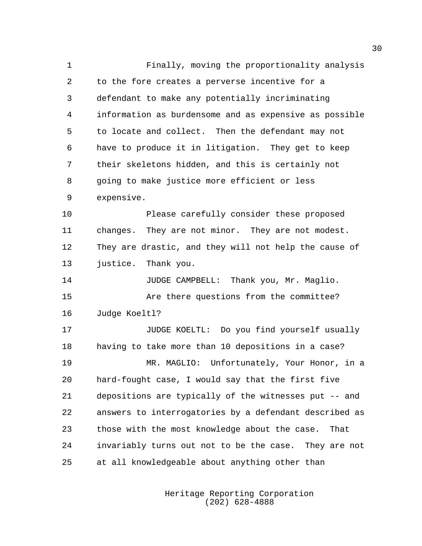Finally, moving the proportionality analysis to the fore creates a perverse incentive for a defendant to make any potentially incriminating information as burdensome and as expensive as possible to locate and collect. Then the defendant may not have to produce it in litigation. They get to keep their skeletons hidden, and this is certainly not going to make justice more efficient or less expensive.

 Please carefully consider these proposed changes. They are not minor. They are not modest. They are drastic, and they will not help the cause of justice. Thank you.

 JUDGE CAMPBELL: Thank you, Mr. Maglio. Are there questions from the committee?

Judge Koeltl?

17 JUDGE KOELTL: Do you find yourself usually having to take more than 10 depositions in a case? MR. MAGLIO: Unfortunately, Your Honor, in a hard-fought case, I would say that the first five depositions are typically of the witnesses put -- and answers to interrogatories by a defendant described as those with the most knowledge about the case. That invariably turns out not to be the case. They are not at all knowledgeable about anything other than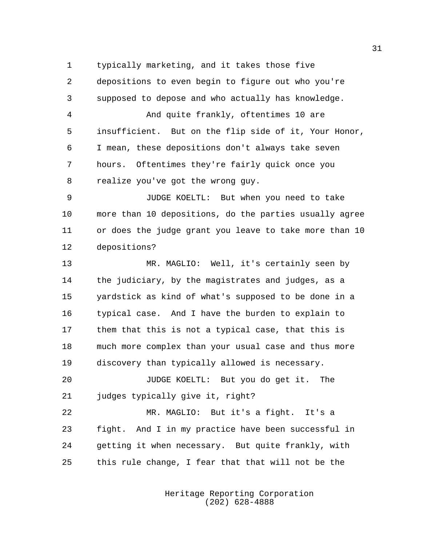typically marketing, and it takes those five

depositions to even begin to figure out who you're

 supposed to depose and who actually has knowledge. And quite frankly, oftentimes 10 are insufficient. But on the flip side of it, Your Honor, I mean, these depositions don't always take seven hours. Oftentimes they're fairly quick once you realize you've got the wrong guy. JUDGE KOELTL: But when you need to take more than 10 depositions, do the parties usually agree or does the judge grant you leave to take more than 10 depositions? MR. MAGLIO: Well, it's certainly seen by the judiciary, by the magistrates and judges, as a yardstick as kind of what's supposed to be done in a typical case. And I have the burden to explain to

 much more complex than your usual case and thus more discovery than typically allowed is necessary.

them that this is not a typical case, that this is

 JUDGE KOELTL: But you do get it. The 21 judges typically give it, right?

 MR. MAGLIO: But it's a fight. It's a fight. And I in my practice have been successful in getting it when necessary. But quite frankly, with this rule change, I fear that that will not be the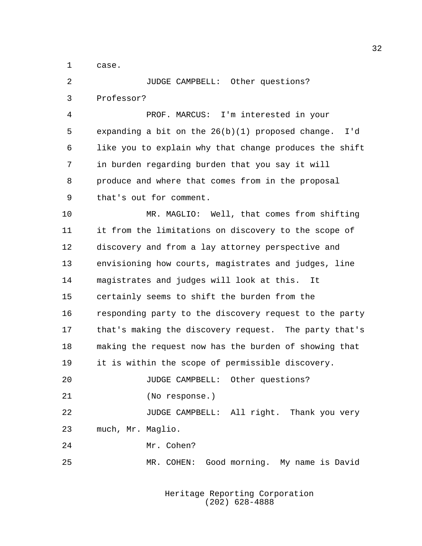case.

 JUDGE CAMPBELL: Other questions? Professor?

 PROF. MARCUS: I'm interested in your expanding a bit on the 26(b)(1) proposed change. I'd like you to explain why that change produces the shift in burden regarding burden that you say it will produce and where that comes from in the proposal that's out for comment.

 MR. MAGLIO: Well, that comes from shifting it from the limitations on discovery to the scope of discovery and from a lay attorney perspective and envisioning how courts, magistrates and judges, line magistrates and judges will look at this. It certainly seems to shift the burden from the responding party to the discovery request to the party that's making the discovery request. The party that's making the request now has the burden of showing that it is within the scope of permissible discovery. JUDGE CAMPBELL: Other questions? (No response.) JUDGE CAMPBELL: All right. Thank you very

much, Mr. Maglio.

Mr. Cohen?

MR. COHEN: Good morning. My name is David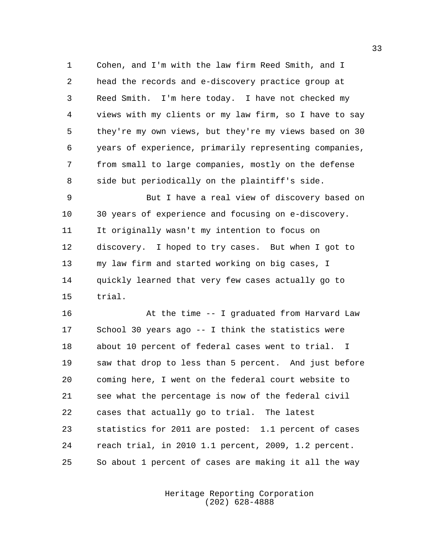Cohen, and I'm with the law firm Reed Smith, and I head the records and e-discovery practice group at Reed Smith. I'm here today. I have not checked my views with my clients or my law firm, so I have to say they're my own views, but they're my views based on 30 years of experience, primarily representing companies, from small to large companies, mostly on the defense side but periodically on the plaintiff's side.

 But I have a real view of discovery based on 30 years of experience and focusing on e-discovery. It originally wasn't my intention to focus on discovery. I hoped to try cases. But when I got to my law firm and started working on big cases, I quickly learned that very few cases actually go to trial.

 At the time -- I graduated from Harvard Law School 30 years ago -- I think the statistics were about 10 percent of federal cases went to trial. I saw that drop to less than 5 percent. And just before coming here, I went on the federal court website to see what the percentage is now of the federal civil cases that actually go to trial. The latest statistics for 2011 are posted: 1.1 percent of cases reach trial, in 2010 1.1 percent, 2009, 1.2 percent. So about 1 percent of cases are making it all the way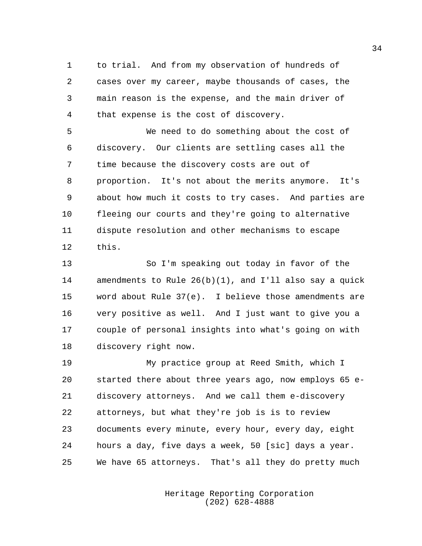to trial. And from my observation of hundreds of cases over my career, maybe thousands of cases, the main reason is the expense, and the main driver of that expense is the cost of discovery.

 We need to do something about the cost of discovery. Our clients are settling cases all the time because the discovery costs are out of proportion. It's not about the merits anymore. It's about how much it costs to try cases. And parties are fleeing our courts and they're going to alternative dispute resolution and other mechanisms to escape this.

 So I'm speaking out today in favor of the amendments to Rule 26(b)(1), and I'll also say a quick word about Rule 37(e). I believe those amendments are very positive as well. And I just want to give you a couple of personal insights into what's going on with discovery right now.

 My practice group at Reed Smith, which I started there about three years ago, now employs 65 e- discovery attorneys. And we call them e-discovery attorneys, but what they're job is is to review documents every minute, every hour, every day, eight hours a day, five days a week, 50 [sic] days a year. We have 65 attorneys. That's all they do pretty much

> Heritage Reporting Corporation (202) 628-4888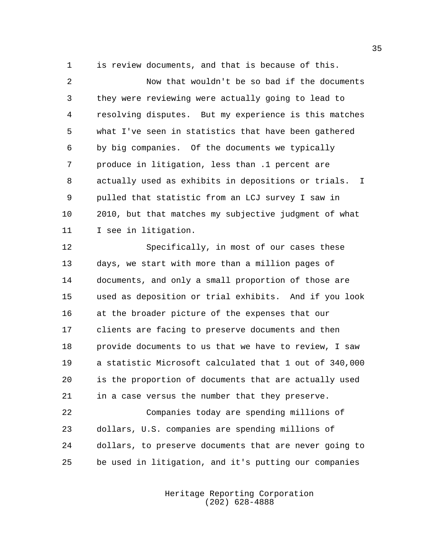is review documents, and that is because of this.

 Now that wouldn't be so bad if the documents they were reviewing were actually going to lead to resolving disputes. But my experience is this matches what I've seen in statistics that have been gathered by big companies. Of the documents we typically produce in litigation, less than .1 percent are actually used as exhibits in depositions or trials. I pulled that statistic from an LCJ survey I saw in 2010, but that matches my subjective judgment of what I see in litigation.

 Specifically, in most of our cases these days, we start with more than a million pages of documents, and only a small proportion of those are used as deposition or trial exhibits. And if you look at the broader picture of the expenses that our clients are facing to preserve documents and then provide documents to us that we have to review, I saw a statistic Microsoft calculated that 1 out of 340,000 is the proportion of documents that are actually used in a case versus the number that they preserve.

 Companies today are spending millions of dollars, U.S. companies are spending millions of dollars, to preserve documents that are never going to be used in litigation, and it's putting our companies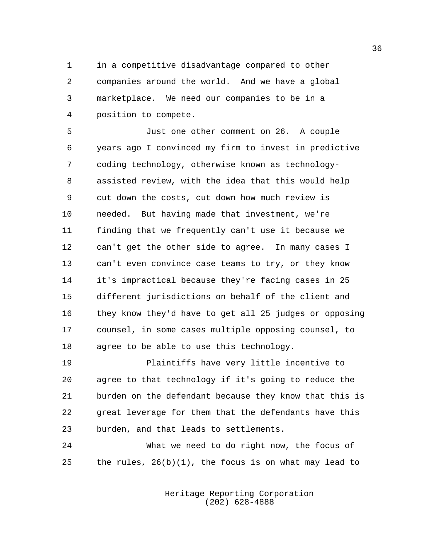in a competitive disadvantage compared to other companies around the world. And we have a global marketplace. We need our companies to be in a position to compete.

 Just one other comment on 26. A couple years ago I convinced my firm to invest in predictive coding technology, otherwise known as technology- assisted review, with the idea that this would help cut down the costs, cut down how much review is needed. But having made that investment, we're finding that we frequently can't use it because we can't get the other side to agree. In many cases I can't even convince case teams to try, or they know it's impractical because they're facing cases in 25 different jurisdictions on behalf of the client and they know they'd have to get all 25 judges or opposing counsel, in some cases multiple opposing counsel, to agree to be able to use this technology.

 Plaintiffs have very little incentive to agree to that technology if it's going to reduce the burden on the defendant because they know that this is great leverage for them that the defendants have this burden, and that leads to settlements.

 What we need to do right now, the focus of the rules, 26(b)(1), the focus is on what may lead to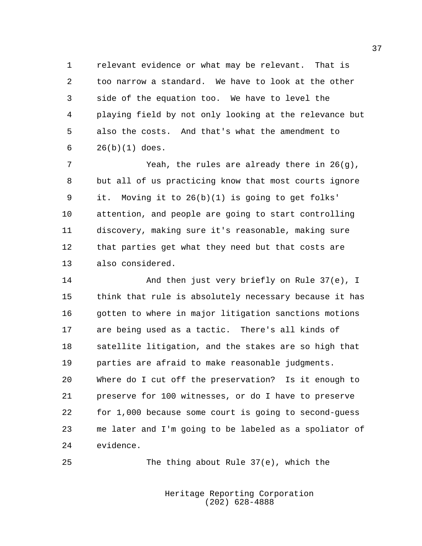relevant evidence or what may be relevant. That is too narrow a standard. We have to look at the other side of the equation too. We have to level the playing field by not only looking at the relevance but also the costs. And that's what the amendment to 26(b)(1) does.

 Yeah, the rules are already there in 26(g), but all of us practicing know that most courts ignore it. Moving it to 26(b)(1) is going to get folks' attention, and people are going to start controlling discovery, making sure it's reasonable, making sure that parties get what they need but that costs are also considered.

14 And then just very briefly on Rule 37(e), I think that rule is absolutely necessary because it has 16 gotten to where in major litigation sanctions motions are being used as a tactic. There's all kinds of satellite litigation, and the stakes are so high that parties are afraid to make reasonable judgments. Where do I cut off the preservation? Is it enough to preserve for 100 witnesses, or do I have to preserve for 1,000 because some court is going to second-guess me later and I'm going to be labeled as a spoliator of evidence.

The thing about Rule 37(e), which the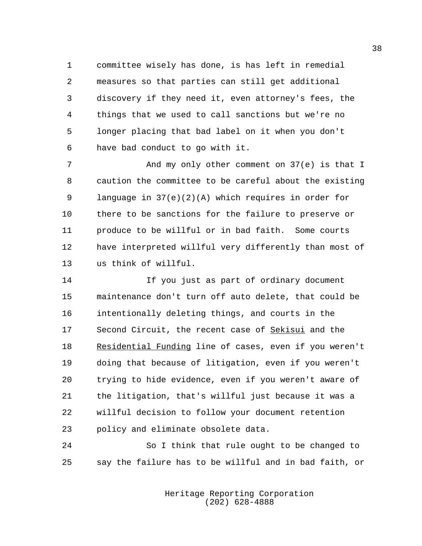committee wisely has done, is has left in remedial measures so that parties can still get additional discovery if they need it, even attorney's fees, the things that we used to call sanctions but we're no longer placing that bad label on it when you don't have bad conduct to go with it.

7 And my only other comment on 37(e) is that I caution the committee to be careful about the existing language in 37(e)(2)(A) which requires in order for there to be sanctions for the failure to preserve or produce to be willful or in bad faith. Some courts have interpreted willful very differently than most of us think of willful.

 If you just as part of ordinary document maintenance don't turn off auto delete, that could be intentionally deleting things, and courts in the 17 Second Circuit, the recent case of Sekisui and the Residential Funding line of cases, even if you weren't doing that because of litigation, even if you weren't trying to hide evidence, even if you weren't aware of the litigation, that's willful just because it was a willful decision to follow your document retention policy and eliminate obsolete data.

 So I think that rule ought to be changed to say the failure has to be willful and in bad faith, or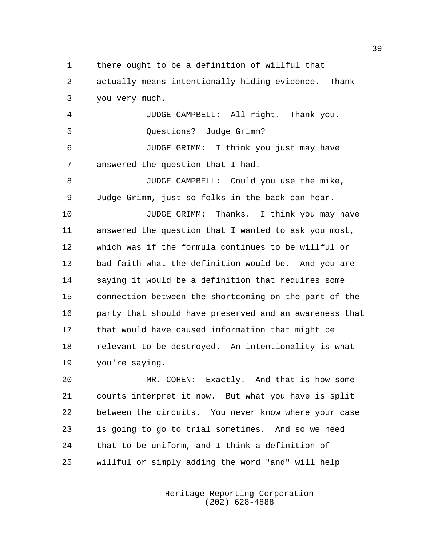there ought to be a definition of willful that

 actually means intentionally hiding evidence. Thank you very much.

 JUDGE CAMPBELL: All right. Thank you. Questions? Judge Grimm? JUDGE GRIMM: I think you just may have answered the question that I had.

 JUDGE CAMPBELL: Could you use the mike, Judge Grimm, just so folks in the back can hear.

 JUDGE GRIMM: Thanks. I think you may have answered the question that I wanted to ask you most, which was if the formula continues to be willful or bad faith what the definition would be. And you are saying it would be a definition that requires some connection between the shortcoming on the part of the party that should have preserved and an awareness that that would have caused information that might be relevant to be destroyed. An intentionality is what you're saying.

 MR. COHEN: Exactly. And that is how some courts interpret it now. But what you have is split between the circuits. You never know where your case is going to go to trial sometimes. And so we need that to be uniform, and I think a definition of willful or simply adding the word "and" will help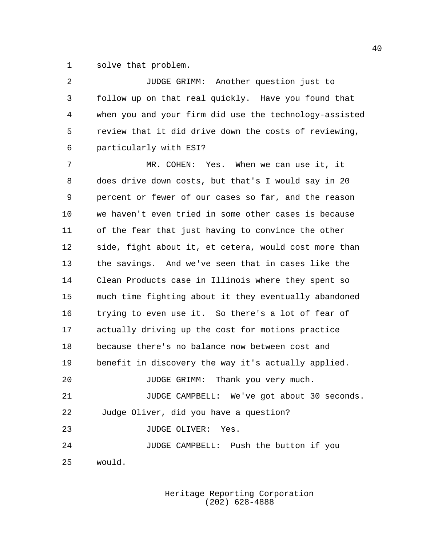solve that problem.

| 2       | JUDGE GRIMM: Another question just to                  |
|---------|--------------------------------------------------------|
| 3       | follow up on that real quickly. Have you found that    |
| 4       | when you and your firm did use the technology-assisted |
| 5       | review that it did drive down the costs of reviewing,  |
| 6       | particularly with ESI?                                 |
| 7       | MR. COHEN: Yes. When we can use it, it                 |
| 8       | does drive down costs, but that's I would say in 20    |
| 9       | percent or fewer of our cases so far, and the reason   |
| $10 \,$ | we haven't even tried in some other cases is because   |
| 11      | of the fear that just having to convince the other     |
| 12      | side, fight about it, et cetera, would cost more than  |
| 13      | the savings. And we've seen that in cases like the     |
| 14      | Clean Products case in Illinois where they spent so    |
| 15      | much time fighting about it they eventually abandoned  |
| 16      | trying to even use it. So there's a lot of fear of     |
| 17      | actually driving up the cost for motions practice      |
| 18      | because there's no balance now between cost and        |
| 19      | benefit in discovery the way it's actually applied.    |
| 20      | Thank you very much.<br>JUDGE GRIMM:                   |
| 21      | JUDGE CAMPBELL: We've got about 30 seconds.            |
| 22      | Judge Oliver, did you have a question?                 |
| 23      | JUDGE OLIVER:<br>Yes.                                  |
| 24      | JUDGE CAMPBELL: Push the button if you                 |
| 25      | would.                                                 |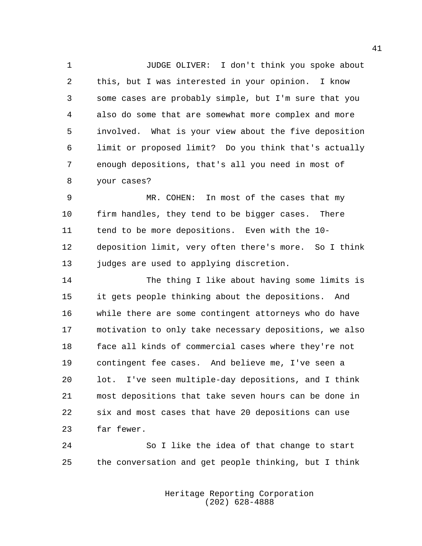JUDGE OLIVER: I don't think you spoke about this, but I was interested in your opinion. I know some cases are probably simple, but I'm sure that you also do some that are somewhat more complex and more involved. What is your view about the five deposition limit or proposed limit? Do you think that's actually enough depositions, that's all you need in most of your cases?

 MR. COHEN: In most of the cases that my firm handles, they tend to be bigger cases. There tend to be more depositions. Even with the 10- deposition limit, very often there's more. So I think 13 judges are used to applying discretion.

 The thing I like about having some limits is it gets people thinking about the depositions. And while there are some contingent attorneys who do have motivation to only take necessary depositions, we also face all kinds of commercial cases where they're not contingent fee cases. And believe me, I've seen a lot. I've seen multiple-day depositions, and I think most depositions that take seven hours can be done in six and most cases that have 20 depositions can use far fewer.

 So I like the idea of that change to start the conversation and get people thinking, but I think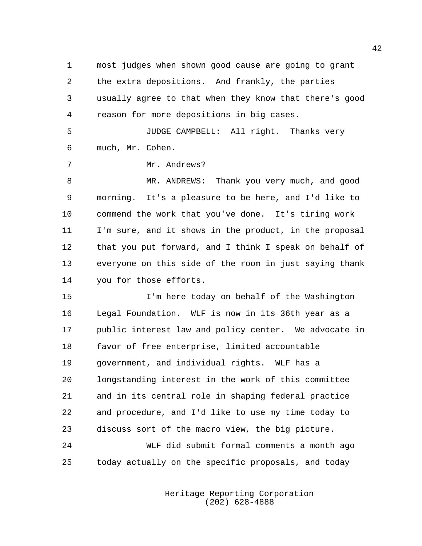most judges when shown good cause are going to grant the extra depositions. And frankly, the parties usually agree to that when they know that there's good reason for more depositions in big cases. JUDGE CAMPBELL: All right. Thanks very

much, Mr. Cohen.

Mr. Andrews?

8 MR. ANDREWS: Thank you very much, and good morning. It's a pleasure to be here, and I'd like to commend the work that you've done. It's tiring work I'm sure, and it shows in the product, in the proposal that you put forward, and I think I speak on behalf of everyone on this side of the room in just saying thank you for those efforts.

 I'm here today on behalf of the Washington Legal Foundation. WLF is now in its 36th year as a public interest law and policy center. We advocate in favor of free enterprise, limited accountable government, and individual rights. WLF has a longstanding interest in the work of this committee and in its central role in shaping federal practice and procedure, and I'd like to use my time today to discuss sort of the macro view, the big picture.

 WLF did submit formal comments a month ago today actually on the specific proposals, and today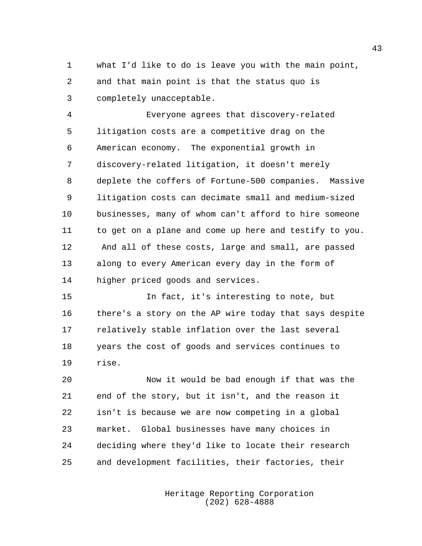what I'd like to do is leave you with the main point, and that main point is that the status quo is completely unacceptable.

 Everyone agrees that discovery-related litigation costs are a competitive drag on the American economy. The exponential growth in discovery-related litigation, it doesn't merely deplete the coffers of Fortune-500 companies. Massive litigation costs can decimate small and medium-sized businesses, many of whom can't afford to hire someone to get on a plane and come up here and testify to you. And all of these costs, large and small, are passed along to every American every day in the form of higher priced goods and services.

 In fact, it's interesting to note, but there's a story on the AP wire today that says despite relatively stable inflation over the last several years the cost of goods and services continues to rise.

 Now it would be bad enough if that was the end of the story, but it isn't, and the reason it isn't is because we are now competing in a global market. Global businesses have many choices in deciding where they'd like to locate their research and development facilities, their factories, their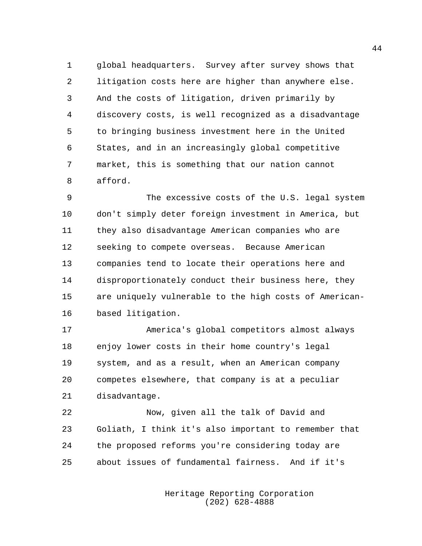global headquarters. Survey after survey shows that litigation costs here are higher than anywhere else. And the costs of litigation, driven primarily by discovery costs, is well recognized as a disadvantage to bringing business investment here in the United States, and in an increasingly global competitive market, this is something that our nation cannot afford.

 The excessive costs of the U.S. legal system don't simply deter foreign investment in America, but they also disadvantage American companies who are seeking to compete overseas. Because American companies tend to locate their operations here and disproportionately conduct their business here, they are uniquely vulnerable to the high costs of American-based litigation.

 America's global competitors almost always enjoy lower costs in their home country's legal system, and as a result, when an American company competes elsewhere, that company is at a peculiar disadvantage.

 Now, given all the talk of David and Goliath, I think it's also important to remember that the proposed reforms you're considering today are about issues of fundamental fairness. And if it's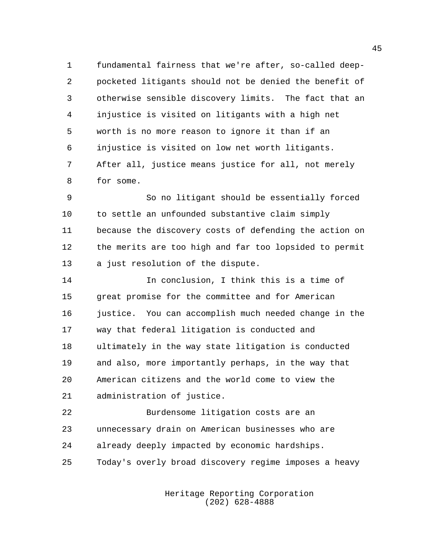fundamental fairness that we're after, so-called deep- pocketed litigants should not be denied the benefit of otherwise sensible discovery limits. The fact that an injustice is visited on litigants with a high net worth is no more reason to ignore it than if an injustice is visited on low net worth litigants. After all, justice means justice for all, not merely for some.

 So no litigant should be essentially forced to settle an unfounded substantive claim simply because the discovery costs of defending the action on the merits are too high and far too lopsided to permit a just resolution of the dispute.

 In conclusion, I think this is a time of great promise for the committee and for American 16 justice. You can accomplish much needed change in the way that federal litigation is conducted and ultimately in the way state litigation is conducted and also, more importantly perhaps, in the way that American citizens and the world come to view the administration of justice.

 Burdensome litigation costs are an unnecessary drain on American businesses who are already deeply impacted by economic hardships. Today's overly broad discovery regime imposes a heavy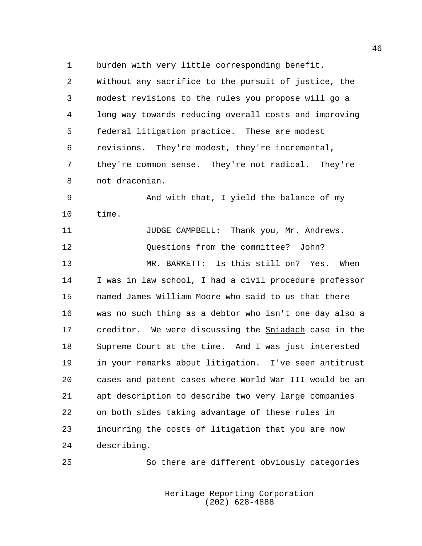burden with very little corresponding benefit.

 Without any sacrifice to the pursuit of justice, the modest revisions to the rules you propose will go a long way towards reducing overall costs and improving federal litigation practice. These are modest revisions. They're modest, they're incremental, they're common sense. They're not radical. They're not draconian.

 And with that, I yield the balance of my time.

**Industry JUDGE CAMPBELL:** Thank you, Mr. Andrews. Questions from the committee? John? MR. BARKETT: Is this still on? Yes. When I was in law school, I had a civil procedure professor named James William Moore who said to us that there was no such thing as a debtor who isn't one day also a 17 creditor. We were discussing the **Sniadach** case in the Supreme Court at the time. And I was just interested in your remarks about litigation. I've seen antitrust cases and patent cases where World War III would be an apt description to describe two very large companies on both sides taking advantage of these rules in incurring the costs of litigation that you are now describing.

So there are different obviously categories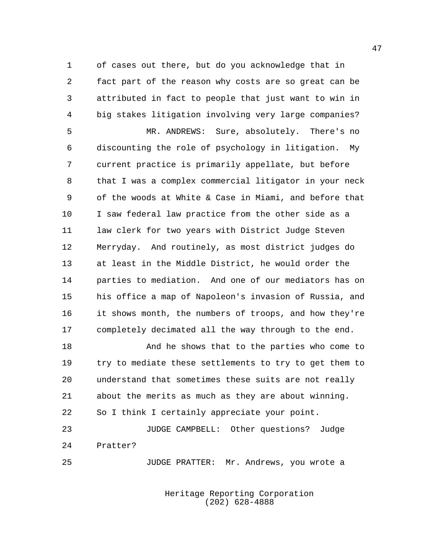of cases out there, but do you acknowledge that in fact part of the reason why costs are so great can be attributed in fact to people that just want to win in big stakes litigation involving very large companies? MR. ANDREWS: Sure, absolutely. There's no discounting the role of psychology in litigation. My

 current practice is primarily appellate, but before that I was a complex commercial litigator in your neck of the woods at White & Case in Miami, and before that I saw federal law practice from the other side as a law clerk for two years with District Judge Steven Merryday. And routinely, as most district judges do at least in the Middle District, he would order the parties to mediation. And one of our mediators has on his office a map of Napoleon's invasion of Russia, and it shows month, the numbers of troops, and how they're completely decimated all the way through to the end.

 And he shows that to the parties who come to try to mediate these settlements to try to get them to understand that sometimes these suits are not really about the merits as much as they are about winning. So I think I certainly appreciate your point.

 JUDGE CAMPBELL: Other questions? Judge Pratter?

JUDGE PRATTER: Mr. Andrews, you wrote a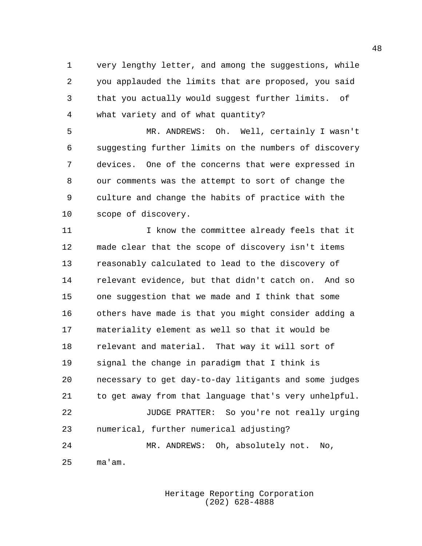very lengthy letter, and among the suggestions, while you applauded the limits that are proposed, you said that you actually would suggest further limits. of what variety and of what quantity?

 MR. ANDREWS: Oh. Well, certainly I wasn't suggesting further limits on the numbers of discovery devices. One of the concerns that were expressed in our comments was the attempt to sort of change the culture and change the habits of practice with the scope of discovery.

11 11 I know the committee already feels that it made clear that the scope of discovery isn't items reasonably calculated to lead to the discovery of relevant evidence, but that didn't catch on. And so one suggestion that we made and I think that some others have made is that you might consider adding a materiality element as well so that it would be relevant and material. That way it will sort of signal the change in paradigm that I think is necessary to get day-to-day litigants and some judges to get away from that language that's very unhelpful. JUDGE PRATTER: So you're not really urging numerical, further numerical adjusting? MR. ANDREWS: Oh, absolutely not. No, ma'am.

> Heritage Reporting Corporation (202) 628-4888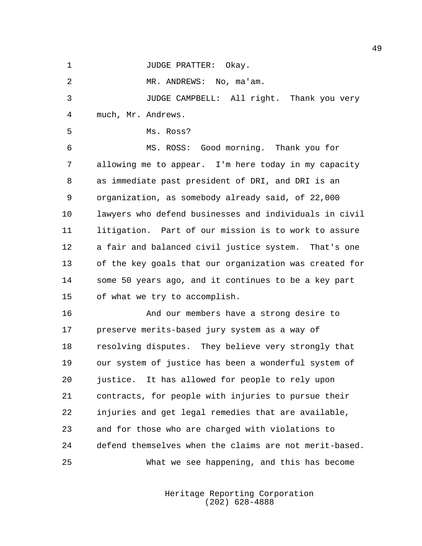1 JUDGE PRATTER: Okay.

2 MR. ANDREWS: No, ma'am.

 JUDGE CAMPBELL: All right. Thank you very much, Mr. Andrews.

Ms. Ross?

 MS. ROSS: Good morning. Thank you for allowing me to appear. I'm here today in my capacity as immediate past president of DRI, and DRI is an organization, as somebody already said, of 22,000 lawyers who defend businesses and individuals in civil litigation. Part of our mission is to work to assure a fair and balanced civil justice system. That's one of the key goals that our organization was created for some 50 years ago, and it continues to be a key part of what we try to accomplish.

 And our members have a strong desire to preserve merits-based jury system as a way of resolving disputes. They believe very strongly that our system of justice has been a wonderful system of justice. It has allowed for people to rely upon contracts, for people with injuries to pursue their injuries and get legal remedies that are available, and for those who are charged with violations to defend themselves when the claims are not merit-based. What we see happening, and this has become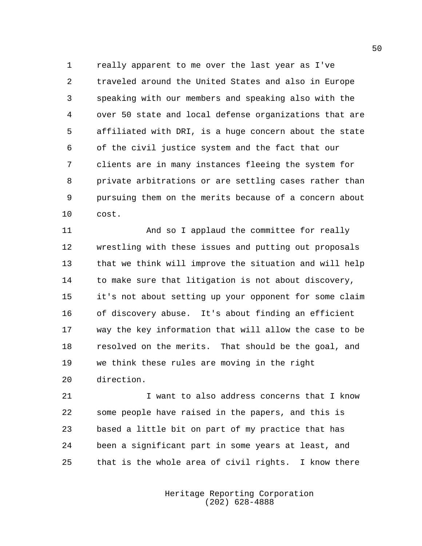really apparent to me over the last year as I've traveled around the United States and also in Europe speaking with our members and speaking also with the over 50 state and local defense organizations that are affiliated with DRI, is a huge concern about the state of the civil justice system and the fact that our clients are in many instances fleeing the system for private arbitrations or are settling cases rather than pursuing them on the merits because of a concern about cost.

 And so I applaud the committee for really wrestling with these issues and putting out proposals that we think will improve the situation and will help to make sure that litigation is not about discovery, it's not about setting up your opponent for some claim of discovery abuse. It's about finding an efficient way the key information that will allow the case to be resolved on the merits. That should be the goal, and we think these rules are moving in the right direction.

 I want to also address concerns that I know some people have raised in the papers, and this is based a little bit on part of my practice that has been a significant part in some years at least, and that is the whole area of civil rights. I know there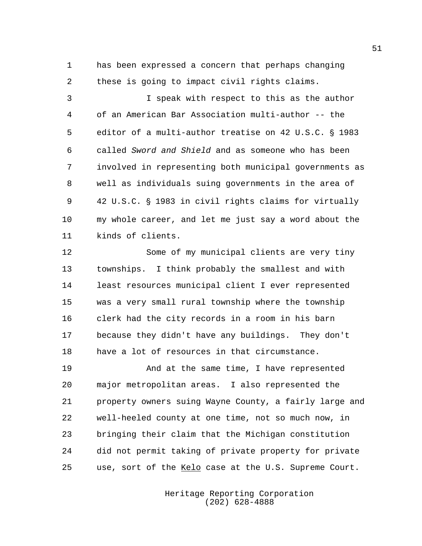has been expressed a concern that perhaps changing these is going to impact civil rights claims.

 I speak with respect to this as the author of an American Bar Association multi-author -- the 5 editor of a multi-author treatise on 42 U.S.C. § 1983 called *Sword and Shield* and as someone who has been involved in representing both municipal governments as well as individuals suing governments in the area of 9 42 U.S.C. § 1983 in civil rights claims for virtually my whole career, and let me just say a word about the kinds of clients.

 Some of my municipal clients are very tiny townships. I think probably the smallest and with least resources municipal client I ever represented was a very small rural township where the township clerk had the city records in a room in his barn because they didn't have any buildings. They don't have a lot of resources in that circumstance.

 And at the same time, I have represented major metropolitan areas. I also represented the property owners suing Wayne County, a fairly large and well-heeled county at one time, not so much now, in bringing their claim that the Michigan constitution did not permit taking of private property for private use, sort of the Kelo case at the U.S. Supreme Court.

> Heritage Reporting Corporation (202) 628-4888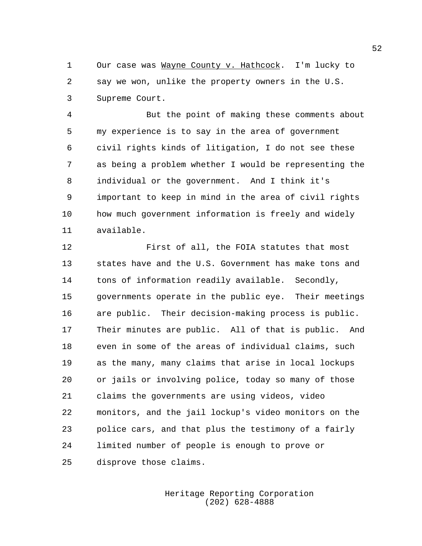Our case was Wayne County v. Hathcock. I'm lucky to say we won, unlike the property owners in the U.S. Supreme Court.

 But the point of making these comments about my experience is to say in the area of government civil rights kinds of litigation, I do not see these as being a problem whether I would be representing the individual or the government. And I think it's important to keep in mind in the area of civil rights how much government information is freely and widely available.

 First of all, the FOIA statutes that most states have and the U.S. Government has make tons and tons of information readily available. Secondly, governments operate in the public eye. Their meetings are public. Their decision-making process is public. Their minutes are public. All of that is public. And even in some of the areas of individual claims, such as the many, many claims that arise in local lockups or jails or involving police, today so many of those claims the governments are using videos, video monitors, and the jail lockup's video monitors on the police cars, and that plus the testimony of a fairly limited number of people is enough to prove or disprove those claims.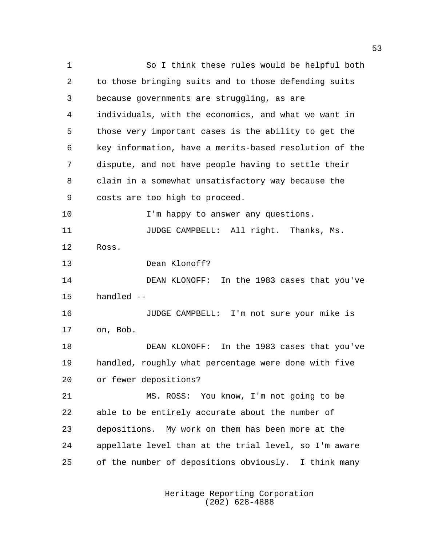So I think these rules would be helpful both to those bringing suits and to those defending suits because governments are struggling, as are individuals, with the economics, and what we want in those very important cases is the ability to get the key information, have a merits-based resolution of the dispute, and not have people having to settle their claim in a somewhat unsatisfactory way because the costs are too high to proceed. **I'm happy to answer any questions.**  JUDGE CAMPBELL: All right. Thanks, Ms. Ross. Dean Klonoff? DEAN KLONOFF: In the 1983 cases that you've handled -- JUDGE CAMPBELL: I'm not sure your mike is on, Bob. DEAN KLONOFF: In the 1983 cases that you've handled, roughly what percentage were done with five or fewer depositions? MS. ROSS: You know, I'm not going to be able to be entirely accurate about the number of depositions. My work on them has been more at the appellate level than at the trial level, so I'm aware of the number of depositions obviously. I think many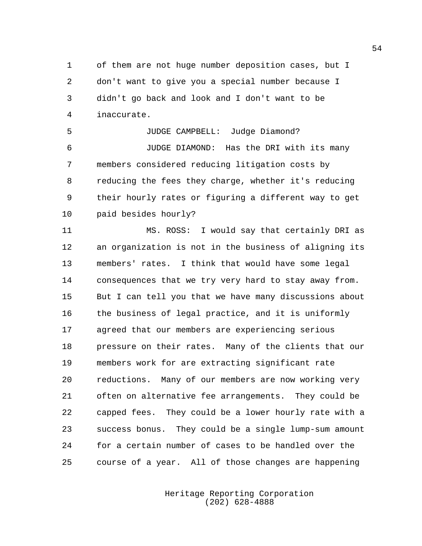of them are not huge number deposition cases, but I don't want to give you a special number because I didn't go back and look and I don't want to be inaccurate.

 JUDGE CAMPBELL: Judge Diamond? JUDGE DIAMOND: Has the DRI with its many members considered reducing litigation costs by reducing the fees they charge, whether it's reducing their hourly rates or figuring a different way to get paid besides hourly?

 MS. ROSS: I would say that certainly DRI as an organization is not in the business of aligning its members' rates. I think that would have some legal consequences that we try very hard to stay away from. But I can tell you that we have many discussions about the business of legal practice, and it is uniformly agreed that our members are experiencing serious pressure on their rates. Many of the clients that our members work for are extracting significant rate reductions. Many of our members are now working very often on alternative fee arrangements. They could be capped fees. They could be a lower hourly rate with a success bonus. They could be a single lump-sum amount for a certain number of cases to be handled over the course of a year. All of those changes are happening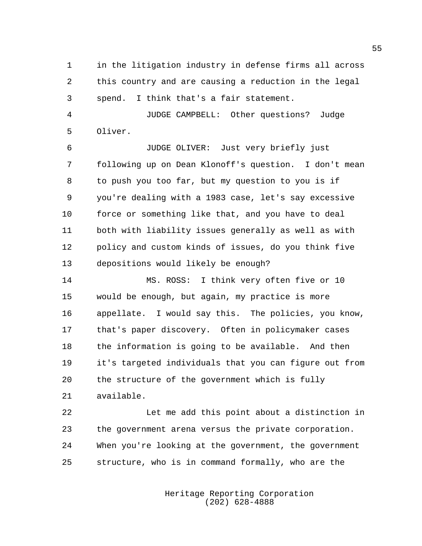in the litigation industry in defense firms all across this country and are causing a reduction in the legal spend. I think that's a fair statement.

 JUDGE CAMPBELL: Other questions? Judge Oliver.

 JUDGE OLIVER: Just very briefly just following up on Dean Klonoff's question. I don't mean to push you too far, but my question to you is if you're dealing with a 1983 case, let's say excessive force or something like that, and you have to deal both with liability issues generally as well as with policy and custom kinds of issues, do you think five depositions would likely be enough?

 MS. ROSS: I think very often five or 10 would be enough, but again, my practice is more appellate. I would say this. The policies, you know, that's paper discovery. Often in policymaker cases the information is going to be available. And then it's targeted individuals that you can figure out from the structure of the government which is fully available.

 Let me add this point about a distinction in the government arena versus the private corporation. When you're looking at the government, the government structure, who is in command formally, who are the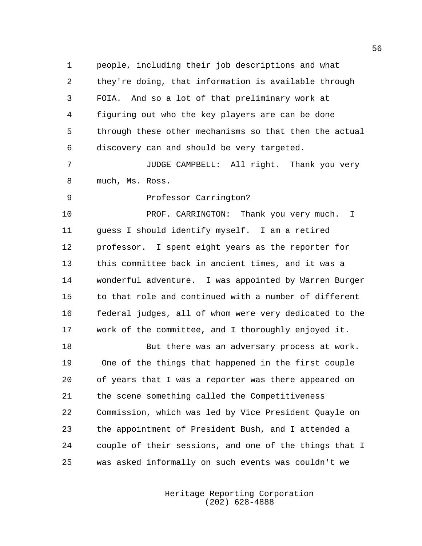people, including their job descriptions and what they're doing, that information is available through FOIA. And so a lot of that preliminary work at figuring out who the key players are can be done through these other mechanisms so that then the actual discovery can and should be very targeted.

 JUDGE CAMPBELL: All right. Thank you very much, Ms. Ross.

Professor Carrington?

**PROF. CARRINGTON:** Thank you very much. I guess I should identify myself. I am a retired professor. I spent eight years as the reporter for this committee back in ancient times, and it was a wonderful adventure. I was appointed by Warren Burger to that role and continued with a number of different federal judges, all of whom were very dedicated to the work of the committee, and I thoroughly enjoyed it.

 But there was an adversary process at work. One of the things that happened in the first couple of years that I was a reporter was there appeared on the scene something called the Competitiveness Commission, which was led by Vice President Quayle on the appointment of President Bush, and I attended a couple of their sessions, and one of the things that I was asked informally on such events was couldn't we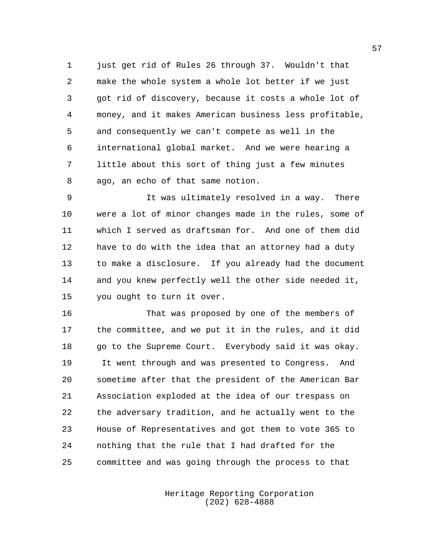just get rid of Rules 26 through 37. Wouldn't that make the whole system a whole lot better if we just got rid of discovery, because it costs a whole lot of money, and it makes American business less profitable, and consequently we can't compete as well in the international global market. And we were hearing a little about this sort of thing just a few minutes ago, an echo of that same notion.

 It was ultimately resolved in a way. There were a lot of minor changes made in the rules, some of which I served as draftsman for. And one of them did have to do with the idea that an attorney had a duty to make a disclosure. If you already had the document and you knew perfectly well the other side needed it, you ought to turn it over.

 That was proposed by one of the members of the committee, and we put it in the rules, and it did 18 go to the Supreme Court. Everybody said it was okay. It went through and was presented to Congress. And sometime after that the president of the American Bar Association exploded at the idea of our trespass on the adversary tradition, and he actually went to the House of Representatives and got them to vote 365 to nothing that the rule that I had drafted for the committee and was going through the process to that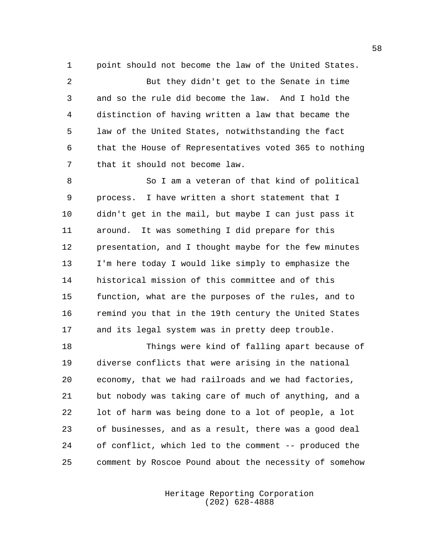point should not become the law of the United States.

 But they didn't get to the Senate in time and so the rule did become the law. And I hold the distinction of having written a law that became the law of the United States, notwithstanding the fact that the House of Representatives voted 365 to nothing that it should not become law.

 So I am a veteran of that kind of political process. I have written a short statement that I didn't get in the mail, but maybe I can just pass it around. It was something I did prepare for this presentation, and I thought maybe for the few minutes I'm here today I would like simply to emphasize the historical mission of this committee and of this function, what are the purposes of the rules, and to remind you that in the 19th century the United States and its legal system was in pretty deep trouble.

 Things were kind of falling apart because of diverse conflicts that were arising in the national economy, that we had railroads and we had factories, but nobody was taking care of much of anything, and a lot of harm was being done to a lot of people, a lot of businesses, and as a result, there was a good deal of conflict, which led to the comment -- produced the comment by Roscoe Pound about the necessity of somehow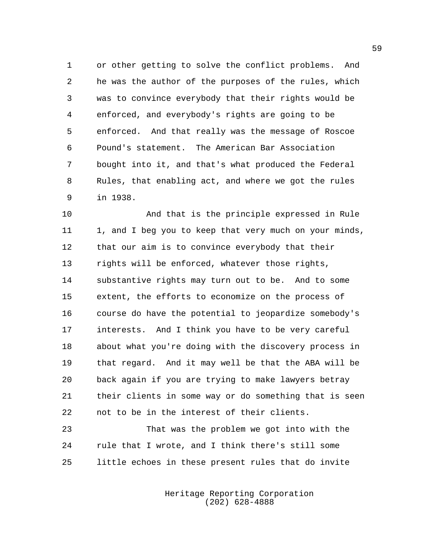or other getting to solve the conflict problems. And he was the author of the purposes of the rules, which was to convince everybody that their rights would be enforced, and everybody's rights are going to be enforced. And that really was the message of Roscoe Pound's statement. The American Bar Association bought into it, and that's what produced the Federal Rules, that enabling act, and where we got the rules in 1938.

 And that is the principle expressed in Rule 11 1, and I beg you to keep that very much on your minds, that our aim is to convince everybody that their rights will be enforced, whatever those rights, substantive rights may turn out to be. And to some extent, the efforts to economize on the process of course do have the potential to jeopardize somebody's interests. And I think you have to be very careful about what you're doing with the discovery process in that regard. And it may well be that the ABA will be back again if you are trying to make lawyers betray their clients in some way or do something that is seen not to be in the interest of their clients.

 That was the problem we got into with the rule that I wrote, and I think there's still some little echoes in these present rules that do invite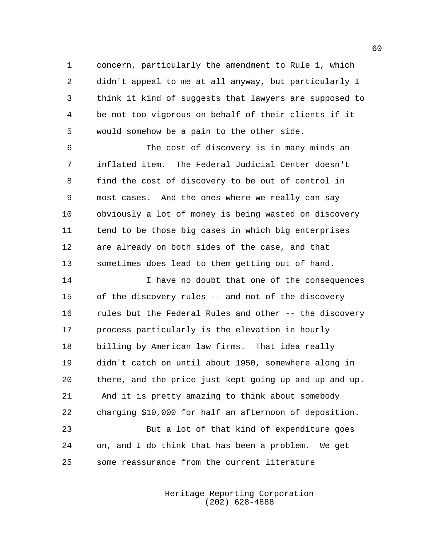concern, particularly the amendment to Rule 1, which didn't appeal to me at all anyway, but particularly I think it kind of suggests that lawyers are supposed to be not too vigorous on behalf of their clients if it would somehow be a pain to the other side.

 The cost of discovery is in many minds an inflated item. The Federal Judicial Center doesn't find the cost of discovery to be out of control in most cases. And the ones where we really can say obviously a lot of money is being wasted on discovery tend to be those big cases in which big enterprises are already on both sides of the case, and that sometimes does lead to them getting out of hand.

 I have no doubt that one of the consequences of the discovery rules -- and not of the discovery rules but the Federal Rules and other -- the discovery process particularly is the elevation in hourly billing by American law firms. That idea really didn't catch on until about 1950, somewhere along in there, and the price just kept going up and up and up. And it is pretty amazing to think about somebody charging \$10,000 for half an afternoon of deposition. But a lot of that kind of expenditure goes on, and I do think that has been a problem. We get

some reassurance from the current literature

Heritage Reporting Corporation (202) 628-4888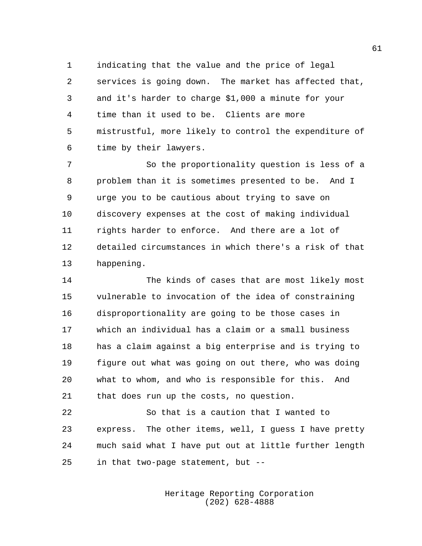indicating that the value and the price of legal services is going down. The market has affected that, and it's harder to charge \$1,000 a minute for your time than it used to be. Clients are more mistrustful, more likely to control the expenditure of time by their lawyers.

 So the proportionality question is less of a problem than it is sometimes presented to be. And I urge you to be cautious about trying to save on discovery expenses at the cost of making individual rights harder to enforce. And there are a lot of detailed circumstances in which there's a risk of that happening.

 The kinds of cases that are most likely most vulnerable to invocation of the idea of constraining disproportionality are going to be those cases in which an individual has a claim or a small business has a claim against a big enterprise and is trying to figure out what was going on out there, who was doing what to whom, and who is responsible for this. And that does run up the costs, no question.

 So that is a caution that I wanted to express. The other items, well, I guess I have pretty much said what I have put out at little further length in that two-page statement, but --

> Heritage Reporting Corporation (202) 628-4888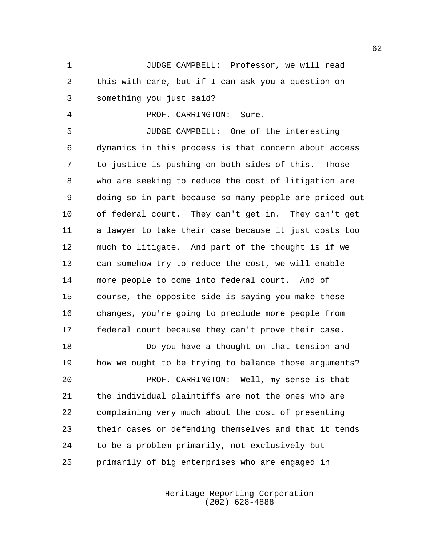JUDGE CAMPBELL: Professor, we will read this with care, but if I can ask you a question on something you just said?

PROF. CARRINGTON: Sure.

 JUDGE CAMPBELL: One of the interesting dynamics in this process is that concern about access to justice is pushing on both sides of this. Those who are seeking to reduce the cost of litigation are doing so in part because so many people are priced out of federal court. They can't get in. They can't get a lawyer to take their case because it just costs too much to litigate. And part of the thought is if we can somehow try to reduce the cost, we will enable more people to come into federal court. And of course, the opposite side is saying you make these changes, you're going to preclude more people from federal court because they can't prove their case.

 Do you have a thought on that tension and how we ought to be trying to balance those arguments? PROF. CARRINGTON: Well, my sense is that the individual plaintiffs are not the ones who are complaining very much about the cost of presenting their cases or defending themselves and that it tends to be a problem primarily, not exclusively but primarily of big enterprises who are engaged in

> Heritage Reporting Corporation (202) 628-4888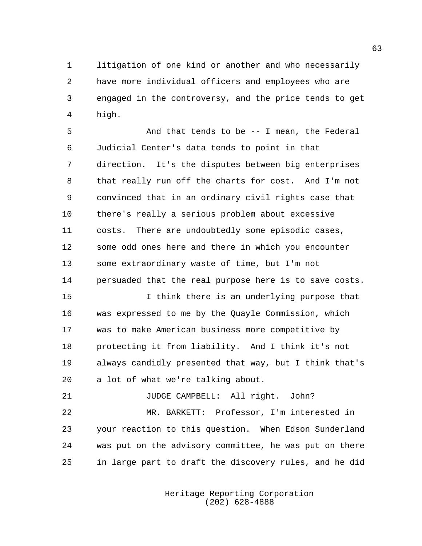litigation of one kind or another and who necessarily have more individual officers and employees who are engaged in the controversy, and the price tends to get high.

 And that tends to be -- I mean, the Federal Judicial Center's data tends to point in that direction. It's the disputes between big enterprises that really run off the charts for cost. And I'm not convinced that in an ordinary civil rights case that there's really a serious problem about excessive costs. There are undoubtedly some episodic cases, some odd ones here and there in which you encounter some extraordinary waste of time, but I'm not persuaded that the real purpose here is to save costs.

 I think there is an underlying purpose that was expressed to me by the Quayle Commission, which was to make American business more competitive by protecting it from liability. And I think it's not always candidly presented that way, but I think that's a lot of what we're talking about.

21 JUDGE CAMPBELL: All right. John?

 MR. BARKETT: Professor, I'm interested in your reaction to this question. When Edson Sunderland was put on the advisory committee, he was put on there in large part to draft the discovery rules, and he did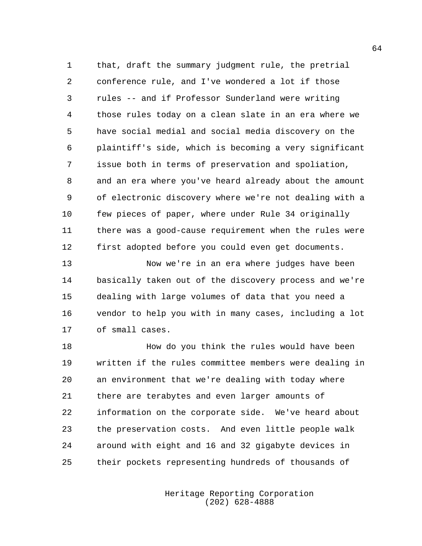that, draft the summary judgment rule, the pretrial conference rule, and I've wondered a lot if those rules -- and if Professor Sunderland were writing those rules today on a clean slate in an era where we have social medial and social media discovery on the plaintiff's side, which is becoming a very significant issue both in terms of preservation and spoliation, and an era where you've heard already about the amount of electronic discovery where we're not dealing with a few pieces of paper, where under Rule 34 originally there was a good-cause requirement when the rules were first adopted before you could even get documents.

 Now we're in an era where judges have been basically taken out of the discovery process and we're dealing with large volumes of data that you need a vendor to help you with in many cases, including a lot of small cases.

 How do you think the rules would have been written if the rules committee members were dealing in an environment that we're dealing with today where there are terabytes and even larger amounts of information on the corporate side. We've heard about the preservation costs. And even little people walk around with eight and 16 and 32 gigabyte devices in their pockets representing hundreds of thousands of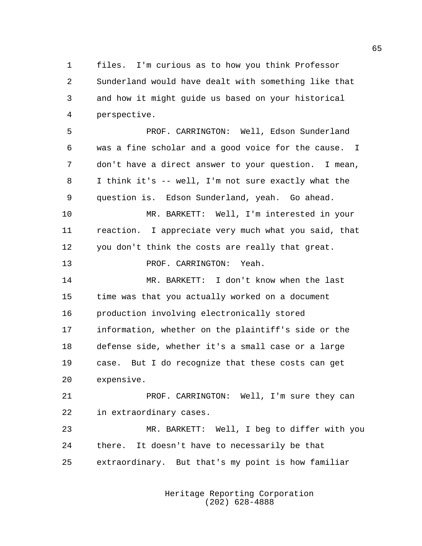files. I'm curious as to how you think Professor Sunderland would have dealt with something like that and how it might guide us based on your historical perspective.

 PROF. CARRINGTON: Well, Edson Sunderland was a fine scholar and a good voice for the cause. I don't have a direct answer to your question. I mean, I think it's -- well, I'm not sure exactly what the question is. Edson Sunderland, yeah. Go ahead. MR. BARKETT: Well, I'm interested in your reaction. I appreciate very much what you said, that you don't think the costs are really that great. PROF. CARRINGTON: Yeah. MR. BARKETT: I don't know when the last time was that you actually worked on a document production involving electronically stored information, whether on the plaintiff's side or the defense side, whether it's a small case or a large case. But I do recognize that these costs can get expensive. PROF. CARRINGTON: Well, I'm sure they can

in extraordinary cases.

 MR. BARKETT: Well, I beg to differ with you there. It doesn't have to necessarily be that extraordinary. But that's my point is how familiar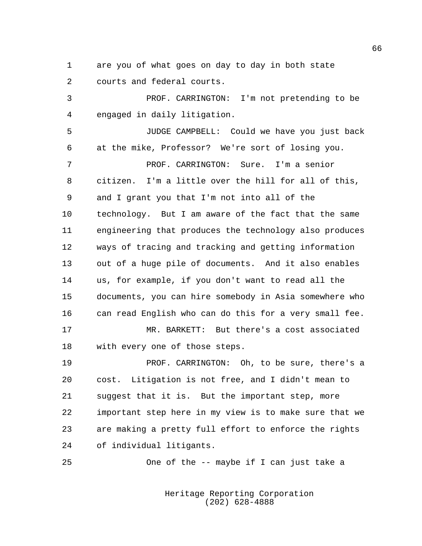are you of what goes on day to day in both state courts and federal courts.

 PROF. CARRINGTON: I'm not pretending to be engaged in daily litigation.

 JUDGE CAMPBELL: Could we have you just back at the mike, Professor? We're sort of losing you. PROF. CARRINGTON: Sure. I'm a senior citizen. I'm a little over the hill for all of this, and I grant you that I'm not into all of the technology. But I am aware of the fact that the same engineering that produces the technology also produces ways of tracing and tracking and getting information out of a huge pile of documents. And it also enables us, for example, if you don't want to read all the documents, you can hire somebody in Asia somewhere who can read English who can do this for a very small fee. MR. BARKETT: But there's a cost associated

with every one of those steps.

 PROF. CARRINGTON: Oh, to be sure, there's a cost. Litigation is not free, and I didn't mean to suggest that it is. But the important step, more important step here in my view is to make sure that we are making a pretty full effort to enforce the rights of individual litigants.

One of the -- maybe if I can just take a

Heritage Reporting Corporation (202) 628-4888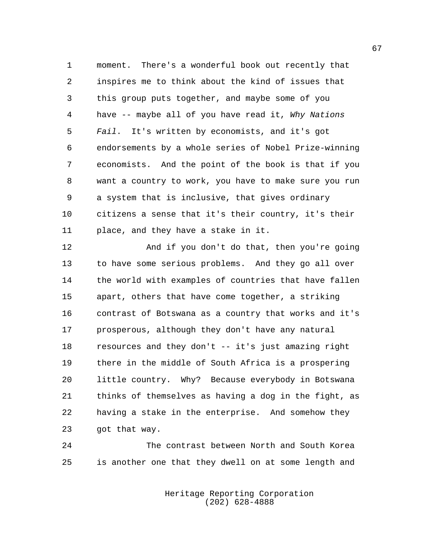moment. There's a wonderful book out recently that inspires me to think about the kind of issues that this group puts together, and maybe some of you have -- maybe all of you have read it, *Why Nations Fail*. It's written by economists, and it's got endorsements by a whole series of Nobel Prize-winning economists. And the point of the book is that if you want a country to work, you have to make sure you run a system that is inclusive, that gives ordinary citizens a sense that it's their country, it's their place, and they have a stake in it.

 And if you don't do that, then you're going to have some serious problems. And they go all over the world with examples of countries that have fallen apart, others that have come together, a striking contrast of Botswana as a country that works and it's prosperous, although they don't have any natural resources and they don't -- it's just amazing right there in the middle of South Africa is a prospering little country. Why? Because everybody in Botswana thinks of themselves as having a dog in the fight, as having a stake in the enterprise. And somehow they got that way.

 The contrast between North and South Korea is another one that they dwell on at some length and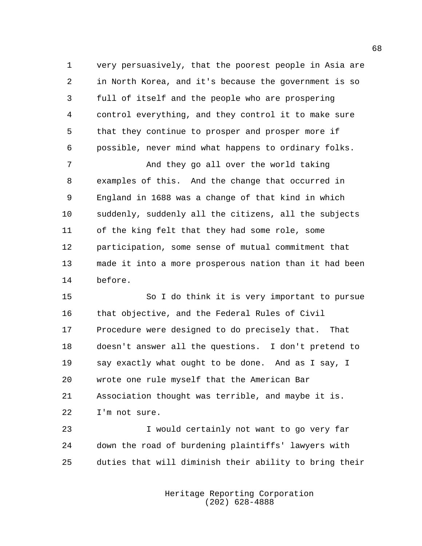very persuasively, that the poorest people in Asia are in North Korea, and it's because the government is so full of itself and the people who are prospering control everything, and they control it to make sure that they continue to prosper and prosper more if possible, never mind what happens to ordinary folks.

 And they go all over the world taking examples of this. And the change that occurred in England in 1688 was a change of that kind in which suddenly, suddenly all the citizens, all the subjects of the king felt that they had some role, some participation, some sense of mutual commitment that made it into a more prosperous nation than it had been before.

 So I do think it is very important to pursue that objective, and the Federal Rules of Civil Procedure were designed to do precisely that. That doesn't answer all the questions. I don't pretend to say exactly what ought to be done. And as I say, I wrote one rule myself that the American Bar Association thought was terrible, and maybe it is. I'm not sure.

 I would certainly not want to go very far down the road of burdening plaintiffs' lawyers with duties that will diminish their ability to bring their

> Heritage Reporting Corporation (202) 628-4888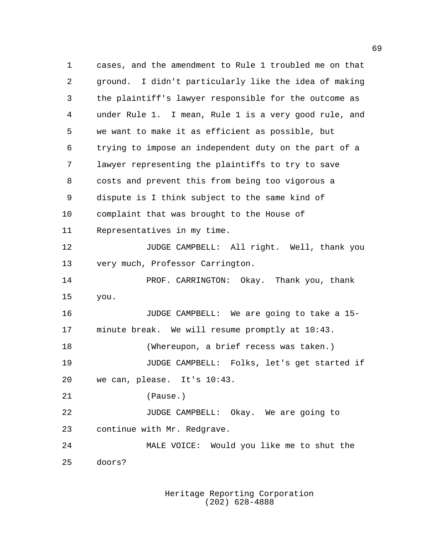cases, and the amendment to Rule 1 troubled me on that ground. I didn't particularly like the idea of making the plaintiff's lawyer responsible for the outcome as under Rule 1. I mean, Rule 1 is a very good rule, and we want to make it as efficient as possible, but trying to impose an independent duty on the part of a lawyer representing the plaintiffs to try to save costs and prevent this from being too vigorous a dispute is I think subject to the same kind of complaint that was brought to the House of Representatives in my time. JUDGE CAMPBELL: All right. Well, thank you very much, Professor Carrington. 14 PROF. CARRINGTON: Okay. Thank you, thank you. JUDGE CAMPBELL: We are going to take a 15- minute break. We will resume promptly at 10:43. (Whereupon, a brief recess was taken.) JUDGE CAMPBELL: Folks, let's get started if we can, please. It's 10:43. (Pause.) JUDGE CAMPBELL: Okay. We are going to continue with Mr. Redgrave. MALE VOICE: Would you like me to shut the doors?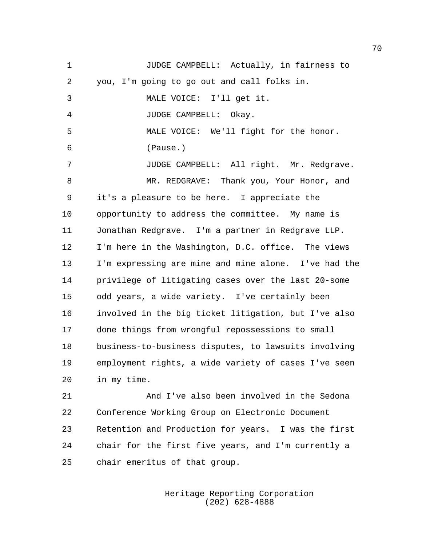JUDGE CAMPBELL: Actually, in fairness to you, I'm going to go out and call folks in. MALE VOICE: I'll get it. JUDGE CAMPBELL: Okay. MALE VOICE: We'll fight for the honor. (Pause.) JUDGE CAMPBELL: All right. Mr. Redgrave. MR. REDGRAVE: Thank you, Your Honor, and it's a pleasure to be here. I appreciate the opportunity to address the committee. My name is Jonathan Redgrave. I'm a partner in Redgrave LLP. I'm here in the Washington, D.C. office. The views I'm expressing are mine and mine alone. I've had the privilege of litigating cases over the last 20-some odd years, a wide variety. I've certainly been involved in the big ticket litigation, but I've also done things from wrongful repossessions to small business-to-business disputes, to lawsuits involving employment rights, a wide variety of cases I've seen in my time. And I've also been involved in the Sedona Conference Working Group on Electronic Document Retention and Production for years. I was the first

chair emeritus of that group.

Heritage Reporting Corporation (202) 628-4888

chair for the first five years, and I'm currently a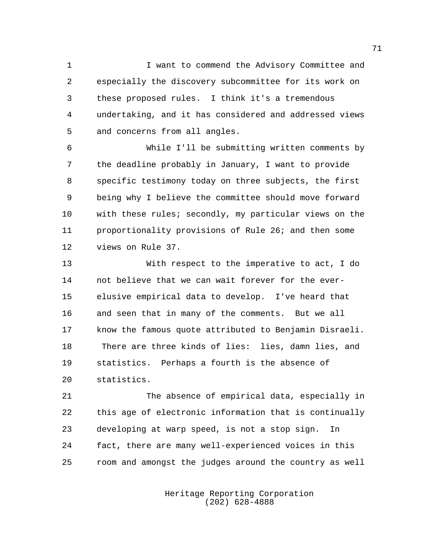I want to commend the Advisory Committee and especially the discovery subcommittee for its work on these proposed rules. I think it's a tremendous undertaking, and it has considered and addressed views and concerns from all angles.

 While I'll be submitting written comments by the deadline probably in January, I want to provide specific testimony today on three subjects, the first being why I believe the committee should move forward with these rules; secondly, my particular views on the proportionality provisions of Rule 26; and then some views on Rule 37.

 With respect to the imperative to act, I do not believe that we can wait forever for the ever- elusive empirical data to develop. I've heard that and seen that in many of the comments. But we all know the famous quote attributed to Benjamin Disraeli. There are three kinds of lies: lies, damn lies, and statistics. Perhaps a fourth is the absence of statistics.

 The absence of empirical data, especially in this age of electronic information that is continually developing at warp speed, is not a stop sign. In fact, there are many well-experienced voices in this room and amongst the judges around the country as well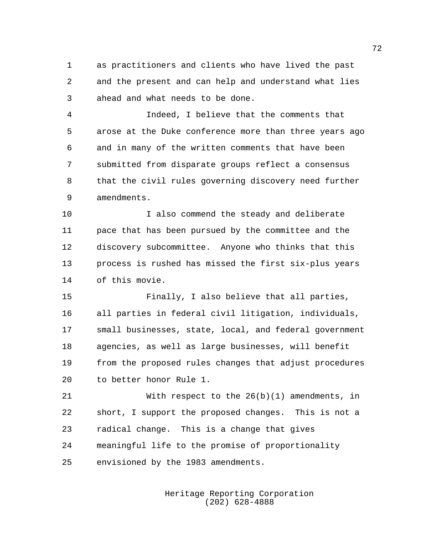as practitioners and clients who have lived the past and the present and can help and understand what lies ahead and what needs to be done.

 Indeed, I believe that the comments that arose at the Duke conference more than three years ago and in many of the written comments that have been submitted from disparate groups reflect a consensus that the civil rules governing discovery need further amendments.

 I also commend the steady and deliberate pace that has been pursued by the committee and the discovery subcommittee. Anyone who thinks that this process is rushed has missed the first six-plus years of this movie.

 Finally, I also believe that all parties, all parties in federal civil litigation, individuals, small businesses, state, local, and federal government agencies, as well as large businesses, will benefit from the proposed rules changes that adjust procedures to better honor Rule 1.

 With respect to the 26(b)(1) amendments, in short, I support the proposed changes. This is not a radical change. This is a change that gives meaningful life to the promise of proportionality envisioned by the 1983 amendments.

> Heritage Reporting Corporation (202) 628-4888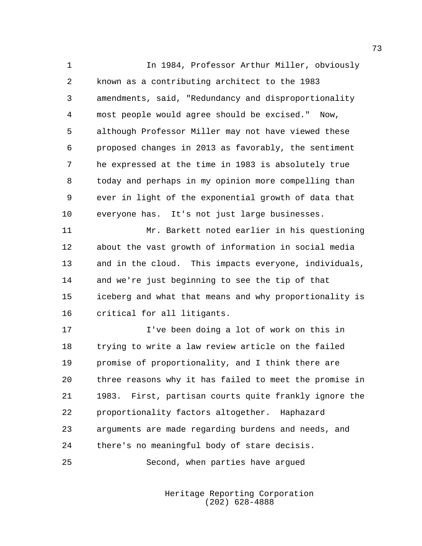In 1984, Professor Arthur Miller, obviously known as a contributing architect to the 1983 amendments, said, "Redundancy and disproportionality most people would agree should be excised." Now, although Professor Miller may not have viewed these proposed changes in 2013 as favorably, the sentiment he expressed at the time in 1983 is absolutely true today and perhaps in my opinion more compelling than ever in light of the exponential growth of data that everyone has. It's not just large businesses.

 Mr. Barkett noted earlier in his questioning about the vast growth of information in social media and in the cloud. This impacts everyone, individuals, and we're just beginning to see the tip of that iceberg and what that means and why proportionality is critical for all litigants.

 I've been doing a lot of work on this in trying to write a law review article on the failed promise of proportionality, and I think there are three reasons why it has failed to meet the promise in 1983. First, partisan courts quite frankly ignore the proportionality factors altogether. Haphazard arguments are made regarding burdens and needs, and there's no meaningful body of stare decisis.

Second, when parties have argued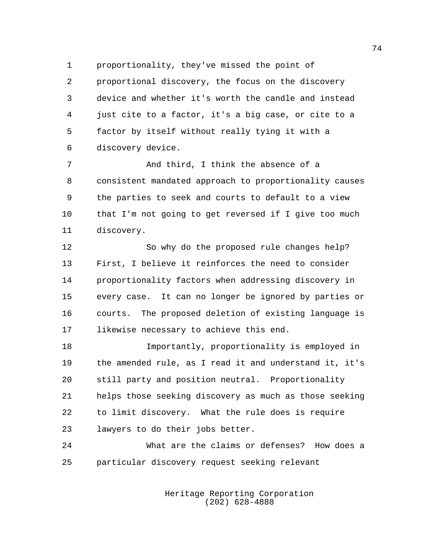proportionality, they've missed the point of proportional discovery, the focus on the discovery device and whether it's worth the candle and instead just cite to a factor, it's a big case, or cite to a factor by itself without really tying it with a discovery device.

7 And third, I think the absence of a consistent mandated approach to proportionality causes the parties to seek and courts to default to a view that I'm not going to get reversed if I give too much discovery.

 So why do the proposed rule changes help? First, I believe it reinforces the need to consider proportionality factors when addressing discovery in every case. It can no longer be ignored by parties or courts. The proposed deletion of existing language is likewise necessary to achieve this end.

 Importantly, proportionality is employed in the amended rule, as I read it and understand it, it's still party and position neutral. Proportionality helps those seeking discovery as much as those seeking to limit discovery. What the rule does is require lawyers to do their jobs better.

 What are the claims or defenses? How does a particular discovery request seeking relevant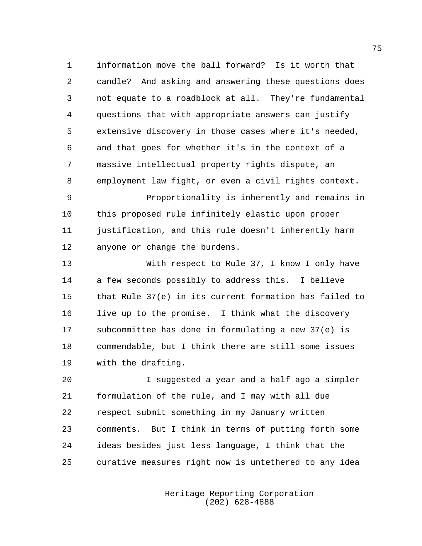information move the ball forward? Is it worth that candle? And asking and answering these questions does not equate to a roadblock at all. They're fundamental questions that with appropriate answers can justify extensive discovery in those cases where it's needed, and that goes for whether it's in the context of a massive intellectual property rights dispute, an employment law fight, or even a civil rights context. Proportionality is inherently and remains in

 this proposed rule infinitely elastic upon proper justification, and this rule doesn't inherently harm anyone or change the burdens.

 With respect to Rule 37, I know I only have a few seconds possibly to address this. I believe that Rule 37(e) in its current formation has failed to live up to the promise. I think what the discovery subcommittee has done in formulating a new 37(e) is commendable, but I think there are still some issues with the drafting.

 I suggested a year and a half ago a simpler formulation of the rule, and I may with all due respect submit something in my January written comments. But I think in terms of putting forth some ideas besides just less language, I think that the curative measures right now is untethered to any idea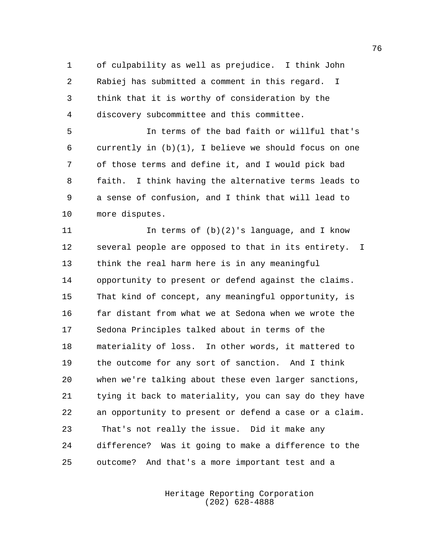of culpability as well as prejudice. I think John Rabiej has submitted a comment in this regard. I think that it is worthy of consideration by the discovery subcommittee and this committee.

 In terms of the bad faith or willful that's currently in (b)(1), I believe we should focus on one of those terms and define it, and I would pick bad faith. I think having the alternative terms leads to a sense of confusion, and I think that will lead to more disputes.

 In terms of (b)(2)'s language, and I know several people are opposed to that in its entirety. I think the real harm here is in any meaningful opportunity to present or defend against the claims. That kind of concept, any meaningful opportunity, is far distant from what we at Sedona when we wrote the Sedona Principles talked about in terms of the materiality of loss. In other words, it mattered to the outcome for any sort of sanction. And I think when we're talking about these even larger sanctions, tying it back to materiality, you can say do they have an opportunity to present or defend a case or a claim. That's not really the issue. Did it make any difference? Was it going to make a difference to the outcome? And that's a more important test and a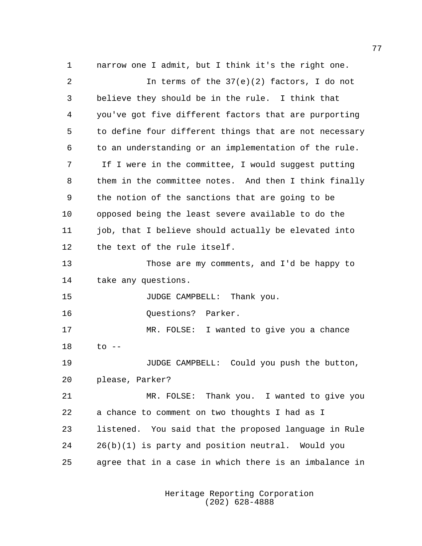narrow one I admit, but I think it's the right one. In terms of the 37(e)(2) factors, I do not believe they should be in the rule. I think that you've got five different factors that are purporting to define four different things that are not necessary to an understanding or an implementation of the rule. If I were in the committee, I would suggest putting them in the committee notes. And then I think finally the notion of the sanctions that are going to be opposed being the least severe available to do the 11 job, that I believe should actually be elevated into the text of the rule itself. Those are my comments, and I'd be happy to take any questions. JUDGE CAMPBELL: Thank you. **Ouestions?** Parker. MR. FOLSE: I wanted to give you a chance to  $-$  JUDGE CAMPBELL: Could you push the button, please, Parker? MR. FOLSE: Thank you. I wanted to give you a chance to comment on two thoughts I had as I listened. You said that the proposed language in Rule 26(b)(1) is party and position neutral. Would you agree that in a case in which there is an imbalance in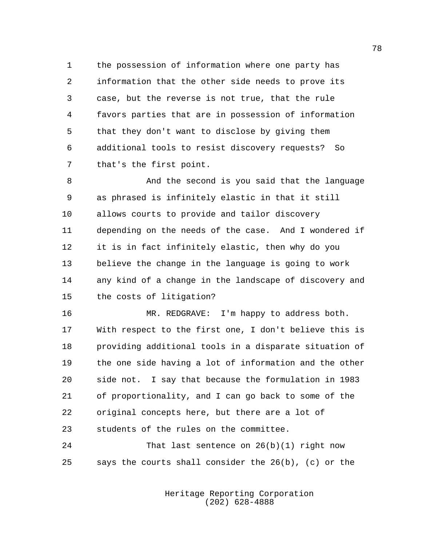the possession of information where one party has information that the other side needs to prove its case, but the reverse is not true, that the rule favors parties that are in possession of information that they don't want to disclose by giving them additional tools to resist discovery requests? So that's the first point.

 And the second is you said that the language as phrased is infinitely elastic in that it still allows courts to provide and tailor discovery depending on the needs of the case. And I wondered if it is in fact infinitely elastic, then why do you believe the change in the language is going to work any kind of a change in the landscape of discovery and the costs of litigation?

 MR. REDGRAVE: I'm happy to address both. With respect to the first one, I don't believe this is providing additional tools in a disparate situation of the one side having a lot of information and the other side not. I say that because the formulation in 1983 of proportionality, and I can go back to some of the original concepts here, but there are a lot of students of the rules on the committee.

 That last sentence on 26(b)(1) right now says the courts shall consider the 26(b), (c) or the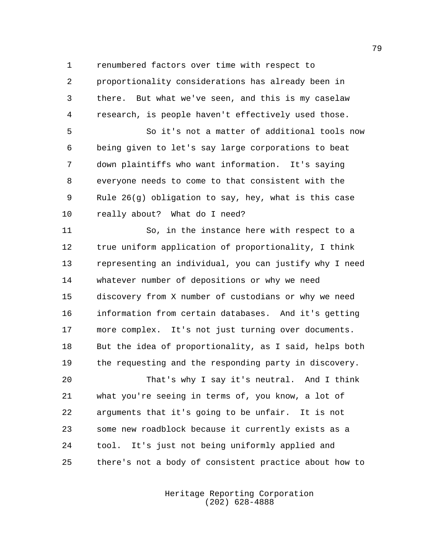renumbered factors over time with respect to

 proportionality considerations has already been in there. But what we've seen, and this is my caselaw research, is people haven't effectively used those.

 So it's not a matter of additional tools now being given to let's say large corporations to beat down plaintiffs who want information. It's saying everyone needs to come to that consistent with the Rule 26(g) obligation to say, hey, what is this case really about? What do I need?

 So, in the instance here with respect to a true uniform application of proportionality, I think representing an individual, you can justify why I need whatever number of depositions or why we need discovery from X number of custodians or why we need information from certain databases. And it's getting more complex. It's not just turning over documents. But the idea of proportionality, as I said, helps both the requesting and the responding party in discovery.

 That's why I say it's neutral. And I think what you're seeing in terms of, you know, a lot of arguments that it's going to be unfair. It is not some new roadblock because it currently exists as a tool. It's just not being uniformly applied and there's not a body of consistent practice about how to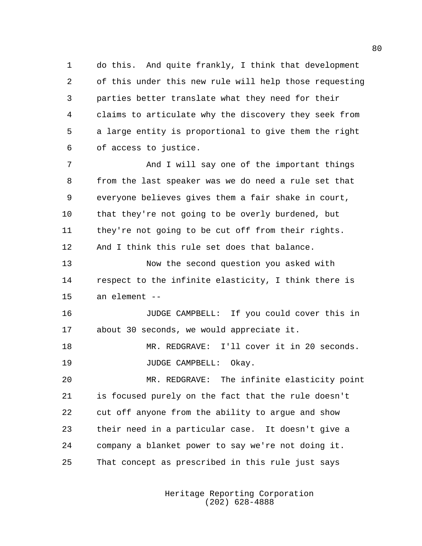do this. And quite frankly, I think that development of this under this new rule will help those requesting parties better translate what they need for their claims to articulate why the discovery they seek from a large entity is proportional to give them the right of access to justice.

 And I will say one of the important things from the last speaker was we do need a rule set that everyone believes gives them a fair shake in court, that they're not going to be overly burdened, but they're not going to be cut off from their rights. And I think this rule set does that balance.

 Now the second question you asked with respect to the infinite elasticity, I think there is an element --

 JUDGE CAMPBELL: If you could cover this in about 30 seconds, we would appreciate it.

 MR. REDGRAVE: I'll cover it in 20 seconds. 19 JUDGE CAMPBELL: Okay.

 MR. REDGRAVE: The infinite elasticity point is focused purely on the fact that the rule doesn't cut off anyone from the ability to argue and show their need in a particular case. It doesn't give a company a blanket power to say we're not doing it. That concept as prescribed in this rule just says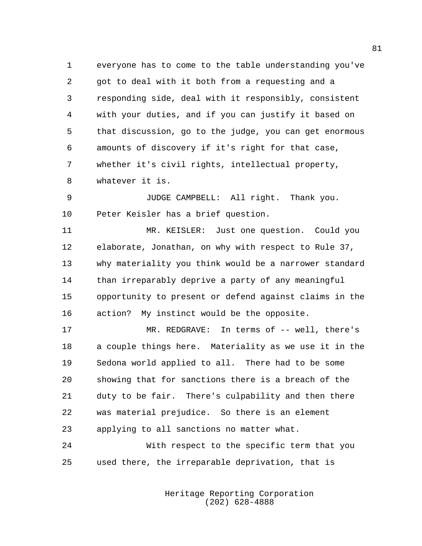everyone has to come to the table understanding you've got to deal with it both from a requesting and a responding side, deal with it responsibly, consistent with your duties, and if you can justify it based on that discussion, go to the judge, you can get enormous amounts of discovery if it's right for that case, whether it's civil rights, intellectual property, whatever it is.

 JUDGE CAMPBELL: All right. Thank you. Peter Keisler has a brief question.

 MR. KEISLER: Just one question. Could you elaborate, Jonathan, on why with respect to Rule 37, why materiality you think would be a narrower standard than irreparably deprive a party of any meaningful opportunity to present or defend against claims in the action? My instinct would be the opposite.

17 MR. REDGRAVE: In terms of -- well, there's a couple things here. Materiality as we use it in the Sedona world applied to all. There had to be some showing that for sanctions there is a breach of the duty to be fair. There's culpability and then there was material prejudice. So there is an element applying to all sanctions no matter what.

 With respect to the specific term that you used there, the irreparable deprivation, that is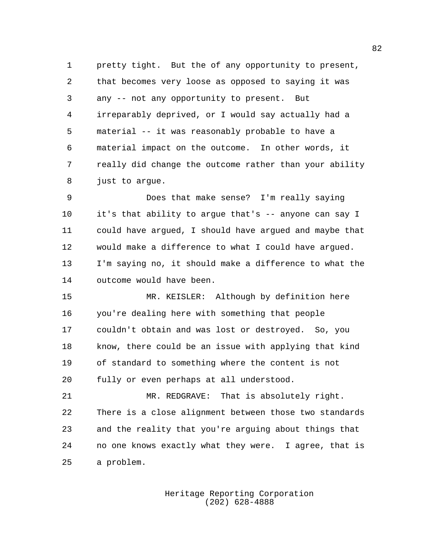pretty tight. But the of any opportunity to present, that becomes very loose as opposed to saying it was any -- not any opportunity to present. But irreparably deprived, or I would say actually had a material -- it was reasonably probable to have a material impact on the outcome. In other words, it really did change the outcome rather than your ability just to argue.

 Does that make sense? I'm really saying it's that ability to argue that's -- anyone can say I could have argued, I should have argued and maybe that would make a difference to what I could have argued. I'm saying no, it should make a difference to what the outcome would have been.

 MR. KEISLER: Although by definition here you're dealing here with something that people couldn't obtain and was lost or destroyed. So, you know, there could be an issue with applying that kind of standard to something where the content is not fully or even perhaps at all understood.

 MR. REDGRAVE: That is absolutely right. There is a close alignment between those two standards and the reality that you're arguing about things that no one knows exactly what they were. I agree, that is a problem.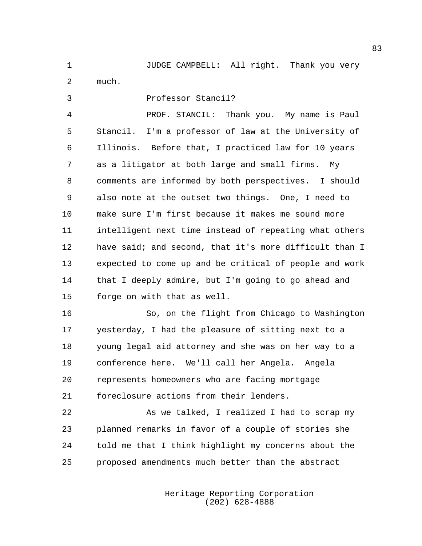JUDGE CAMPBELL: All right. Thank you very much.

 Professor Stancil? PROF. STANCIL: Thank you. My name is Paul Stancil. I'm a professor of law at the University of Illinois. Before that, I practiced law for 10 years as a litigator at both large and small firms. My comments are informed by both perspectives. I should also note at the outset two things. One, I need to make sure I'm first because it makes me sound more intelligent next time instead of repeating what others have said; and second, that it's more difficult than I expected to come up and be critical of people and work that I deeply admire, but I'm going to go ahead and forge on with that as well.

 So, on the flight from Chicago to Washington yesterday, I had the pleasure of sitting next to a young legal aid attorney and she was on her way to a conference here. We'll call her Angela. Angela represents homeowners who are facing mortgage foreclosure actions from their lenders.

22 As we talked, I realized I had to scrap my planned remarks in favor of a couple of stories she told me that I think highlight my concerns about the proposed amendments much better than the abstract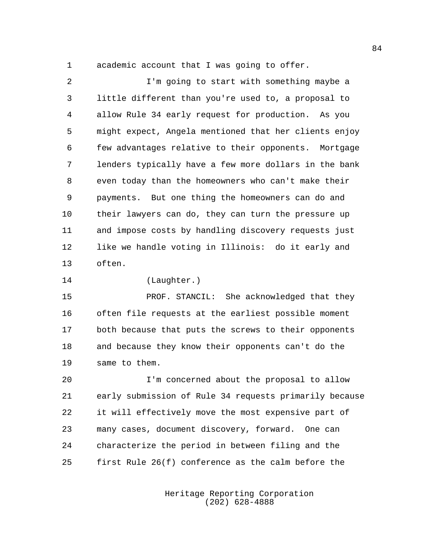academic account that I was going to offer.

 I'm going to start with something maybe a little different than you're used to, a proposal to allow Rule 34 early request for production. As you might expect, Angela mentioned that her clients enjoy few advantages relative to their opponents. Mortgage lenders typically have a few more dollars in the bank even today than the homeowners who can't make their payments. But one thing the homeowners can do and their lawyers can do, they can turn the pressure up and impose costs by handling discovery requests just like we handle voting in Illinois: do it early and often.

(Laughter.)

 PROF. STANCIL: She acknowledged that they often file requests at the earliest possible moment both because that puts the screws to their opponents and because they know their opponents can't do the same to them.

 I'm concerned about the proposal to allow early submission of Rule 34 requests primarily because it will effectively move the most expensive part of many cases, document discovery, forward. One can characterize the period in between filing and the first Rule 26(f) conference as the calm before the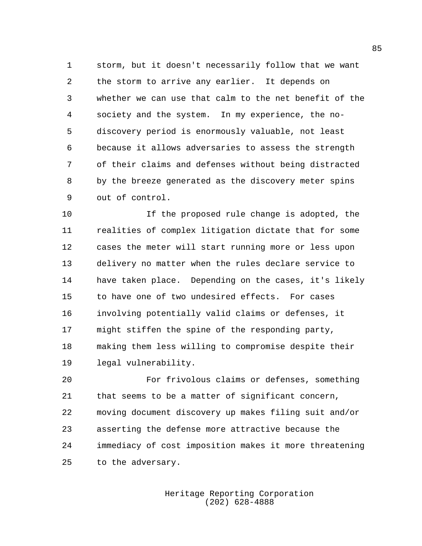storm, but it doesn't necessarily follow that we want the storm to arrive any earlier. It depends on whether we can use that calm to the net benefit of the society and the system. In my experience, the no- discovery period is enormously valuable, not least because it allows adversaries to assess the strength of their claims and defenses without being distracted by the breeze generated as the discovery meter spins out of control.

 If the proposed rule change is adopted, the realities of complex litigation dictate that for some cases the meter will start running more or less upon delivery no matter when the rules declare service to have taken place. Depending on the cases, it's likely to have one of two undesired effects. For cases involving potentially valid claims or defenses, it might stiffen the spine of the responding party, making them less willing to compromise despite their legal vulnerability.

 For frivolous claims or defenses, something that seems to be a matter of significant concern, moving document discovery up makes filing suit and/or asserting the defense more attractive because the immediacy of cost imposition makes it more threatening to the adversary.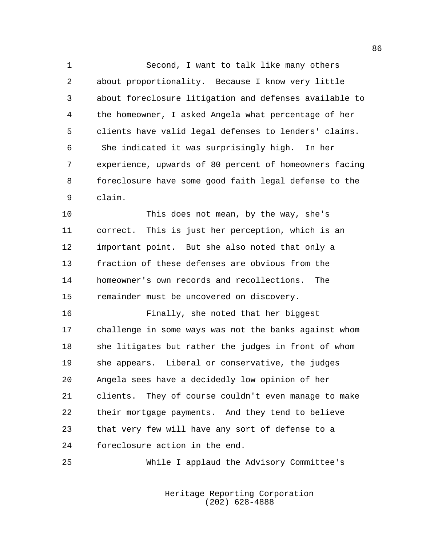Second, I want to talk like many others about proportionality. Because I know very little about foreclosure litigation and defenses available to the homeowner, I asked Angela what percentage of her clients have valid legal defenses to lenders' claims. She indicated it was surprisingly high. In her experience, upwards of 80 percent of homeowners facing foreclosure have some good faith legal defense to the claim.

 This does not mean, by the way, she's correct. This is just her perception, which is an important point. But she also noted that only a fraction of these defenses are obvious from the homeowner's own records and recollections. The remainder must be uncovered on discovery.

 Finally, she noted that her biggest challenge in some ways was not the banks against whom she litigates but rather the judges in front of whom she appears. Liberal or conservative, the judges Angela sees have a decidedly low opinion of her clients. They of course couldn't even manage to make their mortgage payments. And they tend to believe that very few will have any sort of defense to a foreclosure action in the end.

While I applaud the Advisory Committee's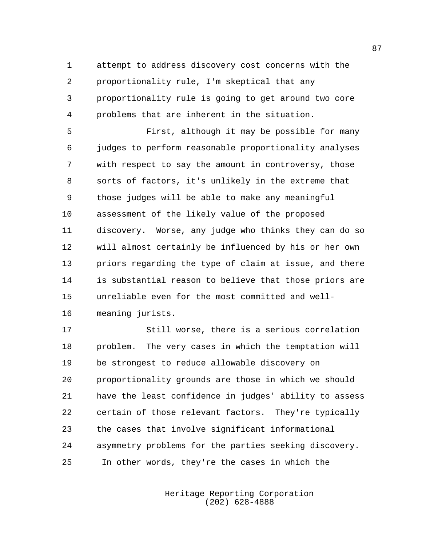attempt to address discovery cost concerns with the proportionality rule, I'm skeptical that any proportionality rule is going to get around two core problems that are inherent in the situation.

 First, although it may be possible for many judges to perform reasonable proportionality analyses with respect to say the amount in controversy, those sorts of factors, it's unlikely in the extreme that those judges will be able to make any meaningful assessment of the likely value of the proposed discovery. Worse, any judge who thinks they can do so will almost certainly be influenced by his or her own priors regarding the type of claim at issue, and there is substantial reason to believe that those priors are unreliable even for the most committed and well-meaning jurists.

 Still worse, there is a serious correlation problem. The very cases in which the temptation will be strongest to reduce allowable discovery on proportionality grounds are those in which we should have the least confidence in judges' ability to assess certain of those relevant factors. They're typically the cases that involve significant informational asymmetry problems for the parties seeking discovery. In other words, they're the cases in which the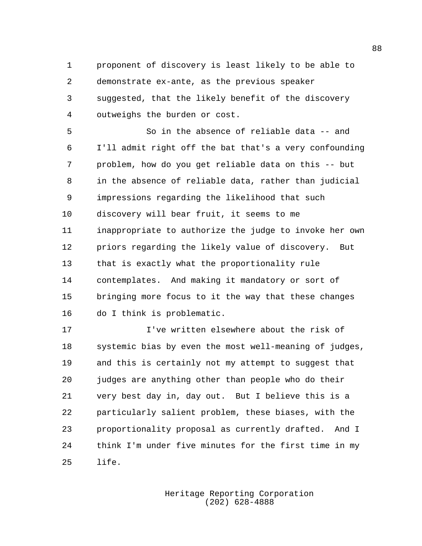proponent of discovery is least likely to be able to demonstrate ex-ante, as the previous speaker suggested, that the likely benefit of the discovery outweighs the burden or cost.

 So in the absence of reliable data -- and I'll admit right off the bat that's a very confounding problem, how do you get reliable data on this -- but in the absence of reliable data, rather than judicial impressions regarding the likelihood that such discovery will bear fruit, it seems to me inappropriate to authorize the judge to invoke her own priors regarding the likely value of discovery. But that is exactly what the proportionality rule contemplates. And making it mandatory or sort of bringing more focus to it the way that these changes do I think is problematic.

 I've written elsewhere about the risk of systemic bias by even the most well-meaning of judges, and this is certainly not my attempt to suggest that judges are anything other than people who do their very best day in, day out. But I believe this is a particularly salient problem, these biases, with the proportionality proposal as currently drafted. And I think I'm under five minutes for the first time in my life.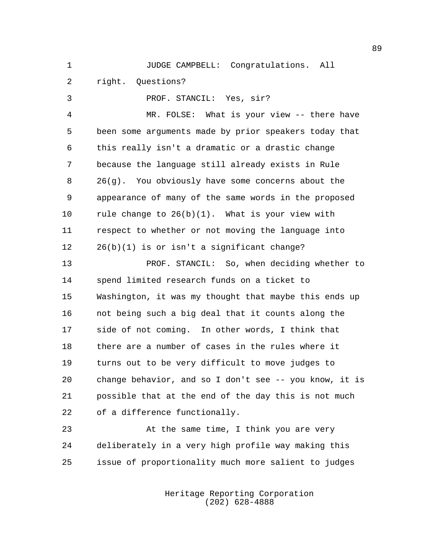JUDGE CAMPBELL: Congratulations. All

right. Questions?

PROF. STANCIL: Yes, sir?

 MR. FOLSE: What is your view -- there have been some arguments made by prior speakers today that this really isn't a dramatic or a drastic change because the language still already exists in Rule 26(g). You obviously have some concerns about the appearance of many of the same words in the proposed rule change to 26(b)(1). What is your view with respect to whether or not moving the language into 26(b)(1) is or isn't a significant change?

 PROF. STANCIL: So, when deciding whether to spend limited research funds on a ticket to Washington, it was my thought that maybe this ends up not being such a big deal that it counts along the side of not coming. In other words, I think that there are a number of cases in the rules where it turns out to be very difficult to move judges to change behavior, and so I don't see -- you know, it is possible that at the end of the day this is not much of a difference functionally.

23 At the same time, I think you are very deliberately in a very high profile way making this issue of proportionality much more salient to judges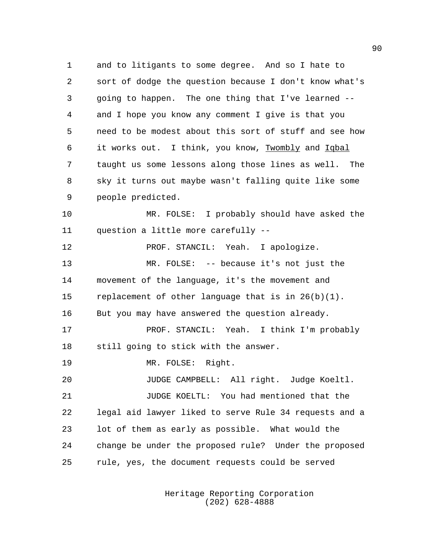and to litigants to some degree. And so I hate to sort of dodge the question because I don't know what's going to happen. The one thing that I've learned -- and I hope you know any comment I give is that you need to be modest about this sort of stuff and see how 6 it works out. I think, you know, Twombly and Iqbal taught us some lessons along those lines as well. The sky it turns out maybe wasn't falling quite like some people predicted.

 MR. FOLSE: I probably should have asked the question a little more carefully --

**PROF. STANCIL:** Yeah. I apologize. MR. FOLSE: -- because it's not just the movement of the language, it's the movement and replacement of other language that is in 26(b)(1). But you may have answered the question already. PROF. STANCIL: Yeah. I think I'm probably still going to stick with the answer. MR. FOLSE: Right. JUDGE CAMPBELL: All right. Judge Koeltl. JUDGE KOELTL: You had mentioned that the legal aid lawyer liked to serve Rule 34 requests and a lot of them as early as possible. What would the change be under the proposed rule? Under the proposed

rule, yes, the document requests could be served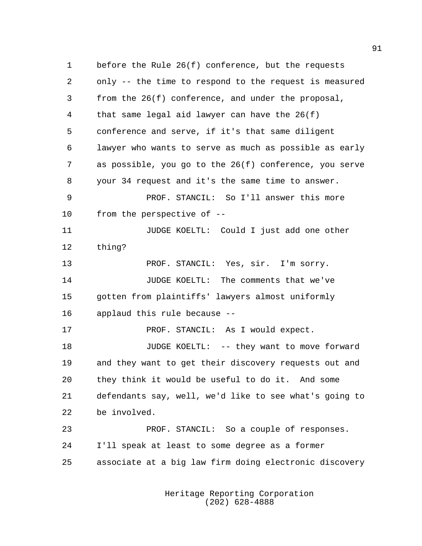before the Rule 26(f) conference, but the requests only -- the time to respond to the request is measured from the 26(f) conference, and under the proposal, that same legal aid lawyer can have the 26(f) conference and serve, if it's that same diligent lawyer who wants to serve as much as possible as early as possible, you go to the 26(f) conference, you serve your 34 request and it's the same time to answer. PROF. STANCIL: So I'll answer this more from the perspective of -- **11** JUDGE KOELTL: Could I just add one other thing? PROF. STANCIL: Yes, sir. I'm sorry. JUDGE KOELTL: The comments that we've gotten from plaintiffs' lawyers almost uniformly applaud this rule because -- 17 PROF. STANCIL: As I would expect. JUDGE KOELTL: -- they want to move forward and they want to get their discovery requests out and they think it would be useful to do it. And some defendants say, well, we'd like to see what's going to be involved. PROF. STANCIL: So a couple of responses. I'll speak at least to some degree as a former associate at a big law firm doing electronic discovery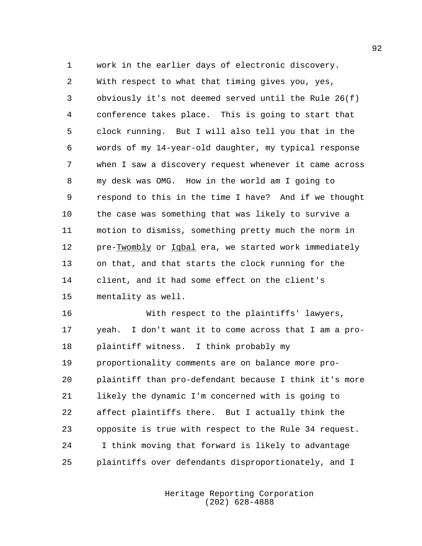work in the earlier days of electronic discovery. With respect to what that timing gives you, yes, obviously it's not deemed served until the Rule 26(f) conference takes place. This is going to start that clock running. But I will also tell you that in the words of my 14-year-old daughter, my typical response when I saw a discovery request whenever it came across my desk was OMG. How in the world am I going to respond to this in the time I have? And if we thought the case was something that was likely to survive a motion to dismiss, something pretty much the norm in pre-Twombly or Iqbal era, we started work immediately on that, and that starts the clock running for the client, and it had some effect on the client's mentality as well.

 With respect to the plaintiffs' lawyers, yeah. I don't want it to come across that I am a pro- plaintiff witness. I think probably my proportionality comments are on balance more pro- plaintiff than pro-defendant because I think it's more likely the dynamic I'm concerned with is going to affect plaintiffs there. But I actually think the opposite is true with respect to the Rule 34 request. I think moving that forward is likely to advantage plaintiffs over defendants disproportionately, and I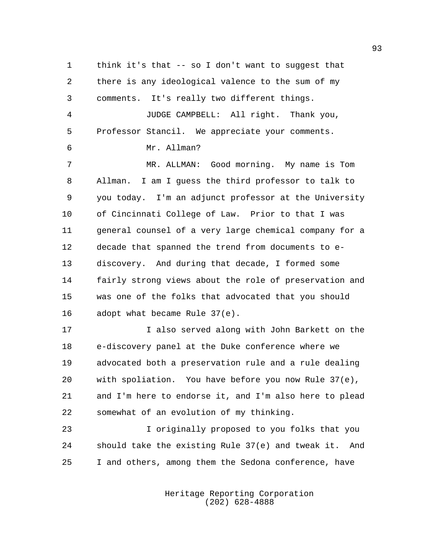think it's that -- so I don't want to suggest that there is any ideological valence to the sum of my comments. It's really two different things. JUDGE CAMPBELL: All right. Thank you, Professor Stancil. We appreciate your comments. Mr. Allman? MR. ALLMAN: Good morning. My name is Tom Allman. I am I guess the third professor to talk to you today. I'm an adjunct professor at the University of Cincinnati College of Law. Prior to that I was general counsel of a very large chemical company for a decade that spanned the trend from documents to e- discovery. And during that decade, I formed some fairly strong views about the role of preservation and was one of the folks that advocated that you should adopt what became Rule 37(e). I also served along with John Barkett on the e-discovery panel at the Duke conference where we advocated both a preservation rule and a rule dealing with spoliation. You have before you now Rule 37(e),

 and I'm here to endorse it, and I'm also here to plead somewhat of an evolution of my thinking.

 I originally proposed to you folks that you should take the existing Rule 37(e) and tweak it. And I and others, among them the Sedona conference, have

> Heritage Reporting Corporation (202) 628-4888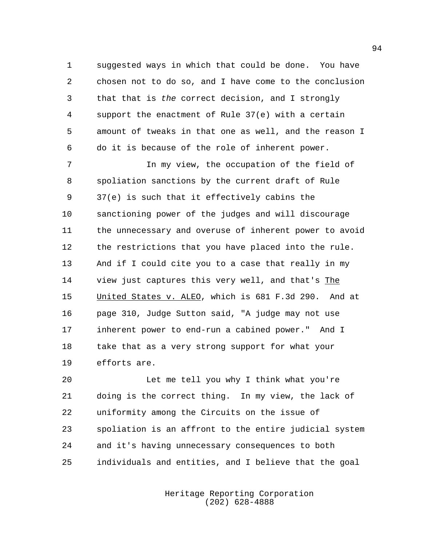suggested ways in which that could be done. You have chosen not to do so, and I have come to the conclusion that that is *the* correct decision, and I strongly support the enactment of Rule 37(e) with a certain amount of tweaks in that one as well, and the reason I do it is because of the role of inherent power.

 In my view, the occupation of the field of spoliation sanctions by the current draft of Rule 37(e) is such that it effectively cabins the sanctioning power of the judges and will discourage the unnecessary and overuse of inherent power to avoid the restrictions that you have placed into the rule. And if I could cite you to a case that really in my 14 view just captures this very well, and that's The 15 United States v. ALEO, which is 681 F.3d 290. And at page 310, Judge Sutton said, "A judge may not use inherent power to end-run a cabined power." And I take that as a very strong support for what your efforts are.

 Let me tell you why I think what you're doing is the correct thing. In my view, the lack of uniformity among the Circuits on the issue of spoliation is an affront to the entire judicial system and it's having unnecessary consequences to both individuals and entities, and I believe that the goal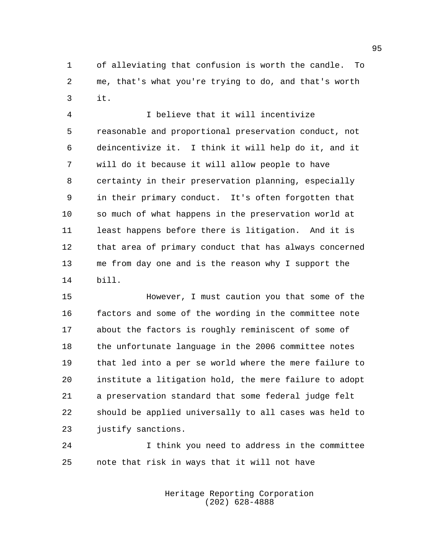of alleviating that confusion is worth the candle. To me, that's what you're trying to do, and that's worth it.

 I believe that it will incentivize reasonable and proportional preservation conduct, not deincentivize it. I think it will help do it, and it will do it because it will allow people to have certainty in their preservation planning, especially in their primary conduct. It's often forgotten that so much of what happens in the preservation world at least happens before there is litigation. And it is that area of primary conduct that has always concerned me from day one and is the reason why I support the bill.

 However, I must caution you that some of the factors and some of the wording in the committee note about the factors is roughly reminiscent of some of the unfortunate language in the 2006 committee notes that led into a per se world where the mere failure to institute a litigation hold, the mere failure to adopt a preservation standard that some federal judge felt should be applied universally to all cases was held to justify sanctions.

 I think you need to address in the committee note that risk in ways that it will not have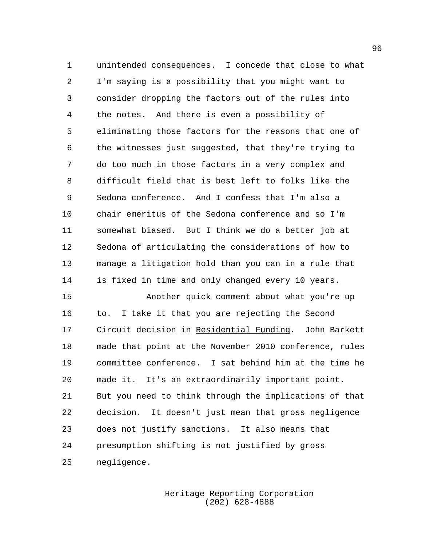unintended consequences. I concede that close to what I'm saying is a possibility that you might want to consider dropping the factors out of the rules into the notes. And there is even a possibility of eliminating those factors for the reasons that one of the witnesses just suggested, that they're trying to do too much in those factors in a very complex and difficult field that is best left to folks like the Sedona conference. And I confess that I'm also a chair emeritus of the Sedona conference and so I'm somewhat biased. But I think we do a better job at Sedona of articulating the considerations of how to manage a litigation hold than you can in a rule that is fixed in time and only changed every 10 years.

 Another quick comment about what you're up to. I take it that you are rejecting the Second 17 Circuit decision in Residential Funding. John Barkett made that point at the November 2010 conference, rules committee conference. I sat behind him at the time he made it. It's an extraordinarily important point. But you need to think through the implications of that decision. It doesn't just mean that gross negligence does not justify sanctions. It also means that presumption shifting is not justified by gross negligence.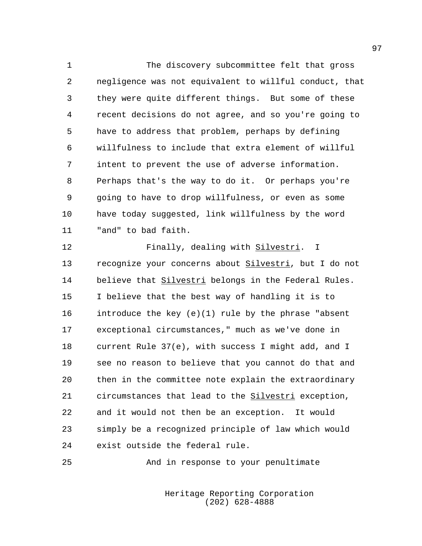The discovery subcommittee felt that gross negligence was not equivalent to willful conduct, that they were quite different things. But some of these recent decisions do not agree, and so you're going to have to address that problem, perhaps by defining willfulness to include that extra element of willful intent to prevent the use of adverse information. Perhaps that's the way to do it. Or perhaps you're going to have to drop willfulness, or even as some have today suggested, link willfulness by the word "and" to bad faith.

 Finally, dealing with Silvestri. I recognize your concerns about Silvestri, but I do not believe that Silvestri belongs in the Federal Rules. I believe that the best way of handling it is to introduce the key (e)(1) rule by the phrase "absent exceptional circumstances," much as we've done in current Rule 37(e), with success I might add, and I see no reason to believe that you cannot do that and then in the committee note explain the extraordinary circumstances that lead to the Silvestri exception, and it would not then be an exception. It would simply be a recognized principle of law which would exist outside the federal rule.

And in response to your penultimate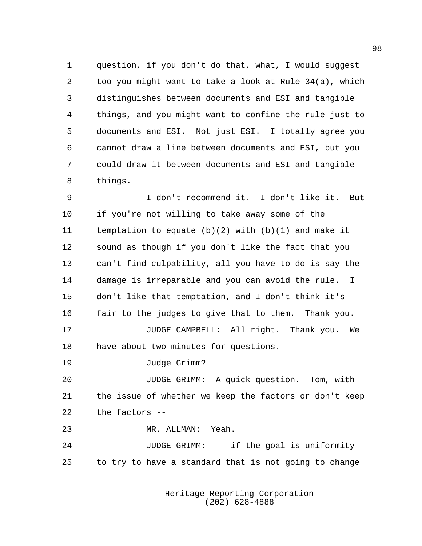question, if you don't do that, what, I would suggest too you might want to take a look at Rule 34(a), which distinguishes between documents and ESI and tangible things, and you might want to confine the rule just to documents and ESI. Not just ESI. I totally agree you cannot draw a line between documents and ESI, but you could draw it between documents and ESI and tangible things.

 I don't recommend it. I don't like it. But if you're not willing to take away some of the temptation to equate (b)(2) with (b)(1) and make it sound as though if you don't like the fact that you can't find culpability, all you have to do is say the damage is irreparable and you can avoid the rule. I don't like that temptation, and I don't think it's fair to the judges to give that to them. Thank you. JUDGE CAMPBELL: All right. Thank you. We

have about two minutes for questions.

Judge Grimm?

 JUDGE GRIMM: A quick question. Tom, with the issue of whether we keep the factors or don't keep the factors --

MR. ALLMAN: Yeah.

 JUDGE GRIMM: -- if the goal is uniformity to try to have a standard that is not going to change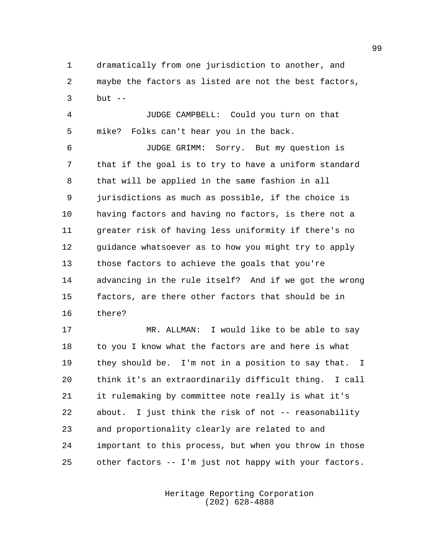dramatically from one jurisdiction to another, and maybe the factors as listed are not the best factors, but --

 JUDGE CAMPBELL: Could you turn on that mike? Folks can't hear you in the back.

 JUDGE GRIMM: Sorry. But my question is that if the goal is to try to have a uniform standard that will be applied in the same fashion in all jurisdictions as much as possible, if the choice is having factors and having no factors, is there not a greater risk of having less uniformity if there's no 12 guidance whatsoever as to how you might try to apply those factors to achieve the goals that you're advancing in the rule itself? And if we got the wrong factors, are there other factors that should be in there?

 MR. ALLMAN: I would like to be able to say 18 to you I know what the factors are and here is what they should be. I'm not in a position to say that. I think it's an extraordinarily difficult thing. I call it rulemaking by committee note really is what it's about. I just think the risk of not -- reasonability and proportionality clearly are related to and important to this process, but when you throw in those other factors -- I'm just not happy with your factors.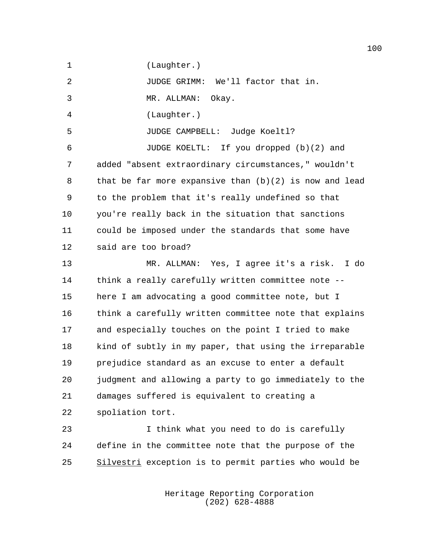(Laughter.)

JUDGE GRIMM: We'll factor that in.

MR. ALLMAN: Okay.

(Laughter.)

JUDGE CAMPBELL: Judge Koeltl?

 JUDGE KOELTL: If you dropped (b)(2) and added "absent extraordinary circumstances," wouldn't that be far more expansive than (b)(2) is now and lead to the problem that it's really undefined so that you're really back in the situation that sanctions could be imposed under the standards that some have said are too broad?

 MR. ALLMAN: Yes, I agree it's a risk. I do think a really carefully written committee note -- here I am advocating a good committee note, but I think a carefully written committee note that explains and especially touches on the point I tried to make kind of subtly in my paper, that using the irreparable prejudice standard as an excuse to enter a default judgment and allowing a party to go immediately to the damages suffered is equivalent to creating a spoliation tort.

 I think what you need to do is carefully define in the committee note that the purpose of the 25 Silvestri exception is to permit parties who would be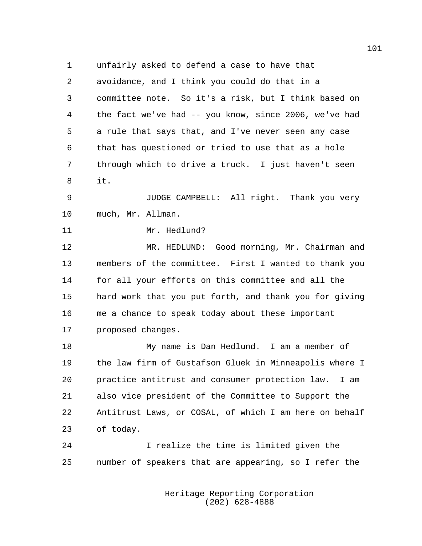unfairly asked to defend a case to have that avoidance, and I think you could do that in a committee note. So it's a risk, but I think based on the fact we've had -- you know, since 2006, we've had a rule that says that, and I've never seen any case that has questioned or tried to use that as a hole through which to drive a truck. I just haven't seen it.

 JUDGE CAMPBELL: All right. Thank you very much, Mr. Allman.

Mr. Hedlund?

 MR. HEDLUND: Good morning, Mr. Chairman and members of the committee. First I wanted to thank you for all your efforts on this committee and all the hard work that you put forth, and thank you for giving me a chance to speak today about these important proposed changes.

 My name is Dan Hedlund. I am a member of the law firm of Gustafson Gluek in Minneapolis where I practice antitrust and consumer protection law. I am also vice president of the Committee to Support the Antitrust Laws, or COSAL, of which I am here on behalf of today.

 I realize the time is limited given the number of speakers that are appearing, so I refer the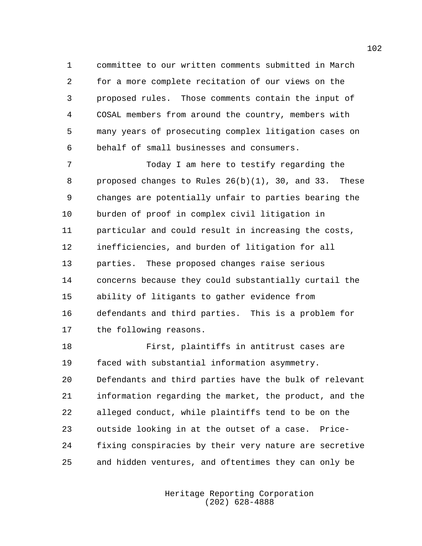committee to our written comments submitted in March for a more complete recitation of our views on the proposed rules. Those comments contain the input of COSAL members from around the country, members with many years of prosecuting complex litigation cases on behalf of small businesses and consumers.

 Today I am here to testify regarding the proposed changes to Rules 26(b)(1), 30, and 33. These changes are potentially unfair to parties bearing the burden of proof in complex civil litigation in particular and could result in increasing the costs, inefficiencies, and burden of litigation for all parties. These proposed changes raise serious concerns because they could substantially curtail the ability of litigants to gather evidence from defendants and third parties. This is a problem for the following reasons.

 First, plaintiffs in antitrust cases are faced with substantial information asymmetry. Defendants and third parties have the bulk of relevant information regarding the market, the product, and the alleged conduct, while plaintiffs tend to be on the outside looking in at the outset of a case. Price- fixing conspiracies by their very nature are secretive and hidden ventures, and oftentimes they can only be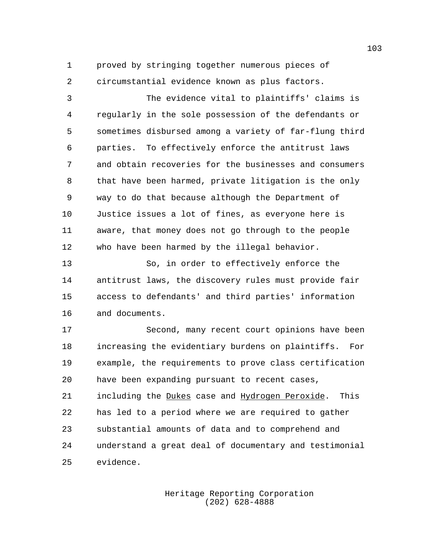proved by stringing together numerous pieces of circumstantial evidence known as plus factors.

 The evidence vital to plaintiffs' claims is regularly in the sole possession of the defendants or sometimes disbursed among a variety of far-flung third parties. To effectively enforce the antitrust laws and obtain recoveries for the businesses and consumers that have been harmed, private litigation is the only way to do that because although the Department of Justice issues a lot of fines, as everyone here is aware, that money does not go through to the people who have been harmed by the illegal behavior.

 So, in order to effectively enforce the antitrust laws, the discovery rules must provide fair access to defendants' and third parties' information and documents.

 Second, many recent court opinions have been increasing the evidentiary burdens on plaintiffs. For example, the requirements to prove class certification have been expanding pursuant to recent cases, including the Dukes case and Hydrogen Peroxide. This has led to a period where we are required to gather substantial amounts of data and to comprehend and understand a great deal of documentary and testimonial evidence.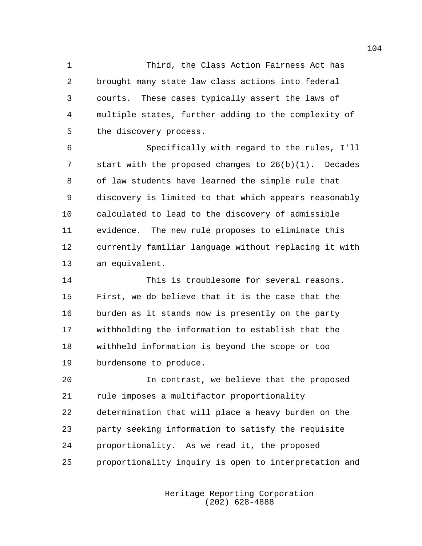Third, the Class Action Fairness Act has brought many state law class actions into federal courts. These cases typically assert the laws of multiple states, further adding to the complexity of the discovery process.

 Specifically with regard to the rules, I'll start with the proposed changes to 26(b)(1). Decades of law students have learned the simple rule that discovery is limited to that which appears reasonably calculated to lead to the discovery of admissible evidence. The new rule proposes to eliminate this currently familiar language without replacing it with an equivalent.

 This is troublesome for several reasons. First, we do believe that it is the case that the burden as it stands now is presently on the party withholding the information to establish that the withheld information is beyond the scope or too burdensome to produce.

 In contrast, we believe that the proposed rule imposes a multifactor proportionality determination that will place a heavy burden on the party seeking information to satisfy the requisite proportionality. As we read it, the proposed proportionality inquiry is open to interpretation and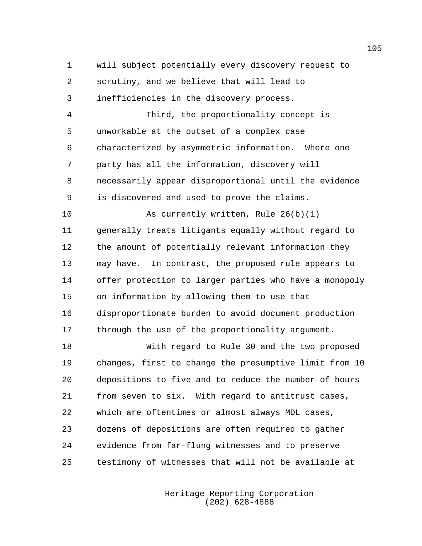will subject potentially every discovery request to scrutiny, and we believe that will lead to inefficiencies in the discovery process.

 Third, the proportionality concept is unworkable at the outset of a complex case characterized by asymmetric information. Where one party has all the information, discovery will necessarily appear disproportional until the evidence is discovered and used to prove the claims.

 As currently written, Rule 26(b)(1) generally treats litigants equally without regard to the amount of potentially relevant information they may have. In contrast, the proposed rule appears to offer protection to larger parties who have a monopoly on information by allowing them to use that disproportionate burden to avoid document production through the use of the proportionality argument.

 With regard to Rule 30 and the two proposed changes, first to change the presumptive limit from 10 depositions to five and to reduce the number of hours from seven to six. With regard to antitrust cases, which are oftentimes or almost always MDL cases, dozens of depositions are often required to gather evidence from far-flung witnesses and to preserve testimony of witnesses that will not be available at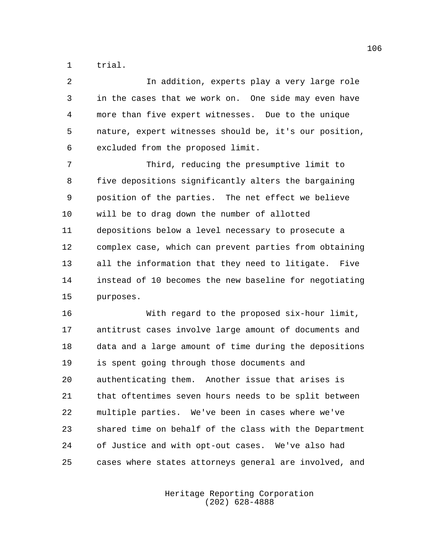trial.

| 2  | In addition, experts play a very large role            |
|----|--------------------------------------------------------|
| 3  | in the cases that we work on. One side may even have   |
| 4  | more than five expert witnesses. Due to the unique     |
| 5  | nature, expert witnesses should be, it's our position, |
| 6  | excluded from the proposed limit.                      |
| 7  | Third, reducing the presumptive limit to               |
| 8  | five depositions significantly alters the bargaining   |
| 9  | position of the parties. The net effect we believe     |
| 10 | will be to drag down the number of allotted            |
| 11 | depositions below a level necessary to prosecute a     |
| 12 | complex case, which can prevent parties from obtaining |
| 13 | all the information that they need to litigate. Five   |
| 14 | instead of 10 becomes the new baseline for negotiating |
| 15 | purposes.                                              |
| 16 | With regard to the proposed six-hour limit,            |
| 17 | antitrust cases involve large amount of documents and  |
|    |                                                        |

 data and a large amount of time during the depositions is spent going through those documents and authenticating them. Another issue that arises is that oftentimes seven hours needs to be split between multiple parties. We've been in cases where we've shared time on behalf of the class with the Department of Justice and with opt-out cases. We've also had cases where states attorneys general are involved, and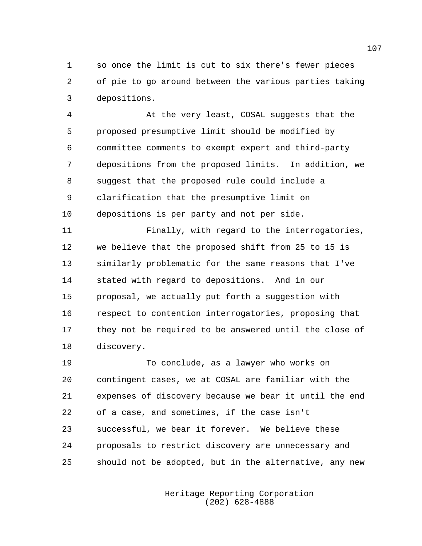so once the limit is cut to six there's fewer pieces of pie to go around between the various parties taking depositions.

 At the very least, COSAL suggests that the proposed presumptive limit should be modified by committee comments to exempt expert and third-party depositions from the proposed limits. In addition, we suggest that the proposed rule could include a clarification that the presumptive limit on depositions is per party and not per side.

 Finally, with regard to the interrogatories, we believe that the proposed shift from 25 to 15 is similarly problematic for the same reasons that I've stated with regard to depositions. And in our proposal, we actually put forth a suggestion with respect to contention interrogatories, proposing that they not be required to be answered until the close of discovery.

 To conclude, as a lawyer who works on contingent cases, we at COSAL are familiar with the expenses of discovery because we bear it until the end of a case, and sometimes, if the case isn't successful, we bear it forever. We believe these proposals to restrict discovery are unnecessary and should not be adopted, but in the alternative, any new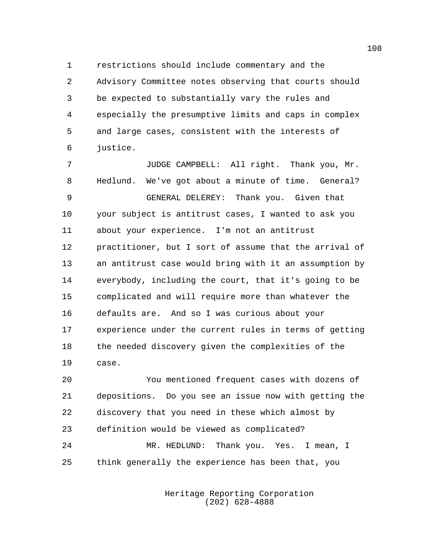restrictions should include commentary and the Advisory Committee notes observing that courts should be expected to substantially vary the rules and especially the presumptive limits and caps in complex and large cases, consistent with the interests of justice.

 JUDGE CAMPBELL: All right. Thank you, Mr. Hedlund. We've got about a minute of time. General? GENERAL DELEREY: Thank you. Given that your subject is antitrust cases, I wanted to ask you about your experience. I'm not an antitrust practitioner, but I sort of assume that the arrival of an antitrust case would bring with it an assumption by everybody, including the court, that it's going to be complicated and will require more than whatever the defaults are. And so I was curious about your experience under the current rules in terms of getting the needed discovery given the complexities of the case.

 You mentioned frequent cases with dozens of depositions. Do you see an issue now with getting the discovery that you need in these which almost by definition would be viewed as complicated? MR. HEDLUND: Thank you. Yes. I mean, I think generally the experience has been that, you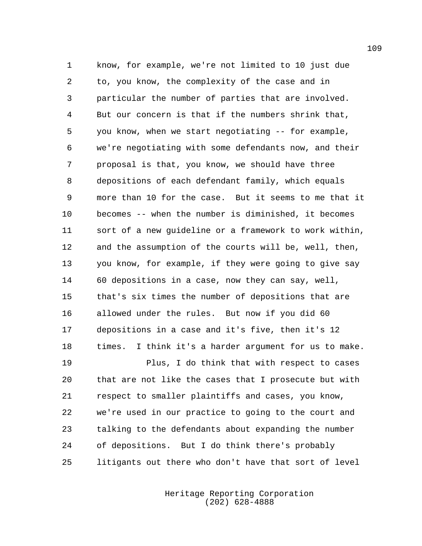know, for example, we're not limited to 10 just due to, you know, the complexity of the case and in particular the number of parties that are involved. But our concern is that if the numbers shrink that, you know, when we start negotiating -- for example, we're negotiating with some defendants now, and their proposal is that, you know, we should have three depositions of each defendant family, which equals more than 10 for the case. But it seems to me that it becomes -- when the number is diminished, it becomes sort of a new guideline or a framework to work within, and the assumption of the courts will be, well, then, you know, for example, if they were going to give say 60 depositions in a case, now they can say, well, that's six times the number of depositions that are allowed under the rules. But now if you did 60 depositions in a case and it's five, then it's 12 times. I think it's a harder argument for us to make. Plus, I do think that with respect to cases that are not like the cases that I prosecute but with

 respect to smaller plaintiffs and cases, you know, we're used in our practice to going to the court and talking to the defendants about expanding the number of depositions. But I do think there's probably litigants out there who don't have that sort of level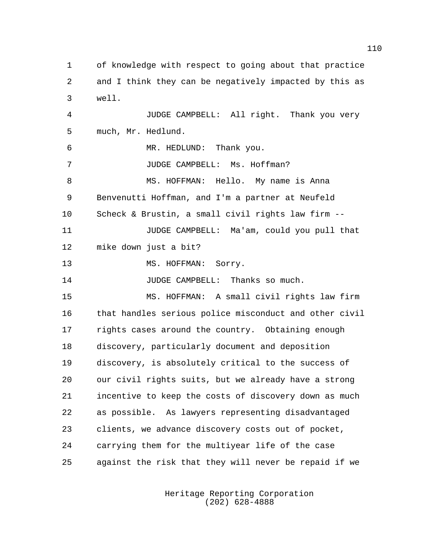of knowledge with respect to going about that practice and I think they can be negatively impacted by this as well. JUDGE CAMPBELL: All right. Thank you very much, Mr. Hedlund. MR. HEDLUND: Thank you. JUDGE CAMPBELL: Ms. Hoffman? 8 MS. HOFFMAN: Hello. My name is Anna Benvenutti Hoffman, and I'm a partner at Neufeld Scheck & Brustin, a small civil rights law firm -- JUDGE CAMPBELL: Ma'am, could you pull that mike down just a bit? 13 MS. HOFFMAN: Sorry. JUDGE CAMPBELL: Thanks so much. MS. HOFFMAN: A small civil rights law firm that handles serious police misconduct and other civil rights cases around the country. Obtaining enough discovery, particularly document and deposition discovery, is absolutely critical to the success of our civil rights suits, but we already have a strong incentive to keep the costs of discovery down as much as possible. As lawyers representing disadvantaged clients, we advance discovery costs out of pocket, carrying them for the multiyear life of the case against the risk that they will never be repaid if we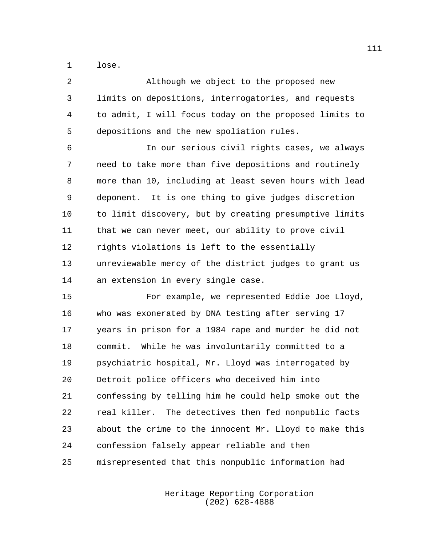lose.

 Although we object to the proposed new limits on depositions, interrogatories, and requests to admit, I will focus today on the proposed limits to depositions and the new spoliation rules.

 In our serious civil rights cases, we always need to take more than five depositions and routinely more than 10, including at least seven hours with lead deponent. It is one thing to give judges discretion to limit discovery, but by creating presumptive limits that we can never meet, our ability to prove civil rights violations is left to the essentially unreviewable mercy of the district judges to grant us an extension in every single case.

 For example, we represented Eddie Joe Lloyd, who was exonerated by DNA testing after serving 17 years in prison for a 1984 rape and murder he did not commit. While he was involuntarily committed to a psychiatric hospital, Mr. Lloyd was interrogated by Detroit police officers who deceived him into confessing by telling him he could help smoke out the real killer. The detectives then fed nonpublic facts about the crime to the innocent Mr. Lloyd to make this confession falsely appear reliable and then misrepresented that this nonpublic information had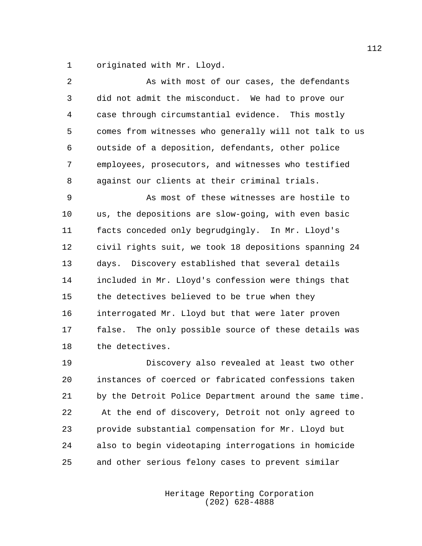originated with Mr. Lloyd.

| 2  | As with most of our cases, the defendants              |
|----|--------------------------------------------------------|
| 3  | did not admit the misconduct. We had to prove our      |
| 4  | case through circumstantial evidence. This mostly      |
| 5  | comes from witnesses who generally will not talk to us |
| 6  | outside of a deposition, defendants, other police      |
| 7  | employees, prosecutors, and witnesses who testified    |
| 8  | against our clients at their criminal trials.          |
| 9  | As most of these witnesses are hostile to              |
| 10 | us, the depositions are slow-going, with even basic    |
| 11 | facts conceded only begrudgingly. In Mr. Lloyd's       |
| 12 | civil rights suit, we took 18 depositions spanning 24  |
| 13 | Discovery established that several details<br>days.    |
| 14 | included in Mr. Lloyd's confession were things that    |
| 15 | the detectives believed to be true when they           |
| 16 | interrogated Mr. Lloyd but that were later proven      |
| 17 | false. The only possible source of these details was   |
| 18 | the detectives.                                        |
| 19 | Discovery also revealed at least two other             |
| 20 | instances of coerced or fabricated confessions taken   |
| 21 | by the Detroit Police Department around the same time. |
| 22 | At the end of discovery, Detroit not only agreed to    |
| 23 | provide substantial compensation for Mr. Lloyd but     |
| 24 | also to begin videotaping interrogations in homicide   |

and other serious felony cases to prevent similar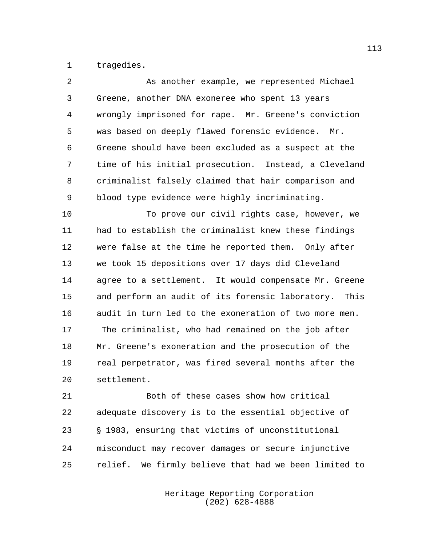tragedies.

| 2              | As another example, we represented Michael            |
|----------------|-------------------------------------------------------|
| $\mathsf{3}$   | Greene, another DNA exoneree who spent 13 years       |
| $\overline{4}$ | wrongly imprisoned for rape. Mr. Greene's conviction  |
| 5              | was based on deeply flawed forensic evidence. Mr.     |
| 6              | Greene should have been excluded as a suspect at the  |
| 7              | time of his initial prosecution. Instead, a Cleveland |
| 8              | criminalist falsely claimed that hair comparison and  |
| 9              | blood type evidence were highly incriminating.        |
| 10             | To prove our civil rights case, however, we           |
| 11             | had to establish the criminalist knew these findings  |
| 12             | were false at the time he reported them. Only after   |
| 13             | we took 15 depositions over 17 days did Cleveland     |
| 14             | agree to a settlement. It would compensate Mr. Greene |
| 15             | and perform an audit of its forensic laboratory. This |
| 16             | audit in turn led to the exoneration of two more men. |
| 17             | The criminalist, who had remained on the job after    |
| 18             | Mr. Greene's exoneration and the prosecution of the   |
| 19             | real perpetrator, was fired several months after the  |
| 20             | settlement.                                           |

 Both of these cases show how critical adequate discovery is to the essential objective of ' 1983, ensuring that victims of unconstitutional misconduct may recover damages or secure injunctive relief. We firmly believe that had we been limited to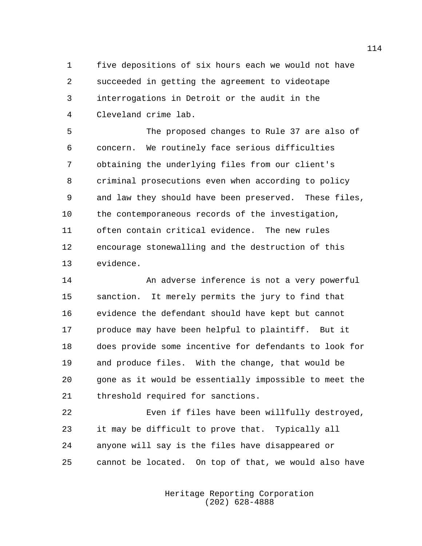five depositions of six hours each we would not have succeeded in getting the agreement to videotape interrogations in Detroit or the audit in the Cleveland crime lab.

 The proposed changes to Rule 37 are also of concern. We routinely face serious difficulties obtaining the underlying files from our client's criminal prosecutions even when according to policy and law they should have been preserved. These files, the contemporaneous records of the investigation, often contain critical evidence. The new rules encourage stonewalling and the destruction of this evidence.

 An adverse inference is not a very powerful sanction. It merely permits the jury to find that evidence the defendant should have kept but cannot produce may have been helpful to plaintiff. But it does provide some incentive for defendants to look for and produce files. With the change, that would be gone as it would be essentially impossible to meet the threshold required for sanctions.

 Even if files have been willfully destroyed, it may be difficult to prove that. Typically all anyone will say is the files have disappeared or cannot be located. On top of that, we would also have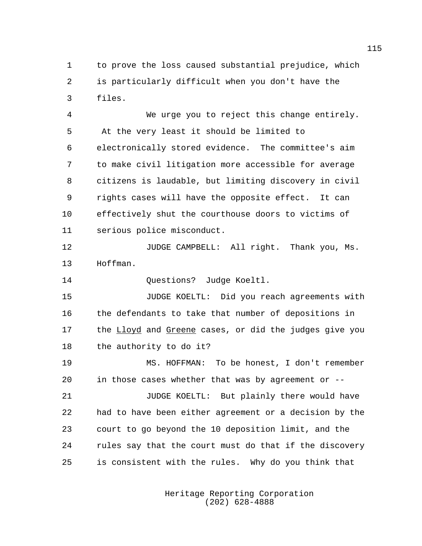to prove the loss caused substantial prejudice, which is particularly difficult when you don't have the files.

 We urge you to reject this change entirely. At the very least it should be limited to electronically stored evidence. The committee's aim to make civil litigation more accessible for average citizens is laudable, but limiting discovery in civil rights cases will have the opposite effect. It can effectively shut the courthouse doors to victims of serious police misconduct.

 JUDGE CAMPBELL: All right. Thank you, Ms. Hoffman.

Questions? Judge Koeltl.

 JUDGE KOELTL: Did you reach agreements with the defendants to take that number of depositions in 17 the Lloyd and Greene cases, or did the judges give you the authority to do it?

 MS. HOFFMAN: To be honest, I don't remember in those cases whether that was by agreement or --

 JUDGE KOELTL: But plainly there would have had to have been either agreement or a decision by the court to go beyond the 10 deposition limit, and the rules say that the court must do that if the discovery is consistent with the rules. Why do you think that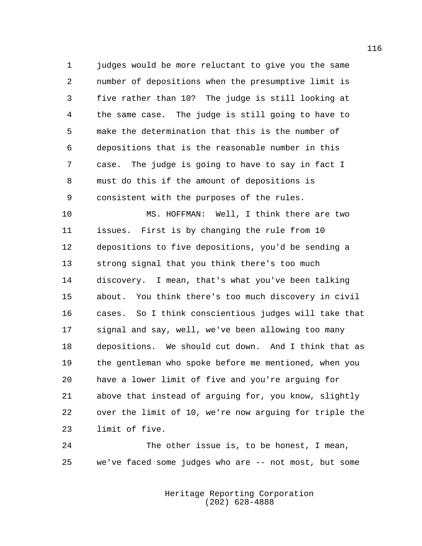judges would be more reluctant to give you the same number of depositions when the presumptive limit is five rather than 10? The judge is still looking at the same case. The judge is still going to have to make the determination that this is the number of depositions that is the reasonable number in this case. The judge is going to have to say in fact I must do this if the amount of depositions is consistent with the purposes of the rules.

 MS. HOFFMAN: Well, I think there are two issues. First is by changing the rule from 10 depositions to five depositions, you'd be sending a strong signal that you think there's too much discovery. I mean, that's what you've been talking about. You think there's too much discovery in civil cases. So I think conscientious judges will take that signal and say, well, we've been allowing too many depositions. We should cut down. And I think that as the gentleman who spoke before me mentioned, when you have a lower limit of five and you're arguing for above that instead of arguing for, you know, slightly over the limit of 10, we're now arguing for triple the limit of five.

 The other issue is, to be honest, I mean, we've faced some judges who are -- not most, but some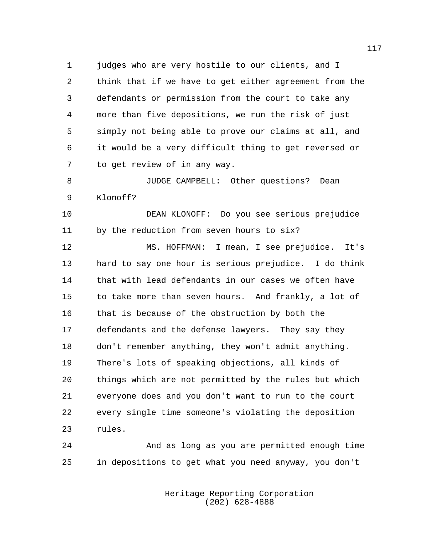judges who are very hostile to our clients, and I think that if we have to get either agreement from the defendants or permission from the court to take any more than five depositions, we run the risk of just simply not being able to prove our claims at all, and it would be a very difficult thing to get reversed or to get review of in any way.

 JUDGE CAMPBELL: Other questions? Dean Klonoff?

 DEAN KLONOFF: Do you see serious prejudice by the reduction from seven hours to six?

 MS. HOFFMAN: I mean, I see prejudice. It's hard to say one hour is serious prejudice. I do think that with lead defendants in our cases we often have to take more than seven hours. And frankly, a lot of that is because of the obstruction by both the defendants and the defense lawyers. They say they don't remember anything, they won't admit anything. There's lots of speaking objections, all kinds of things which are not permitted by the rules but which everyone does and you don't want to run to the court every single time someone's violating the deposition rules.

 And as long as you are permitted enough time in depositions to get what you need anyway, you don't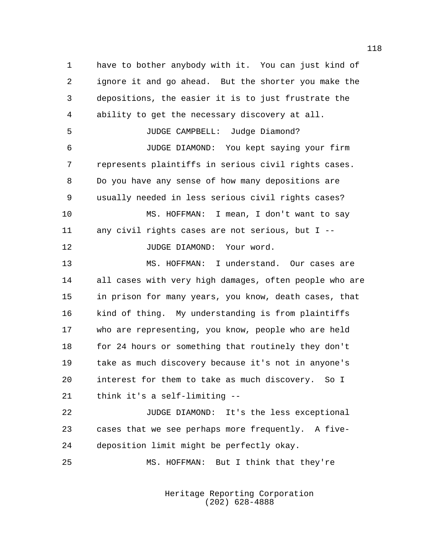have to bother anybody with it. You can just kind of ignore it and go ahead. But the shorter you make the depositions, the easier it is to just frustrate the ability to get the necessary discovery at all. JUDGE CAMPBELL: Judge Diamond? JUDGE DIAMOND: You kept saying your firm represents plaintiffs in serious civil rights cases. Do you have any sense of how many depositions are usually needed in less serious civil rights cases? MS. HOFFMAN: I mean, I don't want to say any civil rights cases are not serious, but I -- 12 JUDGE DIAMOND: Your word. MS. HOFFMAN: I understand. Our cases are all cases with very high damages, often people who are in prison for many years, you know, death cases, that kind of thing. My understanding is from plaintiffs who are representing, you know, people who are held for 24 hours or something that routinely they don't take as much discovery because it's not in anyone's interest for them to take as much discovery. So I think it's a self-limiting -- 22 JUDGE DIAMOND: It's the less exceptional cases that we see perhaps more frequently. A five-

MS. HOFFMAN: But I think that they're

deposition limit might be perfectly okay.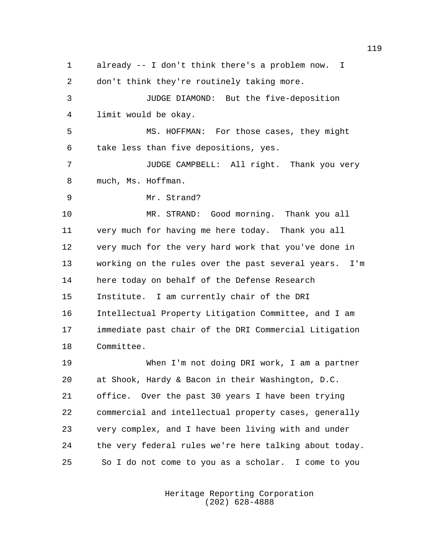already -- I don't think there's a problem now. I don't think they're routinely taking more. JUDGE DIAMOND: But the five-deposition limit would be okay. MS. HOFFMAN: For those cases, they might take less than five depositions, yes. JUDGE CAMPBELL: All right. Thank you very much, Ms. Hoffman. Mr. Strand? MR. STRAND: Good morning. Thank you all very much for having me here today. Thank you all very much for the very hard work that you've done in working on the rules over the past several years. I'm here today on behalf of the Defense Research Institute. I am currently chair of the DRI Intellectual Property Litigation Committee, and I am immediate past chair of the DRI Commercial Litigation Committee. When I'm not doing DRI work, I am a partner at Shook, Hardy & Bacon in their Washington, D.C. office. Over the past 30 years I have been trying commercial and intellectual property cases, generally very complex, and I have been living with and under the very federal rules we're here talking about today. So I do not come to you as a scholar. I come to you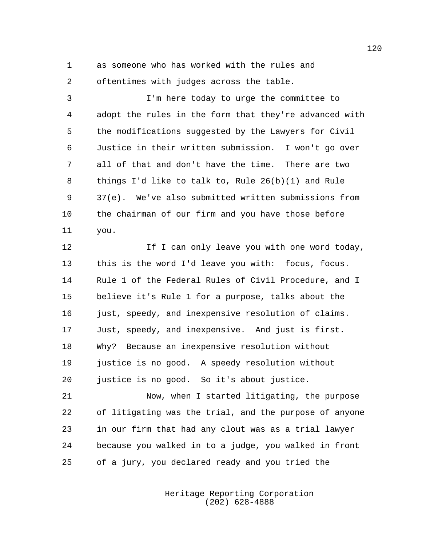as someone who has worked with the rules and oftentimes with judges across the table.

 I'm here today to urge the committee to adopt the rules in the form that they're advanced with the modifications suggested by the Lawyers for Civil Justice in their written submission. I won't go over all of that and don't have the time. There are two things I'd like to talk to, Rule 26(b)(1) and Rule 37(e). We've also submitted written submissions from the chairman of our firm and you have those before you.

**If I can only leave you with one word today,**  this is the word I'd leave you with: focus, focus. Rule 1 of the Federal Rules of Civil Procedure, and I believe it's Rule 1 for a purpose, talks about the 16 just, speedy, and inexpensive resolution of claims. Just, speedy, and inexpensive. And just is first. Why? Because an inexpensive resolution without justice is no good. A speedy resolution without justice is no good. So it's about justice.

 Now, when I started litigating, the purpose of litigating was the trial, and the purpose of anyone in our firm that had any clout was as a trial lawyer because you walked in to a judge, you walked in front of a jury, you declared ready and you tried the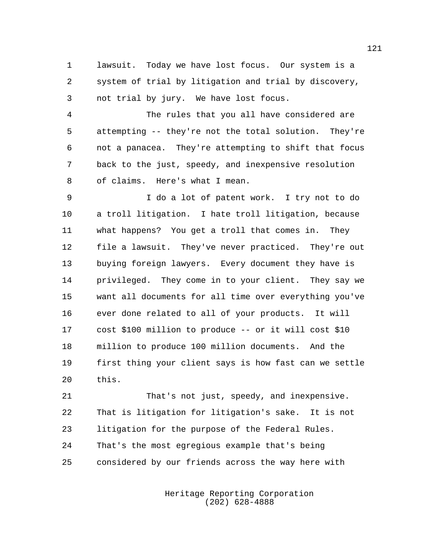lawsuit. Today we have lost focus. Our system is a system of trial by litigation and trial by discovery, not trial by jury. We have lost focus.

 The rules that you all have considered are attempting -- they're not the total solution. They're not a panacea. They're attempting to shift that focus back to the just, speedy, and inexpensive resolution of claims. Here's what I mean.

 I do a lot of patent work. I try not to do a troll litigation. I hate troll litigation, because what happens? You get a troll that comes in. They file a lawsuit. They've never practiced. They're out buying foreign lawyers. Every document they have is privileged. They come in to your client. They say we want all documents for all time over everything you've ever done related to all of your products. It will cost \$100 million to produce -- or it will cost \$10 million to produce 100 million documents. And the first thing your client says is how fast can we settle this.

 That's not just, speedy, and inexpensive. That is litigation for litigation's sake. It is not litigation for the purpose of the Federal Rules. That's the most egregious example that's being considered by our friends across the way here with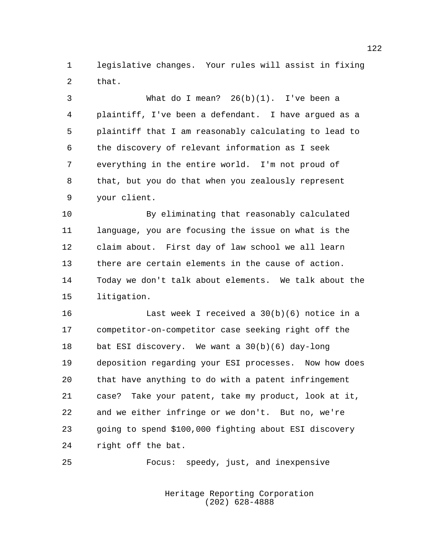legislative changes. Your rules will assist in fixing that.

 What do I mean? 26(b)(1). I've been a plaintiff, I've been a defendant. I have argued as a plaintiff that I am reasonably calculating to lead to the discovery of relevant information as I seek everything in the entire world. I'm not proud of that, but you do that when you zealously represent your client.

 By eliminating that reasonably calculated language, you are focusing the issue on what is the claim about. First day of law school we all learn there are certain elements in the cause of action. Today we don't talk about elements. We talk about the litigation.

 Last week I received a 30(b)(6) notice in a competitor-on-competitor case seeking right off the bat ESI discovery. We want a 30(b)(6) day-long deposition regarding your ESI processes. Now how does that have anything to do with a patent infringement case? Take your patent, take my product, look at it, and we either infringe or we don't. But no, we're going to spend \$100,000 fighting about ESI discovery right off the bat.

Focus: speedy, just, and inexpensive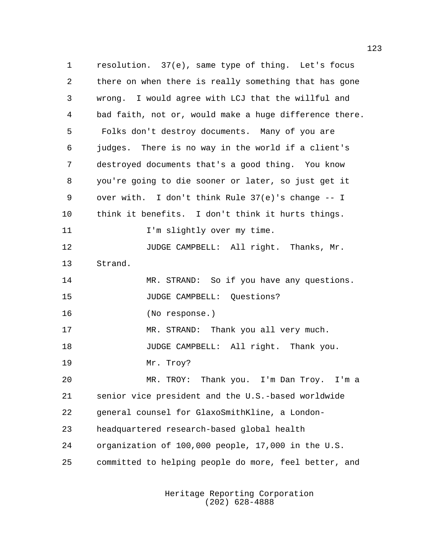resolution. 37(e), same type of thing. Let's focus there on when there is really something that has gone wrong. I would agree with LCJ that the willful and bad faith, not or, would make a huge difference there. Folks don't destroy documents. Many of you are judges. There is no way in the world if a client's destroyed documents that's a good thing. You know you're going to die sooner or later, so just get it over with. I don't think Rule 37(e)'s change -- I think it benefits. I don't think it hurts things. 11 I'm slightly over my time. JUDGE CAMPBELL: All right. Thanks, Mr. Strand. 14 MR. STRAND: So if you have any questions. JUDGE CAMPBELL: Questions? (No response.) 17 MR. STRAND: Thank you all very much. 18 JUDGE CAMPBELL: All right. Thank you. Mr. Troy? MR. TROY: Thank you. I'm Dan Troy. I'm a senior vice president and the U.S.-based worldwide general counsel for GlaxoSmithKline, a London- headquartered research-based global health organization of 100,000 people, 17,000 in the U.S. committed to helping people do more, feel better, and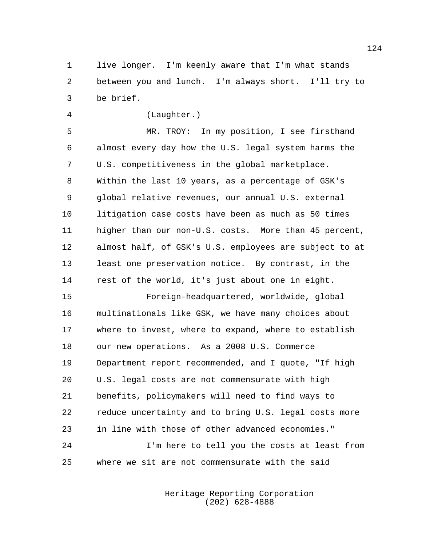live longer. I'm keenly aware that I'm what stands between you and lunch. I'm always short. I'll try to be brief.

(Laughter.)

 MR. TROY: In my position, I see firsthand almost every day how the U.S. legal system harms the U.S. competitiveness in the global marketplace. Within the last 10 years, as a percentage of GSK's global relative revenues, our annual U.S. external litigation case costs have been as much as 50 times higher than our non-U.S. costs. More than 45 percent, almost half, of GSK's U.S. employees are subject to at least one preservation notice. By contrast, in the rest of the world, it's just about one in eight.

 Foreign-headquartered, worldwide, global multinationals like GSK, we have many choices about where to invest, where to expand, where to establish our new operations. As a 2008 U.S. Commerce Department report recommended, and I quote, "If high U.S. legal costs are not commensurate with high benefits, policymakers will need to find ways to reduce uncertainty and to bring U.S. legal costs more in line with those of other advanced economies."

 I'm here to tell you the costs at least from where we sit are not commensurate with the said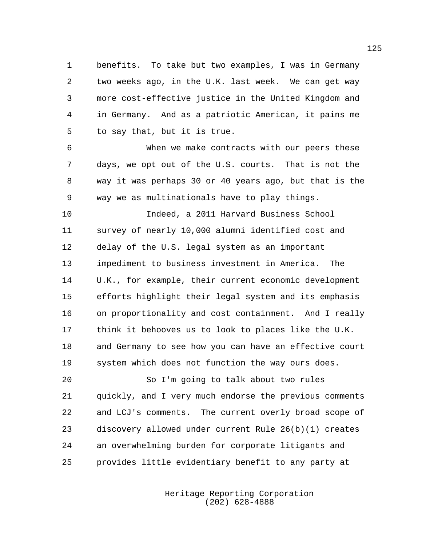benefits. To take but two examples, I was in Germany two weeks ago, in the U.K. last week. We can get way more cost-effective justice in the United Kingdom and in Germany. And as a patriotic American, it pains me to say that, but it is true.

 When we make contracts with our peers these days, we opt out of the U.S. courts. That is not the way it was perhaps 30 or 40 years ago, but that is the way we as multinationals have to play things.

 Indeed, a 2011 Harvard Business School survey of nearly 10,000 alumni identified cost and delay of the U.S. legal system as an important impediment to business investment in America. The U.K., for example, their current economic development efforts highlight their legal system and its emphasis on proportionality and cost containment. And I really think it behooves us to look to places like the U.K. and Germany to see how you can have an effective court system which does not function the way ours does.

 So I'm going to talk about two rules quickly, and I very much endorse the previous comments and LCJ's comments. The current overly broad scope of discovery allowed under current Rule 26(b)(1) creates an overwhelming burden for corporate litigants and provides little evidentiary benefit to any party at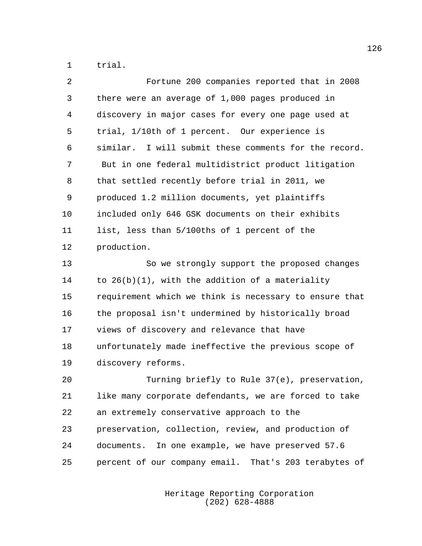trial.

| 2              | Fortune 200 companies reported that in 2008            |
|----------------|--------------------------------------------------------|
| 3              | there were an average of 1,000 pages produced in       |
| $\overline{4}$ | discovery in major cases for every one page used at    |
| 5              | trial, 1/10th of 1 percent. Our experience is          |
| 6              | similar. I will submit these comments for the record.  |
| 7              | But in one federal multidistrict product litigation    |
| 8              | that settled recently before trial in 2011, we         |
| 9              | produced 1.2 million documents, yet plaintiffs         |
| 10             | included only 646 GSK documents on their exhibits      |
| 11             | list, less than 5/100ths of 1 percent of the           |
| 12             | production.                                            |
| 13             | So we strongly support the proposed changes            |
| 14             | to $26(b)(1)$ , with the addition of a materiality     |
| 15             | requirement which we think is necessary to ensure that |
| 16             | the proposal isn't undermined by historically broad    |
| 17             | views of discovery and relevance that have             |
| 18             | unfortunately made ineffective the previous scope of   |
| 19             | discovery reforms.                                     |
| 20             | Turning briefly to Rule 37(e), preservation,           |
| 21             | like many corporate defendants, we are forced to take  |
| 22             | an extremely conservative approach to the              |
| 23             | preservation, collection, review, and production of    |
| 24             | documents. In one example, we have preserved 57.6      |
| 25             | percent of our company email. That's 203 terabytes of  |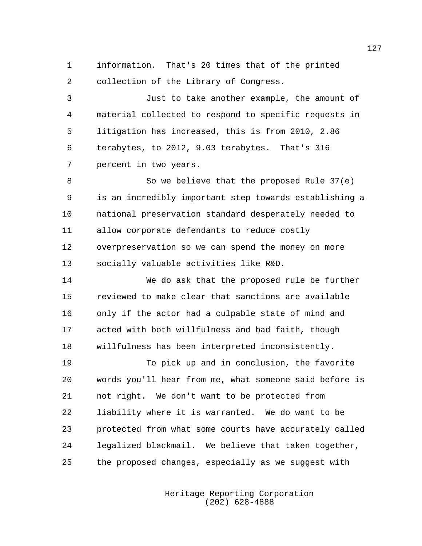information. That's 20 times that of the printed collection of the Library of Congress.

 Just to take another example, the amount of material collected to respond to specific requests in litigation has increased, this is from 2010, 2.86 terabytes, to 2012, 9.03 terabytes. That's 316 percent in two years.

8 So we believe that the proposed Rule 37(e) is an incredibly important step towards establishing a national preservation standard desperately needed to allow corporate defendants to reduce costly overpreservation so we can spend the money on more socially valuable activities like R&D.

 We do ask that the proposed rule be further reviewed to make clear that sanctions are available only if the actor had a culpable state of mind and acted with both willfulness and bad faith, though willfulness has been interpreted inconsistently.

 To pick up and in conclusion, the favorite words you'll hear from me, what someone said before is not right. We don't want to be protected from liability where it is warranted. We do want to be protected from what some courts have accurately called legalized blackmail. We believe that taken together, the proposed changes, especially as we suggest with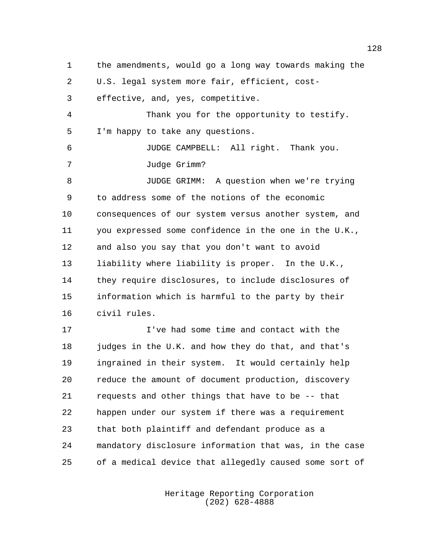the amendments, would go a long way towards making the U.S. legal system more fair, efficient, cost- effective, and, yes, competitive. Thank you for the opportunity to testify. I'm happy to take any questions. JUDGE CAMPBELL: All right. Thank you. Judge Grimm? JUDGE GRIMM: A question when we're trying to address some of the notions of the economic consequences of our system versus another system, and you expressed some confidence in the one in the U.K., and also you say that you don't want to avoid liability where liability is proper. In the U.K., they require disclosures, to include disclosures of information which is harmful to the party by their civil rules.

 I've had some time and contact with the judges in the U.K. and how they do that, and that's ingrained in their system. It would certainly help reduce the amount of document production, discovery requests and other things that have to be -- that happen under our system if there was a requirement that both plaintiff and defendant produce as a mandatory disclosure information that was, in the case of a medical device that allegedly caused some sort of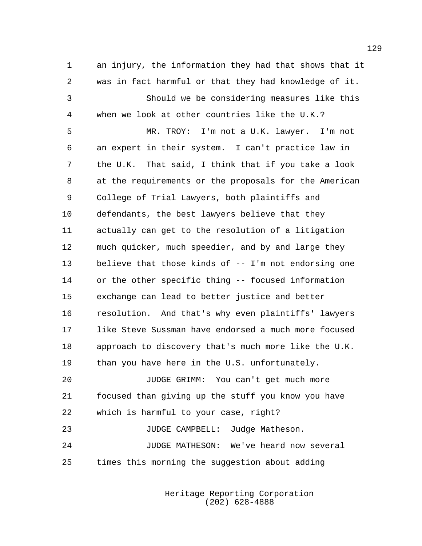an injury, the information they had that shows that it was in fact harmful or that they had knowledge of it. Should we be considering measures like this when we look at other countries like the U.K.? MR. TROY: I'm not a U.K. lawyer. I'm not an expert in their system. I can't practice law in the U.K. That said, I think that if you take a look at the requirements or the proposals for the American College of Trial Lawyers, both plaintiffs and defendants, the best lawyers believe that they actually can get to the resolution of a litigation much quicker, much speedier, and by and large they believe that those kinds of -- I'm not endorsing one or the other specific thing -- focused information exchange can lead to better justice and better resolution. And that's why even plaintiffs' lawyers like Steve Sussman have endorsed a much more focused approach to discovery that's much more like the U.K. 19 than you have here in the U.S. unfortunately. JUDGE GRIMM: You can't get much more focused than giving up the stuff you know you have which is harmful to your case, right? 23 JUDGE CAMPBELL: Judge Matheson. JUDGE MATHESON: We've heard now several times this morning the suggestion about adding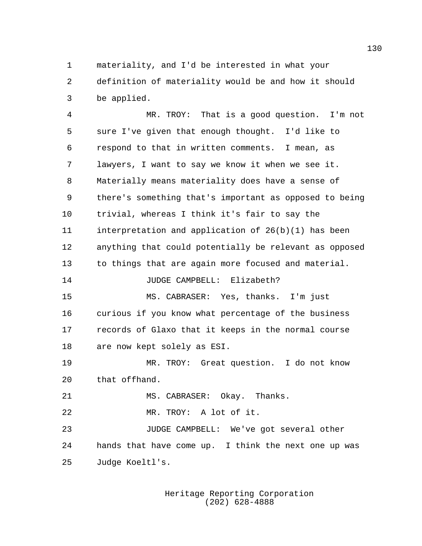materiality, and I'd be interested in what your definition of materiality would be and how it should be applied.

 MR. TROY: That is a good question. I'm not sure I've given that enough thought. I'd like to respond to that in written comments. I mean, as lawyers, I want to say we know it when we see it. Materially means materiality does have a sense of there's something that's important as opposed to being trivial, whereas I think it's fair to say the interpretation and application of 26(b)(1) has been anything that could potentially be relevant as opposed to things that are again more focused and material. JUDGE CAMPBELL: Elizabeth?

 MS. CABRASER: Yes, thanks. I'm just curious if you know what percentage of the business records of Glaxo that it keeps in the normal course are now kept solely as ESI.

 MR. TROY: Great question. I do not know that offhand.

21 MS. CABRASER: Okay. Thanks.

MR. TROY: A lot of it.

 JUDGE CAMPBELL: We've got several other hands that have come up. I think the next one up was Judge Koeltl's.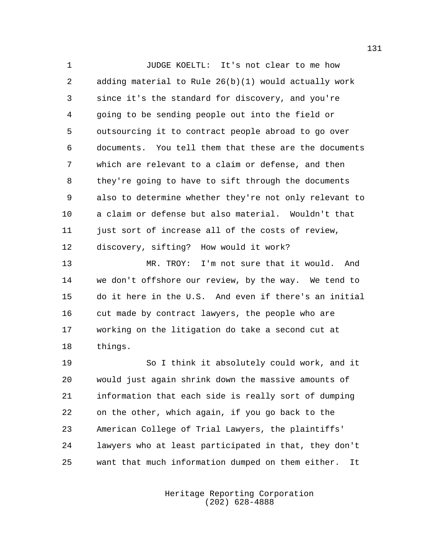JUDGE KOELTL: It's not clear to me how adding material to Rule 26(b)(1) would actually work since it's the standard for discovery, and you're going to be sending people out into the field or outsourcing it to contract people abroad to go over documents. You tell them that these are the documents which are relevant to a claim or defense, and then they're going to have to sift through the documents also to determine whether they're not only relevant to a claim or defense but also material. Wouldn't that 11 just sort of increase all of the costs of review, discovery, sifting? How would it work?

 MR. TROY: I'm not sure that it would. And we don't offshore our review, by the way. We tend to do it here in the U.S. And even if there's an initial cut made by contract lawyers, the people who are working on the litigation do take a second cut at things.

 So I think it absolutely could work, and it would just again shrink down the massive amounts of information that each side is really sort of dumping on the other, which again, if you go back to the American College of Trial Lawyers, the plaintiffs' lawyers who at least participated in that, they don't want that much information dumped on them either. It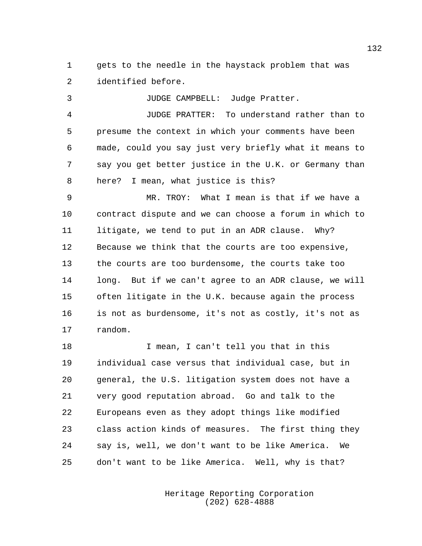gets to the needle in the haystack problem that was identified before.

 JUDGE CAMPBELL: Judge Pratter. JUDGE PRATTER: To understand rather than to presume the context in which your comments have been made, could you say just very briefly what it means to say you get better justice in the U.K. or Germany than here? I mean, what justice is this?

 MR. TROY: What I mean is that if we have a contract dispute and we can choose a forum in which to litigate, we tend to put in an ADR clause. Why? Because we think that the courts are too expensive, the courts are too burdensome, the courts take too long. But if we can't agree to an ADR clause, we will often litigate in the U.K. because again the process is not as burdensome, it's not as costly, it's not as random.

 I mean, I can't tell you that in this individual case versus that individual case, but in general, the U.S. litigation system does not have a very good reputation abroad. Go and talk to the Europeans even as they adopt things like modified class action kinds of measures. The first thing they say is, well, we don't want to be like America. We don't want to be like America. Well, why is that?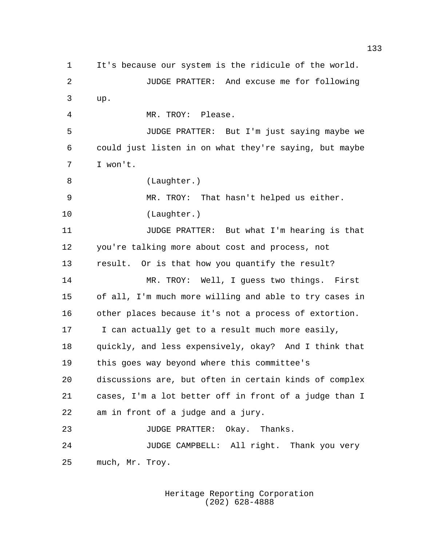It's because our system is the ridicule of the world. JUDGE PRATTER: And excuse me for following up. MR. TROY: Please. JUDGE PRATTER: But I'm just saying maybe we could just listen in on what they're saying, but maybe I won't. 8 (Laughter.) MR. TROY: That hasn't helped us either. (Laughter.) JUDGE PRATTER: But what I'm hearing is that you're talking more about cost and process, not result. Or is that how you quantify the result? MR. TROY: Well, I guess two things. First of all, I'm much more willing and able to try cases in other places because it's not a process of extortion. I can actually get to a result much more easily, quickly, and less expensively, okay? And I think that this goes way beyond where this committee's discussions are, but often in certain kinds of complex cases, I'm a lot better off in front of a judge than I am in front of a judge and a jury. 23 JUDGE PRATTER: Okay. Thanks. 24 JUDGE CAMPBELL: All right. Thank you very much, Mr. Troy.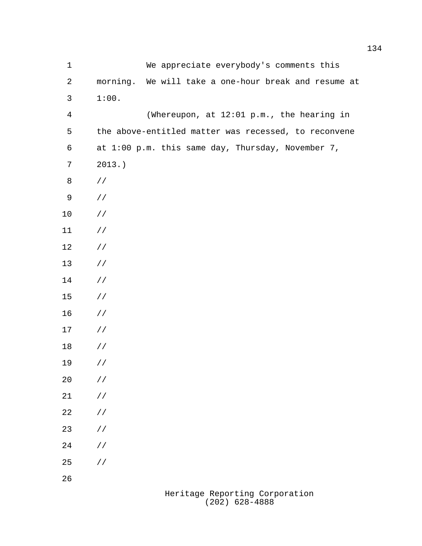| $\mathbf 1$    | We appreciate everybody's comments this              |
|----------------|------------------------------------------------------|
| $\sqrt{2}$     | morning. We will take a one-hour break and resume at |
| $\mathsf{3}$   | 1:00.                                                |
| $\overline{4}$ | (Whereupon, at 12:01 p.m., the hearing in            |
| 5              | the above-entitled matter was recessed, to reconvene |
| $\sqrt{6}$     | at 1:00 p.m. this same day, Thursday, November 7,    |
| 7              | $2013.$ )                                            |
| $\,8\,$        | $\frac{1}{2}$                                        |
| 9              | $\frac{1}{2}$                                        |
| 10             | $\frac{1}{2}$                                        |
| 11             | $\frac{1}{2}$                                        |
| 12             | $\frac{1}{2}$                                        |
| 13             | $\frac{1}{2}$                                        |
| 14             | $\frac{1}{2}$                                        |
| 15             | $\frac{1}{2}$                                        |
| 16             | $\frac{1}{2}$                                        |
| 17             | $\frac{1}{2}$                                        |
| 18             | $\frac{1}{2}$                                        |
| 19             | $\frac{1}{2}$                                        |
| 20             | $\frac{1}{2}$                                        |
| 21             | $\frac{1}{2}$                                        |
| 22             | $\frac{1}{2}$                                        |
| 23             | $\frac{1}{2}$                                        |
| 24             | $\frac{1}{2}$                                        |
| 25             | $\frac{1}{2}$                                        |
| 26             |                                                      |
|                | Heritage Penerting Corner                            |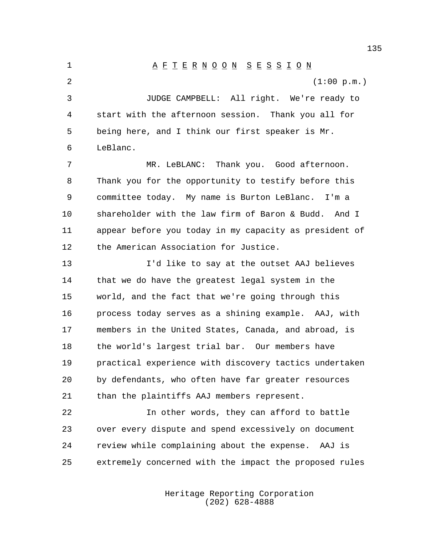1 A F T E R N O O N S E S S I O N 2 (1:00 p.m.) JUDGE CAMPBELL: All right. We're ready to start with the afternoon session. Thank you all for being here, and I think our first speaker is Mr. LeBlanc. MR. LeBLANC: Thank you. Good afternoon. Thank you for the opportunity to testify before this committee today. My name is Burton LeBlanc. I'm a shareholder with the law firm of Baron & Budd. And I appear before you today in my capacity as president of the American Association for Justice. I'd like to say at the outset AAJ believes that we do have the greatest legal system in the world, and the fact that we're going through this process today serves as a shining example. AAJ, with members in the United States, Canada, and abroad, is the world's largest trial bar. Our members have practical experience with discovery tactics undertaken by defendants, who often have far greater resources than the plaintiffs AAJ members represent.

 In other words, they can afford to battle over every dispute and spend excessively on document review while complaining about the expense. AAJ is extremely concerned with the impact the proposed rules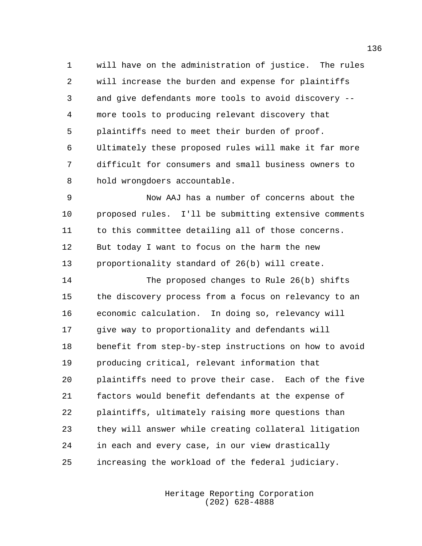will have on the administration of justice. The rules will increase the burden and expense for plaintiffs and give defendants more tools to avoid discovery -- more tools to producing relevant discovery that plaintiffs need to meet their burden of proof. Ultimately these proposed rules will make it far more difficult for consumers and small business owners to hold wrongdoers accountable.

 Now AAJ has a number of concerns about the proposed rules. I'll be submitting extensive comments to this committee detailing all of those concerns. But today I want to focus on the harm the new proportionality standard of 26(b) will create.

 The proposed changes to Rule 26(b) shifts the discovery process from a focus on relevancy to an economic calculation. In doing so, relevancy will give way to proportionality and defendants will benefit from step-by-step instructions on how to avoid producing critical, relevant information that plaintiffs need to prove their case. Each of the five factors would benefit defendants at the expense of plaintiffs, ultimately raising more questions than they will answer while creating collateral litigation in each and every case, in our view drastically increasing the workload of the federal judiciary.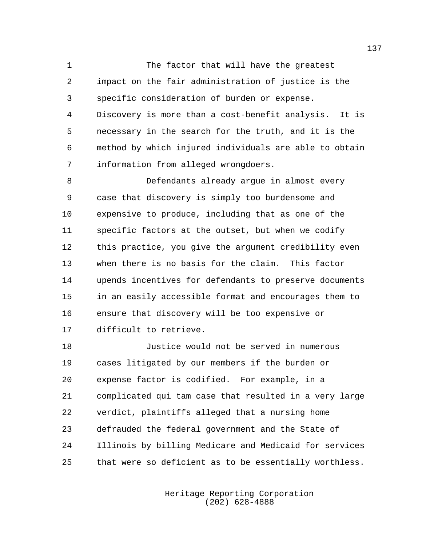The factor that will have the greatest impact on the fair administration of justice is the specific consideration of burden or expense. Discovery is more than a cost-benefit analysis. It is necessary in the search for the truth, and it is the method by which injured individuals are able to obtain information from alleged wrongdoers.

 Defendants already argue in almost every case that discovery is simply too burdensome and expensive to produce, including that as one of the specific factors at the outset, but when we codify this practice, you give the argument credibility even when there is no basis for the claim. This factor upends incentives for defendants to preserve documents in an easily accessible format and encourages them to ensure that discovery will be too expensive or difficult to retrieve.

 Justice would not be served in numerous cases litigated by our members if the burden or expense factor is codified. For example, in a complicated qui tam case that resulted in a very large verdict, plaintiffs alleged that a nursing home defrauded the federal government and the State of Illinois by billing Medicare and Medicaid for services that were so deficient as to be essentially worthless.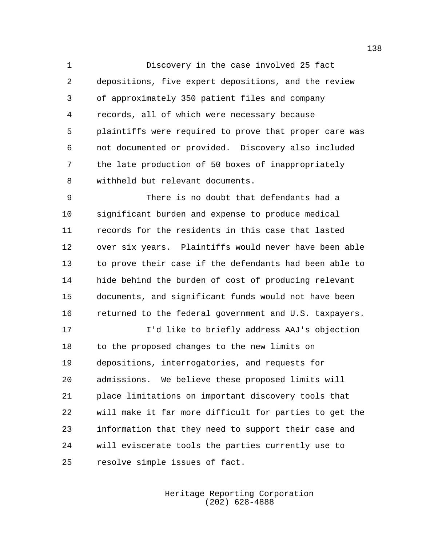Discovery in the case involved 25 fact depositions, five expert depositions, and the review of approximately 350 patient files and company records, all of which were necessary because plaintiffs were required to prove that proper care was not documented or provided. Discovery also included the late production of 50 boxes of inappropriately withheld but relevant documents.

 There is no doubt that defendants had a significant burden and expense to produce medical records for the residents in this case that lasted over six years. Plaintiffs would never have been able to prove their case if the defendants had been able to hide behind the burden of cost of producing relevant documents, and significant funds would not have been returned to the federal government and U.S. taxpayers.

 I'd like to briefly address AAJ's objection to the proposed changes to the new limits on depositions, interrogatories, and requests for admissions. We believe these proposed limits will place limitations on important discovery tools that will make it far more difficult for parties to get the information that they need to support their case and will eviscerate tools the parties currently use to resolve simple issues of fact.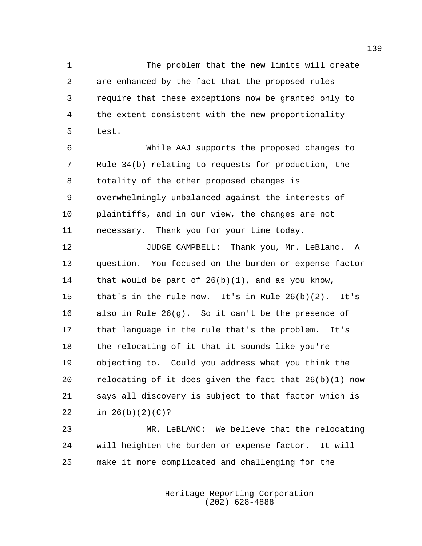The problem that the new limits will create are enhanced by the fact that the proposed rules require that these exceptions now be granted only to the extent consistent with the new proportionality test.

 While AAJ supports the proposed changes to Rule 34(b) relating to requests for production, the totality of the other proposed changes is overwhelmingly unbalanced against the interests of plaintiffs, and in our view, the changes are not necessary. Thank you for your time today.

**JUDGE CAMPBELL:** Thank you, Mr. LeBlanc. A question. You focused on the burden or expense factor that would be part of 26(b)(1), and as you know, that's in the rule now. It's in Rule 26(b)(2). It's also in Rule 26(g). So it can't be the presence of that language in the rule that's the problem. It's the relocating of it that it sounds like you're objecting to. Could you address what you think the relocating of it does given the fact that 26(b)(1) now says all discovery is subject to that factor which is in 26(b)(2)(C)?

 MR. LeBLANC: We believe that the relocating will heighten the burden or expense factor. It will make it more complicated and challenging for the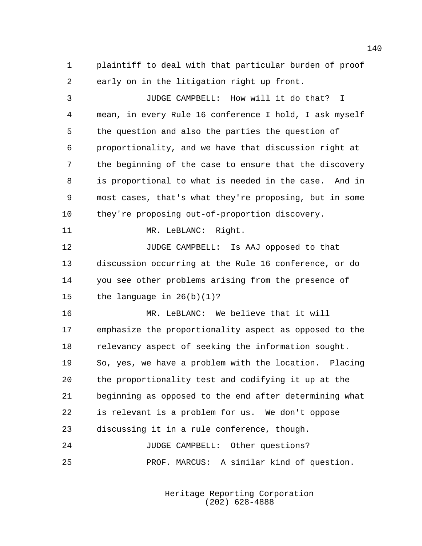plaintiff to deal with that particular burden of proof early on in the litigation right up front.

 JUDGE CAMPBELL: How will it do that? I mean, in every Rule 16 conference I hold, I ask myself the question and also the parties the question of proportionality, and we have that discussion right at the beginning of the case to ensure that the discovery is proportional to what is needed in the case. And in most cases, that's what they're proposing, but in some they're proposing out-of-proportion discovery. 11 MR. LeBLANC: Right. JUDGE CAMPBELL: Is AAJ opposed to that discussion occurring at the Rule 16 conference, or do you see other problems arising from the presence of the language in 26(b)(1)? MR. LeBLANC: We believe that it will emphasize the proportionality aspect as opposed to the relevancy aspect of seeking the information sought. So, yes, we have a problem with the location. Placing the proportionality test and codifying it up at the beginning as opposed to the end after determining what is relevant is a problem for us. We don't oppose discussing it in a rule conference, though. JUDGE CAMPBELL: Other questions? PROF. MARCUS: A similar kind of question.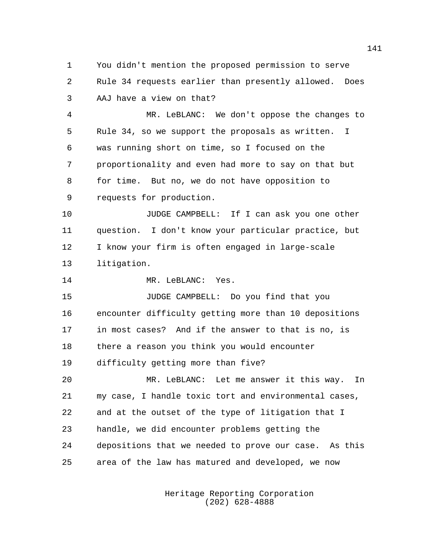You didn't mention the proposed permission to serve Rule 34 requests earlier than presently allowed. Does AAJ have a view on that?

 MR. LeBLANC: We don't oppose the changes to Rule 34, so we support the proposals as written. I was running short on time, so I focused on the proportionality and even had more to say on that but for time. But no, we do not have opposition to requests for production.

 JUDGE CAMPBELL: If I can ask you one other question. I don't know your particular practice, but I know your firm is often engaged in large-scale litigation.

14 MR. LeBLANC: Yes.

 JUDGE CAMPBELL: Do you find that you encounter difficulty getting more than 10 depositions in most cases? And if the answer to that is no, is there a reason you think you would encounter difficulty getting more than five?

 MR. LeBLANC: Let me answer it this way. In my case, I handle toxic tort and environmental cases, and at the outset of the type of litigation that I handle, we did encounter problems getting the depositions that we needed to prove our case. As this area of the law has matured and developed, we now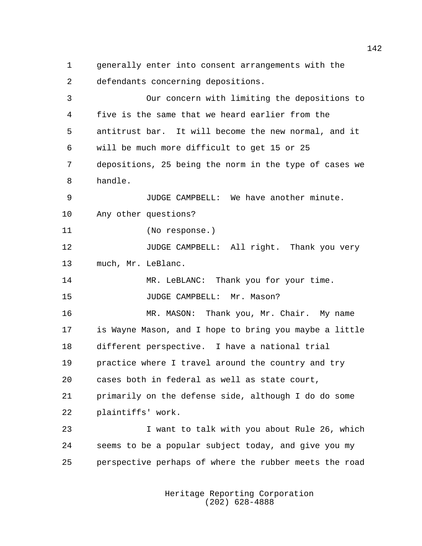generally enter into consent arrangements with the defendants concerning depositions. Our concern with limiting the depositions to five is the same that we heard earlier from the antitrust bar. It will become the new normal, and it will be much more difficult to get 15 or 25 depositions, 25 being the norm in the type of cases we handle. JUDGE CAMPBELL: We have another minute. Any other questions? (No response.) 12 JUDGE CAMPBELL: All right. Thank you very much, Mr. LeBlanc. MR. LeBLANC: Thank you for your time. 15 JUDGE CAMPBELL: Mr. Mason? MR. MASON: Thank you, Mr. Chair. My name is Wayne Mason, and I hope to bring you maybe a little different perspective. I have a national trial practice where I travel around the country and try cases both in federal as well as state court, primarily on the defense side, although I do do some plaintiffs' work. I want to talk with you about Rule 26, which seems to be a popular subject today, and give you my perspective perhaps of where the rubber meets the road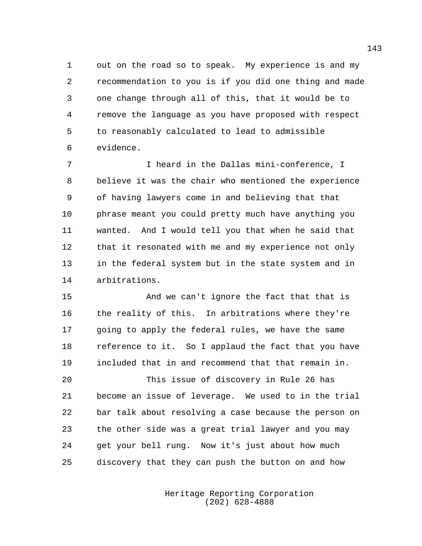out on the road so to speak. My experience is and my recommendation to you is if you did one thing and made one change through all of this, that it would be to remove the language as you have proposed with respect to reasonably calculated to lead to admissible evidence.

 I heard in the Dallas mini-conference, I believe it was the chair who mentioned the experience of having lawyers come in and believing that that phrase meant you could pretty much have anything you wanted. And I would tell you that when he said that that it resonated with me and my experience not only in the federal system but in the state system and in arbitrations.

 And we can't ignore the fact that that is the reality of this. In arbitrations where they're going to apply the federal rules, we have the same reference to it. So I applaud the fact that you have included that in and recommend that that remain in.

 This issue of discovery in Rule 26 has become an issue of leverage. We used to in the trial bar talk about resolving a case because the person on the other side was a great trial lawyer and you may get your bell rung. Now it's just about how much discovery that they can push the button on and how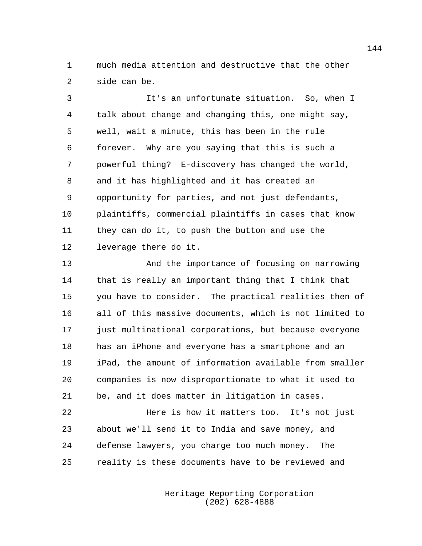much media attention and destructive that the other side can be.

 It's an unfortunate situation. So, when I talk about change and changing this, one might say, well, wait a minute, this has been in the rule forever. Why are you saying that this is such a powerful thing? E-discovery has changed the world, and it has highlighted and it has created an opportunity for parties, and not just defendants, plaintiffs, commercial plaintiffs in cases that know they can do it, to push the button and use the leverage there do it.

 And the importance of focusing on narrowing that is really an important thing that I think that you have to consider. The practical realities then of all of this massive documents, which is not limited to just multinational corporations, but because everyone has an iPhone and everyone has a smartphone and an iPad, the amount of information available from smaller companies is now disproportionate to what it used to be, and it does matter in litigation in cases.

 Here is how it matters too. It's not just about we'll send it to India and save money, and defense lawyers, you charge too much money. The reality is these documents have to be reviewed and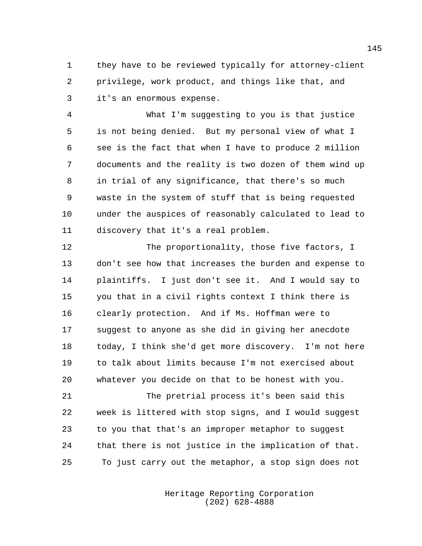they have to be reviewed typically for attorney-client privilege, work product, and things like that, and it's an enormous expense.

 What I'm suggesting to you is that justice is not being denied. But my personal view of what I see is the fact that when I have to produce 2 million documents and the reality is two dozen of them wind up in trial of any significance, that there's so much waste in the system of stuff that is being requested under the auspices of reasonably calculated to lead to discovery that it's a real problem.

 The proportionality, those five factors, I don't see how that increases the burden and expense to plaintiffs. I just don't see it. And I would say to you that in a civil rights context I think there is clearly protection. And if Ms. Hoffman were to suggest to anyone as she did in giving her anecdote today, I think she'd get more discovery. I'm not here to talk about limits because I'm not exercised about whatever you decide on that to be honest with you.

 The pretrial process it's been said this week is littered with stop signs, and I would suggest to you that that's an improper metaphor to suggest that there is not justice in the implication of that. To just carry out the metaphor, a stop sign does not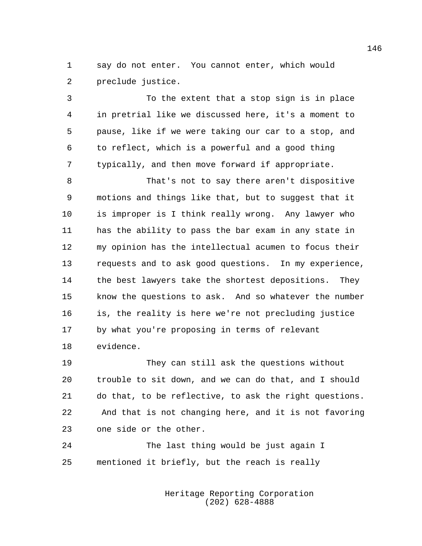say do not enter. You cannot enter, which would preclude justice.

 To the extent that a stop sign is in place in pretrial like we discussed here, it's a moment to pause, like if we were taking our car to a stop, and to reflect, which is a powerful and a good thing typically, and then move forward if appropriate.

 That's not to say there aren't dispositive motions and things like that, but to suggest that it is improper is I think really wrong. Any lawyer who has the ability to pass the bar exam in any state in my opinion has the intellectual acumen to focus their requests and to ask good questions. In my experience, the best lawyers take the shortest depositions. They know the questions to ask. And so whatever the number is, the reality is here we're not precluding justice by what you're proposing in terms of relevant evidence.

 They can still ask the questions without trouble to sit down, and we can do that, and I should do that, to be reflective, to ask the right questions. And that is not changing here, and it is not favoring one side or the other.

 The last thing would be just again I mentioned it briefly, but the reach is really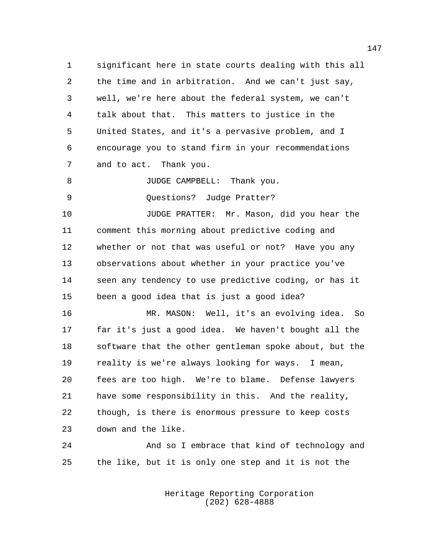significant here in state courts dealing with this all the time and in arbitration. And we can't just say, well, we're here about the federal system, we can't talk about that. This matters to justice in the United States, and it's a pervasive problem, and I encourage you to stand firm in your recommendations and to act. Thank you.

8 JUDGE CAMPBELL: Thank you.

9 Ouestions? Judge Pratter?

 JUDGE PRATTER: Mr. Mason, did you hear the comment this morning about predictive coding and whether or not that was useful or not? Have you any observations about whether in your practice you've seen any tendency to use predictive coding, or has it been a good idea that is just a good idea?

 MR. MASON: Well, it's an evolving idea. So far it's just a good idea. We haven't bought all the software that the other gentleman spoke about, but the reality is we're always looking for ways. I mean, fees are too high. We're to blame. Defense lawyers have some responsibility in this. And the reality, though, is there is enormous pressure to keep costs down and the like.

 And so I embrace that kind of technology and the like, but it is only one step and it is not the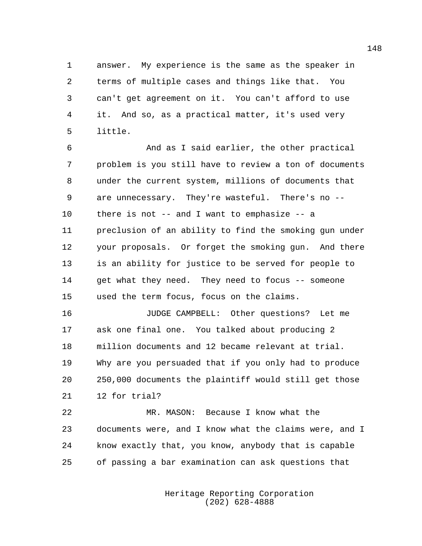answer. My experience is the same as the speaker in terms of multiple cases and things like that. You can't get agreement on it. You can't afford to use it. And so, as a practical matter, it's used very little.

 And as I said earlier, the other practical problem is you still have to review a ton of documents under the current system, millions of documents that are unnecessary. They're wasteful. There's no -- there is not -- and I want to emphasize -- a preclusion of an ability to find the smoking gun under your proposals. Or forget the smoking gun. And there is an ability for justice to be served for people to 14 get what they need. They need to focus -- someone used the term focus, focus on the claims.

 JUDGE CAMPBELL: Other questions? Let me ask one final one. You talked about producing 2 million documents and 12 became relevant at trial. Why are you persuaded that if you only had to produce 250,000 documents the plaintiff would still get those 12 for trial?

 MR. MASON: Because I know what the documents were, and I know what the claims were, and I know exactly that, you know, anybody that is capable of passing a bar examination can ask questions that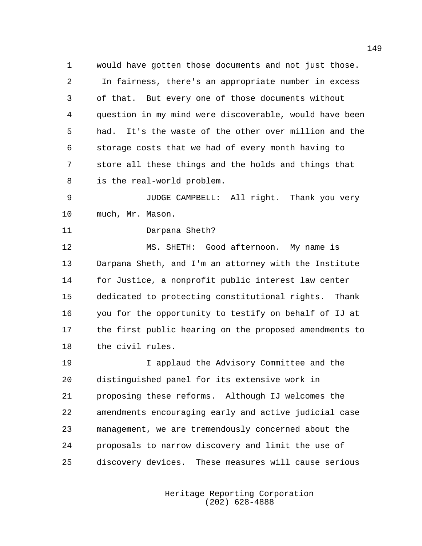would have gotten those documents and not just those. In fairness, there's an appropriate number in excess of that. But every one of those documents without question in my mind were discoverable, would have been had. It's the waste of the other over million and the storage costs that we had of every month having to store all these things and the holds and things that is the real-world problem.

 JUDGE CAMPBELL: All right. Thank you very much, Mr. Mason.

Darpana Sheth?

 MS. SHETH: Good afternoon. My name is Darpana Sheth, and I'm an attorney with the Institute for Justice, a nonprofit public interest law center dedicated to protecting constitutional rights. Thank you for the opportunity to testify on behalf of IJ at the first public hearing on the proposed amendments to the civil rules.

 I applaud the Advisory Committee and the distinguished panel for its extensive work in proposing these reforms. Although IJ welcomes the amendments encouraging early and active judicial case management, we are tremendously concerned about the proposals to narrow discovery and limit the use of discovery devices. These measures will cause serious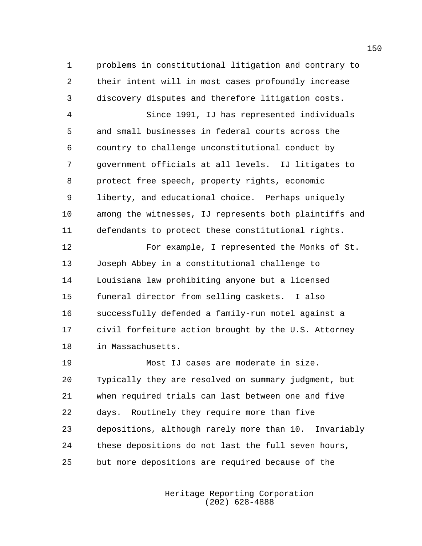problems in constitutional litigation and contrary to their intent will in most cases profoundly increase discovery disputes and therefore litigation costs.

 Since 1991, IJ has represented individuals and small businesses in federal courts across the country to challenge unconstitutional conduct by government officials at all levels. IJ litigates to protect free speech, property rights, economic liberty, and educational choice. Perhaps uniquely among the witnesses, IJ represents both plaintiffs and defendants to protect these constitutional rights.

 For example, I represented the Monks of St. Joseph Abbey in a constitutional challenge to Louisiana law prohibiting anyone but a licensed funeral director from selling caskets. I also successfully defended a family-run motel against a civil forfeiture action brought by the U.S. Attorney in Massachusetts.

 Most IJ cases are moderate in size. Typically they are resolved on summary judgment, but when required trials can last between one and five days. Routinely they require more than five depositions, although rarely more than 10. Invariably these depositions do not last the full seven hours, but more depositions are required because of the

> Heritage Reporting Corporation (202) 628-4888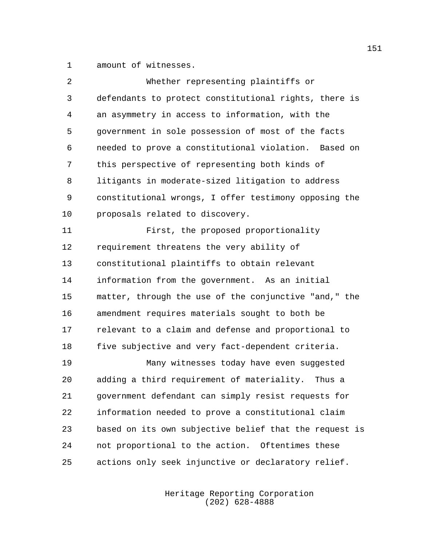amount of witnesses.

| 2  | Whether representing plaintiffs or                     |
|----|--------------------------------------------------------|
| 3  | defendants to protect constitutional rights, there is  |
| 4  | an asymmetry in access to information, with the        |
| 5  | government in sole possession of most of the facts     |
| 6  | needed to prove a constitutional violation. Based on   |
| 7  | this perspective of representing both kinds of         |
| 8  | litigants in moderate-sized litigation to address      |
| 9  | constitutional wrongs, I offer testimony opposing the  |
| 10 | proposals related to discovery.                        |
| 11 | First, the proposed proportionality                    |
| 12 | requirement threatens the very ability of              |
| 13 | constitutional plaintiffs to obtain relevant           |
| 14 | information from the government. As an initial         |
| 15 | matter, through the use of the conjunctive "and," the  |
| 16 | amendment requires materials sought to both be         |
| 17 | relevant to a claim and defense and proportional to    |
| 18 | five subjective and very fact-dependent criteria.      |
| 19 | Many witnesses today have even suggested               |
| 20 | adding a third requirement of materiality.<br>Thus a   |
| 21 | government defendant can simply resist requests for    |
| 22 | information needed to prove a constitutional claim     |
| 23 | based on its own subjective belief that the request is |
| 24 | not proportional to the action. Oftentimes these       |
| 25 | actions only seek injunctive or declaratory relief.    |
|    |                                                        |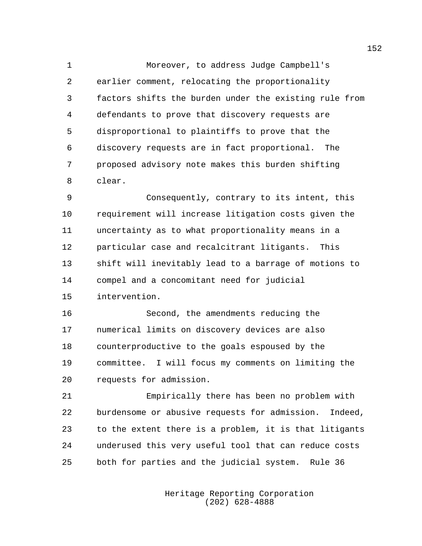Moreover, to address Judge Campbell's earlier comment, relocating the proportionality factors shifts the burden under the existing rule from defendants to prove that discovery requests are disproportional to plaintiffs to prove that the discovery requests are in fact proportional. The proposed advisory note makes this burden shifting clear.

 Consequently, contrary to its intent, this requirement will increase litigation costs given the uncertainty as to what proportionality means in a particular case and recalcitrant litigants. This shift will inevitably lead to a barrage of motions to compel and a concomitant need for judicial intervention.

 Second, the amendments reducing the numerical limits on discovery devices are also counterproductive to the goals espoused by the committee. I will focus my comments on limiting the requests for admission.

 Empirically there has been no problem with burdensome or abusive requests for admission. Indeed, to the extent there is a problem, it is that litigants underused this very useful tool that can reduce costs both for parties and the judicial system. Rule 36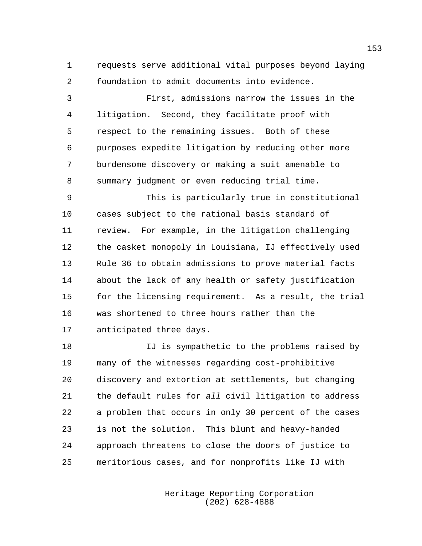requests serve additional vital purposes beyond laying foundation to admit documents into evidence.

 First, admissions narrow the issues in the litigation. Second, they facilitate proof with respect to the remaining issues. Both of these purposes expedite litigation by reducing other more burdensome discovery or making a suit amenable to summary judgment or even reducing trial time.

 This is particularly true in constitutional cases subject to the rational basis standard of review. For example, in the litigation challenging the casket monopoly in Louisiana, IJ effectively used Rule 36 to obtain admissions to prove material facts about the lack of any health or safety justification for the licensing requirement. As a result, the trial was shortened to three hours rather than the anticipated three days.

 IJ is sympathetic to the problems raised by many of the witnesses regarding cost-prohibitive discovery and extortion at settlements, but changing the default rules for *all* civil litigation to address a problem that occurs in only 30 percent of the cases is not the solution. This blunt and heavy-handed approach threatens to close the doors of justice to meritorious cases, and for nonprofits like IJ with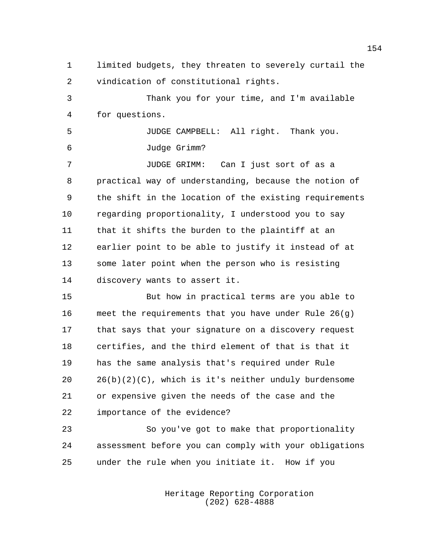limited budgets, they threaten to severely curtail the vindication of constitutional rights. Thank you for your time, and I'm available for questions. JUDGE CAMPBELL: All right. Thank you. Judge Grimm? JUDGE GRIMM: Can I just sort of as a practical way of understanding, because the notion of the shift in the location of the existing requirements regarding proportionality, I understood you to say that it shifts the burden to the plaintiff at an earlier point to be able to justify it instead of at some later point when the person who is resisting discovery wants to assert it. But how in practical terms are you able to meet the requirements that you have under Rule 26(g) that says that your signature on a discovery request certifies, and the third element of that is that it has the same analysis that's required under Rule

 26(b)(2)(C), which is it's neither unduly burdensome or expensive given the needs of the case and the importance of the evidence?

 So you've got to make that proportionality assessment before you can comply with your obligations under the rule when you initiate it. How if you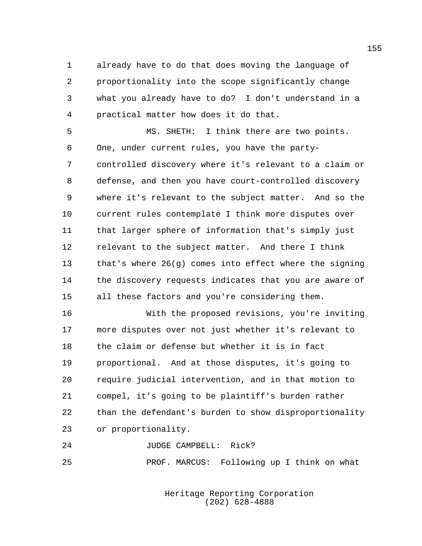already have to do that does moving the language of proportionality into the scope significantly change what you already have to do? I don't understand in a practical matter how does it do that.

 MS. SHETH: I think there are two points. One, under current rules, you have the party- controlled discovery where it's relevant to a claim or defense, and then you have court-controlled discovery where it's relevant to the subject matter. And so the current rules contemplate I think more disputes over that larger sphere of information that's simply just relevant to the subject matter. And there I think that's where 26(g) comes into effect where the signing the discovery requests indicates that you are aware of all these factors and you're considering them.

 With the proposed revisions, you're inviting more disputes over not just whether it's relevant to the claim or defense but whether it is in fact proportional. And at those disputes, it's going to require judicial intervention, and in that motion to compel, it's going to be plaintiff's burden rather than the defendant's burden to show disproportionality or proportionality.

JUDGE CAMPBELL: Rick?

PROF. MARCUS: Following up I think on what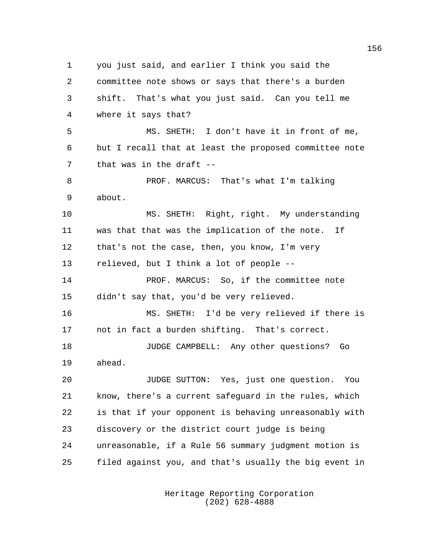you just said, and earlier I think you said the committee note shows or says that there's a burden shift. That's what you just said. Can you tell me where it says that? MS. SHETH: I don't have it in front of me, but I recall that at least the proposed committee note that was in the draft -- PROF. MARCUS: That's what I'm talking about. MS. SHETH: Right, right. My understanding was that that was the implication of the note. If that's not the case, then, you know, I'm very relieved, but I think a lot of people -- 14 PROF. MARCUS: So, if the committee note didn't say that, you'd be very relieved. MS. SHETH: I'd be very relieved if there is not in fact a burden shifting. That's correct. JUDGE CAMPBELL: Any other questions? Go ahead. JUDGE SUTTON: Yes, just one question. You know, there's a current safeguard in the rules, which is that if your opponent is behaving unreasonably with discovery or the district court judge is being unreasonable, if a Rule 56 summary judgment motion is filed against you, and that's usually the big event in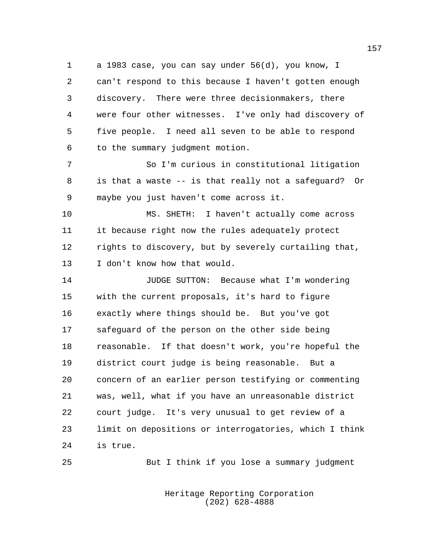a 1983 case, you can say under 56(d), you know, I can't respond to this because I haven't gotten enough discovery. There were three decisionmakers, there were four other witnesses. I've only had discovery of five people. I need all seven to be able to respond to the summary judgment motion.

 So I'm curious in constitutional litigation is that a waste -- is that really not a safeguard? Or maybe you just haven't come across it.

 MS. SHETH: I haven't actually come across it because right now the rules adequately protect rights to discovery, but by severely curtailing that, I don't know how that would.

 JUDGE SUTTON: Because what I'm wondering with the current proposals, it's hard to figure exactly where things should be. But you've got safeguard of the person on the other side being reasonable. If that doesn't work, you're hopeful the district court judge is being reasonable. But a concern of an earlier person testifying or commenting was, well, what if you have an unreasonable district court judge. It's very unusual to get review of a limit on depositions or interrogatories, which I think is true.

But I think if you lose a summary judgment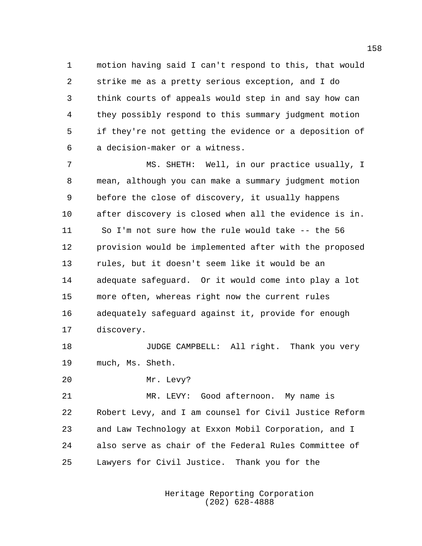motion having said I can't respond to this, that would strike me as a pretty serious exception, and I do think courts of appeals would step in and say how can they possibly respond to this summary judgment motion if they're not getting the evidence or a deposition of a decision-maker or a witness.

 MS. SHETH: Well, in our practice usually, I mean, although you can make a summary judgment motion before the close of discovery, it usually happens after discovery is closed when all the evidence is in. So I'm not sure how the rule would take -- the 56 provision would be implemented after with the proposed rules, but it doesn't seem like it would be an adequate safeguard. Or it would come into play a lot more often, whereas right now the current rules adequately safeguard against it, provide for enough discovery.

**JUDGE CAMPBELL:** All right. Thank you very much, Ms. Sheth.

Mr. Levy?

 MR. LEVY: Good afternoon. My name is Robert Levy, and I am counsel for Civil Justice Reform and Law Technology at Exxon Mobil Corporation, and I also serve as chair of the Federal Rules Committee of Lawyers for Civil Justice. Thank you for the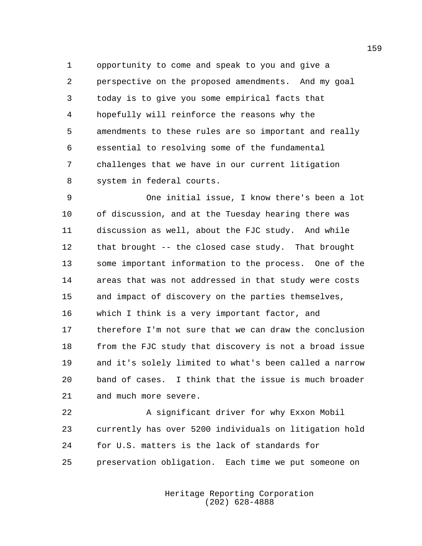opportunity to come and speak to you and give a perspective on the proposed amendments. And my goal today is to give you some empirical facts that hopefully will reinforce the reasons why the amendments to these rules are so important and really essential to resolving some of the fundamental challenges that we have in our current litigation system in federal courts.

 One initial issue, I know there's been a lot of discussion, and at the Tuesday hearing there was discussion as well, about the FJC study. And while that brought -- the closed case study. That brought some important information to the process. One of the areas that was not addressed in that study were costs and impact of discovery on the parties themselves, which I think is a very important factor, and therefore I'm not sure that we can draw the conclusion from the FJC study that discovery is not a broad issue and it's solely limited to what's been called a narrow band of cases. I think that the issue is much broader and much more severe.

 A significant driver for why Exxon Mobil currently has over 5200 individuals on litigation hold for U.S. matters is the lack of standards for preservation obligation. Each time we put someone on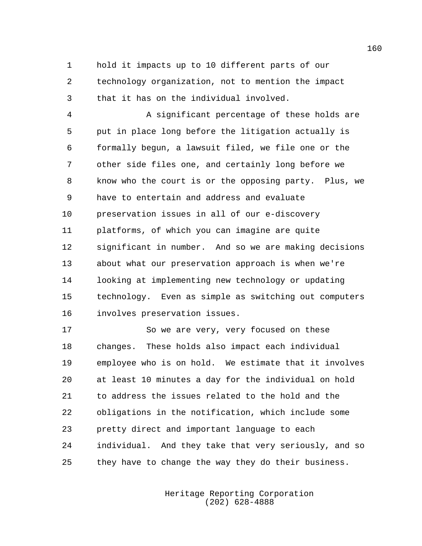hold it impacts up to 10 different parts of our technology organization, not to mention the impact that it has on the individual involved.

 A significant percentage of these holds are put in place long before the litigation actually is formally begun, a lawsuit filed, we file one or the other side files one, and certainly long before we know who the court is or the opposing party. Plus, we have to entertain and address and evaluate preservation issues in all of our e-discovery platforms, of which you can imagine are quite significant in number. And so we are making decisions about what our preservation approach is when we're looking at implementing new technology or updating technology. Even as simple as switching out computers involves preservation issues.

 So we are very, very focused on these changes. These holds also impact each individual employee who is on hold. We estimate that it involves at least 10 minutes a day for the individual on hold to address the issues related to the hold and the obligations in the notification, which include some pretty direct and important language to each individual. And they take that very seriously, and so they have to change the way they do their business.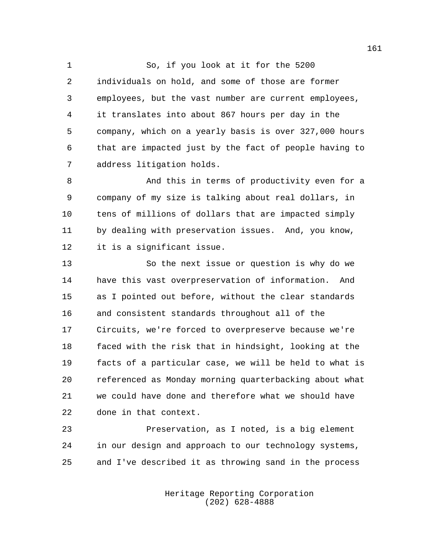So, if you look at it for the 5200 individuals on hold, and some of those are former employees, but the vast number are current employees, it translates into about 867 hours per day in the company, which on a yearly basis is over 327,000 hours that are impacted just by the fact of people having to address litigation holds.

 And this in terms of productivity even for a company of my size is talking about real dollars, in tens of millions of dollars that are impacted simply by dealing with preservation issues. And, you know, it is a significant issue.

 So the next issue or question is why do we have this vast overpreservation of information. And as I pointed out before, without the clear standards and consistent standards throughout all of the Circuits, we're forced to overpreserve because we're faced with the risk that in hindsight, looking at the facts of a particular case, we will be held to what is referenced as Monday morning quarterbacking about what we could have done and therefore what we should have done in that context.

 Preservation, as I noted, is a big element in our design and approach to our technology systems, and I've described it as throwing sand in the process

> Heritage Reporting Corporation (202) 628-4888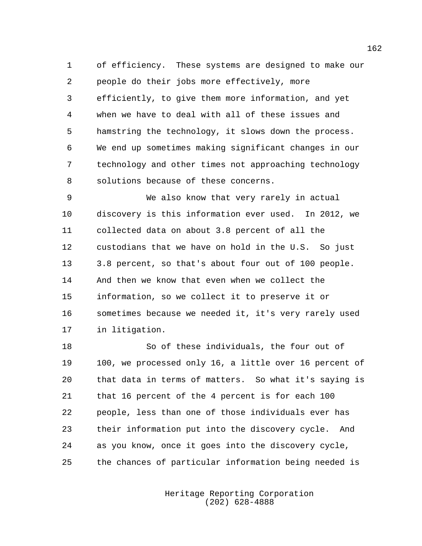of efficiency. These systems are designed to make our people do their jobs more effectively, more efficiently, to give them more information, and yet when we have to deal with all of these issues and hamstring the technology, it slows down the process. We end up sometimes making significant changes in our technology and other times not approaching technology solutions because of these concerns.

 We also know that very rarely in actual discovery is this information ever used. In 2012, we collected data on about 3.8 percent of all the custodians that we have on hold in the U.S. So just 3.8 percent, so that's about four out of 100 people. And then we know that even when we collect the information, so we collect it to preserve it or sometimes because we needed it, it's very rarely used in litigation.

 So of these individuals, the four out of 100, we processed only 16, a little over 16 percent of that data in terms of matters. So what it's saying is that 16 percent of the 4 percent is for each 100 people, less than one of those individuals ever has their information put into the discovery cycle. And as you know, once it goes into the discovery cycle, the chances of particular information being needed is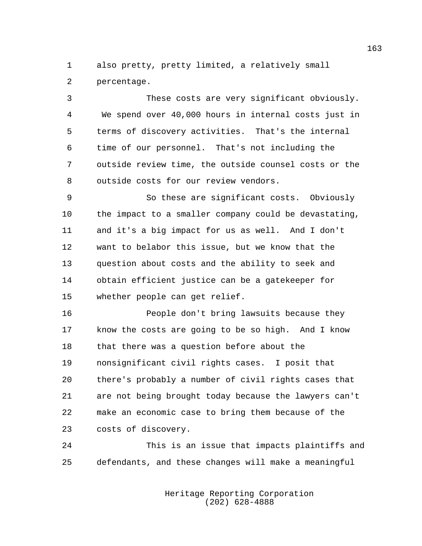also pretty, pretty limited, a relatively small percentage.

 These costs are very significant obviously. We spend over 40,000 hours in internal costs just in terms of discovery activities. That's the internal time of our personnel. That's not including the outside review time, the outside counsel costs or the outside costs for our review vendors.

 So these are significant costs. Obviously the impact to a smaller company could be devastating, and it's a big impact for us as well. And I don't want to belabor this issue, but we know that the question about costs and the ability to seek and obtain efficient justice can be a gatekeeper for whether people can get relief.

 People don't bring lawsuits because they know the costs are going to be so high. And I know that there was a question before about the nonsignificant civil rights cases. I posit that there's probably a number of civil rights cases that are not being brought today because the lawyers can't make an economic case to bring them because of the costs of discovery.

 This is an issue that impacts plaintiffs and defendants, and these changes will make a meaningful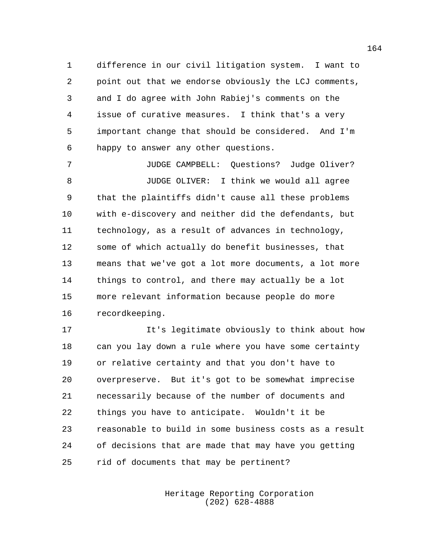difference in our civil litigation system. I want to point out that we endorse obviously the LCJ comments, and I do agree with John Rabiej's comments on the issue of curative measures. I think that's a very important change that should be considered. And I'm happy to answer any other questions.

 JUDGE CAMPBELL: Questions? Judge Oliver? JUDGE OLIVER: I think we would all agree that the plaintiffs didn't cause all these problems with e-discovery and neither did the defendants, but technology, as a result of advances in technology, some of which actually do benefit businesses, that means that we've got a lot more documents, a lot more things to control, and there may actually be a lot more relevant information because people do more recordkeeping.

 It's legitimate obviously to think about how can you lay down a rule where you have some certainty or relative certainty and that you don't have to overpreserve. But it's got to be somewhat imprecise necessarily because of the number of documents and things you have to anticipate. Wouldn't it be reasonable to build in some business costs as a result of decisions that are made that may have you getting rid of documents that may be pertinent?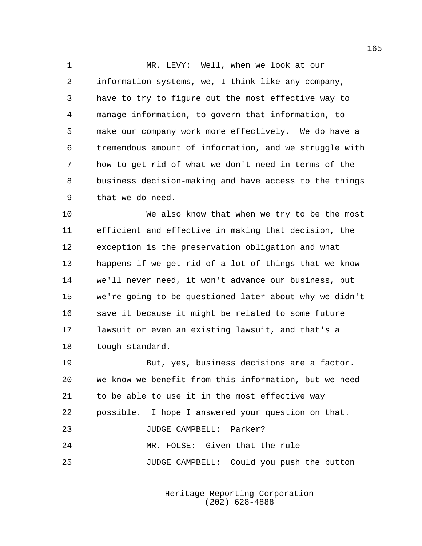MR. LEVY: Well, when we look at our information systems, we, I think like any company, have to try to figure out the most effective way to manage information, to govern that information, to make our company work more effectively. We do have a tremendous amount of information, and we struggle with how to get rid of what we don't need in terms of the business decision-making and have access to the things that we do need.

 We also know that when we try to be the most efficient and effective in making that decision, the exception is the preservation obligation and what happens if we get rid of a lot of things that we know we'll never need, it won't advance our business, but we're going to be questioned later about why we didn't save it because it might be related to some future lawsuit or even an existing lawsuit, and that's a tough standard.

 But, yes, business decisions are a factor. We know we benefit from this information, but we need to be able to use it in the most effective way possible. I hope I answered your question on that. JUDGE CAMPBELL: Parker? MR. FOLSE: Given that the rule -- JUDGE CAMPBELL: Could you push the button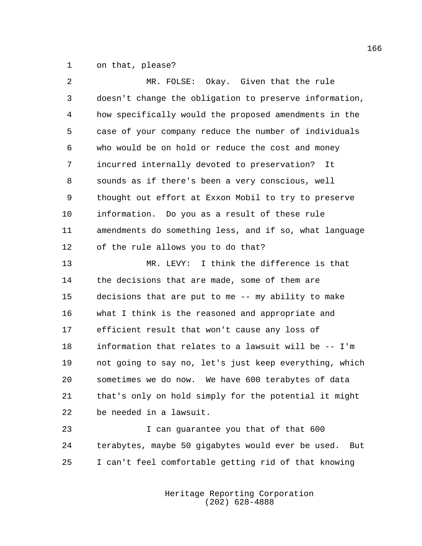on that, please?

| 2  | MR. FOLSE: Okay. Given that the rule                     |
|----|----------------------------------------------------------|
| 3  | doesn't change the obligation to preserve information,   |
| 4  | how specifically would the proposed amendments in the    |
| 5  | case of your company reduce the number of individuals    |
| 6  | who would be on hold or reduce the cost and money        |
| 7  | incurred internally devoted to preservation? It          |
| 8  | sounds as if there's been a very conscious, well         |
| 9  | thought out effort at Exxon Mobil to try to preserve     |
| 10 | information. Do you as a result of these rule            |
| 11 | amendments do something less, and if so, what language   |
| 12 | of the rule allows you to do that?                       |
| 13 | MR. LEVY: I think the difference is that                 |
| 14 | the decisions that are made, some of them are            |
| 15 | decisions that are put to me -- my ability to make       |
| 16 | what I think is the reasoned and appropriate and         |
| 17 | efficient result that won't cause any loss of            |
| 18 | information that relates to a lawsuit will be -- I'm     |
| 19 | not going to say no, let's just keep everything, which   |
| 20 | sometimes we do now. We have 600 terabytes of data       |
| 21 | that's only on hold simply for the potential it might    |
| 22 | be needed in a lawsuit.                                  |
| 23 | I can guarantee you that of that 600                     |
| 24 | terabytes, maybe 50 gigabytes would ever be used.<br>But |
|    |                                                          |

Heritage Reporting Corporation (202) 628-4888

I can't feel comfortable getting rid of that knowing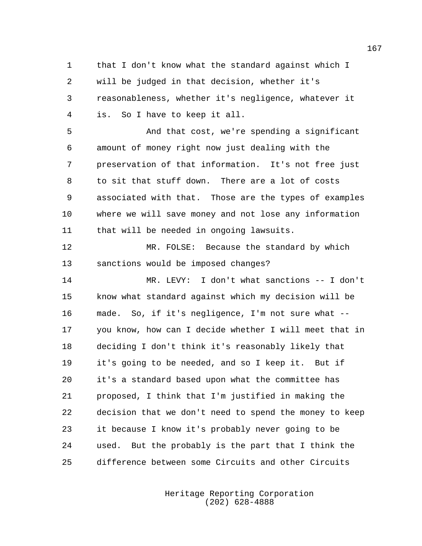that I don't know what the standard against which I will be judged in that decision, whether it's reasonableness, whether it's negligence, whatever it is. So I have to keep it all.

 And that cost, we're spending a significant amount of money right now just dealing with the preservation of that information. It's not free just to sit that stuff down. There are a lot of costs associated with that. Those are the types of examples where we will save money and not lose any information that will be needed in ongoing lawsuits.

 MR. FOLSE: Because the standard by which sanctions would be imposed changes?

 MR. LEVY: I don't what sanctions -- I don't know what standard against which my decision will be made. So, if it's negligence, I'm not sure what -- you know, how can I decide whether I will meet that in deciding I don't think it's reasonably likely that it's going to be needed, and so I keep it. But if it's a standard based upon what the committee has proposed, I think that I'm justified in making the decision that we don't need to spend the money to keep it because I know it's probably never going to be used. But the probably is the part that I think the difference between some Circuits and other Circuits

> Heritage Reporting Corporation (202) 628-4888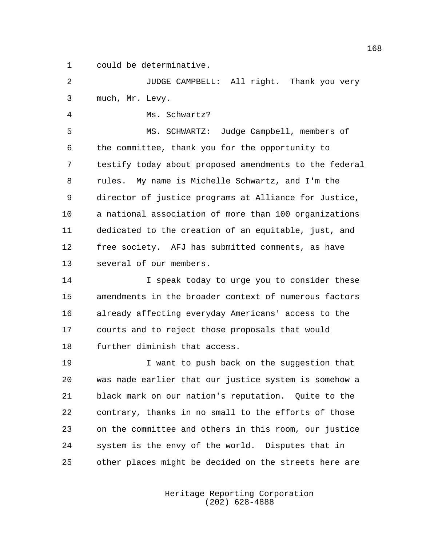could be determinative.

 JUDGE CAMPBELL: All right. Thank you very much, Mr. Levy.

Ms. Schwartz?

 MS. SCHWARTZ: Judge Campbell, members of the committee, thank you for the opportunity to testify today about proposed amendments to the federal rules. My name is Michelle Schwartz, and I'm the director of justice programs at Alliance for Justice, a national association of more than 100 organizations dedicated to the creation of an equitable, just, and free society. AFJ has submitted comments, as have several of our members.

**I** speak today to urge you to consider these amendments in the broader context of numerous factors already affecting everyday Americans' access to the courts and to reject those proposals that would further diminish that access.

 I want to push back on the suggestion that was made earlier that our justice system is somehow a black mark on our nation's reputation. Quite to the contrary, thanks in no small to the efforts of those on the committee and others in this room, our justice system is the envy of the world. Disputes that in other places might be decided on the streets here are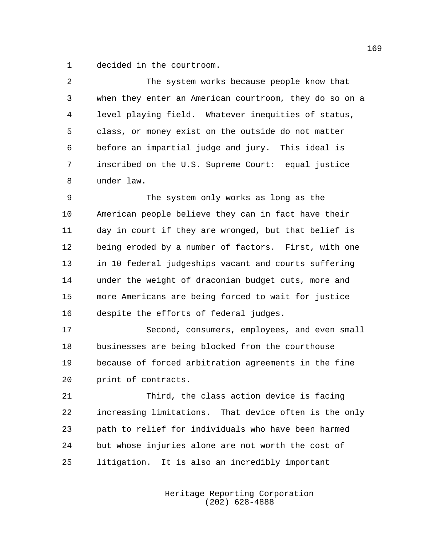decided in the courtroom.

| 2  | The system works because people know that              |
|----|--------------------------------------------------------|
| 3  | when they enter an American courtroom, they do so on a |
| 4  | level playing field. Whatever inequities of status,    |
| 5  | class, or money exist on the outside do not matter     |
| 6  | before an impartial judge and jury. This ideal is      |
| 7  | inscribed on the U.S. Supreme Court: equal justice     |
| 8  | under law.                                             |
| 9  | The system only works as long as the                   |
| 10 | American people believe they can in fact have their    |
| 11 | day in court if they are wronged, but that belief is   |
| 12 | being eroded by a number of factors. First, with one   |
| 13 | in 10 federal judgeships vacant and courts suffering   |
| 14 | under the weight of draconian budget cuts, more and    |
| 15 | more Americans are being forced to wait for justice    |
| 16 | despite the efforts of federal judges.                 |
|    |                                                        |

 Second, consumers, employees, and even small businesses are being blocked from the courthouse because of forced arbitration agreements in the fine print of contracts.

 Third, the class action device is facing increasing limitations. That device often is the only path to relief for individuals who have been harmed but whose injuries alone are not worth the cost of litigation. It is also an incredibly important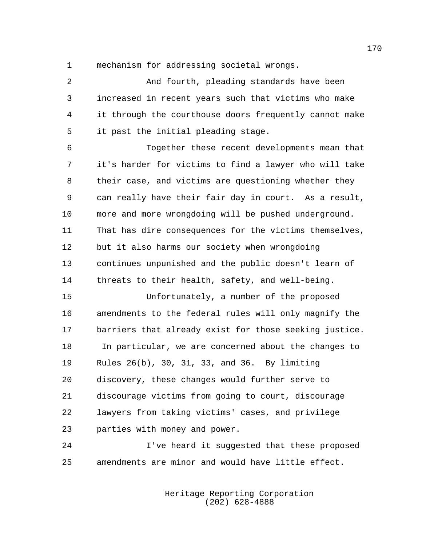mechanism for addressing societal wrongs.

 And fourth, pleading standards have been increased in recent years such that victims who make it through the courthouse doors frequently cannot make it past the initial pleading stage.

 Together these recent developments mean that it's harder for victims to find a lawyer who will take their case, and victims are questioning whether they can really have their fair day in court. As a result, more and more wrongdoing will be pushed underground. That has dire consequences for the victims themselves, but it also harms our society when wrongdoing continues unpunished and the public doesn't learn of threats to their health, safety, and well-being.

 Unfortunately, a number of the proposed amendments to the federal rules will only magnify the barriers that already exist for those seeking justice. In particular, we are concerned about the changes to Rules 26(b), 30, 31, 33, and 36. By limiting discovery, these changes would further serve to discourage victims from going to court, discourage lawyers from taking victims' cases, and privilege parties with money and power.

 I've heard it suggested that these proposed amendments are minor and would have little effect.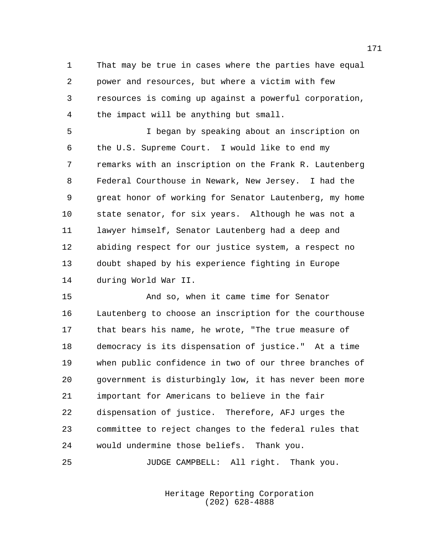That may be true in cases where the parties have equal power and resources, but where a victim with few resources is coming up against a powerful corporation, the impact will be anything but small.

 I began by speaking about an inscription on the U.S. Supreme Court. I would like to end my remarks with an inscription on the Frank R. Lautenberg Federal Courthouse in Newark, New Jersey. I had the great honor of working for Senator Lautenberg, my home state senator, for six years. Although he was not a lawyer himself, Senator Lautenberg had a deep and abiding respect for our justice system, a respect no doubt shaped by his experience fighting in Europe during World War II.

 And so, when it came time for Senator Lautenberg to choose an inscription for the courthouse that bears his name, he wrote, "The true measure of democracy is its dispensation of justice." At a time when public confidence in two of our three branches of government is disturbingly low, it has never been more important for Americans to believe in the fair dispensation of justice. Therefore, AFJ urges the committee to reject changes to the federal rules that would undermine those beliefs. Thank you.

JUDGE CAMPBELL: All right. Thank you.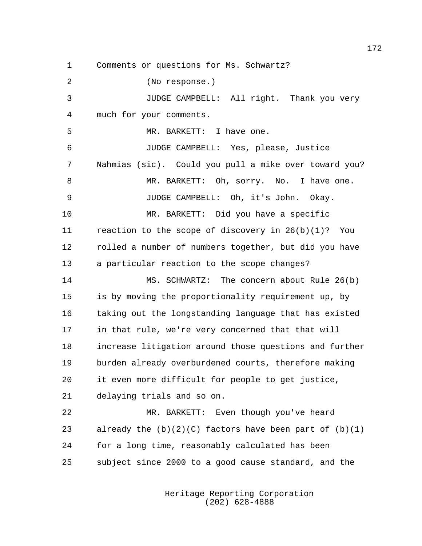Comments or questions for Ms. Schwartz? (No response.) JUDGE CAMPBELL: All right. Thank you very much for your comments. MR. BARKETT: I have one. JUDGE CAMPBELL: Yes, please, Justice Nahmias (sic). Could you pull a mike over toward you? MR. BARKETT: Oh, sorry. No. I have one. JUDGE CAMPBELL: Oh, it's John. Okay. MR. BARKETT: Did you have a specific reaction to the scope of discovery in 26(b)(1)? You rolled a number of numbers together, but did you have a particular reaction to the scope changes? MS. SCHWARTZ: The concern about Rule 26(b) is by moving the proportionality requirement up, by taking out the longstanding language that has existed in that rule, we're very concerned that that will increase litigation around those questions and further burden already overburdened courts, therefore making it even more difficult for people to get justice, delaying trials and so on. MR. BARKETT: Even though you've heard 23 already the  $(b)(2)(C)$  factors have been part of  $(b)(1)$  for a long time, reasonably calculated has been subject since 2000 to a good cause standard, and the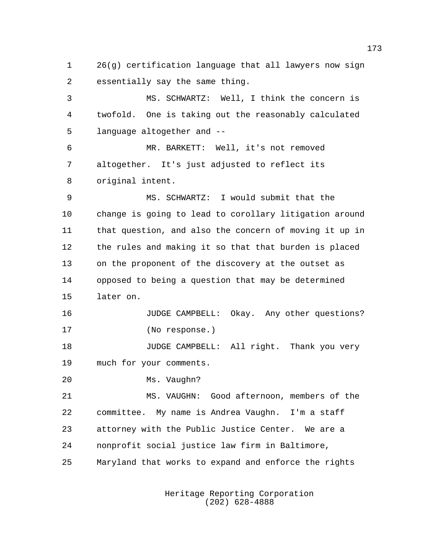26(g) certification language that all lawyers now sign essentially say the same thing.

 MS. SCHWARTZ: Well, I think the concern is twofold. One is taking out the reasonably calculated language altogether and --

 MR. BARKETT: Well, it's not removed altogether. It's just adjusted to reflect its original intent.

 MS. SCHWARTZ: I would submit that the change is going to lead to corollary litigation around that question, and also the concern of moving it up in the rules and making it so that that burden is placed on the proponent of the discovery at the outset as opposed to being a question that may be determined later on.

16 JUDGE CAMPBELL: Okay. Any other questions? (No response.)

**JUDGE CAMPBELL:** All right. Thank you very much for your comments.

Ms. Vaughn?

 MS. VAUGHN: Good afternoon, members of the committee. My name is Andrea Vaughn. I'm a staff attorney with the Public Justice Center. We are a nonprofit social justice law firm in Baltimore, Maryland that works to expand and enforce the rights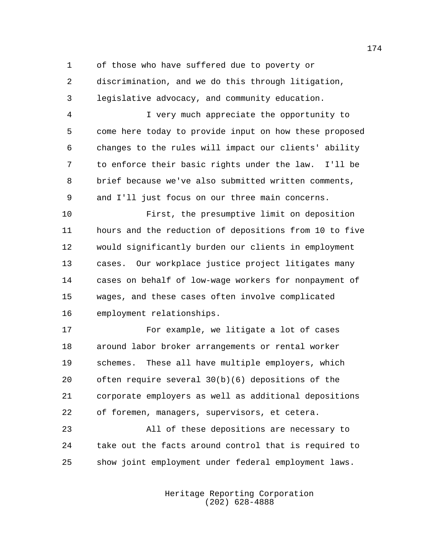of those who have suffered due to poverty or

 discrimination, and we do this through litigation, legislative advocacy, and community education.

 I very much appreciate the opportunity to come here today to provide input on how these proposed changes to the rules will impact our clients' ability to enforce their basic rights under the law. I'll be brief because we've also submitted written comments, and I'll just focus on our three main concerns.

 First, the presumptive limit on deposition hours and the reduction of depositions from 10 to five would significantly burden our clients in employment cases. Our workplace justice project litigates many cases on behalf of low-wage workers for nonpayment of wages, and these cases often involve complicated employment relationships.

 For example, we litigate a lot of cases around labor broker arrangements or rental worker schemes. These all have multiple employers, which often require several 30(b)(6) depositions of the corporate employers as well as additional depositions of foremen, managers, supervisors, et cetera.

 All of these depositions are necessary to take out the facts around control that is required to show joint employment under federal employment laws.

> Heritage Reporting Corporation (202) 628-4888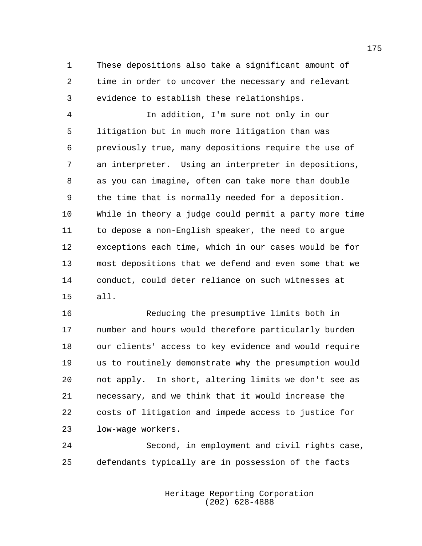These depositions also take a significant amount of time in order to uncover the necessary and relevant evidence to establish these relationships.

 In addition, I'm sure not only in our litigation but in much more litigation than was previously true, many depositions require the use of an interpreter. Using an interpreter in depositions, as you can imagine, often can take more than double the time that is normally needed for a deposition. While in theory a judge could permit a party more time to depose a non-English speaker, the need to argue exceptions each time, which in our cases would be for most depositions that we defend and even some that we conduct, could deter reliance on such witnesses at all.

 Reducing the presumptive limits both in number and hours would therefore particularly burden our clients' access to key evidence and would require us to routinely demonstrate why the presumption would not apply. In short, altering limits we don't see as necessary, and we think that it would increase the costs of litigation and impede access to justice for low-wage workers.

 Second, in employment and civil rights case, defendants typically are in possession of the facts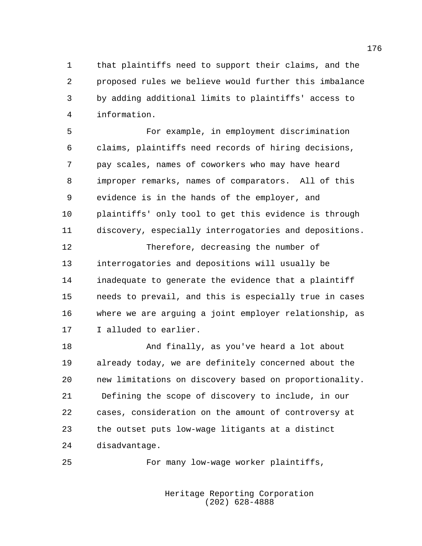that plaintiffs need to support their claims, and the proposed rules we believe would further this imbalance by adding additional limits to plaintiffs' access to information.

 For example, in employment discrimination claims, plaintiffs need records of hiring decisions, pay scales, names of coworkers who may have heard improper remarks, names of comparators. All of this evidence is in the hands of the employer, and plaintiffs' only tool to get this evidence is through discovery, especially interrogatories and depositions.

 Therefore, decreasing the number of interrogatories and depositions will usually be inadequate to generate the evidence that a plaintiff needs to prevail, and this is especially true in cases where we are arguing a joint employer relationship, as I alluded to earlier.

 And finally, as you've heard a lot about already today, we are definitely concerned about the new limitations on discovery based on proportionality. Defining the scope of discovery to include, in our cases, consideration on the amount of controversy at the outset puts low-wage litigants at a distinct disadvantage.

For many low-wage worker plaintiffs,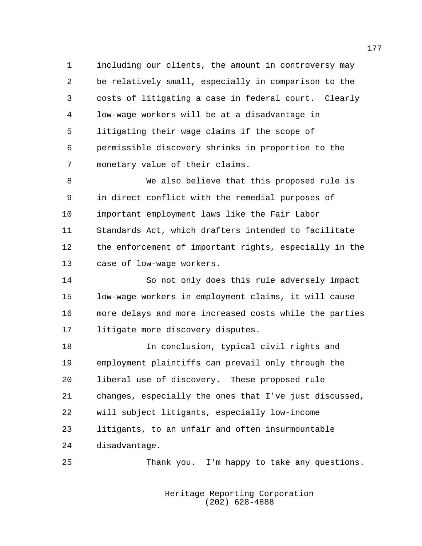including our clients, the amount in controversy may be relatively small, especially in comparison to the costs of litigating a case in federal court. Clearly low-wage workers will be at a disadvantage in litigating their wage claims if the scope of permissible discovery shrinks in proportion to the monetary value of their claims.

 We also believe that this proposed rule is in direct conflict with the remedial purposes of important employment laws like the Fair Labor Standards Act, which drafters intended to facilitate the enforcement of important rights, especially in the case of low-wage workers.

 So not only does this rule adversely impact low-wage workers in employment claims, it will cause more delays and more increased costs while the parties litigate more discovery disputes.

 In conclusion, typical civil rights and employment plaintiffs can prevail only through the liberal use of discovery. These proposed rule changes, especially the ones that I've just discussed, will subject litigants, especially low-income litigants, to an unfair and often insurmountable disadvantage.

Thank you. I'm happy to take any questions.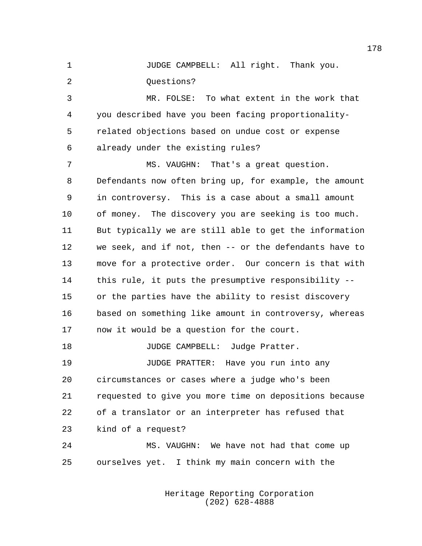JUDGE CAMPBELL: All right. Thank you. 2 Ouestions?

 MR. FOLSE: To what extent in the work that you described have you been facing proportionality- related objections based on undue cost or expense already under the existing rules?

 MS. VAUGHN: That's a great question. Defendants now often bring up, for example, the amount in controversy. This is a case about a small amount of money. The discovery you are seeking is too much. But typically we are still able to get the information we seek, and if not, then -- or the defendants have to move for a protective order. Our concern is that with this rule, it puts the presumptive responsibility -- or the parties have the ability to resist discovery based on something like amount in controversy, whereas now it would be a question for the court. 18 JUDGE CAMPBELL: Judge Pratter. JUDGE PRATTER: Have you run into any circumstances or cases where a judge who's been requested to give you more time on depositions because of a translator or an interpreter has refused that

kind of a request?

 MS. VAUGHN: We have not had that come up ourselves yet. I think my main concern with the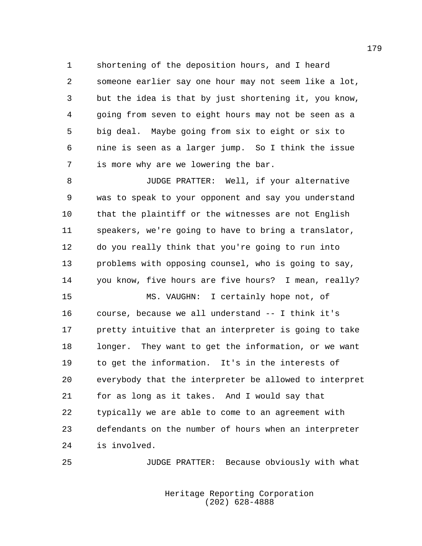shortening of the deposition hours, and I heard someone earlier say one hour may not seem like a lot, but the idea is that by just shortening it, you know, going from seven to eight hours may not be seen as a big deal. Maybe going from six to eight or six to nine is seen as a larger jump. So I think the issue is more why are we lowering the bar.

 JUDGE PRATTER: Well, if your alternative was to speak to your opponent and say you understand that the plaintiff or the witnesses are not English speakers, we're going to have to bring a translator, do you really think that you're going to run into problems with opposing counsel, who is going to say, you know, five hours are five hours? I mean, really?

 MS. VAUGHN: I certainly hope not, of course, because we all understand -- I think it's pretty intuitive that an interpreter is going to take longer. They want to get the information, or we want to get the information. It's in the interests of everybody that the interpreter be allowed to interpret for as long as it takes. And I would say that typically we are able to come to an agreement with defendants on the number of hours when an interpreter is involved.

JUDGE PRATTER: Because obviously with what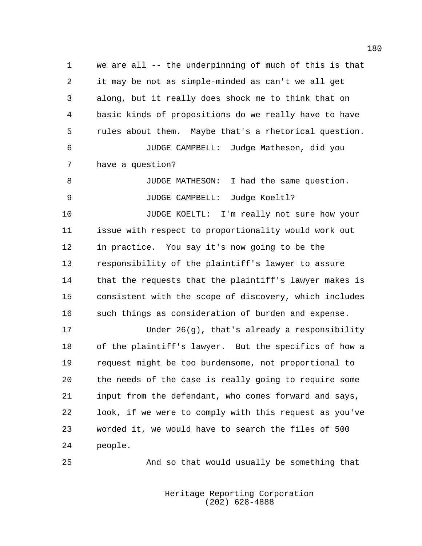we are all -- the underpinning of much of this is that it may be not as simple-minded as can't we all get along, but it really does shock me to think that on basic kinds of propositions do we really have to have rules about them. Maybe that's a rhetorical question. JUDGE CAMPBELL: Judge Matheson, did you have a question? JUDGE MATHESON: I had the same question. JUDGE CAMPBELL: Judge Koeltl? JUDGE KOELTL: I'm really not sure how your issue with respect to proportionality would work out in practice. You say it's now going to be the responsibility of the plaintiff's lawyer to assure that the requests that the plaintiff's lawyer makes is consistent with the scope of discovery, which includes such things as consideration of burden and expense. Under 26(g), that's already a responsibility

 of the plaintiff's lawyer. But the specifics of how a request might be too burdensome, not proportional to the needs of the case is really going to require some input from the defendant, who comes forward and says, look, if we were to comply with this request as you've worded it, we would have to search the files of 500 people.

And so that would usually be something that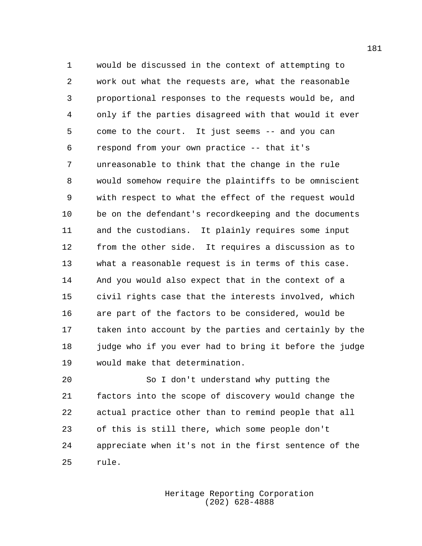would be discussed in the context of attempting to work out what the requests are, what the reasonable proportional responses to the requests would be, and only if the parties disagreed with that would it ever come to the court. It just seems -- and you can respond from your own practice -- that it's unreasonable to think that the change in the rule would somehow require the plaintiffs to be omniscient with respect to what the effect of the request would be on the defendant's recordkeeping and the documents and the custodians. It plainly requires some input from the other side. It requires a discussion as to what a reasonable request is in terms of this case. And you would also expect that in the context of a civil rights case that the interests involved, which are part of the factors to be considered, would be taken into account by the parties and certainly by the judge who if you ever had to bring it before the judge would make that determination.

 So I don't understand why putting the factors into the scope of discovery would change the actual practice other than to remind people that all of this is still there, which some people don't appreciate when it's not in the first sentence of the rule.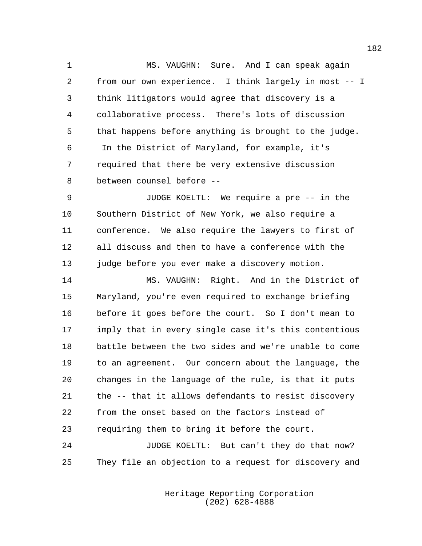MS. VAUGHN: Sure. And I can speak again from our own experience. I think largely in most -- I think litigators would agree that discovery is a collaborative process. There's lots of discussion that happens before anything is brought to the judge. In the District of Maryland, for example, it's required that there be very extensive discussion between counsel before --

 JUDGE KOELTL: We require a pre -- in the Southern District of New York, we also require a conference. We also require the lawyers to first of all discuss and then to have a conference with the 13 judge before you ever make a discovery motion.

 MS. VAUGHN: Right. And in the District of Maryland, you're even required to exchange briefing before it goes before the court. So I don't mean to imply that in every single case it's this contentious battle between the two sides and we're unable to come to an agreement. Our concern about the language, the changes in the language of the rule, is that it puts the -- that it allows defendants to resist discovery from the onset based on the factors instead of requiring them to bring it before the court.

24 JUDGE KOELTL: But can't they do that now? They file an objection to a request for discovery and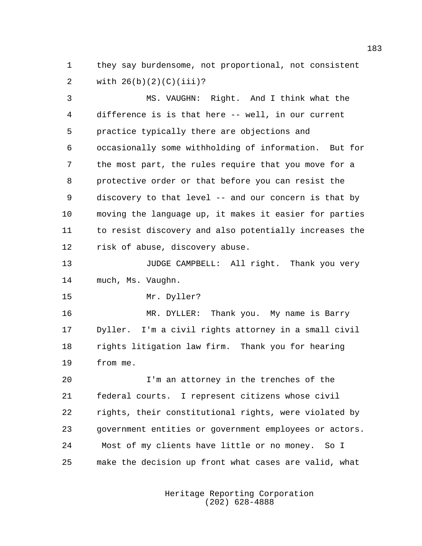they say burdensome, not proportional, not consistent with 26(b)(2)(C)(iii)?

 MS. VAUGHN: Right. And I think what the difference is is that here -- well, in our current practice typically there are objections and occasionally some withholding of information. But for the most part, the rules require that you move for a protective order or that before you can resist the discovery to that level -- and our concern is that by moving the language up, it makes it easier for parties to resist discovery and also potentially increases the risk of abuse, discovery abuse.

13 JUDGE CAMPBELL: All right. Thank you very much, Ms. Vaughn.

Mr. Dyller?

 MR. DYLLER: Thank you. My name is Barry Dyller. I'm a civil rights attorney in a small civil rights litigation law firm. Thank you for hearing from me.

 I'm an attorney in the trenches of the federal courts. I represent citizens whose civil rights, their constitutional rights, were violated by government entities or government employees or actors. Most of my clients have little or no money. So I make the decision up front what cases are valid, what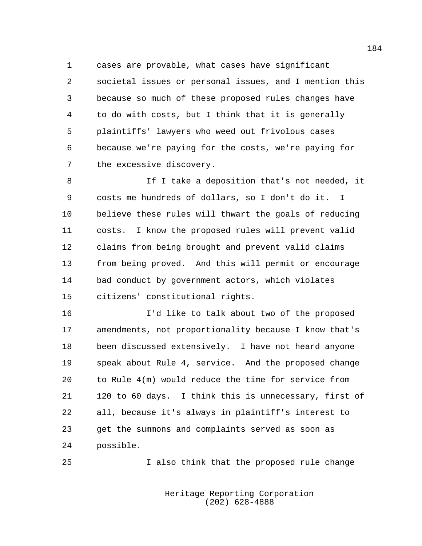cases are provable, what cases have significant societal issues or personal issues, and I mention this because so much of these proposed rules changes have to do with costs, but I think that it is generally plaintiffs' lawyers who weed out frivolous cases because we're paying for the costs, we're paying for the excessive discovery.

8 1f I take a deposition that's not needed, it costs me hundreds of dollars, so I don't do it. I believe these rules will thwart the goals of reducing costs. I know the proposed rules will prevent valid claims from being brought and prevent valid claims from being proved. And this will permit or encourage bad conduct by government actors, which violates citizens' constitutional rights.

 I'd like to talk about two of the proposed amendments, not proportionality because I know that's been discussed extensively. I have not heard anyone speak about Rule 4, service. And the proposed change to Rule 4(m) would reduce the time for service from 120 to 60 days. I think this is unnecessary, first of all, because it's always in plaintiff's interest to get the summons and complaints served as soon as possible.

I also think that the proposed rule change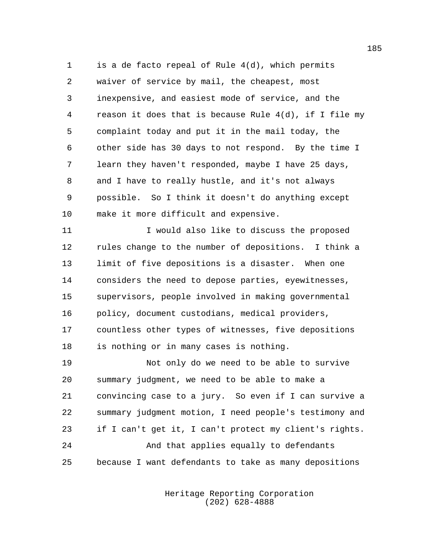is a de facto repeal of Rule 4(d), which permits waiver of service by mail, the cheapest, most inexpensive, and easiest mode of service, and the reason it does that is because Rule 4(d), if I file my complaint today and put it in the mail today, the other side has 30 days to not respond. By the time I learn they haven't responded, maybe I have 25 days, and I have to really hustle, and it's not always possible. So I think it doesn't do anything except make it more difficult and expensive.

 I would also like to discuss the proposed rules change to the number of depositions. I think a limit of five depositions is a disaster. When one considers the need to depose parties, eyewitnesses, supervisors, people involved in making governmental policy, document custodians, medical providers, countless other types of witnesses, five depositions is nothing or in many cases is nothing.

 Not only do we need to be able to survive summary judgment, we need to be able to make a convincing case to a jury. So even if I can survive a summary judgment motion, I need people's testimony and if I can't get it, I can't protect my client's rights. And that applies equally to defendants because I want defendants to take as many depositions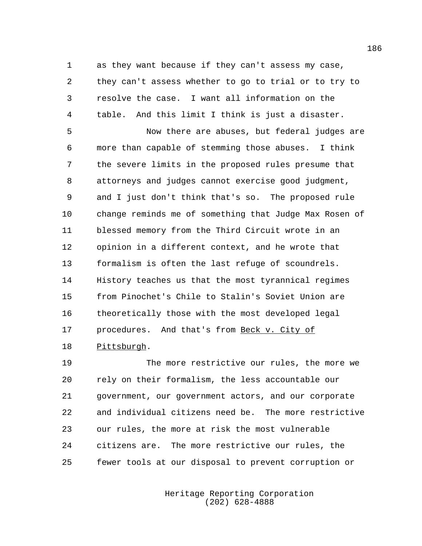as they want because if they can't assess my case, they can't assess whether to go to trial or to try to resolve the case. I want all information on the table. And this limit I think is just a disaster.

 Now there are abuses, but federal judges are more than capable of stemming those abuses. I think the severe limits in the proposed rules presume that attorneys and judges cannot exercise good judgment, and I just don't think that's so. The proposed rule change reminds me of something that Judge Max Rosen of blessed memory from the Third Circuit wrote in an opinion in a different context, and he wrote that formalism is often the last refuge of scoundrels. History teaches us that the most tyrannical regimes from Pinochet's Chile to Stalin's Soviet Union are theoretically those with the most developed legal 17 procedures. And that's from Beck v. City of Pittsburgh.

 The more restrictive our rules, the more we rely on their formalism, the less accountable our government, our government actors, and our corporate and individual citizens need be. The more restrictive our rules, the more at risk the most vulnerable citizens are. The more restrictive our rules, the fewer tools at our disposal to prevent corruption or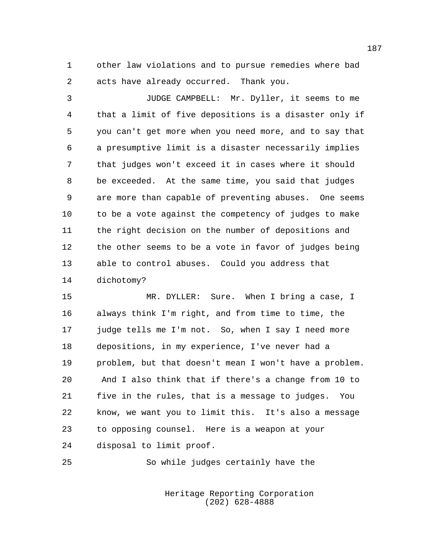other law violations and to pursue remedies where bad acts have already occurred. Thank you.

 JUDGE CAMPBELL: Mr. Dyller, it seems to me that a limit of five depositions is a disaster only if you can't get more when you need more, and to say that a presumptive limit is a disaster necessarily implies that judges won't exceed it in cases where it should be exceeded. At the same time, you said that judges are more than capable of preventing abuses. One seems to be a vote against the competency of judges to make the right decision on the number of depositions and the other seems to be a vote in favor of judges being able to control abuses. Could you address that dichotomy?

 MR. DYLLER: Sure. When I bring a case, I always think I'm right, and from time to time, the judge tells me I'm not. So, when I say I need more depositions, in my experience, I've never had a problem, but that doesn't mean I won't have a problem. And I also think that if there's a change from 10 to five in the rules, that is a message to judges. You know, we want you to limit this. It's also a message to opposing counsel. Here is a weapon at your disposal to limit proof.

So while judges certainly have the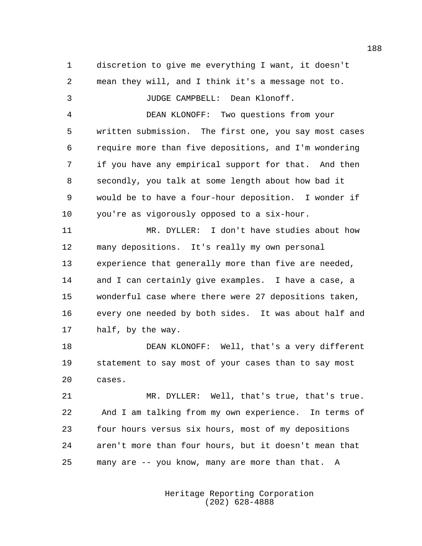discretion to give me everything I want, it doesn't mean they will, and I think it's a message not to. JUDGE CAMPBELL: Dean Klonoff. DEAN KLONOFF: Two questions from your written submission. The first one, you say most cases require more than five depositions, and I'm wondering if you have any empirical support for that. And then secondly, you talk at some length about how bad it would be to have a four-hour deposition. I wonder if you're as vigorously opposed to a six-hour. MR. DYLLER: I don't have studies about how many depositions. It's really my own personal experience that generally more than five are needed, and I can certainly give examples. I have a case, a wonderful case where there were 27 depositions taken, every one needed by both sides. It was about half and half, by the way. DEAN KLONOFF: Well, that's a very different statement to say most of your cases than to say most cases. MR. DYLLER: Well, that's true, that's true.

 And I am talking from my own experience. In terms of four hours versus six hours, most of my depositions aren't more than four hours, but it doesn't mean that many are -- you know, many are more than that. A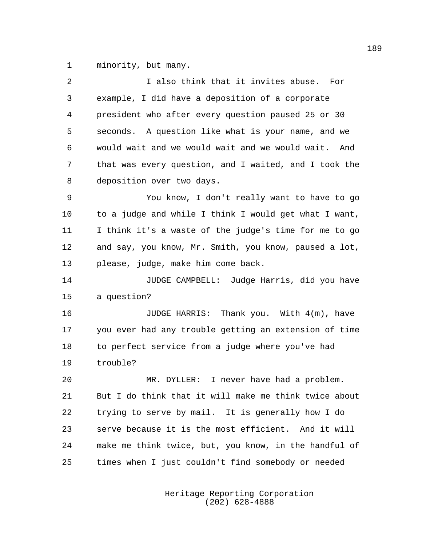minority, but many.

| 2  | I also think that it invites abuse. For               |
|----|-------------------------------------------------------|
| 3  | example, I did have a deposition of a corporate       |
| 4  | president who after every question paused 25 or 30    |
| 5  | seconds. A question like what is your name, and we    |
| 6  | would wait and we would wait and we would wait. And   |
| 7  | that was every question, and I waited, and I took the |
| 8  | deposition over two days.                             |
| 9  | You know, I don't really want to have to go           |
| 10 | to a judge and while I think I would get what I want, |
| 11 | I think it's a waste of the judge's time for me to go |
| 12 | and say, you know, Mr. Smith, you know, paused a lot, |
| 13 | please, judge, make him come back.                    |
| 14 | JUDGE CAMPBELL: Judge Harris, did you have            |
| 15 | a question?                                           |
| 16 | JUDGE HARRIS: Thank you. With 4(m), have              |
| 17 | you ever had any trouble getting an extension of time |
| 18 | to perfect service from a judge where you've had      |
| 19 | trouble?                                              |
| 20 | I never have had a problem.<br>MR. DYLLER:            |
| 21 | But I do think that it will make me think twice about |
| 22 | trying to serve by mail. It is generally how I do     |
| 23 | serve because it is the most efficient. And it will   |
| 24 | make me think twice, but, you know, in the handful of |
| 25 |                                                       |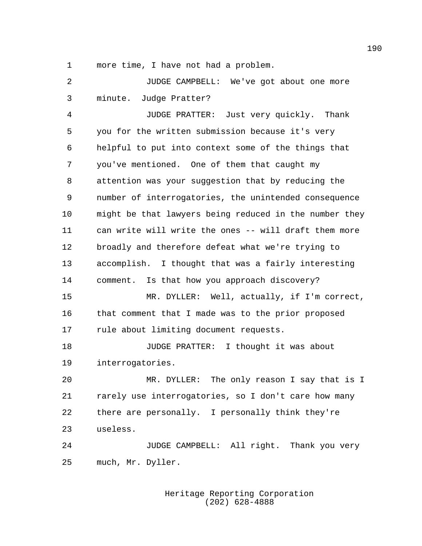more time, I have not had a problem.

 JUDGE CAMPBELL: We've got about one more minute. Judge Pratter?

 JUDGE PRATTER: Just very quickly. Thank you for the written submission because it's very helpful to put into context some of the things that you've mentioned. One of them that caught my attention was your suggestion that by reducing the number of interrogatories, the unintended consequence might be that lawyers being reduced in the number they can write will write the ones -- will draft them more broadly and therefore defeat what we're trying to accomplish. I thought that was a fairly interesting comment. Is that how you approach discovery? MR. DYLLER: Well, actually, if I'm correct, that comment that I made was to the prior proposed rule about limiting document requests. JUDGE PRATTER: I thought it was about interrogatories. MR. DYLLER: The only reason I say that is I rarely use interrogatories, so I don't care how many there are personally. I personally think they're

useless.

 JUDGE CAMPBELL: All right. Thank you very much, Mr. Dyller.

> Heritage Reporting Corporation (202) 628-4888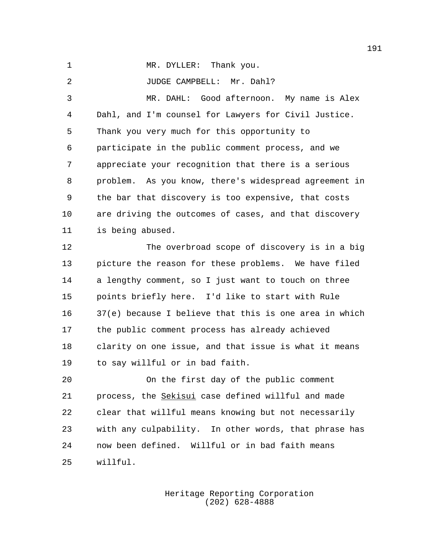1 MR. DYLLER: Thank you.

JUDGE CAMPBELL: Mr. Dahl?

 MR. DAHL: Good afternoon. My name is Alex Dahl, and I'm counsel for Lawyers for Civil Justice. Thank you very much for this opportunity to participate in the public comment process, and we appreciate your recognition that there is a serious problem. As you know, there's widespread agreement in the bar that discovery is too expensive, that costs are driving the outcomes of cases, and that discovery is being abused.

 The overbroad scope of discovery is in a big picture the reason for these problems. We have filed a lengthy comment, so I just want to touch on three points briefly here. I'd like to start with Rule 37(e) because I believe that this is one area in which the public comment process has already achieved clarity on one issue, and that issue is what it means to say willful or in bad faith.

 On the first day of the public comment process, the Sekisui case defined willful and made clear that willful means knowing but not necessarily with any culpability. In other words, that phrase has now been defined. Willful or in bad faith means willful.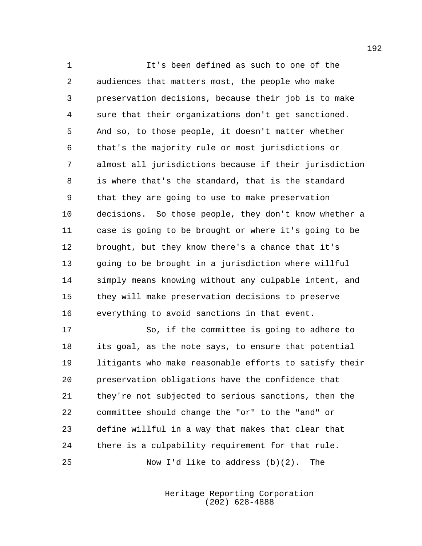It's been defined as such to one of the audiences that matters most, the people who make preservation decisions, because their job is to make sure that their organizations don't get sanctioned. And so, to those people, it doesn't matter whether that's the majority rule or most jurisdictions or almost all jurisdictions because if their jurisdiction is where that's the standard, that is the standard that they are going to use to make preservation decisions. So those people, they don't know whether a case is going to be brought or where it's going to be brought, but they know there's a chance that it's going to be brought in a jurisdiction where willful simply means knowing without any culpable intent, and they will make preservation decisions to preserve everything to avoid sanctions in that event.

 So, if the committee is going to adhere to its goal, as the note says, to ensure that potential litigants who make reasonable efforts to satisfy their preservation obligations have the confidence that they're not subjected to serious sanctions, then the committee should change the "or" to the "and" or define willful in a way that makes that clear that there is a culpability requirement for that rule. Now I'd like to address (b)(2). The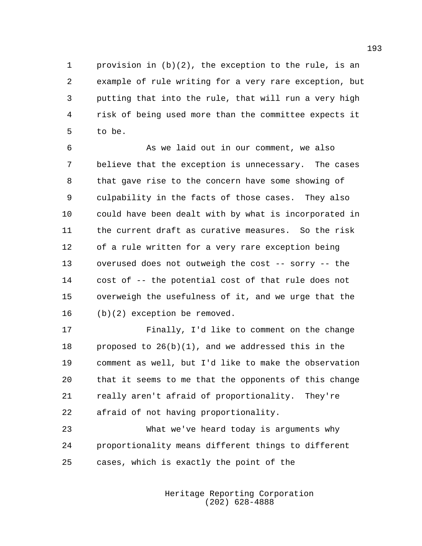provision in (b)(2), the exception to the rule, is an example of rule writing for a very rare exception, but putting that into the rule, that will run a very high risk of being used more than the committee expects it to be.

 As we laid out in our comment, we also believe that the exception is unnecessary. The cases that gave rise to the concern have some showing of culpability in the facts of those cases. They also could have been dealt with by what is incorporated in the current draft as curative measures. So the risk of a rule written for a very rare exception being overused does not outweigh the cost -- sorry -- the cost of -- the potential cost of that rule does not overweigh the usefulness of it, and we urge that the (b)(2) exception be removed.

 Finally, I'd like to comment on the change 18 proposed to  $26(b)(1)$ , and we addressed this in the comment as well, but I'd like to make the observation that it seems to me that the opponents of this change really aren't afraid of proportionality. They're afraid of not having proportionality.

 What we've heard today is arguments why proportionality means different things to different cases, which is exactly the point of the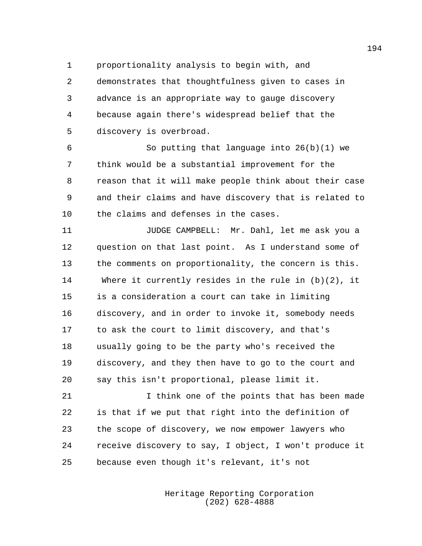proportionality analysis to begin with, and

 demonstrates that thoughtfulness given to cases in advance is an appropriate way to gauge discovery because again there's widespread belief that the discovery is overbroad.

 So putting that language into 26(b)(1) we think would be a substantial improvement for the reason that it will make people think about their case and their claims and have discovery that is related to the claims and defenses in the cases.

 JUDGE CAMPBELL: Mr. Dahl, let me ask you a question on that last point. As I understand some of the comments on proportionality, the concern is this. Where it currently resides in the rule in (b)(2), it is a consideration a court can take in limiting discovery, and in order to invoke it, somebody needs to ask the court to limit discovery, and that's usually going to be the party who's received the discovery, and they then have to go to the court and say this isn't proportional, please limit it.

 I think one of the points that has been made is that if we put that right into the definition of the scope of discovery, we now empower lawyers who receive discovery to say, I object, I won't produce it because even though it's relevant, it's not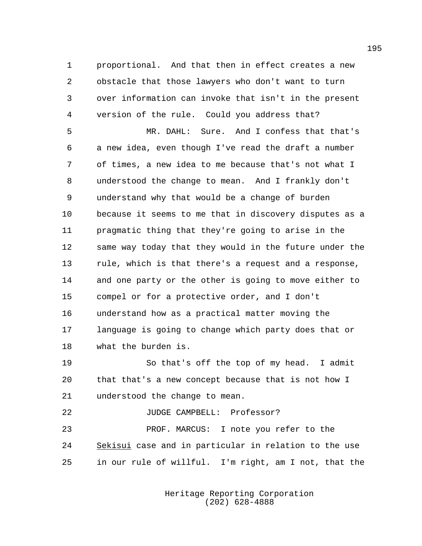proportional. And that then in effect creates a new obstacle that those lawyers who don't want to turn over information can invoke that isn't in the present version of the rule. Could you address that?

 MR. DAHL: Sure. And I confess that that's a new idea, even though I've read the draft a number of times, a new idea to me because that's not what I understood the change to mean. And I frankly don't understand why that would be a change of burden because it seems to me that in discovery disputes as a pragmatic thing that they're going to arise in the same way today that they would in the future under the rule, which is that there's a request and a response, and one party or the other is going to move either to compel or for a protective order, and I don't understand how as a practical matter moving the language is going to change which party does that or what the burden is.

 So that's off the top of my head. I admit that that's a new concept because that is not how I understood the change to mean.

## JUDGE CAMPBELL: Professor?

 PROF. MARCUS: I note you refer to the Sekisui case and in particular in relation to the use in our rule of willful. I'm right, am I not, that the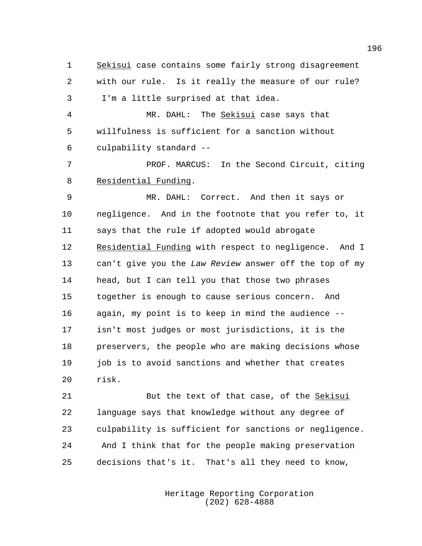1 Sekisui case contains some fairly strong disagreement with our rule. Is it really the measure of our rule? I'm a little surprised at that idea.

 MR. DAHL: The Sekisui case says that willfulness is sufficient for a sanction without culpability standard --

 PROF. MARCUS: In the Second Circuit, citing Residential Funding.

 MR. DAHL: Correct. And then it says or negligence. And in the footnote that you refer to, it says that the rule if adopted would abrogate Residential Funding with respect to negligence. And I can't give you the *Law Review* answer off the top of my head, but I can tell you that those two phrases together is enough to cause serious concern. And again, my point is to keep in mind the audience -- isn't most judges or most jurisdictions, it is the preservers, the people who are making decisions whose 19 job is to avoid sanctions and whether that creates risk.

 But the text of that case, of the Sekisui language says that knowledge without any degree of culpability is sufficient for sanctions or negligence. And I think that for the people making preservation decisions that's it. That's all they need to know,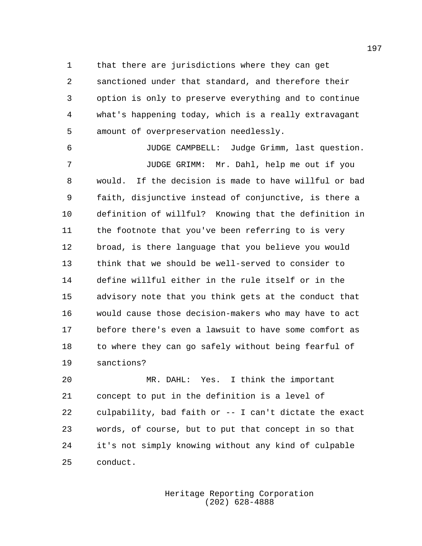that there are jurisdictions where they can get sanctioned under that standard, and therefore their option is only to preserve everything and to continue what's happening today, which is a really extravagant amount of overpreservation needlessly.

 JUDGE CAMPBELL: Judge Grimm, last question. JUDGE GRIMM: Mr. Dahl, help me out if you would. If the decision is made to have willful or bad faith, disjunctive instead of conjunctive, is there a definition of willful? Knowing that the definition in the footnote that you've been referring to is very broad, is there language that you believe you would think that we should be well-served to consider to define willful either in the rule itself or in the advisory note that you think gets at the conduct that would cause those decision-makers who may have to act before there's even a lawsuit to have some comfort as to where they can go safely without being fearful of sanctions?

 MR. DAHL: Yes. I think the important concept to put in the definition is a level of culpability, bad faith or -- I can't dictate the exact words, of course, but to put that concept in so that it's not simply knowing without any kind of culpable conduct.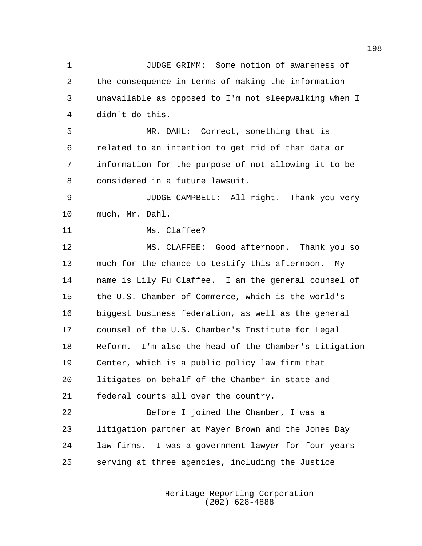JUDGE GRIMM: Some notion of awareness of the consequence in terms of making the information unavailable as opposed to I'm not sleepwalking when I didn't do this. MR. DAHL: Correct, something that is related to an intention to get rid of that data or information for the purpose of not allowing it to be considered in a future lawsuit. JUDGE CAMPBELL: All right. Thank you very much, Mr. Dahl. Ms. Claffee? MS. CLAFFEE: Good afternoon. Thank you so much for the chance to testify this afternoon. My name is Lily Fu Claffee. I am the general counsel of the U.S. Chamber of Commerce, which is the world's biggest business federation, as well as the general counsel of the U.S. Chamber's Institute for Legal Reform. I'm also the head of the Chamber's Litigation Center, which is a public policy law firm that litigates on behalf of the Chamber in state and federal courts all over the country. Before I joined the Chamber, I was a litigation partner at Mayer Brown and the Jones Day law firms. I was a government lawyer for four years serving at three agencies, including the Justice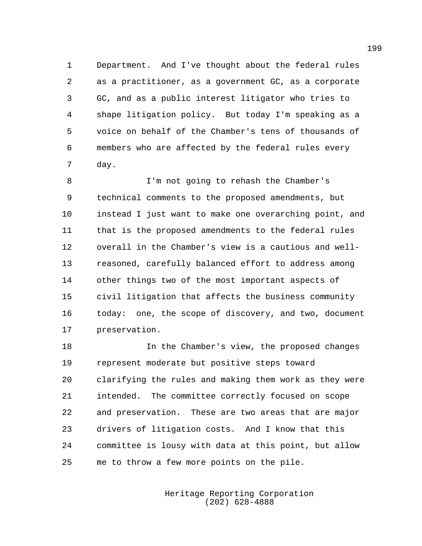Department. And I've thought about the federal rules as a practitioner, as a government GC, as a corporate GC, and as a public interest litigator who tries to shape litigation policy. But today I'm speaking as a voice on behalf of the Chamber's tens of thousands of members who are affected by the federal rules every day.

 I'm not going to rehash the Chamber's technical comments to the proposed amendments, but instead I just want to make one overarching point, and that is the proposed amendments to the federal rules overall in the Chamber's view is a cautious and well- reasoned, carefully balanced effort to address among other things two of the most important aspects of civil litigation that affects the business community today: one, the scope of discovery, and two, document preservation.

 In the Chamber's view, the proposed changes represent moderate but positive steps toward clarifying the rules and making them work as they were intended. The committee correctly focused on scope and preservation. These are two areas that are major drivers of litigation costs. And I know that this committee is lousy with data at this point, but allow me to throw a few more points on the pile.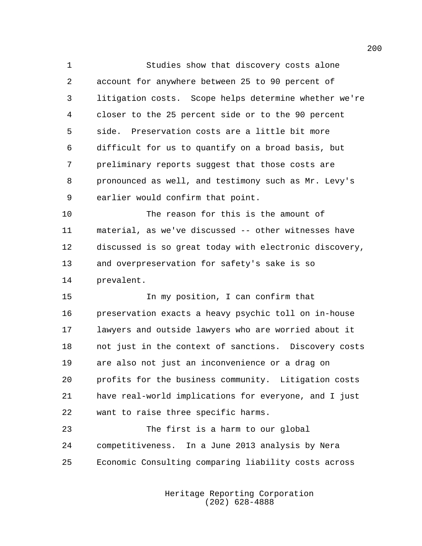Studies show that discovery costs alone account for anywhere between 25 to 90 percent of litigation costs. Scope helps determine whether we're closer to the 25 percent side or to the 90 percent side. Preservation costs are a little bit more difficult for us to quantify on a broad basis, but preliminary reports suggest that those costs are pronounced as well, and testimony such as Mr. Levy's earlier would confirm that point.

 The reason for this is the amount of material, as we've discussed -- other witnesses have discussed is so great today with electronic discovery, and overpreservation for safety's sake is so prevalent.

 In my position, I can confirm that preservation exacts a heavy psychic toll on in-house lawyers and outside lawyers who are worried about it not just in the context of sanctions. Discovery costs are also not just an inconvenience or a drag on profits for the business community. Litigation costs have real-world implications for everyone, and I just want to raise three specific harms.

 The first is a harm to our global competitiveness. In a June 2013 analysis by Nera Economic Consulting comparing liability costs across

> Heritage Reporting Corporation (202) 628-4888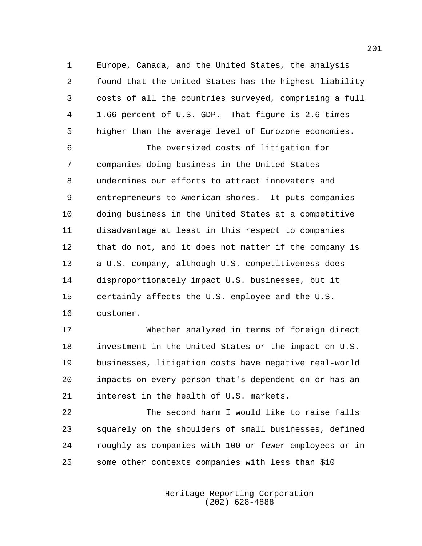Europe, Canada, and the United States, the analysis found that the United States has the highest liability costs of all the countries surveyed, comprising a full 1.66 percent of U.S. GDP. That figure is 2.6 times higher than the average level of Eurozone economies.

 The oversized costs of litigation for companies doing business in the United States undermines our efforts to attract innovators and entrepreneurs to American shores. It puts companies doing business in the United States at a competitive disadvantage at least in this respect to companies that do not, and it does not matter if the company is a U.S. company, although U.S. competitiveness does disproportionately impact U.S. businesses, but it certainly affects the U.S. employee and the U.S. customer.

 Whether analyzed in terms of foreign direct investment in the United States or the impact on U.S. businesses, litigation costs have negative real-world impacts on every person that's dependent on or has an interest in the health of U.S. markets.

 The second harm I would like to raise falls squarely on the shoulders of small businesses, defined roughly as companies with 100 or fewer employees or in some other contexts companies with less than \$10

> Heritage Reporting Corporation (202) 628-4888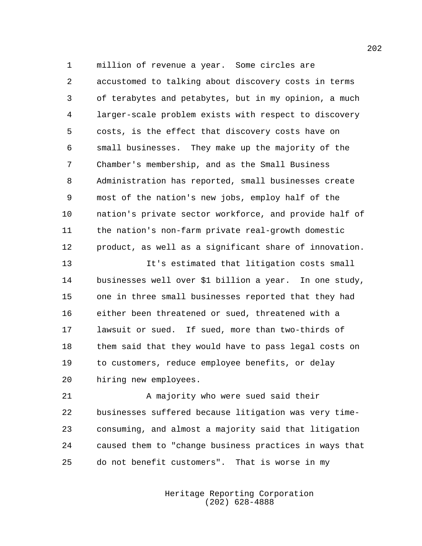million of revenue a year. Some circles are accustomed to talking about discovery costs in terms of terabytes and petabytes, but in my opinion, a much larger-scale problem exists with respect to discovery costs, is the effect that discovery costs have on small businesses. They make up the majority of the Chamber's membership, and as the Small Business Administration has reported, small businesses create most of the nation's new jobs, employ half of the nation's private sector workforce, and provide half of the nation's non-farm private real-growth domestic product, as well as a significant share of innovation.

 It's estimated that litigation costs small businesses well over \$1 billion a year. In one study, one in three small businesses reported that they had either been threatened or sued, threatened with a lawsuit or sued. If sued, more than two-thirds of them said that they would have to pass legal costs on to customers, reduce employee benefits, or delay hiring new employees.

21 A majority who were sued said their businesses suffered because litigation was very time- consuming, and almost a majority said that litigation caused them to "change business practices in ways that do not benefit customers". That is worse in my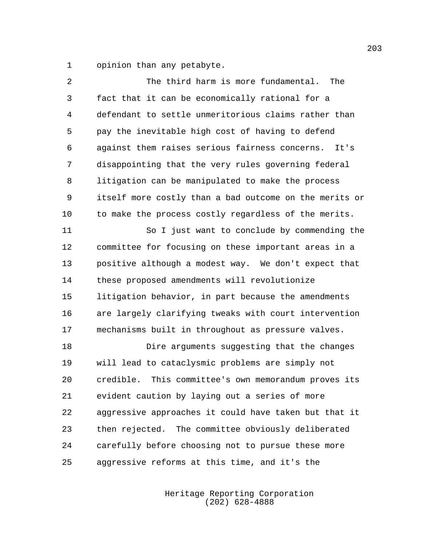opinion than any petabyte.

| 2  | The third harm is more fundamental.<br>The             |
|----|--------------------------------------------------------|
| 3  | fact that it can be economically rational for a        |
| 4  | defendant to settle unmeritorious claims rather than   |
| 5  | pay the inevitable high cost of having to defend       |
| 6  | against them raises serious fairness concerns.<br>It's |
| 7  | disappointing that the very rules governing federal    |
| 8  | litigation can be manipulated to make the process      |
| 9  | itself more costly than a bad outcome on the merits or |
| 10 | to make the process costly regardless of the merits.   |
| 11 | So I just want to conclude by commending the           |
| 12 | committee for focusing on these important areas in a   |
| 13 | positive although a modest way. We don't expect that   |
| 14 | these proposed amendments will revolutionize           |
| 15 | litigation behavior, in part because the amendments    |
| 16 | are largely clarifying tweaks with court intervention  |
| 17 | mechanisms built in throughout as pressure valves.     |
| 18 | Dire arguments suggesting that the changes             |
| 19 | will lead to cataclysmic problems are simply not       |
| 20 | credible. This committee's own memorandum proves its   |
| 21 | evident caution by laying out a series of more         |
| 22 | aggressive approaches it could have taken but that it  |
| 23 | then rejected. The committee obviously deliberated     |
| 24 | carefully before choosing not to pursue these more     |
| 25 | aggressive reforms at this time, and it's the          |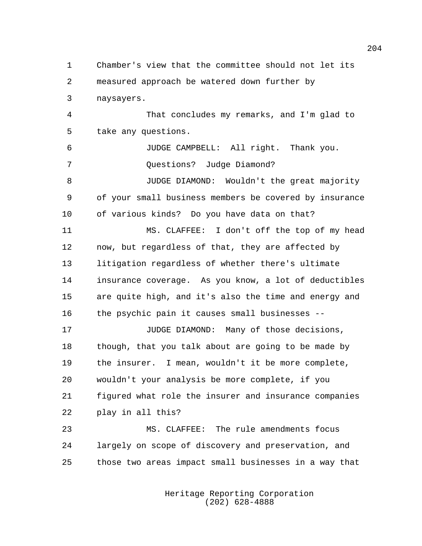Chamber's view that the committee should not let its measured approach be watered down further by naysayers.

 That concludes my remarks, and I'm glad to take any questions.

 JUDGE CAMPBELL: All right. Thank you. Questions? Judge Diamond? JUDGE DIAMOND: Wouldn't the great majority of your small business members be covered by insurance

of various kinds? Do you have data on that?

 MS. CLAFFEE: I don't off the top of my head now, but regardless of that, they are affected by litigation regardless of whether there's ultimate insurance coverage. As you know, a lot of deductibles are quite high, and it's also the time and energy and the psychic pain it causes small businesses --

**JUDGE DIAMOND:** Many of those decisions, though, that you talk about are going to be made by the insurer. I mean, wouldn't it be more complete, wouldn't your analysis be more complete, if you figured what role the insurer and insurance companies play in all this?

 MS. CLAFFEE: The rule amendments focus largely on scope of discovery and preservation, and those two areas impact small businesses in a way that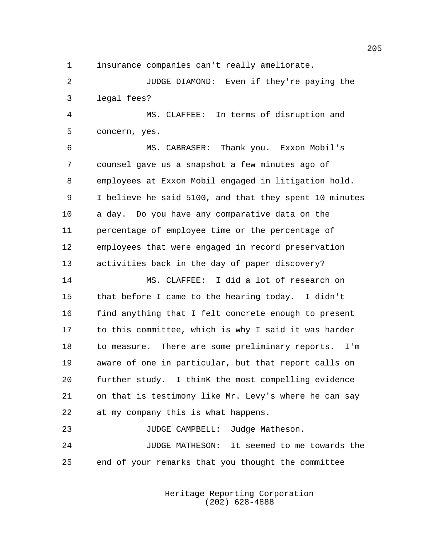insurance companies can't really ameliorate.

 JUDGE DIAMOND: Even if they're paying the legal fees?

 MS. CLAFFEE: In terms of disruption and concern, yes.

 MS. CABRASER: Thank you. Exxon Mobil's counsel gave us a snapshot a few minutes ago of employees at Exxon Mobil engaged in litigation hold. I believe he said 5100, and that they spent 10 minutes a day. Do you have any comparative data on the percentage of employee time or the percentage of employees that were engaged in record preservation activities back in the day of paper discovery?

 MS. CLAFFEE: I did a lot of research on that before I came to the hearing today. I didn't find anything that I felt concrete enough to present to this committee, which is why I said it was harder to measure. There are some preliminary reports. I'm aware of one in particular, but that report calls on further study. I thinK the most compelling evidence on that is testimony like Mr. Levy's where he can say at my company this is what happens.

23 JUDGE CAMPBELL: Judge Matheson. JUDGE MATHESON: It seemed to me towards the end of your remarks that you thought the committee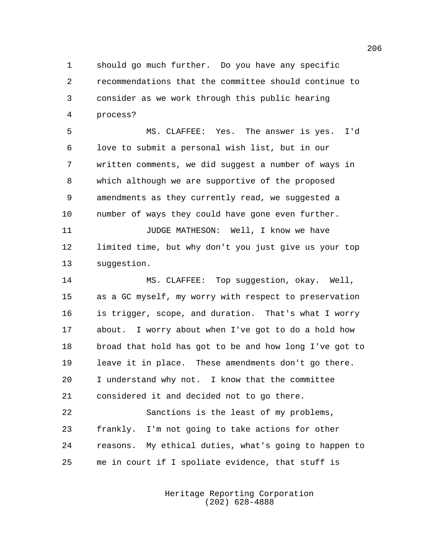should go much further. Do you have any specific recommendations that the committee should continue to consider as we work through this public hearing process?

 MS. CLAFFEE: Yes. The answer is yes. I'd love to submit a personal wish list, but in our written comments, we did suggest a number of ways in which although we are supportive of the proposed amendments as they currently read, we suggested a number of ways they could have gone even further. JUDGE MATHESON: Well, I know we have

 limited time, but why don't you just give us your top suggestion.

 MS. CLAFFEE: Top suggestion, okay. Well, as a GC myself, my worry with respect to preservation is trigger, scope, and duration. That's what I worry about. I worry about when I've got to do a hold how broad that hold has got to be and how long I've got to leave it in place. These amendments don't go there. I understand why not. I know that the committee considered it and decided not to go there.

 Sanctions is the least of my problems, frankly. I'm not going to take actions for other reasons. My ethical duties, what's going to happen to me in court if I spoliate evidence, that stuff is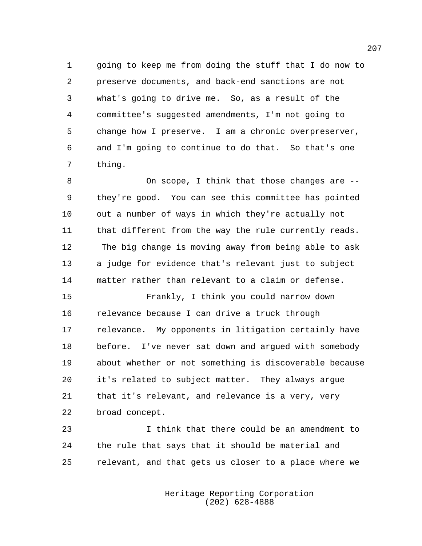going to keep me from doing the stuff that I do now to preserve documents, and back-end sanctions are not what's going to drive me. So, as a result of the committee's suggested amendments, I'm not going to change how I preserve. I am a chronic overpreserver, and I'm going to continue to do that. So that's one thing.

 On scope, I think that those changes are -- they're good. You can see this committee has pointed out a number of ways in which they're actually not that different from the way the rule currently reads. The big change is moving away from being able to ask a judge for evidence that's relevant just to subject matter rather than relevant to a claim or defense.

 Frankly, I think you could narrow down relevance because I can drive a truck through relevance. My opponents in litigation certainly have before. I've never sat down and argued with somebody about whether or not something is discoverable because it's related to subject matter. They always argue that it's relevant, and relevance is a very, very broad concept.

 I think that there could be an amendment to the rule that says that it should be material and relevant, and that gets us closer to a place where we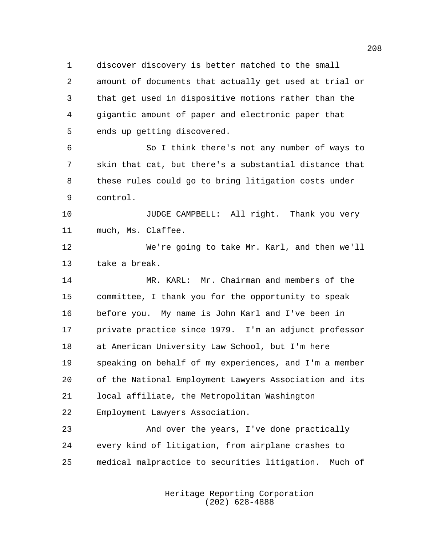discover discovery is better matched to the small amount of documents that actually get used at trial or that get used in dispositive motions rather than the gigantic amount of paper and electronic paper that ends up getting discovered.

 So I think there's not any number of ways to skin that cat, but there's a substantial distance that these rules could go to bring litigation costs under control.

**JUDGE CAMPBELL:** All right. Thank you very much, Ms. Claffee.

 We're going to take Mr. Karl, and then we'll take a break.

 MR. KARL: Mr. Chairman and members of the committee, I thank you for the opportunity to speak before you. My name is John Karl and I've been in private practice since 1979. I'm an adjunct professor at American University Law School, but I'm here speaking on behalf of my experiences, and I'm a member of the National Employment Lawyers Association and its local affiliate, the Metropolitan Washington Employment Lawyers Association.

 And over the years, I've done practically every kind of litigation, from airplane crashes to medical malpractice to securities litigation. Much of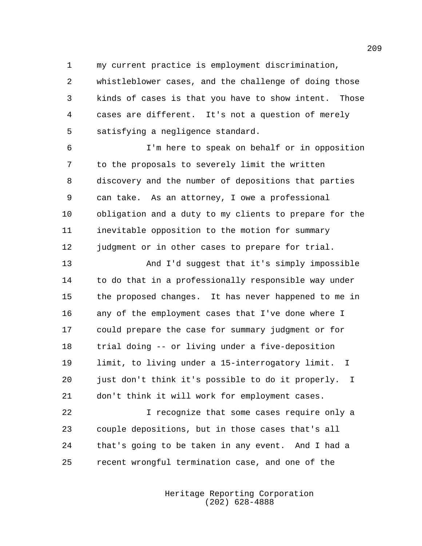my current practice is employment discrimination,

 whistleblower cases, and the challenge of doing those kinds of cases is that you have to show intent. Those cases are different. It's not a question of merely satisfying a negligence standard.

 I'm here to speak on behalf or in opposition to the proposals to severely limit the written discovery and the number of depositions that parties can take. As an attorney, I owe a professional obligation and a duty to my clients to prepare for the inevitable opposition to the motion for summary judgment or in other cases to prepare for trial.

 And I'd suggest that it's simply impossible to do that in a professionally responsible way under the proposed changes. It has never happened to me in any of the employment cases that I've done where I could prepare the case for summary judgment or for trial doing -- or living under a five-deposition limit, to living under a 15-interrogatory limit. I just don't think it's possible to do it properly. I don't think it will work for employment cases.

 I recognize that some cases require only a couple depositions, but in those cases that's all that's going to be taken in any event. And I had a recent wrongful termination case, and one of the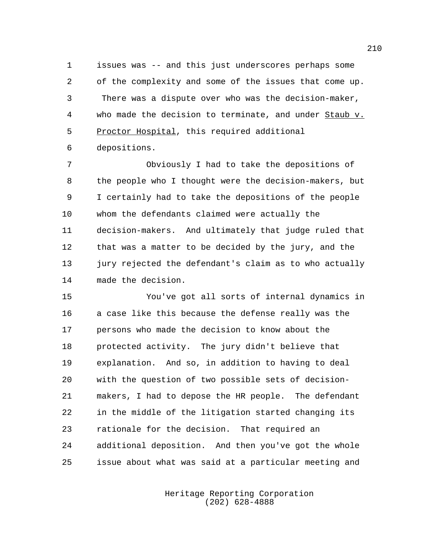issues was -- and this just underscores perhaps some of the complexity and some of the issues that come up. There was a dispute over who was the decision-maker, who made the decision to terminate, and under Staub v. 5 Proctor Hospital, this required additional depositions.

 Obviously I had to take the depositions of the people who I thought were the decision-makers, but I certainly had to take the depositions of the people whom the defendants claimed were actually the decision-makers. And ultimately that judge ruled that that was a matter to be decided by the jury, and the 13 jury rejected the defendant's claim as to who actually made the decision.

 You've got all sorts of internal dynamics in a case like this because the defense really was the persons who made the decision to know about the protected activity. The jury didn't believe that explanation. And so, in addition to having to deal with the question of two possible sets of decision- makers, I had to depose the HR people. The defendant in the middle of the litigation started changing its rationale for the decision. That required an additional deposition. And then you've got the whole issue about what was said at a particular meeting and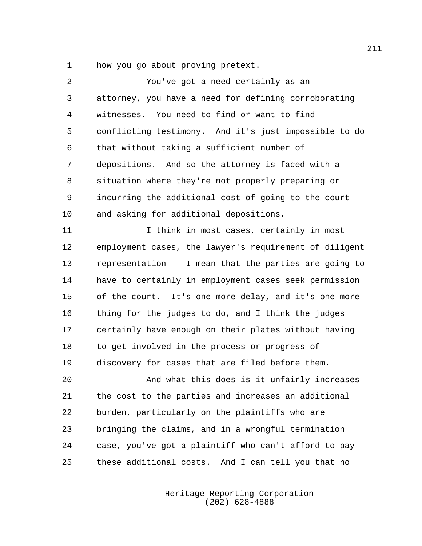how you go about proving pretext.

| 2  | You've got a need certainly as an                      |
|----|--------------------------------------------------------|
| 3  | attorney, you have a need for defining corroborating   |
| 4  | witnesses. You need to find or want to find            |
| 5  | conflicting testimony. And it's just impossible to do  |
| 6  | that without taking a sufficient number of             |
| 7  | depositions. And so the attorney is faced with a       |
| 8  | situation where they're not properly preparing or      |
| 9  | incurring the additional cost of going to the court    |
| 10 | and asking for additional depositions.                 |
| 11 | I think in most cases, certainly in most               |
| 12 | employment cases, the lawyer's requirement of diligent |
| 13 | representation -- I mean that the parties are going to |
| 14 | have to certainly in employment cases seek permission  |
| 15 | of the court. It's one more delay, and it's one more   |
| 16 | thing for the judges to do, and I think the judges     |
| 17 | certainly have enough on their plates without having   |
| 18 | to get involved in the process or progress of          |
| 19 | discovery for cases that are filed before them.        |
| 20 | And what this does is it unfairly increases            |
| 21 | the cost to the parties and increases an additional    |
| 22 | burden, particularly on the plaintiffs who are         |
| 23 | bringing the claims, and in a wrongful termination     |
| 24 | case, you've got a plaintiff who can't afford to pay   |
| 25 | these additional costs. And I can tell you that no     |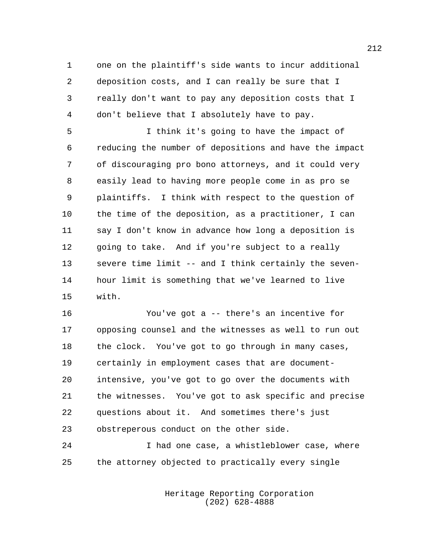one on the plaintiff's side wants to incur additional deposition costs, and I can really be sure that I really don't want to pay any deposition costs that I don't believe that I absolutely have to pay.

 I think it's going to have the impact of reducing the number of depositions and have the impact of discouraging pro bono attorneys, and it could very easily lead to having more people come in as pro se plaintiffs. I think with respect to the question of the time of the deposition, as a practitioner, I can say I don't know in advance how long a deposition is 12 going to take. And if you're subject to a really severe time limit -- and I think certainly the seven- hour limit is something that we've learned to live with.

 You've got a -- there's an incentive for opposing counsel and the witnesses as well to run out the clock. You've got to go through in many cases, certainly in employment cases that are document- intensive, you've got to go over the documents with the witnesses. You've got to ask specific and precise questions about it. And sometimes there's just obstreperous conduct on the other side.

 I had one case, a whistleblower case, where the attorney objected to practically every single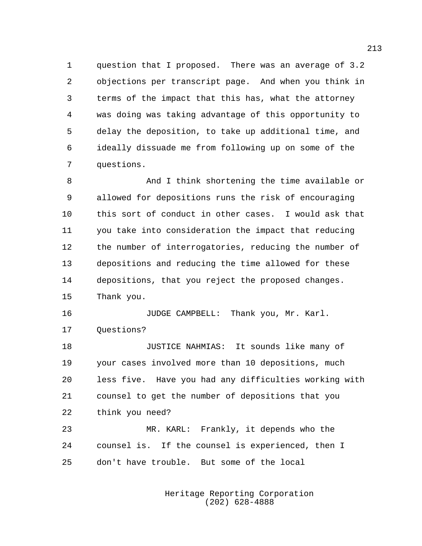question that I proposed. There was an average of 3.2 objections per transcript page. And when you think in terms of the impact that this has, what the attorney was doing was taking advantage of this opportunity to delay the deposition, to take up additional time, and ideally dissuade me from following up on some of the questions.

 And I think shortening the time available or allowed for depositions runs the risk of encouraging this sort of conduct in other cases. I would ask that you take into consideration the impact that reducing the number of interrogatories, reducing the number of depositions and reducing the time allowed for these depositions, that you reject the proposed changes. Thank you.

**JUDGE CAMPBELL:** Thank you, Mr. Karl. Questions?

 JUSTICE NAHMIAS: It sounds like many of your cases involved more than 10 depositions, much less five. Have you had any difficulties working with counsel to get the number of depositions that you think you need?

 MR. KARL: Frankly, it depends who the counsel is. If the counsel is experienced, then I don't have trouble. But some of the local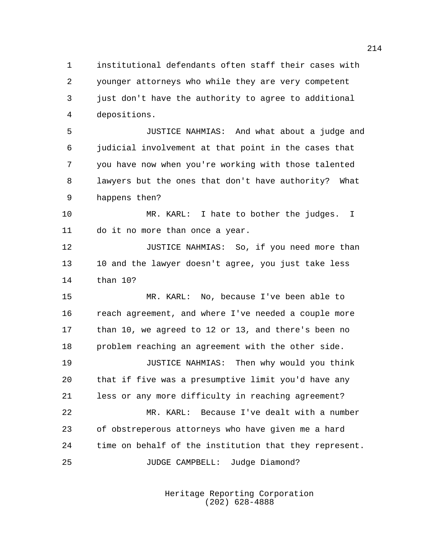institutional defendants often staff their cases with younger attorneys who while they are very competent just don't have the authority to agree to additional depositions.

 JUSTICE NAHMIAS: And what about a judge and judicial involvement at that point in the cases that you have now when you're working with those talented lawyers but the ones that don't have authority? What happens then?

 MR. KARL: I hate to bother the judges. I do it no more than once a year.

12 JUSTICE NAHMIAS: So, if you need more than 13 10 and the lawyer doesn't agree, you just take less than 10?

 MR. KARL: No, because I've been able to reach agreement, and where I've needed a couple more than 10, we agreed to 12 or 13, and there's been no problem reaching an agreement with the other side.

 JUSTICE NAHMIAS: Then why would you think that if five was a presumptive limit you'd have any less or any more difficulty in reaching agreement?

 MR. KARL: Because I've dealt with a number of obstreperous attorneys who have given me a hard time on behalf of the institution that they represent. JUDGE CAMPBELL: Judge Diamond?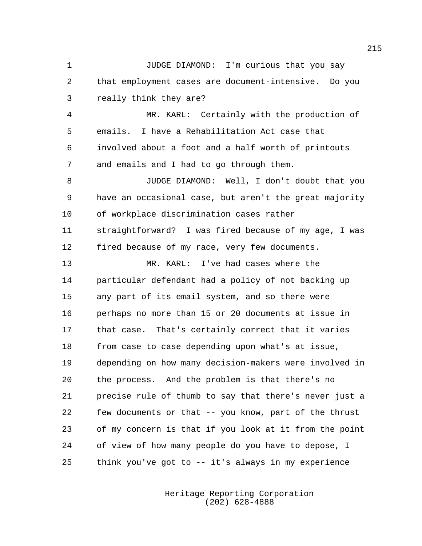JUDGE DIAMOND: I'm curious that you say that employment cases are document-intensive. Do you really think they are? MR. KARL: Certainly with the production of emails. I have a Rehabilitation Act case that involved about a foot and a half worth of printouts and emails and I had to go through them. JUDGE DIAMOND: Well, I don't doubt that you have an occasional case, but aren't the great majority of workplace discrimination cases rather straightforward? I was fired because of my age, I was fired because of my race, very few documents. MR. KARL: I've had cases where the particular defendant had a policy of not backing up any part of its email system, and so there were perhaps no more than 15 or 20 documents at issue in that case. That's certainly correct that it varies from case to case depending upon what's at issue, depending on how many decision-makers were involved in the process. And the problem is that there's no precise rule of thumb to say that there's never just a few documents or that -- you know, part of the thrust of my concern is that if you look at it from the point of view of how many people do you have to depose, I think you've got to -- it's always in my experience

> Heritage Reporting Corporation (202) 628-4888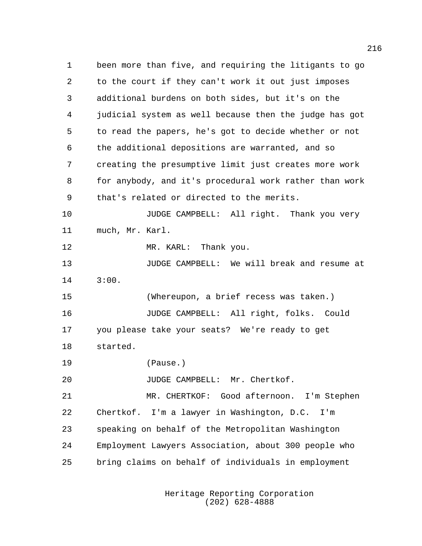been more than five, and requiring the litigants to go to the court if they can't work it out just imposes additional burdens on both sides, but it's on the judicial system as well because then the judge has got to read the papers, he's got to decide whether or not the additional depositions are warranted, and so creating the presumptive limit just creates more work for anybody, and it's procedural work rather than work that's related or directed to the merits. **JUDGE CAMPBELL:** All right. Thank you very much, Mr. Karl. 12 MR. KARL: Thank you. JUDGE CAMPBELL: We will break and resume at 3:00. (Whereupon, a brief recess was taken.) JUDGE CAMPBELL: All right, folks. Could you please take your seats? We're ready to get started. (Pause.) 20 JUDGE CAMPBELL: Mr. Chertkof. MR. CHERTKOF: Good afternoon. I'm Stephen Chertkof. I'm a lawyer in Washington, D.C. I'm speaking on behalf of the Metropolitan Washington Employment Lawyers Association, about 300 people who bring claims on behalf of individuals in employment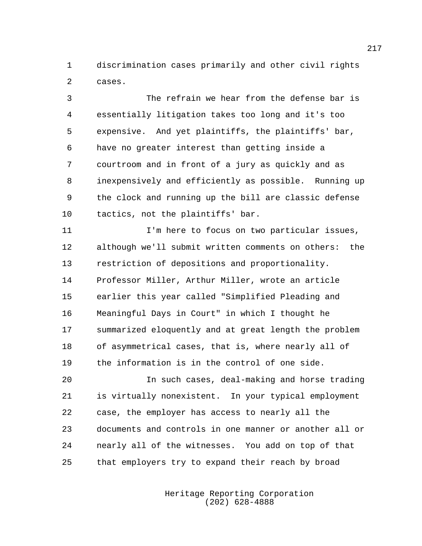discrimination cases primarily and other civil rights cases.

 The refrain we hear from the defense bar is essentially litigation takes too long and it's too expensive. And yet plaintiffs, the plaintiffs' bar, have no greater interest than getting inside a courtroom and in front of a jury as quickly and as inexpensively and efficiently as possible. Running up the clock and running up the bill are classic defense tactics, not the plaintiffs' bar.

 I'm here to focus on two particular issues, although we'll submit written comments on others: the restriction of depositions and proportionality. Professor Miller, Arthur Miller, wrote an article earlier this year called "Simplified Pleading and Meaningful Days in Court" in which I thought he summarized eloquently and at great length the problem of asymmetrical cases, that is, where nearly all of the information is in the control of one side.

 In such cases, deal-making and horse trading is virtually nonexistent. In your typical employment case, the employer has access to nearly all the documents and controls in one manner or another all or nearly all of the witnesses. You add on top of that that employers try to expand their reach by broad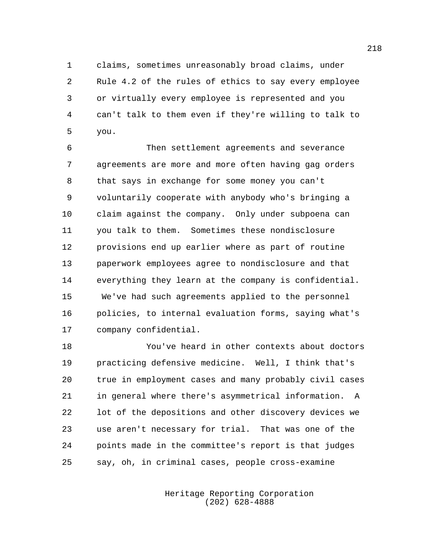claims, sometimes unreasonably broad claims, under Rule 4.2 of the rules of ethics to say every employee or virtually every employee is represented and you can't talk to them even if they're willing to talk to you.

 Then settlement agreements and severance agreements are more and more often having gag orders that says in exchange for some money you can't voluntarily cooperate with anybody who's bringing a claim against the company. Only under subpoena can you talk to them. Sometimes these nondisclosure provisions end up earlier where as part of routine paperwork employees agree to nondisclosure and that everything they learn at the company is confidential. We've had such agreements applied to the personnel policies, to internal evaluation forms, saying what's company confidential.

 You've heard in other contexts about doctors practicing defensive medicine. Well, I think that's true in employment cases and many probably civil cases in general where there's asymmetrical information. A lot of the depositions and other discovery devices we use aren't necessary for trial. That was one of the points made in the committee's report is that judges say, oh, in criminal cases, people cross-examine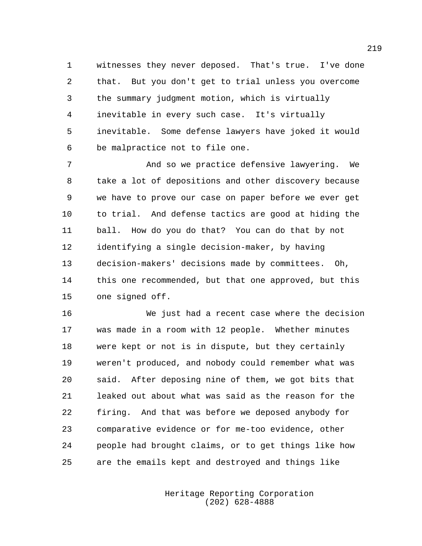witnesses they never deposed. That's true. I've done that. But you don't get to trial unless you overcome the summary judgment motion, which is virtually inevitable in every such case. It's virtually inevitable. Some defense lawyers have joked it would be malpractice not to file one.

 And so we practice defensive lawyering. We take a lot of depositions and other discovery because we have to prove our case on paper before we ever get to trial. And defense tactics are good at hiding the ball. How do you do that? You can do that by not identifying a single decision-maker, by having decision-makers' decisions made by committees. Oh, this one recommended, but that one approved, but this one signed off.

 We just had a recent case where the decision was made in a room with 12 people. Whether minutes were kept or not is in dispute, but they certainly weren't produced, and nobody could remember what was said. After deposing nine of them, we got bits that leaked out about what was said as the reason for the firing. And that was before we deposed anybody for comparative evidence or for me-too evidence, other people had brought claims, or to get things like how are the emails kept and destroyed and things like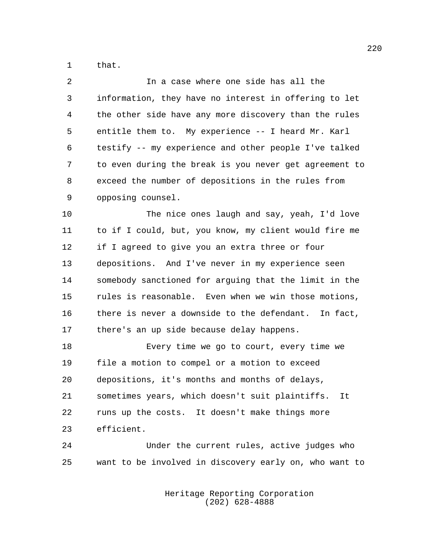that.

 In a case where one side has all the information, they have no interest in offering to let the other side have any more discovery than the rules entitle them to. My experience -- I heard Mr. Karl testify -- my experience and other people I've talked to even during the break is you never get agreement to exceed the number of depositions in the rules from opposing counsel.

 The nice ones laugh and say, yeah, I'd love to if I could, but, you know, my client would fire me if I agreed to give you an extra three or four depositions. And I've never in my experience seen somebody sanctioned for arguing that the limit in the rules is reasonable. Even when we win those motions, there is never a downside to the defendant. In fact, there's an up side because delay happens.

 Every time we go to court, every time we file a motion to compel or a motion to exceed depositions, it's months and months of delays, sometimes years, which doesn't suit plaintiffs. It runs up the costs. It doesn't make things more efficient.

 Under the current rules, active judges who want to be involved in discovery early on, who want to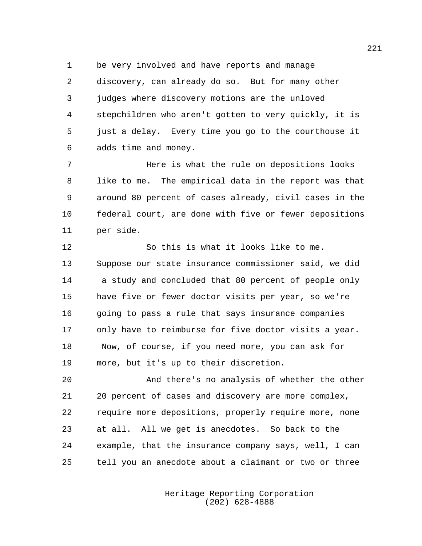be very involved and have reports and manage

 discovery, can already do so. But for many other judges where discovery motions are the unloved stepchildren who aren't gotten to very quickly, it is just a delay. Every time you go to the courthouse it adds time and money.

 Here is what the rule on depositions looks like to me. The empirical data in the report was that around 80 percent of cases already, civil cases in the federal court, are done with five or fewer depositions per side.

 So this is what it looks like to me. Suppose our state insurance commissioner said, we did a study and concluded that 80 percent of people only have five or fewer doctor visits per year, so we're 16 going to pass a rule that says insurance companies only have to reimburse for five doctor visits a year. Now, of course, if you need more, you can ask for more, but it's up to their discretion.

 And there's no analysis of whether the other 20 percent of cases and discovery are more complex, require more depositions, properly require more, none at all. All we get is anecdotes. So back to the example, that the insurance company says, well, I can tell you an anecdote about a claimant or two or three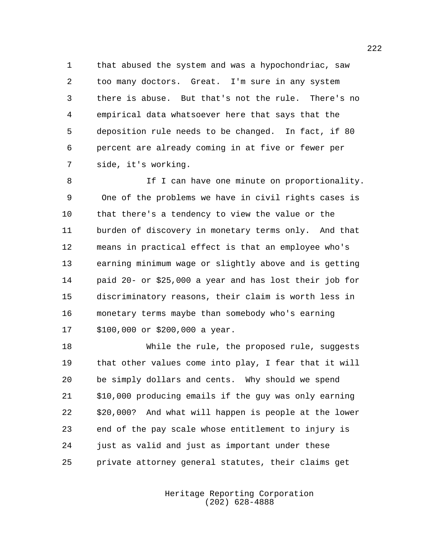that abused the system and was a hypochondriac, saw too many doctors. Great. I'm sure in any system there is abuse. But that's not the rule. There's no empirical data whatsoever here that says that the deposition rule needs to be changed. In fact, if 80 percent are already coming in at five or fewer per side, it's working.

8 If I can have one minute on proportionality. One of the problems we have in civil rights cases is that there's a tendency to view the value or the burden of discovery in monetary terms only. And that means in practical effect is that an employee who's earning minimum wage or slightly above and is getting paid 20- or \$25,000 a year and has lost their job for discriminatory reasons, their claim is worth less in monetary terms maybe than somebody who's earning \$100,000 or \$200,000 a year.

 While the rule, the proposed rule, suggests that other values come into play, I fear that it will be simply dollars and cents. Why should we spend \$10,000 producing emails if the guy was only earning \$20,000? And what will happen is people at the lower end of the pay scale whose entitlement to injury is just as valid and just as important under these private attorney general statutes, their claims get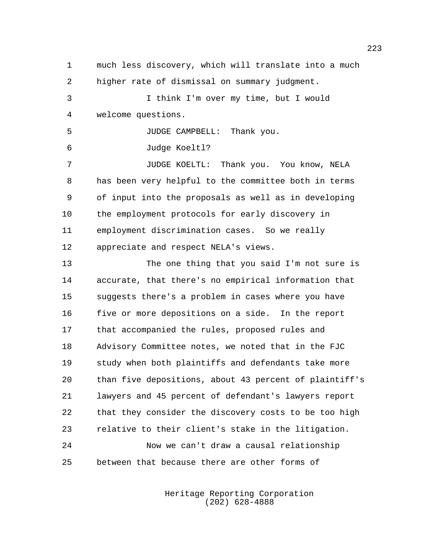much less discovery, which will translate into a much higher rate of dismissal on summary judgment. I think I'm over my time, but I would welcome questions. JUDGE CAMPBELL: Thank you. Judge Koeltl? JUDGE KOELTL: Thank you. You know, NELA has been very helpful to the committee both in terms of input into the proposals as well as in developing the employment protocols for early discovery in employment discrimination cases. So we really appreciate and respect NELA's views. The one thing that you said I'm not sure is accurate, that there's no empirical information that suggests there's a problem in cases where you have five or more depositions on a side. In the report that accompanied the rules, proposed rules and Advisory Committee notes, we noted that in the FJC study when both plaintiffs and defendants take more than five depositions, about 43 percent of plaintiff's lawyers and 45 percent of defendant's lawyers report that they consider the discovery costs to be too high relative to their client's stake in the litigation. Now we can't draw a causal relationship between that because there are other forms of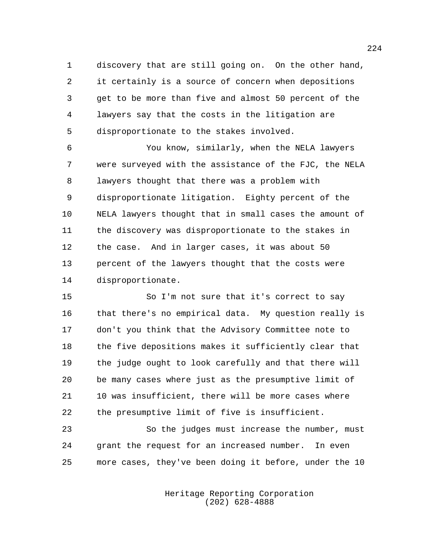discovery that are still going on. On the other hand, it certainly is a source of concern when depositions get to be more than five and almost 50 percent of the lawyers say that the costs in the litigation are disproportionate to the stakes involved.

 You know, similarly, when the NELA lawyers were surveyed with the assistance of the FJC, the NELA lawyers thought that there was a problem with disproportionate litigation. Eighty percent of the NELA lawyers thought that in small cases the amount of the discovery was disproportionate to the stakes in the case. And in larger cases, it was about 50 percent of the lawyers thought that the costs were disproportionate.

 So I'm not sure that it's correct to say that there's no empirical data. My question really is don't you think that the Advisory Committee note to the five depositions makes it sufficiently clear that the judge ought to look carefully and that there will be many cases where just as the presumptive limit of 10 was insufficient, there will be more cases where the presumptive limit of five is insufficient.

 So the judges must increase the number, must grant the request for an increased number. In even more cases, they've been doing it before, under the 10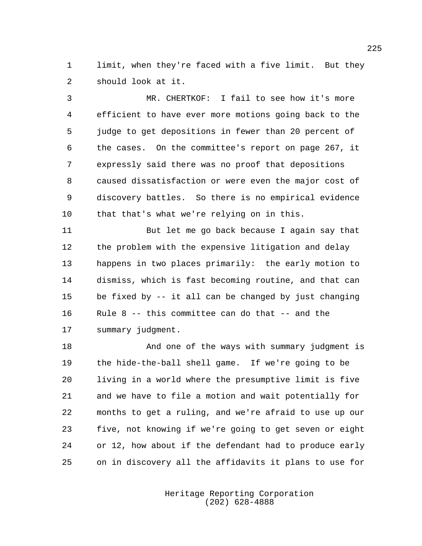limit, when they're faced with a five limit. But they should look at it.

 MR. CHERTKOF: I fail to see how it's more efficient to have ever more motions going back to the judge to get depositions in fewer than 20 percent of the cases. On the committee's report on page 267, it expressly said there was no proof that depositions caused dissatisfaction or were even the major cost of discovery battles. So there is no empirical evidence that that's what we're relying on in this.

 But let me go back because I again say that the problem with the expensive litigation and delay happens in two places primarily: the early motion to dismiss, which is fast becoming routine, and that can be fixed by -- it all can be changed by just changing Rule 8 -- this committee can do that -- and the summary judgment.

 And one of the ways with summary judgment is the hide-the-ball shell game. If we're going to be living in a world where the presumptive limit is five and we have to file a motion and wait potentially for months to get a ruling, and we're afraid to use up our five, not knowing if we're going to get seven or eight or 12, how about if the defendant had to produce early on in discovery all the affidavits it plans to use for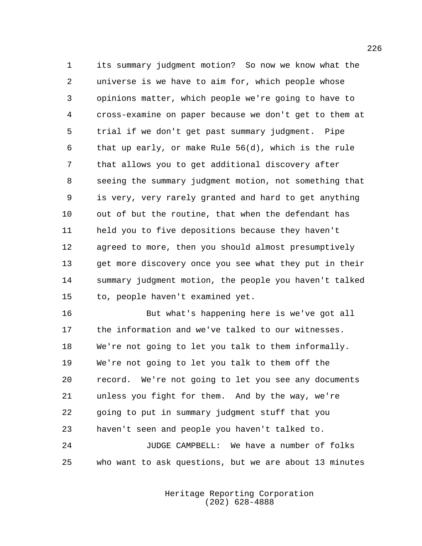its summary judgment motion? So now we know what the universe is we have to aim for, which people whose opinions matter, which people we're going to have to cross-examine on paper because we don't get to them at trial if we don't get past summary judgment. Pipe that up early, or make Rule 56(d), which is the rule that allows you to get additional discovery after seeing the summary judgment motion, not something that is very, very rarely granted and hard to get anything out of but the routine, that when the defendant has held you to five depositions because they haven't agreed to more, then you should almost presumptively get more discovery once you see what they put in their summary judgment motion, the people you haven't talked to, people haven't examined yet.

 But what's happening here is we've got all the information and we've talked to our witnesses. We're not going to let you talk to them informally. We're not going to let you talk to them off the record. We're not going to let you see any documents unless you fight for them. And by the way, we're going to put in summary judgment stuff that you haven't seen and people you haven't talked to. JUDGE CAMPBELL: We have a number of folks who want to ask questions, but we are about 13 minutes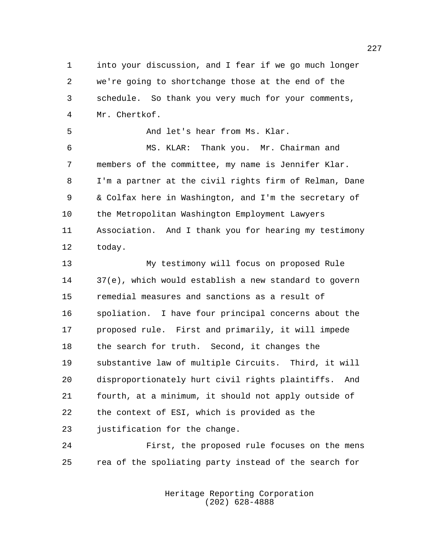into your discussion, and I fear if we go much longer we're going to shortchange those at the end of the schedule. So thank you very much for your comments, Mr. Chertkof.

And let's hear from Ms. Klar.

 MS. KLAR: Thank you. Mr. Chairman and members of the committee, my name is Jennifer Klar. I'm a partner at the civil rights firm of Relman, Dane & Colfax here in Washington, and I'm the secretary of the Metropolitan Washington Employment Lawyers Association. And I thank you for hearing my testimony today.

 My testimony will focus on proposed Rule 37(e), which would establish a new standard to govern remedial measures and sanctions as a result of spoliation. I have four principal concerns about the proposed rule. First and primarily, it will impede the search for truth. Second, it changes the substantive law of multiple Circuits. Third, it will disproportionately hurt civil rights plaintiffs. And fourth, at a minimum, it should not apply outside of the context of ESI, which is provided as the 23 justification for the change.

 First, the proposed rule focuses on the mens rea of the spoliating party instead of the search for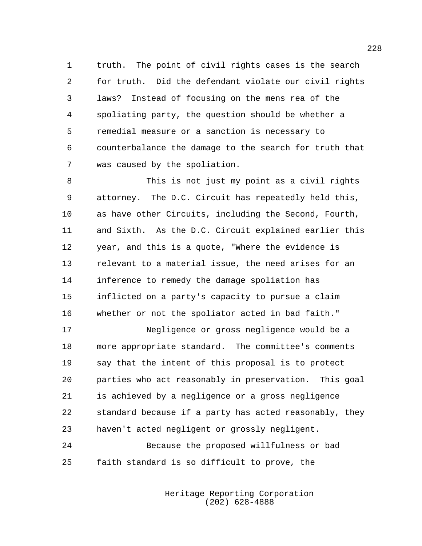truth. The point of civil rights cases is the search for truth. Did the defendant violate our civil rights laws? Instead of focusing on the mens rea of the spoliating party, the question should be whether a remedial measure or a sanction is necessary to counterbalance the damage to the search for truth that was caused by the spoliation.

 This is not just my point as a civil rights attorney. The D.C. Circuit has repeatedly held this, as have other Circuits, including the Second, Fourth, and Sixth. As the D.C. Circuit explained earlier this year, and this is a quote, "Where the evidence is relevant to a material issue, the need arises for an inference to remedy the damage spoliation has inflicted on a party's capacity to pursue a claim whether or not the spoliator acted in bad faith."

 Negligence or gross negligence would be a more appropriate standard. The committee's comments say that the intent of this proposal is to protect parties who act reasonably in preservation. This goal is achieved by a negligence or a gross negligence standard because if a party has acted reasonably, they haven't acted negligent or grossly negligent.

 Because the proposed willfulness or bad faith standard is so difficult to prove, the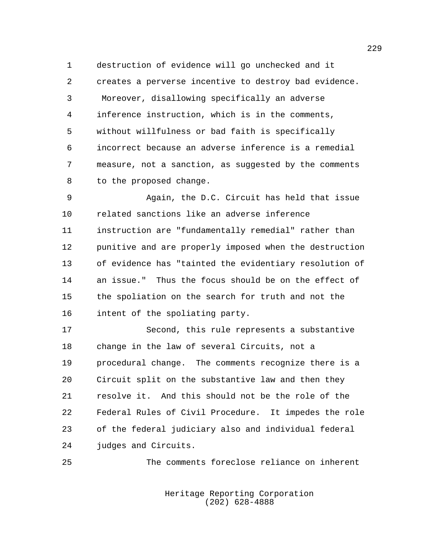destruction of evidence will go unchecked and it creates a perverse incentive to destroy bad evidence. Moreover, disallowing specifically an adverse inference instruction, which is in the comments, without willfulness or bad faith is specifically incorrect because an adverse inference is a remedial measure, not a sanction, as suggested by the comments to the proposed change.

 Again, the D.C. Circuit has held that issue related sanctions like an adverse inference instruction are "fundamentally remedial" rather than punitive and are properly imposed when the destruction of evidence has "tainted the evidentiary resolution of an issue." Thus the focus should be on the effect of the spoliation on the search for truth and not the intent of the spoliating party.

 Second, this rule represents a substantive change in the law of several Circuits, not a procedural change. The comments recognize there is a Circuit split on the substantive law and then they resolve it. And this should not be the role of the Federal Rules of Civil Procedure. It impedes the role of the federal judiciary also and individual federal judges and Circuits.

The comments foreclose reliance on inherent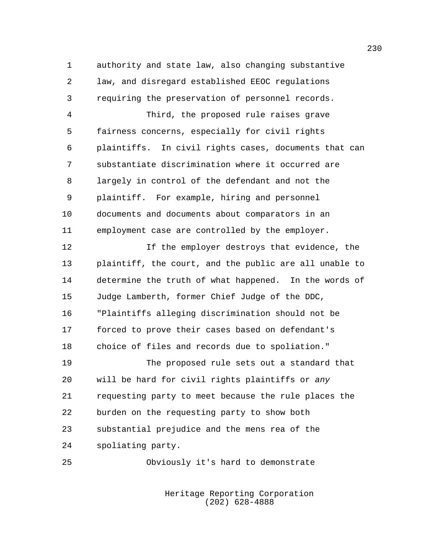authority and state law, also changing substantive law, and disregard established EEOC regulations requiring the preservation of personnel records.

 Third, the proposed rule raises grave fairness concerns, especially for civil rights plaintiffs. In civil rights cases, documents that can substantiate discrimination where it occurred are largely in control of the defendant and not the plaintiff. For example, hiring and personnel documents and documents about comparators in an employment case are controlled by the employer.

 If the employer destroys that evidence, the plaintiff, the court, and the public are all unable to determine the truth of what happened. In the words of Judge Lamberth, former Chief Judge of the DDC, "Plaintiffs alleging discrimination should not be forced to prove their cases based on defendant's choice of files and records due to spoliation."

 The proposed rule sets out a standard that will be hard for civil rights plaintiffs or *any* requesting party to meet because the rule places the burden on the requesting party to show both substantial prejudice and the mens rea of the spoliating party.

Obviously it's hard to demonstrate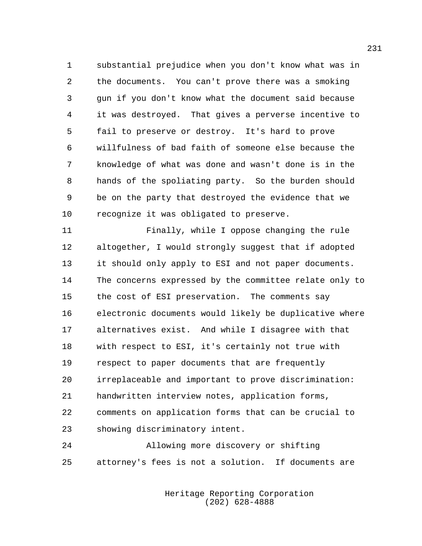substantial prejudice when you don't know what was in the documents. You can't prove there was a smoking gun if you don't know what the document said because it was destroyed. That gives a perverse incentive to fail to preserve or destroy. It's hard to prove willfulness of bad faith of someone else because the knowledge of what was done and wasn't done is in the hands of the spoliating party. So the burden should be on the party that destroyed the evidence that we recognize it was obligated to preserve.

 Finally, while I oppose changing the rule altogether, I would strongly suggest that if adopted it should only apply to ESI and not paper documents. The concerns expressed by the committee relate only to the cost of ESI preservation. The comments say electronic documents would likely be duplicative where alternatives exist. And while I disagree with that with respect to ESI, it's certainly not true with respect to paper documents that are frequently irreplaceable and important to prove discrimination: handwritten interview notes, application forms, comments on application forms that can be crucial to showing discriminatory intent.

 Allowing more discovery or shifting attorney's fees is not a solution. If documents are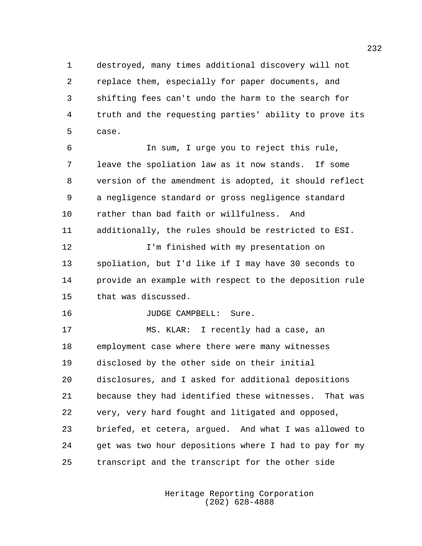destroyed, many times additional discovery will not replace them, especially for paper documents, and shifting fees can't undo the harm to the search for truth and the requesting parties' ability to prove its case.

 In sum, I urge you to reject this rule, leave the spoliation law as it now stands. If some version of the amendment is adopted, it should reflect a negligence standard or gross negligence standard rather than bad faith or willfulness. And additionally, the rules should be restricted to ESI. I'm finished with my presentation on spoliation, but I'd like if I may have 30 seconds to provide an example with respect to the deposition rule

that was discussed.

**JUDGE CAMPBELL:** Sure.

 MS. KLAR: I recently had a case, an employment case where there were many witnesses disclosed by the other side on their initial disclosures, and I asked for additional depositions because they had identified these witnesses. That was very, very hard fought and litigated and opposed, briefed, et cetera, argued. And what I was allowed to 24 get was two hour depositions where I had to pay for my transcript and the transcript for the other side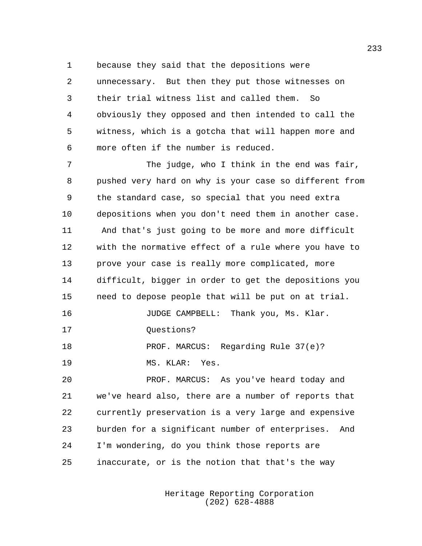because they said that the depositions were

 unnecessary. But then they put those witnesses on their trial witness list and called them. So obviously they opposed and then intended to call the witness, which is a gotcha that will happen more and more often if the number is reduced.

 The judge, who I think in the end was fair, pushed very hard on why is your case so different from the standard case, so special that you need extra depositions when you don't need them in another case. And that's just going to be more and more difficult with the normative effect of a rule where you have to prove your case is really more complicated, more difficult, bigger in order to get the depositions you need to depose people that will be put on at trial. JUDGE CAMPBELL: Thank you, Ms. Klar. 17 Ouestions? PROF. MARCUS: Regarding Rule 37(e)? MS. KLAR: Yes. PROF. MARCUS: As you've heard today and we've heard also, there are a number of reports that currently preservation is a very large and expensive burden for a significant number of enterprises. And I'm wondering, do you think those reports are

inaccurate, or is the notion that that's the way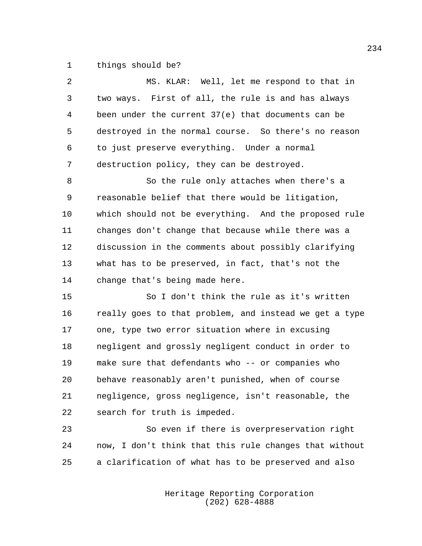things should be?

| 2       | MS. KLAR: Well, let me respond to that in              |
|---------|--------------------------------------------------------|
| 3       | two ways. First of all, the rule is and has always     |
| 4       | been under the current 37(e) that documents can be     |
| 5       | destroyed in the normal course. So there's no reason   |
| 6       | to just preserve everything. Under a normal            |
| 7       | destruction policy, they can be destroyed.             |
| 8       | So the rule only attaches when there's a               |
| 9       | reasonable belief that there would be litigation,      |
| $10 \,$ | which should not be everything. And the proposed rule  |
| 11      | changes don't change that because while there was a    |
| 12      | discussion in the comments about possibly clarifying   |
| 13      | what has to be preserved, in fact, that's not the      |
| 14      | change that's being made here.                         |
| 15      | So I don't think the rule as it's written              |
| 16      | really goes to that problem, and instead we get a type |
| 17      | one, type two error situation where in excusing        |
| 18      | negligent and grossly negligent conduct in order to    |
| 19      | make sure that defendants who -- or companies who      |
| 20      | behave reasonably aren't punished, when of course      |
| 21      | negligence, gross negligence, isn't reasonable, the    |
| 22      | search for truth is impeded.                           |
| 23      | So even if there is overpreservation right             |

 now, I don't think that this rule changes that without a clarification of what has to be preserved and also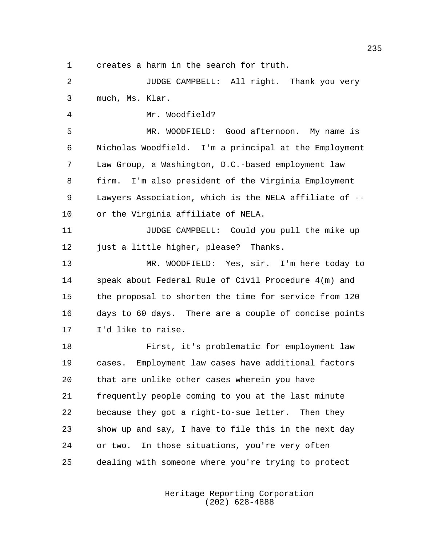creates a harm in the search for truth.

 JUDGE CAMPBELL: All right. Thank you very much, Ms. Klar.

Mr. Woodfield?

 MR. WOODFIELD: Good afternoon. My name is Nicholas Woodfield. I'm a principal at the Employment Law Group, a Washington, D.C.-based employment law firm. I'm also president of the Virginia Employment Lawyers Association, which is the NELA affiliate of -- or the Virginia affiliate of NELA.

 JUDGE CAMPBELL: Could you pull the mike up 12 just a little higher, please? Thanks.

 MR. WOODFIELD: Yes, sir. I'm here today to speak about Federal Rule of Civil Procedure 4(m) and the proposal to shorten the time for service from 120 days to 60 days. There are a couple of concise points I'd like to raise.

 First, it's problematic for employment law cases. Employment law cases have additional factors that are unlike other cases wherein you have frequently people coming to you at the last minute because they got a right-to-sue letter. Then they show up and say, I have to file this in the next day or two. In those situations, you're very often dealing with someone where you're trying to protect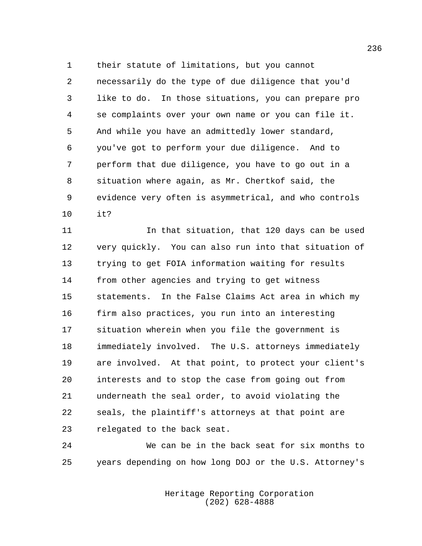their statute of limitations, but you cannot necessarily do the type of due diligence that you'd like to do. In those situations, you can prepare pro se complaints over your own name or you can file it. And while you have an admittedly lower standard, you've got to perform your due diligence. And to perform that due diligence, you have to go out in a situation where again, as Mr. Chertkof said, the evidence very often is asymmetrical, and who controls it?

 In that situation, that 120 days can be used very quickly. You can also run into that situation of trying to get FOIA information waiting for results from other agencies and trying to get witness statements. In the False Claims Act area in which my firm also practices, you run into an interesting situation wherein when you file the government is immediately involved. The U.S. attorneys immediately are involved. At that point, to protect your client's interests and to stop the case from going out from underneath the seal order, to avoid violating the seals, the plaintiff's attorneys at that point are relegated to the back seat.

 We can be in the back seat for six months to years depending on how long DOJ or the U.S. Attorney's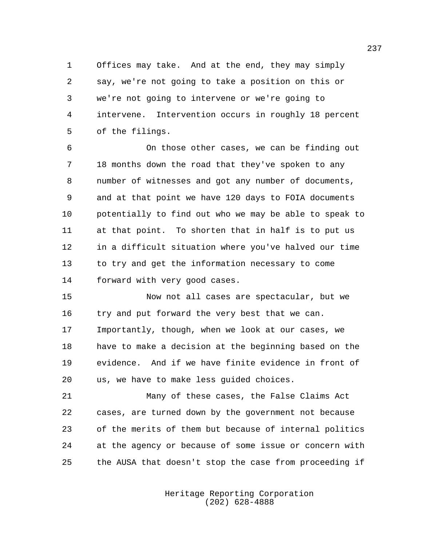Offices may take. And at the end, they may simply say, we're not going to take a position on this or we're not going to intervene or we're going to intervene. Intervention occurs in roughly 18 percent of the filings.

 On those other cases, we can be finding out 18 months down the road that they've spoken to any number of witnesses and got any number of documents, and at that point we have 120 days to FOIA documents potentially to find out who we may be able to speak to at that point. To shorten that in half is to put us in a difficult situation where you've halved our time to try and get the information necessary to come forward with very good cases.

 Now not all cases are spectacular, but we try and put forward the very best that we can. Importantly, though, when we look at our cases, we have to make a decision at the beginning based on the evidence. And if we have finite evidence in front of us, we have to make less guided choices.

 Many of these cases, the False Claims Act cases, are turned down by the government not because of the merits of them but because of internal politics at the agency or because of some issue or concern with the AUSA that doesn't stop the case from proceeding if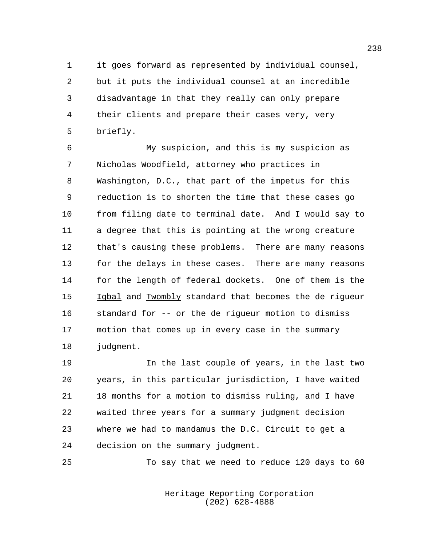it goes forward as represented by individual counsel, but it puts the individual counsel at an incredible disadvantage in that they really can only prepare their clients and prepare their cases very, very briefly.

 My suspicion, and this is my suspicion as Nicholas Woodfield, attorney who practices in Washington, D.C., that part of the impetus for this reduction is to shorten the time that these cases go from filing date to terminal date. And I would say to a degree that this is pointing at the wrong creature that's causing these problems. There are many reasons for the delays in these cases. There are many reasons for the length of federal dockets. One of them is the Iqbal and Twombly standard that becomes the de rigueur standard for -- or the de rigueur motion to dismiss motion that comes up in every case in the summary judgment.

 In the last couple of years, in the last two years, in this particular jurisdiction, I have waited 18 months for a motion to dismiss ruling, and I have waited three years for a summary judgment decision where we had to mandamus the D.C. Circuit to get a decision on the summary judgment.

To say that we need to reduce 120 days to 60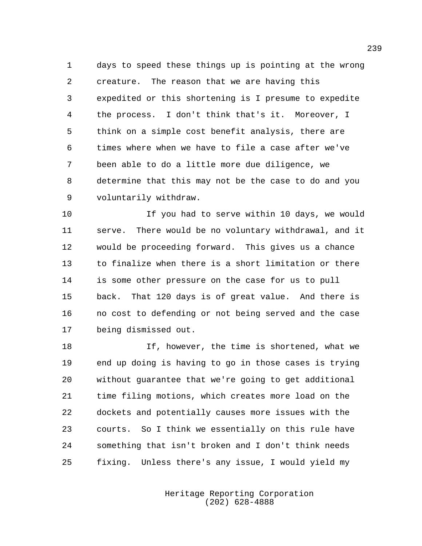days to speed these things up is pointing at the wrong creature. The reason that we are having this expedited or this shortening is I presume to expedite the process. I don't think that's it. Moreover, I think on a simple cost benefit analysis, there are times where when we have to file a case after we've been able to do a little more due diligence, we determine that this may not be the case to do and you voluntarily withdraw.

 If you had to serve within 10 days, we would serve. There would be no voluntary withdrawal, and it would be proceeding forward. This gives us a chance to finalize when there is a short limitation or there is some other pressure on the case for us to pull back. That 120 days is of great value. And there is no cost to defending or not being served and the case being dismissed out.

 If, however, the time is shortened, what we end up doing is having to go in those cases is trying without guarantee that we're going to get additional time filing motions, which creates more load on the dockets and potentially causes more issues with the courts. So I think we essentially on this rule have something that isn't broken and I don't think needs fixing. Unless there's any issue, I would yield my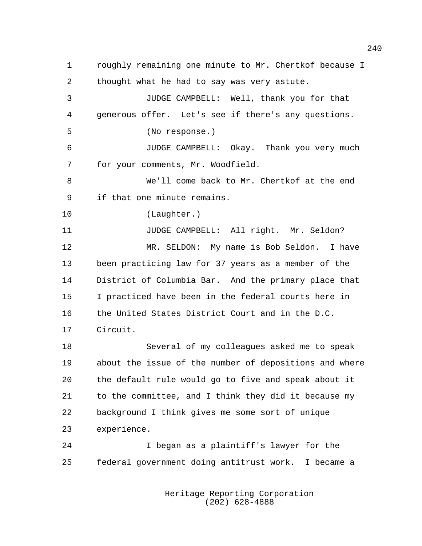roughly remaining one minute to Mr. Chertkof because I thought what he had to say was very astute. JUDGE CAMPBELL: Well, thank you for that generous offer. Let's see if there's any questions. (No response.) JUDGE CAMPBELL: Okay. Thank you very much for your comments, Mr. Woodfield. We'll come back to Mr. Chertkof at the end if that one minute remains. (Laughter.) JUDGE CAMPBELL: All right. Mr. Seldon? MR. SELDON: My name is Bob Seldon. I have been practicing law for 37 years as a member of the District of Columbia Bar. And the primary place that I practiced have been in the federal courts here in the United States District Court and in the D.C. Circuit. Several of my colleagues asked me to speak about the issue of the number of depositions and where the default rule would go to five and speak about it to the committee, and I think they did it because my background I think gives me some sort of unique experience. I began as a plaintiff's lawyer for the federal government doing antitrust work. I became a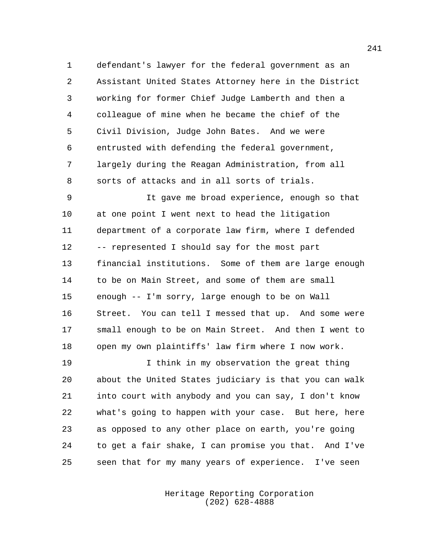defendant's lawyer for the federal government as an Assistant United States Attorney here in the District working for former Chief Judge Lamberth and then a colleague of mine when he became the chief of the Civil Division, Judge John Bates. And we were entrusted with defending the federal government, largely during the Reagan Administration, from all sorts of attacks and in all sorts of trials.

 It gave me broad experience, enough so that at one point I went next to head the litigation department of a corporate law firm, where I defended -- represented I should say for the most part financial institutions. Some of them are large enough to be on Main Street, and some of them are small enough -- I'm sorry, large enough to be on Wall Street. You can tell I messed that up. And some were small enough to be on Main Street. And then I went to open my own plaintiffs' law firm where I now work.

 I think in my observation the great thing about the United States judiciary is that you can walk into court with anybody and you can say, I don't know what's going to happen with your case. But here, here as opposed to any other place on earth, you're going to get a fair shake, I can promise you that. And I've seen that for my many years of experience. I've seen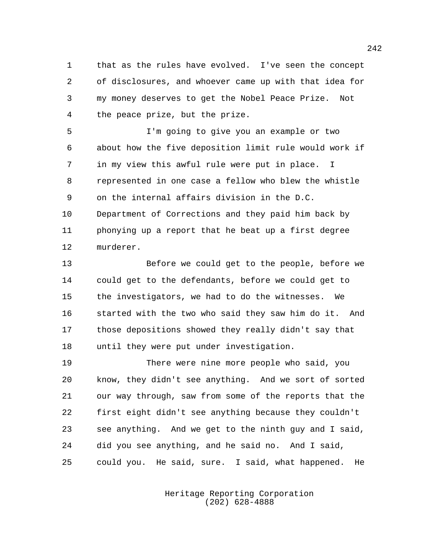that as the rules have evolved. I've seen the concept of disclosures, and whoever came up with that idea for my money deserves to get the Nobel Peace Prize. Not the peace prize, but the prize.

 I'm going to give you an example or two about how the five deposition limit rule would work if in my view this awful rule were put in place. I represented in one case a fellow who blew the whistle on the internal affairs division in the D.C. Department of Corrections and they paid him back by phonying up a report that he beat up a first degree murderer.

 Before we could get to the people, before we could get to the defendants, before we could get to the investigators, we had to do the witnesses. We started with the two who said they saw him do it. And those depositions showed they really didn't say that until they were put under investigation.

 There were nine more people who said, you know, they didn't see anything. And we sort of sorted our way through, saw from some of the reports that the first eight didn't see anything because they couldn't see anything. And we get to the ninth guy and I said, did you see anything, and he said no. And I said, could you. He said, sure. I said, what happened. He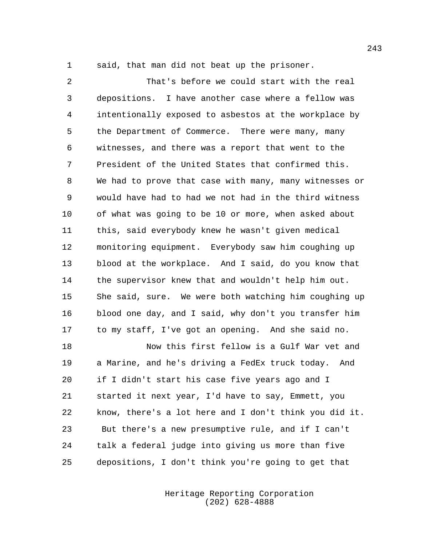said, that man did not beat up the prisoner.

 That's before we could start with the real depositions. I have another case where a fellow was intentionally exposed to asbestos at the workplace by the Department of Commerce. There were many, many witnesses, and there was a report that went to the President of the United States that confirmed this. We had to prove that case with many, many witnesses or would have had to had we not had in the third witness of what was going to be 10 or more, when asked about this, said everybody knew he wasn't given medical monitoring equipment. Everybody saw him coughing up blood at the workplace. And I said, do you know that the supervisor knew that and wouldn't help him out. She said, sure. We were both watching him coughing up blood one day, and I said, why don't you transfer him to my staff, I've got an opening. And she said no.

 Now this first fellow is a Gulf War vet and a Marine, and he's driving a FedEx truck today. And if I didn't start his case five years ago and I started it next year, I'd have to say, Emmett, you know, there's a lot here and I don't think you did it. But there's a new presumptive rule, and if I can't talk a federal judge into giving us more than five depositions, I don't think you're going to get that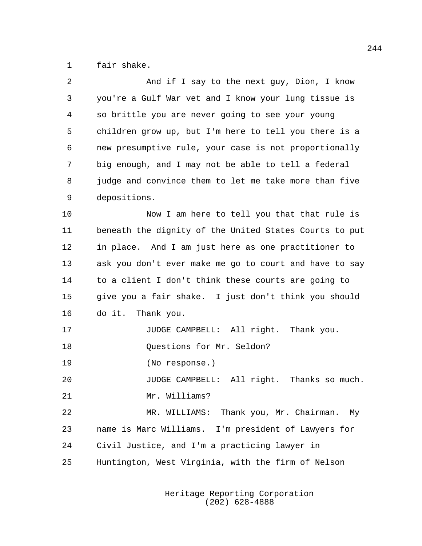fair shake.

| 2  | And if I say to the next guy, Dion, I know             |
|----|--------------------------------------------------------|
| 3  | you're a Gulf War vet and I know your lung tissue is   |
| 4  | so brittle you are never going to see your young       |
| 5  | children grow up, but I'm here to tell you there is a  |
| 6  | new presumptive rule, your case is not proportionally  |
| 7  | big enough, and I may not be able to tell a federal    |
| 8  | judge and convince them to let me take more than five  |
| 9  | depositions.                                           |
| 10 | Now I am here to tell you that that rule is            |
| 11 | beneath the dignity of the United States Courts to put |
| 12 | in place. And I am just here as one practitioner to    |
| 13 | ask you don't ever make me go to court and have to say |
| 14 | to a client I don't think these courts are going to    |
| 15 | give you a fair shake. I just don't think you should   |
| 16 | do it. Thank you.                                      |
| 17 | JUDGE CAMPBELL: All right. Thank you.                  |
| 18 | Questions for Mr. Seldon?                              |
| 19 | (No response.)                                         |
| 20 | JUDGE CAMPBELL: All right. Thanks so much.             |
| 21 | Mr. Williams?                                          |
| 22 | MR. WILLIAMS: Thank you, Mr. Chairman.<br>Мy           |
| 23 | name is Marc Williams. I'm president of Lawyers for    |
| 24 | Civil Justice, and I'm a practicing lawyer in          |
| 25 | Huntington, West Virginia, with the firm of Nelson     |
|    |                                                        |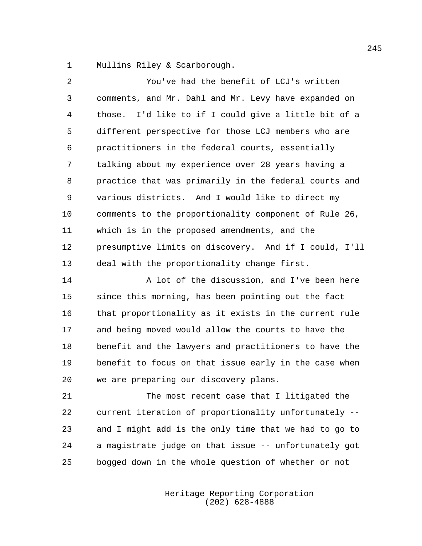Mullins Riley & Scarborough.

 You've had the benefit of LCJ's written comments, and Mr. Dahl and Mr. Levy have expanded on those. I'd like to if I could give a little bit of a different perspective for those LCJ members who are practitioners in the federal courts, essentially talking about my experience over 28 years having a practice that was primarily in the federal courts and various districts. And I would like to direct my comments to the proportionality component of Rule 26, which is in the proposed amendments, and the presumptive limits on discovery. And if I could, I'll deal with the proportionality change first.

14 A lot of the discussion, and I've been here since this morning, has been pointing out the fact that proportionality as it exists in the current rule and being moved would allow the courts to have the benefit and the lawyers and practitioners to have the benefit to focus on that issue early in the case when we are preparing our discovery plans.

 The most recent case that I litigated the current iteration of proportionality unfortunately -- and I might add is the only time that we had to go to a magistrate judge on that issue -- unfortunately got bogged down in the whole question of whether or not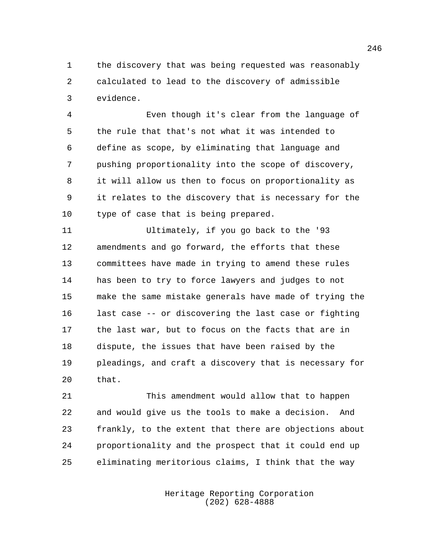the discovery that was being requested was reasonably calculated to lead to the discovery of admissible evidence.

 Even though it's clear from the language of the rule that that's not what it was intended to define as scope, by eliminating that language and pushing proportionality into the scope of discovery, it will allow us then to focus on proportionality as it relates to the discovery that is necessary for the type of case that is being prepared.

 Ultimately, if you go back to the '93 amendments and go forward, the efforts that these committees have made in trying to amend these rules has been to try to force lawyers and judges to not make the same mistake generals have made of trying the last case -- or discovering the last case or fighting the last war, but to focus on the facts that are in dispute, the issues that have been raised by the pleadings, and craft a discovery that is necessary for that.

 This amendment would allow that to happen and would give us the tools to make a decision. And frankly, to the extent that there are objections about proportionality and the prospect that it could end up eliminating meritorious claims, I think that the way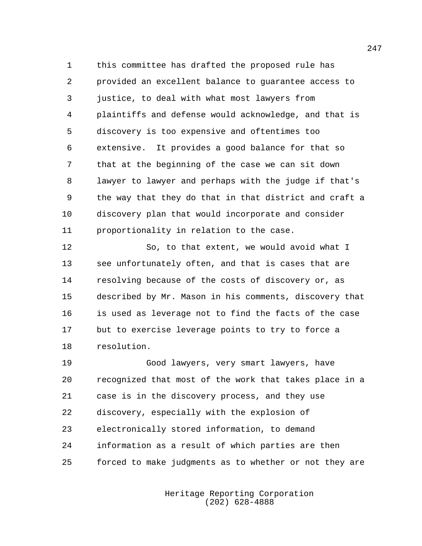this committee has drafted the proposed rule has provided an excellent balance to guarantee access to justice, to deal with what most lawyers from plaintiffs and defense would acknowledge, and that is discovery is too expensive and oftentimes too extensive. It provides a good balance for that so that at the beginning of the case we can sit down lawyer to lawyer and perhaps with the judge if that's the way that they do that in that district and craft a discovery plan that would incorporate and consider proportionality in relation to the case.

 So, to that extent, we would avoid what I see unfortunately often, and that is cases that are resolving because of the costs of discovery or, as described by Mr. Mason in his comments, discovery that is used as leverage not to find the facts of the case but to exercise leverage points to try to force a resolution.

 Good lawyers, very smart lawyers, have recognized that most of the work that takes place in a case is in the discovery process, and they use discovery, especially with the explosion of electronically stored information, to demand information as a result of which parties are then forced to make judgments as to whether or not they are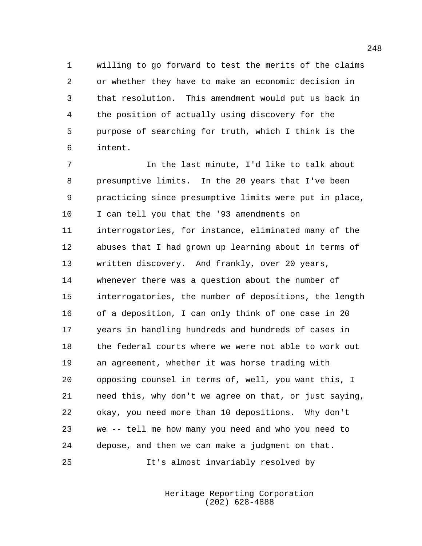willing to go forward to test the merits of the claims or whether they have to make an economic decision in that resolution. This amendment would put us back in the position of actually using discovery for the purpose of searching for truth, which I think is the intent.

 In the last minute, I'd like to talk about presumptive limits. In the 20 years that I've been practicing since presumptive limits were put in place, I can tell you that the '93 amendments on interrogatories, for instance, eliminated many of the abuses that I had grown up learning about in terms of written discovery. And frankly, over 20 years, whenever there was a question about the number of interrogatories, the number of depositions, the length of a deposition, I can only think of one case in 20 years in handling hundreds and hundreds of cases in the federal courts where we were not able to work out an agreement, whether it was horse trading with opposing counsel in terms of, well, you want this, I need this, why don't we agree on that, or just saying, okay, you need more than 10 depositions. Why don't we -- tell me how many you need and who you need to depose, and then we can make a judgment on that. It's almost invariably resolved by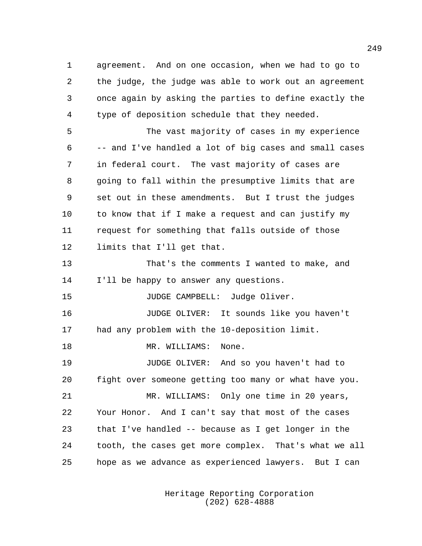agreement. And on one occasion, when we had to go to the judge, the judge was able to work out an agreement once again by asking the parties to define exactly the type of deposition schedule that they needed.

 The vast majority of cases in my experience -- and I've handled a lot of big cases and small cases in federal court. The vast majority of cases are going to fall within the presumptive limits that are set out in these amendments. But I trust the judges to know that if I make a request and can justify my request for something that falls outside of those limits that I'll get that.

 That's the comments I wanted to make, and I'll be happy to answer any questions.

15 JUDGE CAMPBELL: Judge Oliver.

 JUDGE OLIVER: It sounds like you haven't had any problem with the 10-deposition limit.

18 MR. WILLIAMS: None.

 JUDGE OLIVER: And so you haven't had to fight over someone getting too many or what have you.

 MR. WILLIAMS: Only one time in 20 years, Your Honor. And I can't say that most of the cases that I've handled -- because as I get longer in the tooth, the cases get more complex. That's what we all hope as we advance as experienced lawyers. But I can

> Heritage Reporting Corporation (202) 628-4888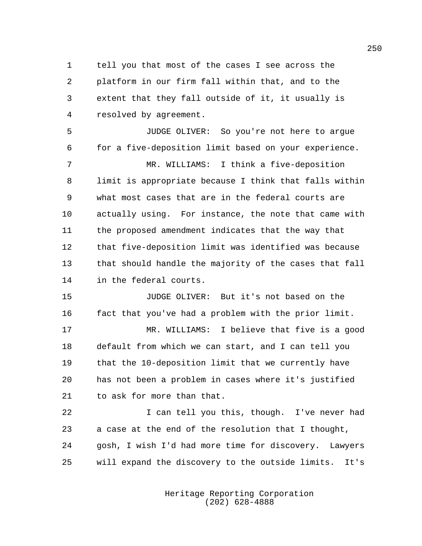tell you that most of the cases I see across the platform in our firm fall within that, and to the extent that they fall outside of it, it usually is resolved by agreement.

 JUDGE OLIVER: So you're not here to argue for a five-deposition limit based on your experience.

 MR. WILLIAMS: I think a five-deposition limit is appropriate because I think that falls within what most cases that are in the federal courts are actually using. For instance, the note that came with the proposed amendment indicates that the way that that five-deposition limit was identified was because that should handle the majority of the cases that fall in the federal courts.

 JUDGE OLIVER: But it's not based on the fact that you've had a problem with the prior limit.

 MR. WILLIAMS: I believe that five is a good default from which we can start, and I can tell you that the 10-deposition limit that we currently have has not been a problem in cases where it's justified to ask for more than that.

 I can tell you this, though. I've never had a case at the end of the resolution that I thought, gosh, I wish I'd had more time for discovery. Lawyers will expand the discovery to the outside limits. It's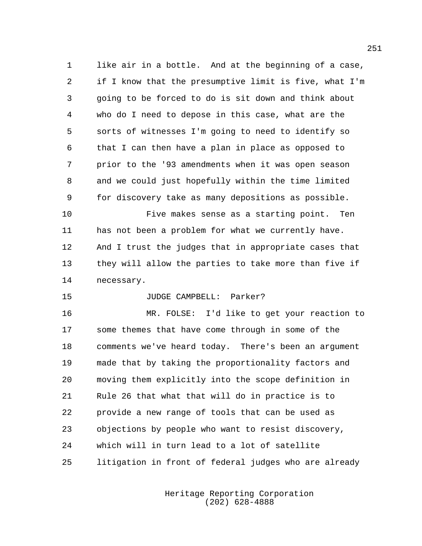like air in a bottle. And at the beginning of a case, if I know that the presumptive limit is five, what I'm going to be forced to do is sit down and think about who do I need to depose in this case, what are the sorts of witnesses I'm going to need to identify so that I can then have a plan in place as opposed to prior to the '93 amendments when it was open season and we could just hopefully within the time limited for discovery take as many depositions as possible.

 Five makes sense as a starting point. Ten has not been a problem for what we currently have. And I trust the judges that in appropriate cases that they will allow the parties to take more than five if necessary.

## JUDGE CAMPBELL: Parker?

 MR. FOLSE: I'd like to get your reaction to some themes that have come through in some of the comments we've heard today. There's been an argument made that by taking the proportionality factors and moving them explicitly into the scope definition in Rule 26 that what that will do in practice is to provide a new range of tools that can be used as objections by people who want to resist discovery, which will in turn lead to a lot of satellite litigation in front of federal judges who are already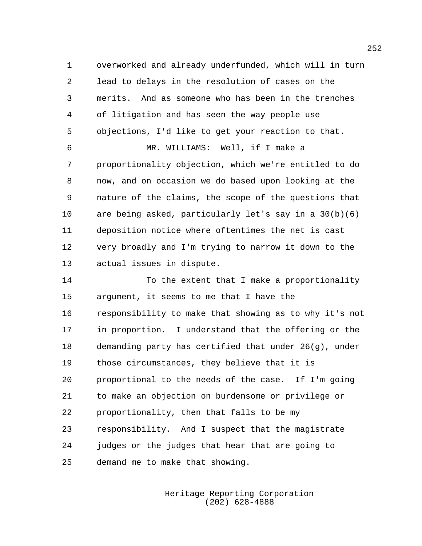overworked and already underfunded, which will in turn lead to delays in the resolution of cases on the merits. And as someone who has been in the trenches of litigation and has seen the way people use objections, I'd like to get your reaction to that.

 MR. WILLIAMS: Well, if I make a proportionality objection, which we're entitled to do now, and on occasion we do based upon looking at the nature of the claims, the scope of the questions that are being asked, particularly let's say in a 30(b)(6) deposition notice where oftentimes the net is cast very broadly and I'm trying to narrow it down to the actual issues in dispute.

14 To the extent that I make a proportionality argument, it seems to me that I have the responsibility to make that showing as to why it's not in proportion. I understand that the offering or the demanding party has certified that under 26(g), under those circumstances, they believe that it is proportional to the needs of the case. If I'm going to make an objection on burdensome or privilege or proportionality, then that falls to be my responsibility. And I suspect that the magistrate judges or the judges that hear that are going to demand me to make that showing.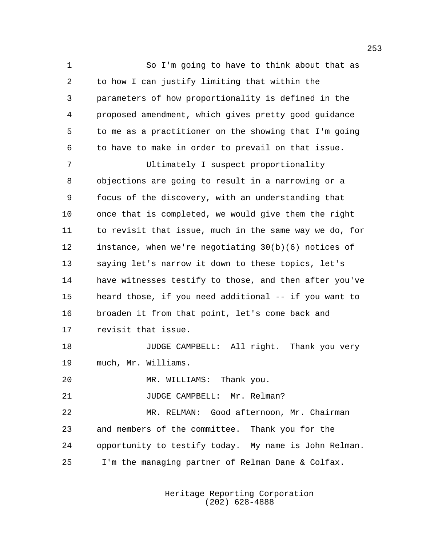So I'm going to have to think about that as to how I can justify limiting that within the parameters of how proportionality is defined in the proposed amendment, which gives pretty good guidance to me as a practitioner on the showing that I'm going to have to make in order to prevail on that issue. Ultimately I suspect proportionality objections are going to result in a narrowing or a focus of the discovery, with an understanding that once that is completed, we would give them the right to revisit that issue, much in the same way we do, for instance, when we're negotiating 30(b)(6) notices of saying let's narrow it down to these topics, let's have witnesses testify to those, and then after you've heard those, if you need additional -- if you want to broaden it from that point, let's come back and revisit that issue. **JUDGE CAMPBELL:** All right. Thank you very much, Mr. Williams. MR. WILLIAMS: Thank you. 21 JUDGE CAMPBELL: Mr. Relman? MR. RELMAN: Good afternoon, Mr. Chairman and members of the committee. Thank you for the opportunity to testify today. My name is John Relman. I'm the managing partner of Relman Dane & Colfax.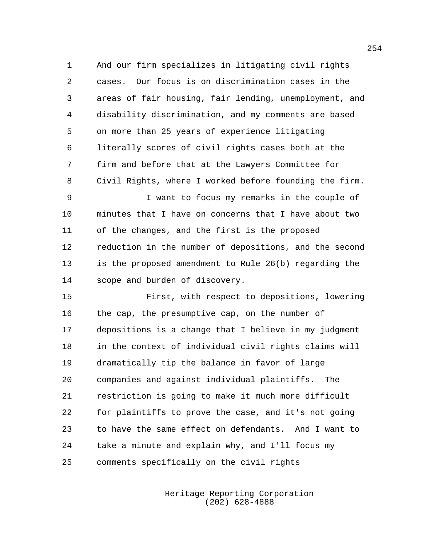And our firm specializes in litigating civil rights cases. Our focus is on discrimination cases in the areas of fair housing, fair lending, unemployment, and disability discrimination, and my comments are based on more than 25 years of experience litigating literally scores of civil rights cases both at the firm and before that at the Lawyers Committee for Civil Rights, where I worked before founding the firm.

 I want to focus my remarks in the couple of minutes that I have on concerns that I have about two of the changes, and the first is the proposed reduction in the number of depositions, and the second is the proposed amendment to Rule 26(b) regarding the scope and burden of discovery.

 First, with respect to depositions, lowering the cap, the presumptive cap, on the number of depositions is a change that I believe in my judgment in the context of individual civil rights claims will dramatically tip the balance in favor of large companies and against individual plaintiffs. The restriction is going to make it much more difficult for plaintiffs to prove the case, and it's not going to have the same effect on defendants. And I want to take a minute and explain why, and I'll focus my comments specifically on the civil rights

> Heritage Reporting Corporation (202) 628-4888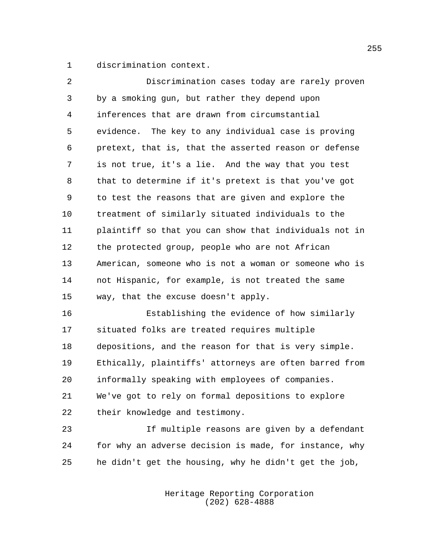discrimination context.

| 2              | Discrimination cases today are rarely proven           |
|----------------|--------------------------------------------------------|
| 3              | by a smoking gun, but rather they depend upon          |
| $\overline{4}$ | inferences that are drawn from circumstantial          |
| 5              | evidence. The key to any individual case is proving    |
| 6              | pretext, that is, that the asserted reason or defense  |
| 7              | is not true, it's a lie. And the way that you test     |
| 8              | that to determine if it's pretext is that you've got   |
| 9              | to test the reasons that are given and explore the     |
| 10             | treatment of similarly situated individuals to the     |
| 11             | plaintiff so that you can show that individuals not in |
| 12             | the protected group, people who are not African        |
| 13             | American, someone who is not a woman or someone who is |
| 14             | not Hispanic, for example, is not treated the same     |
| 15             | way, that the excuse doesn't apply.                    |
| 16             | Establishing the evidence of how similarly             |

 situated folks are treated requires multiple depositions, and the reason for that is very simple. Ethically, plaintiffs' attorneys are often barred from informally speaking with employees of companies. We've got to rely on formal depositions to explore their knowledge and testimony.

 If multiple reasons are given by a defendant for why an adverse decision is made, for instance, why he didn't get the housing, why he didn't get the job,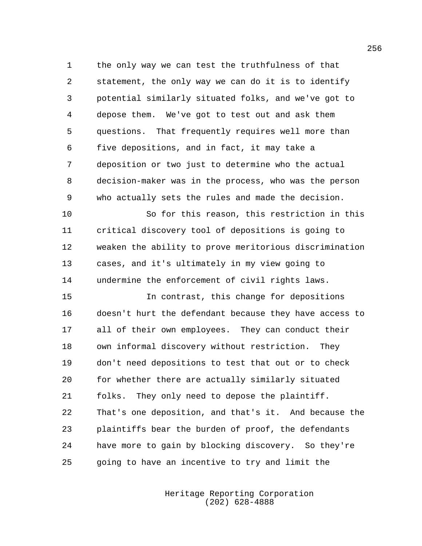the only way we can test the truthfulness of that statement, the only way we can do it is to identify potential similarly situated folks, and we've got to depose them. We've got to test out and ask them questions. That frequently requires well more than five depositions, and in fact, it may take a deposition or two just to determine who the actual decision-maker was in the process, who was the person who actually sets the rules and made the decision.

 So for this reason, this restriction in this critical discovery tool of depositions is going to weaken the ability to prove meritorious discrimination cases, and it's ultimately in my view going to undermine the enforcement of civil rights laws.

 In contrast, this change for depositions doesn't hurt the defendant because they have access to all of their own employees. They can conduct their own informal discovery without restriction. They don't need depositions to test that out or to check for whether there are actually similarly situated folks. They only need to depose the plaintiff. That's one deposition, and that's it. And because the plaintiffs bear the burden of proof, the defendants have more to gain by blocking discovery. So they're going to have an incentive to try and limit the

> Heritage Reporting Corporation (202) 628-4888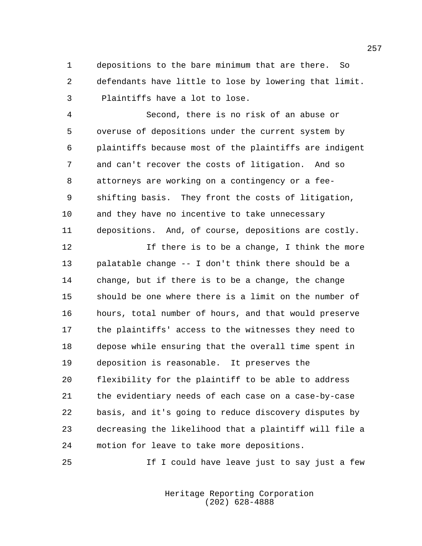depositions to the bare minimum that are there. So defendants have little to lose by lowering that limit. Plaintiffs have a lot to lose.

 Second, there is no risk of an abuse or overuse of depositions under the current system by plaintiffs because most of the plaintiffs are indigent and can't recover the costs of litigation. And so attorneys are working on a contingency or a fee- shifting basis. They front the costs of litigation, and they have no incentive to take unnecessary depositions. And, of course, depositions are costly.

12 12 If there is to be a change, I think the more palatable change -- I don't think there should be a change, but if there is to be a change, the change should be one where there is a limit on the number of hours, total number of hours, and that would preserve the plaintiffs' access to the witnesses they need to depose while ensuring that the overall time spent in deposition is reasonable. It preserves the flexibility for the plaintiff to be able to address the evidentiary needs of each case on a case-by-case basis, and it's going to reduce discovery disputes by decreasing the likelihood that a plaintiff will file a motion for leave to take more depositions.

25 11 I could have leave just to say just a few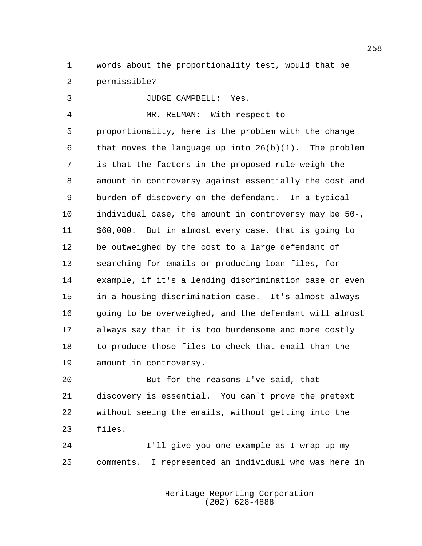words about the proportionality test, would that be permissible?

 JUDGE CAMPBELL: Yes. MR. RELMAN: With respect to proportionality, here is the problem with the change that moves the language up into 26(b)(1). The problem is that the factors in the proposed rule weigh the amount in controversy against essentially the cost and burden of discovery on the defendant. In a typical individual case, the amount in controversy may be 50-, \$60,000. But in almost every case, that is going to be outweighed by the cost to a large defendant of searching for emails or producing loan files, for example, if it's a lending discrimination case or even in a housing discrimination case. It's almost always 16 going to be overweighed, and the defendant will almost always say that it is too burdensome and more costly to produce those files to check that email than the amount in controversy.

 But for the reasons I've said, that discovery is essential. You can't prove the pretext without seeing the emails, without getting into the files.

 I'll give you one example as I wrap up my comments. I represented an individual who was here in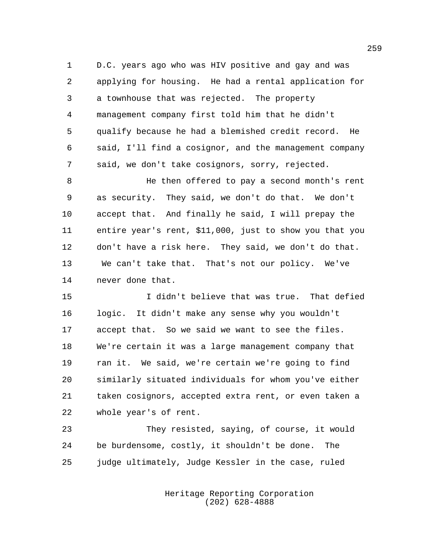D.C. years ago who was HIV positive and gay and was applying for housing. He had a rental application for a townhouse that was rejected. The property management company first told him that he didn't qualify because he had a blemished credit record. He said, I'll find a cosignor, and the management company said, we don't take cosignors, sorry, rejected.

 He then offered to pay a second month's rent as security. They said, we don't do that. We don't accept that. And finally he said, I will prepay the entire year's rent, \$11,000, just to show you that you don't have a risk here. They said, we don't do that. We can't take that. That's not our policy. We've never done that.

 I didn't believe that was true. That defied logic. It didn't make any sense why you wouldn't accept that. So we said we want to see the files. We're certain it was a large management company that ran it. We said, we're certain we're going to find similarly situated individuals for whom you've either taken cosignors, accepted extra rent, or even taken a whole year's of rent.

 They resisted, saying, of course, it would be burdensome, costly, it shouldn't be done. The judge ultimately, Judge Kessler in the case, ruled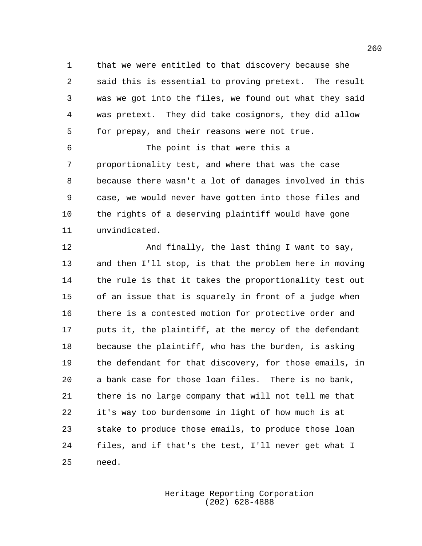that we were entitled to that discovery because she said this is essential to proving pretext. The result was we got into the files, we found out what they said was pretext. They did take cosignors, they did allow for prepay, and their reasons were not true.

 The point is that were this a proportionality test, and where that was the case because there wasn't a lot of damages involved in this case, we would never have gotten into those files and the rights of a deserving plaintiff would have gone unvindicated.

 And finally, the last thing I want to say, and then I'll stop, is that the problem here in moving the rule is that it takes the proportionality test out of an issue that is squarely in front of a judge when there is a contested motion for protective order and puts it, the plaintiff, at the mercy of the defendant because the plaintiff, who has the burden, is asking the defendant for that discovery, for those emails, in a bank case for those loan files. There is no bank, there is no large company that will not tell me that it's way too burdensome in light of how much is at stake to produce those emails, to produce those loan files, and if that's the test, I'll never get what I need.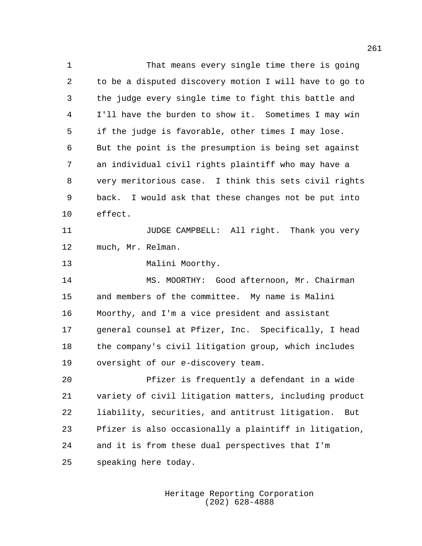That means every single time there is going to be a disputed discovery motion I will have to go to the judge every single time to fight this battle and I'll have the burden to show it. Sometimes I may win if the judge is favorable, other times I may lose. But the point is the presumption is being set against an individual civil rights plaintiff who may have a very meritorious case. I think this sets civil rights back. I would ask that these changes not be put into effect. **11** JUDGE CAMPBELL: All right. Thank you very much, Mr. Relman. 13 Malini Moorthy. MS. MOORTHY: Good afternoon, Mr. Chairman and members of the committee. My name is Malini Moorthy, and I'm a vice president and assistant general counsel at Pfizer, Inc. Specifically, I head the company's civil litigation group, which includes oversight of our e-discovery team. Pfizer is frequently a defendant in a wide variety of civil litigation matters, including product liability, securities, and antitrust litigation. But Pfizer is also occasionally a plaintiff in litigation, and it is from these dual perspectives that I'm speaking here today.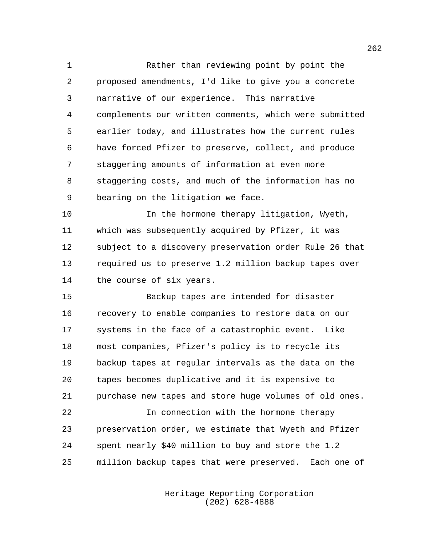Rather than reviewing point by point the proposed amendments, I'd like to give you a concrete narrative of our experience. This narrative complements our written comments, which were submitted earlier today, and illustrates how the current rules have forced Pfizer to preserve, collect, and produce staggering amounts of information at even more staggering costs, and much of the information has no bearing on the litigation we face.

10 10 In the hormone therapy litigation, Wyeth, which was subsequently acquired by Pfizer, it was subject to a discovery preservation order Rule 26 that required us to preserve 1.2 million backup tapes over the course of six years.

 Backup tapes are intended for disaster recovery to enable companies to restore data on our systems in the face of a catastrophic event. Like most companies, Pfizer's policy is to recycle its backup tapes at regular intervals as the data on the tapes becomes duplicative and it is expensive to purchase new tapes and store huge volumes of old ones.

 In connection with the hormone therapy preservation order, we estimate that Wyeth and Pfizer spent nearly \$40 million to buy and store the 1.2 million backup tapes that were preserved. Each one of

> Heritage Reporting Corporation (202) 628-4888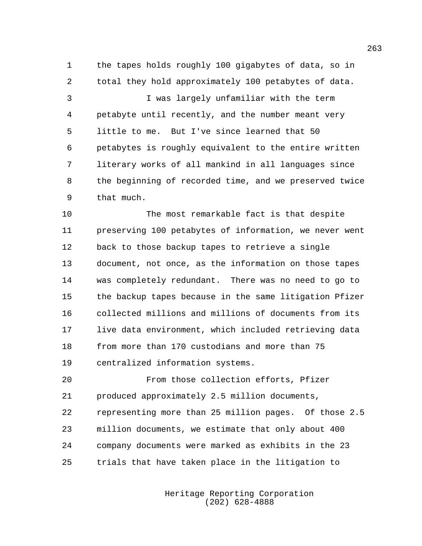the tapes holds roughly 100 gigabytes of data, so in total they hold approximately 100 petabytes of data.

 I was largely unfamiliar with the term petabyte until recently, and the number meant very little to me. But I've since learned that 50 petabytes is roughly equivalent to the entire written literary works of all mankind in all languages since the beginning of recorded time, and we preserved twice that much.

 The most remarkable fact is that despite preserving 100 petabytes of information, we never went back to those backup tapes to retrieve a single document, not once, as the information on those tapes was completely redundant. There was no need to go to the backup tapes because in the same litigation Pfizer collected millions and millions of documents from its live data environment, which included retrieving data from more than 170 custodians and more than 75 centralized information systems.

 From those collection efforts, Pfizer produced approximately 2.5 million documents, representing more than 25 million pages. Of those 2.5 million documents, we estimate that only about 400 company documents were marked as exhibits in the 23 trials that have taken place in the litigation to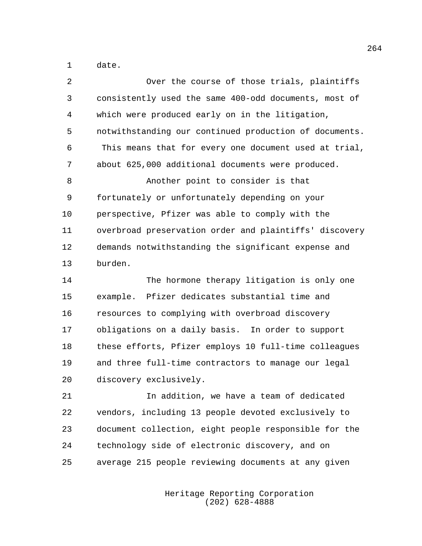date.

| 2  | Over the course of those trials, plaintiffs            |
|----|--------------------------------------------------------|
| 3  | consistently used the same 400-odd documents, most of  |
| 4  | which were produced early on in the litigation,        |
| 5  | notwithstanding our continued production of documents. |
| 6  | This means that for every one document used at trial,  |
| 7  | about 625,000 additional documents were produced.      |
| 8  | Another point to consider is that                      |
| 9  | fortunately or unfortunately depending on your         |
| 10 | perspective, Pfizer was able to comply with the        |
| 11 | overbroad preservation order and plaintiffs' discovery |
| 12 | demands notwithstanding the significant expense and    |
| 13 | burden.                                                |
| 14 | The hormone therapy litigation is only one             |
| 15 | Pfizer dedicates substantial time and<br>example.      |
| 16 | resources to complying with overbroad discovery        |
| 17 | obligations on a daily basis. In order to support      |
| 18 | these efforts, Pfizer employs 10 full-time colleagues  |
| 19 | and three full-time contractors to manage our legal    |
| 20 | discovery exclusively.                                 |
| 21 | In addition, we have a team of dedicated               |
|    |                                                        |

 vendors, including 13 people devoted exclusively to document collection, eight people responsible for the technology side of electronic discovery, and on average 215 people reviewing documents at any given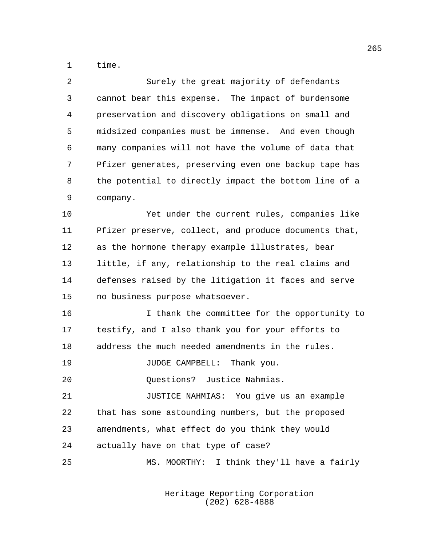time.

| 2              | Surely the great majority of defendants               |
|----------------|-------------------------------------------------------|
| 3              | cannot bear this expense. The impact of burdensome    |
| $\overline{4}$ | preservation and discovery obligations on small and   |
| 5              | midsized companies must be immense. And even though   |
| 6              | many companies will not have the volume of data that  |
| 7              | Pfizer generates, preserving even one backup tape has |
| 8              | the potential to directly impact the bottom line of a |
| 9              | company.                                              |
| 10             | Yet under the current rules, companies like           |
| 11             | Pfizer preserve, collect, and produce documents that, |
| 12             | as the hormone therapy example illustrates, bear      |
| 13             | little, if any, relationship to the real claims and   |
| 14             | defenses raised by the litigation it faces and serve  |
| 15             | no business purpose whatsoever.                       |
| 16             | I thank the committee for the opportunity to          |
| 17             | testify, and I also thank you for your efforts to     |
| 18             | address the much needed amendments in the rules.      |
| 19             | JUDGE CAMPBELL: Thank you.                            |
| 20             | Questions? Justice Nahmias.                           |
| 21             | JUSTICE NAHMIAS: You give us an example               |
| 22             | that has some astounding numbers, but the proposed    |
| 23             | amendments, what effect do you think they would       |
| 24             | actually have on that type of case?                   |
| 25             | MS. MOORTHY: I think they'll have a fairly            |
|                |                                                       |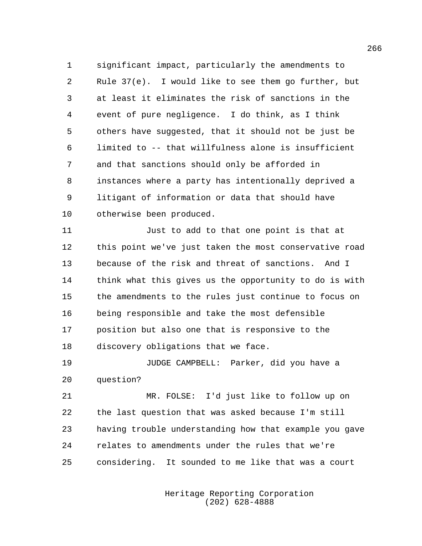significant impact, particularly the amendments to Rule 37(e). I would like to see them go further, but at least it eliminates the risk of sanctions in the event of pure negligence. I do think, as I think others have suggested, that it should not be just be limited to -- that willfulness alone is insufficient and that sanctions should only be afforded in instances where a party has intentionally deprived a litigant of information or data that should have otherwise been produced.

 Just to add to that one point is that at this point we've just taken the most conservative road because of the risk and threat of sanctions. And I think what this gives us the opportunity to do is with the amendments to the rules just continue to focus on being responsible and take the most defensible position but also one that is responsive to the discovery obligations that we face.

 JUDGE CAMPBELL: Parker, did you have a question?

 MR. FOLSE: I'd just like to follow up on the last question that was asked because I'm still having trouble understanding how that example you gave relates to amendments under the rules that we're considering. It sounded to me like that was a court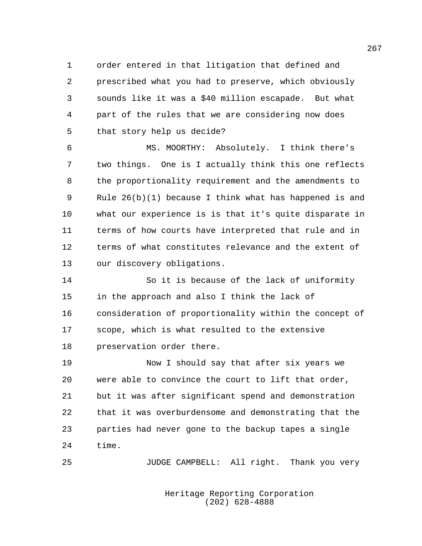order entered in that litigation that defined and prescribed what you had to preserve, which obviously sounds like it was a \$40 million escapade. But what part of the rules that we are considering now does that story help us decide?

 MS. MOORTHY: Absolutely. I think there's two things. One is I actually think this one reflects the proportionality requirement and the amendments to Rule 26(b)(1) because I think what has happened is and what our experience is is that it's quite disparate in terms of how courts have interpreted that rule and in terms of what constitutes relevance and the extent of our discovery obligations.

 So it is because of the lack of uniformity in the approach and also I think the lack of consideration of proportionality within the concept of scope, which is what resulted to the extensive preservation order there.

 Now I should say that after six years we were able to convince the court to lift that order, but it was after significant spend and demonstration that it was overburdensome and demonstrating that the parties had never gone to the backup tapes a single time.

JUDGE CAMPBELL: All right. Thank you very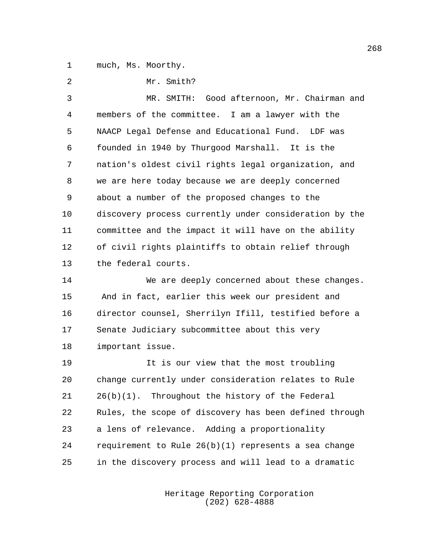much, Ms. Moorthy.

| 2  | Mr. Smith?                                             |
|----|--------------------------------------------------------|
| 3  | Good afternoon, Mr. Chairman and<br>MR. SMITH:         |
| 4  | members of the committee. I am a lawyer with the       |
| 5  | NAACP Legal Defense and Educational Fund. LDF was      |
| 6  | founded in 1940 by Thurgood Marshall. It is the        |
| 7  | nation's oldest civil rights legal organization, and   |
| 8  | we are here today because we are deeply concerned      |
| 9  | about a number of the proposed changes to the          |
| 10 | discovery process currently under consideration by the |
| 11 | committee and the impact it will have on the ability   |
| 12 | of civil rights plaintiffs to obtain relief through    |
| 13 | the federal courts.                                    |
| 14 | We are deeply concerned about these changes.           |
| 15 | And in fact, earlier this week our president and       |
| 16 | director counsel, Sherrilyn Ifill, testified before a  |
| 17 | Senate Judiciary subcommittee about this very          |
| 18 | important issue.                                       |
| 19 | It is our view that the most troubling                 |
| 20 | change currently under consideration relates to Rule   |
| 21 | $26(b)(1)$ . Throughout the history of the Federal     |
| 22 | Rules, the scope of discovery has been defined through |
| 23 | a lens of relevance. Adding a proportionality          |
| 24 | requirement to Rule $26(b)(1)$ represents a sea change |
| 25 | in the discovery process and will lead to a dramatic   |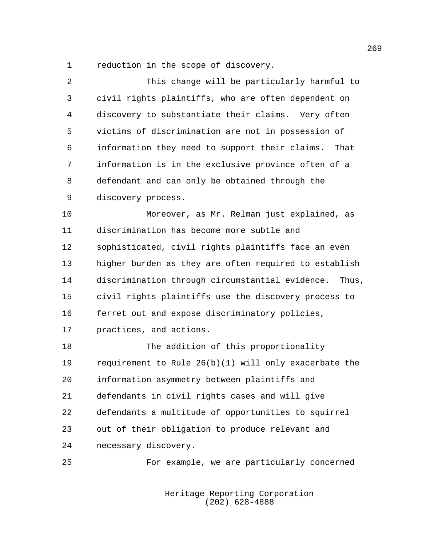reduction in the scope of discovery.

| 2  | This change will be particularly harmful to              |
|----|----------------------------------------------------------|
| 3  | civil rights plaintiffs, who are often dependent on      |
| 4  | discovery to substantiate their claims. Very often       |
| 5  | victims of discrimination are not in possession of       |
| 6  | information they need to support their claims.<br>That   |
| 7  | information is in the exclusive province often of a      |
| 8  | defendant and can only be obtained through the           |
| 9  | discovery process.                                       |
| 10 | Moreover, as Mr. Relman just explained, as               |
| 11 | discrimination has become more subtle and                |
| 12 | sophisticated, civil rights plaintiffs face an even      |
| 13 | higher burden as they are often required to establish    |
| 14 | discrimination through circumstantial evidence.<br>Thus, |
| 15 | civil rights plaintiffs use the discovery process to     |
| 16 | ferret out and expose discriminatory policies,           |
| 17 | practices, and actions.                                  |
| 18 | The addition of this proportionality                     |
| 19 | requirement to Rule $26(b)(1)$ will only exacerbate the  |
| 20 | information asymmetry between plaintiffs and             |
| 21 | defendants in civil rights cases and will give           |
| 22 | defendants a multitude of opportunities to squirrel      |
| 23 | out of their obligation to produce relevant and          |
| 24 | necessary discovery.                                     |
| 25 | For example, we are particularly concerned               |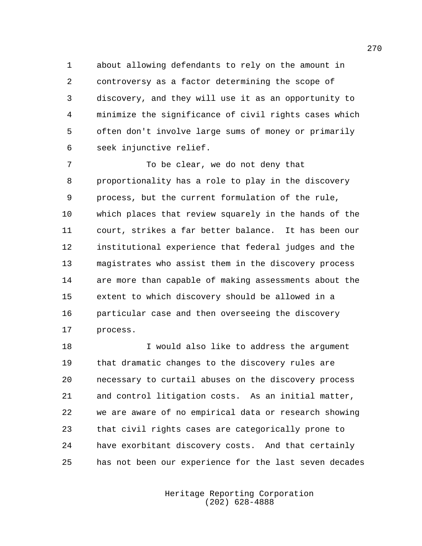about allowing defendants to rely on the amount in controversy as a factor determining the scope of discovery, and they will use it as an opportunity to minimize the significance of civil rights cases which often don't involve large sums of money or primarily seek injunctive relief.

 To be clear, we do not deny that proportionality has a role to play in the discovery process, but the current formulation of the rule, which places that review squarely in the hands of the court, strikes a far better balance. It has been our institutional experience that federal judges and the magistrates who assist them in the discovery process are more than capable of making assessments about the extent to which discovery should be allowed in a particular case and then overseeing the discovery process.

 I would also like to address the argument that dramatic changes to the discovery rules are necessary to curtail abuses on the discovery process and control litigation costs. As an initial matter, we are aware of no empirical data or research showing that civil rights cases are categorically prone to have exorbitant discovery costs. And that certainly has not been our experience for the last seven decades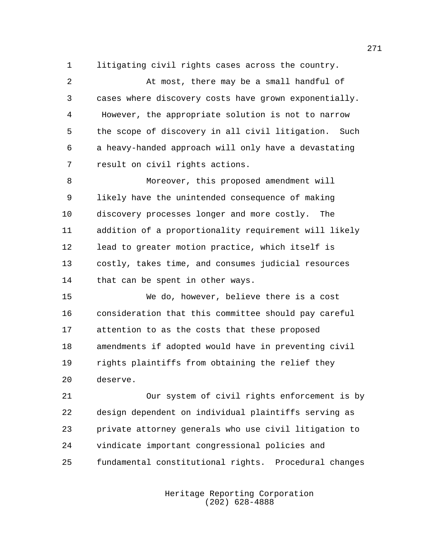litigating civil rights cases across the country.

 At most, there may be a small handful of cases where discovery costs have grown exponentially. However, the appropriate solution is not to narrow the scope of discovery in all civil litigation. Such a heavy-handed approach will only have a devastating result on civil rights actions.

 Moreover, this proposed amendment will likely have the unintended consequence of making discovery processes longer and more costly. The addition of a proportionality requirement will likely lead to greater motion practice, which itself is costly, takes time, and consumes judicial resources that can be spent in other ways.

 We do, however, believe there is a cost consideration that this committee should pay careful attention to as the costs that these proposed amendments if adopted would have in preventing civil rights plaintiffs from obtaining the relief they deserve.

 Our system of civil rights enforcement is by design dependent on individual plaintiffs serving as private attorney generals who use civil litigation to vindicate important congressional policies and fundamental constitutional rights. Procedural changes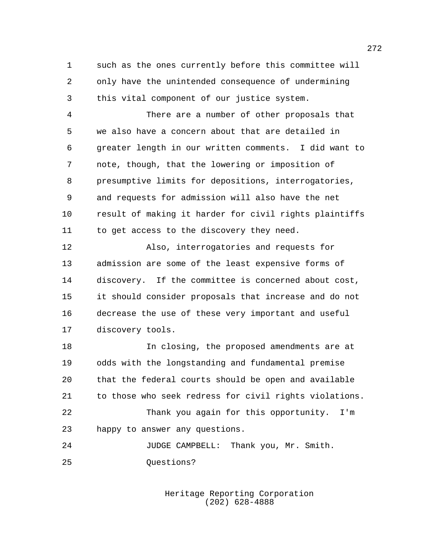such as the ones currently before this committee will only have the unintended consequence of undermining this vital component of our justice system.

 There are a number of other proposals that we also have a concern about that are detailed in greater length in our written comments. I did want to note, though, that the lowering or imposition of presumptive limits for depositions, interrogatories, and requests for admission will also have the net result of making it harder for civil rights plaintiffs 11 to get access to the discovery they need.

 Also, interrogatories and requests for admission are some of the least expensive forms of discovery. If the committee is concerned about cost, it should consider proposals that increase and do not decrease the use of these very important and useful discovery tools.

 In closing, the proposed amendments are at odds with the longstanding and fundamental premise that the federal courts should be open and available to those who seek redress for civil rights violations. Thank you again for this opportunity. I'm happy to answer any questions.

 JUDGE CAMPBELL: Thank you, Mr. Smith. 25 Ouestions?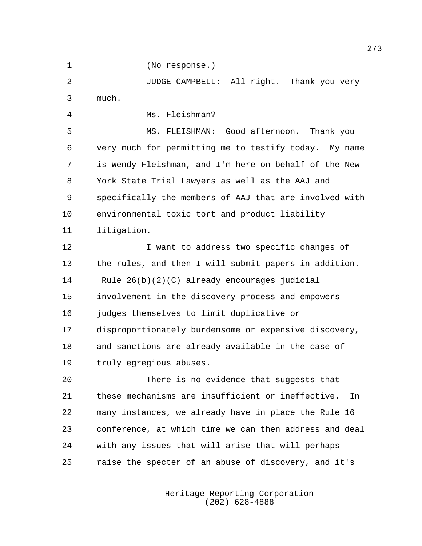(No response.)

 JUDGE CAMPBELL: All right. Thank you very much.

Ms. Fleishman?

 MS. FLEISHMAN: Good afternoon. Thank you very much for permitting me to testify today. My name is Wendy Fleishman, and I'm here on behalf of the New York State Trial Lawyers as well as the AAJ and specifically the members of AAJ that are involved with environmental toxic tort and product liability litigation.

 I want to address two specific changes of the rules, and then I will submit papers in addition. Rule 26(b)(2)(C) already encourages judicial involvement in the discovery process and empowers judges themselves to limit duplicative or disproportionately burdensome or expensive discovery, and sanctions are already available in the case of truly egregious abuses.

 There is no evidence that suggests that these mechanisms are insufficient or ineffective. In many instances, we already have in place the Rule 16 conference, at which time we can then address and deal with any issues that will arise that will perhaps raise the specter of an abuse of discovery, and it's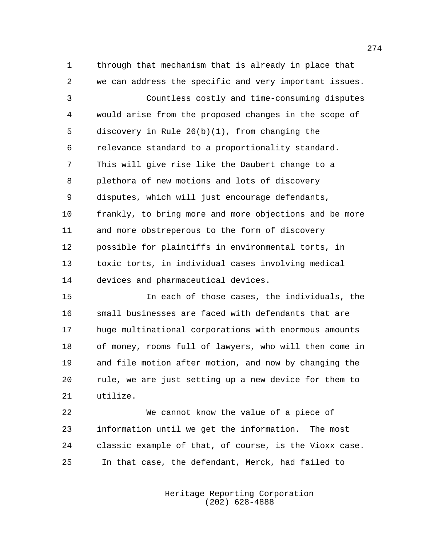through that mechanism that is already in place that we can address the specific and very important issues.

 Countless costly and time-consuming disputes would arise from the proposed changes in the scope of discovery in Rule 26(b)(1), from changing the relevance standard to a proportionality standard. This will give rise like the Daubert change to a plethora of new motions and lots of discovery disputes, which will just encourage defendants, frankly, to bring more and more objections and be more and more obstreperous to the form of discovery possible for plaintiffs in environmental torts, in toxic torts, in individual cases involving medical devices and pharmaceutical devices.

 In each of those cases, the individuals, the small businesses are faced with defendants that are huge multinational corporations with enormous amounts of money, rooms full of lawyers, who will then come in and file motion after motion, and now by changing the rule, we are just setting up a new device for them to utilize.

 We cannot know the value of a piece of information until we get the information. The most classic example of that, of course, is the Vioxx case. In that case, the defendant, Merck, had failed to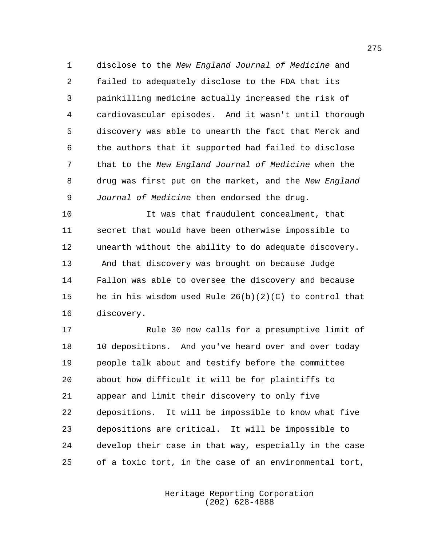disclose to the *New England Journal of Medicine* and failed to adequately disclose to the FDA that its painkilling medicine actually increased the risk of cardiovascular episodes. And it wasn't until thorough discovery was able to unearth the fact that Merck and the authors that it supported had failed to disclose that to the *New England Journal of Medicine* when the drug was first put on the market, and the *New England Journal of Medicine* then endorsed the drug.

 It was that fraudulent concealment, that secret that would have been otherwise impossible to unearth without the ability to do adequate discovery. And that discovery was brought on because Judge Fallon was able to oversee the discovery and because he in his wisdom used Rule 26(b)(2)(C) to control that discovery.

 Rule 30 now calls for a presumptive limit of 10 depositions. And you've heard over and over today people talk about and testify before the committee about how difficult it will be for plaintiffs to appear and limit their discovery to only five depositions. It will be impossible to know what five depositions are critical. It will be impossible to develop their case in that way, especially in the case of a toxic tort, in the case of an environmental tort,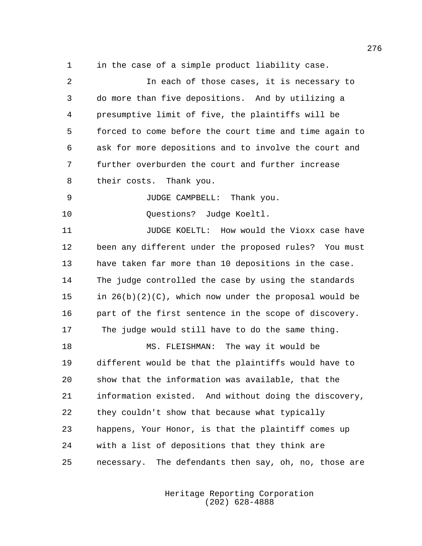in the case of a simple product liability case.

| 2  | In each of those cases, it is necessary to               |
|----|----------------------------------------------------------|
| 3  | do more than five depositions. And by utilizing a        |
| 4  | presumptive limit of five, the plaintiffs will be        |
| 5  | forced to come before the court time and time again to   |
| 6  | ask for more depositions and to involve the court and    |
| 7  | further overburden the court and further increase        |
| 8  | their costs. Thank you.                                  |
| 9  | JUDGE CAMPBELL: Thank you.                               |
| 10 | Questions? Judge Koeltl.                                 |
| 11 | JUDGE KOELTL: How would the Vioxx case have              |
| 12 | been any different under the proposed rules? You must    |
| 13 | have taken far more than 10 depositions in the case.     |
| 14 | The judge controlled the case by using the standards     |
| 15 | in $26(b)(2)(C)$ , which now under the proposal would be |
| 16 | part of the first sentence in the scope of discovery.    |
| 17 | The judge would still have to do the same thing.         |
| 18 | MS. FLEISHMAN: The way it would be                       |
| 19 | different would be that the plaintiffs would have to     |
| 20 | show that the information was available, that the        |
| 21 | information existed. And without doing the discovery,    |
| 22 | they couldn't show that because what typically           |
| 23 | happens, Your Honor, is that the plaintiff comes up      |
| 24 | with a list of depositions that they think are           |
| 25 | necessary. The defendants then say, oh, no, those are    |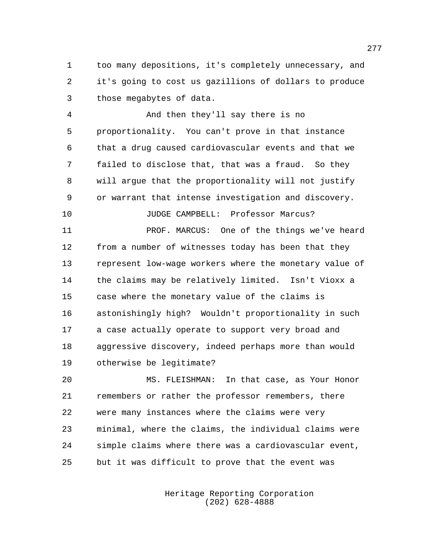too many depositions, it's completely unnecessary, and it's going to cost us gazillions of dollars to produce those megabytes of data.

 And then they'll say there is no proportionality. You can't prove in that instance that a drug caused cardiovascular events and that we failed to disclose that, that was a fraud. So they will argue that the proportionality will not justify or warrant that intense investigation and discovery.

JUDGE CAMPBELL: Professor Marcus?

 PROF. MARCUS: One of the things we've heard from a number of witnesses today has been that they represent low-wage workers where the monetary value of the claims may be relatively limited. Isn't Vioxx a case where the monetary value of the claims is astonishingly high? Wouldn't proportionality in such a case actually operate to support very broad and aggressive discovery, indeed perhaps more than would otherwise be legitimate?

 MS. FLEISHMAN: In that case, as Your Honor remembers or rather the professor remembers, there were many instances where the claims were very minimal, where the claims, the individual claims were simple claims where there was a cardiovascular event, but it was difficult to prove that the event was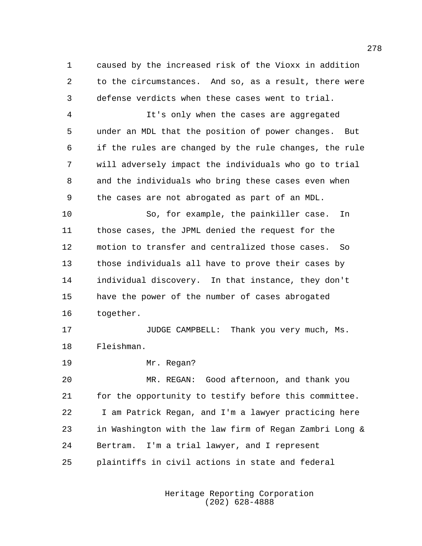caused by the increased risk of the Vioxx in addition to the circumstances. And so, as a result, there were defense verdicts when these cases went to trial.

 It's only when the cases are aggregated under an MDL that the position of power changes. But if the rules are changed by the rule changes, the rule will adversely impact the individuals who go to trial and the individuals who bring these cases even when the cases are not abrogated as part of an MDL.

 So, for example, the painkiller case. In those cases, the JPML denied the request for the motion to transfer and centralized those cases. So those individuals all have to prove their cases by individual discovery. In that instance, they don't have the power of the number of cases abrogated together.

17 JUDGE CAMPBELL: Thank you very much, Ms. Fleishman.

Mr. Regan?

 MR. REGAN: Good afternoon, and thank you for the opportunity to testify before this committee. I am Patrick Regan, and I'm a lawyer practicing here in Washington with the law firm of Regan Zambri Long & Bertram. I'm a trial lawyer, and I represent plaintiffs in civil actions in state and federal

> Heritage Reporting Corporation (202) 628-4888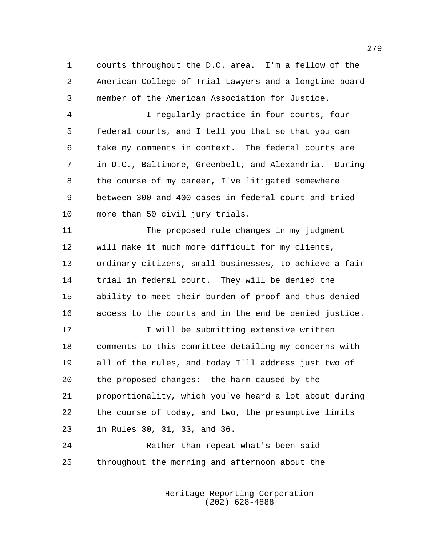courts throughout the D.C. area. I'm a fellow of the American College of Trial Lawyers and a longtime board member of the American Association for Justice.

 I regularly practice in four courts, four federal courts, and I tell you that so that you can take my comments in context. The federal courts are in D.C., Baltimore, Greenbelt, and Alexandria. During the course of my career, I've litigated somewhere between 300 and 400 cases in federal court and tried more than 50 civil jury trials.

 The proposed rule changes in my judgment will make it much more difficult for my clients, ordinary citizens, small businesses, to achieve a fair trial in federal court. They will be denied the ability to meet their burden of proof and thus denied access to the courts and in the end be denied justice.

17 17 I will be submitting extensive written comments to this committee detailing my concerns with all of the rules, and today I'll address just two of the proposed changes: the harm caused by the proportionality, which you've heard a lot about during the course of today, and two, the presumptive limits in Rules 30, 31, 33, and 36.

 Rather than repeat what's been said throughout the morning and afternoon about the

> Heritage Reporting Corporation (202) 628-4888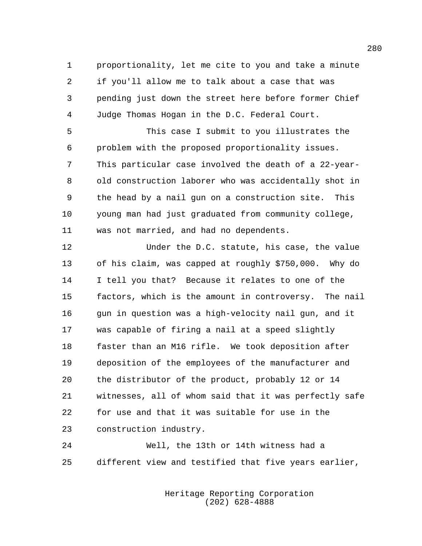proportionality, let me cite to you and take a minute if you'll allow me to talk about a case that was pending just down the street here before former Chief Judge Thomas Hogan in the D.C. Federal Court.

 This case I submit to you illustrates the problem with the proposed proportionality issues. This particular case involved the death of a 22-year- old construction laborer who was accidentally shot in the head by a nail gun on a construction site. This young man had just graduated from community college, was not married, and had no dependents.

 Under the D.C. statute, his case, the value of his claim, was capped at roughly \$750,000. Why do I tell you that? Because it relates to one of the factors, which is the amount in controversy. The nail gun in question was a high-velocity nail gun, and it was capable of firing a nail at a speed slightly faster than an M16 rifle. We took deposition after deposition of the employees of the manufacturer and the distributor of the product, probably 12 or 14 witnesses, all of whom said that it was perfectly safe for use and that it was suitable for use in the construction industry.

 Well, the 13th or 14th witness had a different view and testified that five years earlier,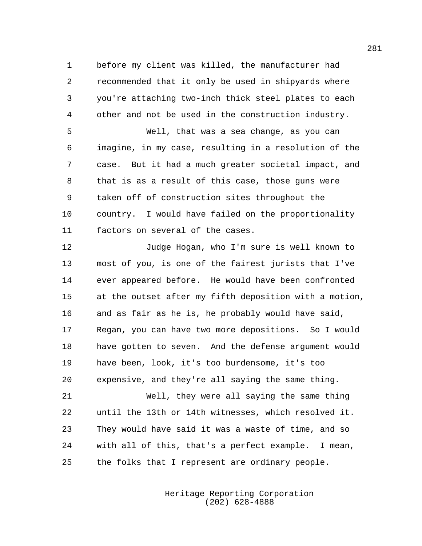before my client was killed, the manufacturer had recommended that it only be used in shipyards where you're attaching two-inch thick steel plates to each other and not be used in the construction industry.

 Well, that was a sea change, as you can imagine, in my case, resulting in a resolution of the case. But it had a much greater societal impact, and that is as a result of this case, those guns were taken off of construction sites throughout the country. I would have failed on the proportionality factors on several of the cases.

 Judge Hogan, who I'm sure is well known to most of you, is one of the fairest jurists that I've ever appeared before. He would have been confronted at the outset after my fifth deposition with a motion, and as fair as he is, he probably would have said, Regan, you can have two more depositions. So I would have gotten to seven. And the defense argument would have been, look, it's too burdensome, it's too expensive, and they're all saying the same thing.

 Well, they were all saying the same thing until the 13th or 14th witnesses, which resolved it. They would have said it was a waste of time, and so with all of this, that's a perfect example. I mean, the folks that I represent are ordinary people.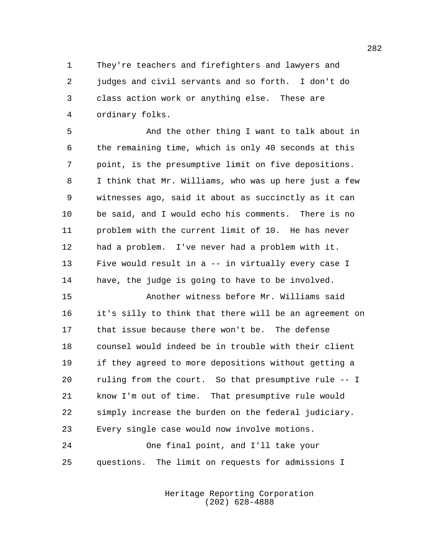They're teachers and firefighters and lawyers and judges and civil servants and so forth. I don't do class action work or anything else. These are ordinary folks.

 And the other thing I want to talk about in the remaining time, which is only 40 seconds at this point, is the presumptive limit on five depositions. I think that Mr. Williams, who was up here just a few witnesses ago, said it about as succinctly as it can be said, and I would echo his comments. There is no problem with the current limit of 10. He has never had a problem. I've never had a problem with it. Five would result in a -- in virtually every case I have, the judge is going to have to be involved.

 Another witness before Mr. Williams said it's silly to think that there will be an agreement on that issue because there won't be. The defense counsel would indeed be in trouble with their client if they agreed to more depositions without getting a ruling from the court. So that presumptive rule -- I know I'm out of time. That presumptive rule would simply increase the burden on the federal judiciary. Every single case would now involve motions.

 One final point, and I'll take your questions. The limit on requests for admissions I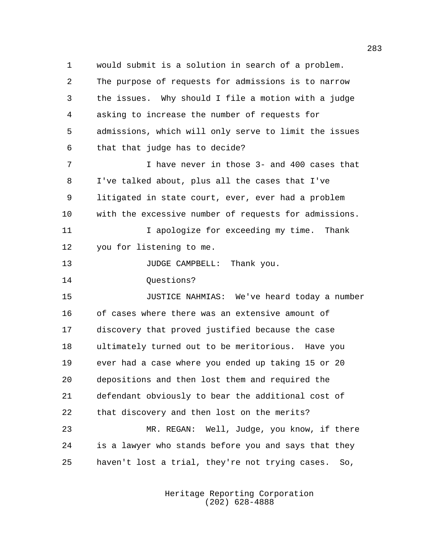would submit is a solution in search of a problem. The purpose of requests for admissions is to narrow the issues. Why should I file a motion with a judge asking to increase the number of requests for admissions, which will only serve to limit the issues that that judge has to decide? I have never in those 3- and 400 cases that I've talked about, plus all the cases that I've litigated in state court, ever, ever had a problem with the excessive number of requests for admissions. 11 11 I apologize for exceeding my time. Thank you for listening to me. 13 JUDGE CAMPBELL: Thank you. 14 Ouestions? JUSTICE NAHMIAS: We've heard today a number of cases where there was an extensive amount of discovery that proved justified because the case ultimately turned out to be meritorious. Have you ever had a case where you ended up taking 15 or 20 depositions and then lost them and required the defendant obviously to bear the additional cost of that discovery and then lost on the merits? MR. REGAN: Well, Judge, you know, if there is a lawyer who stands before you and says that they

haven't lost a trial, they're not trying cases. So,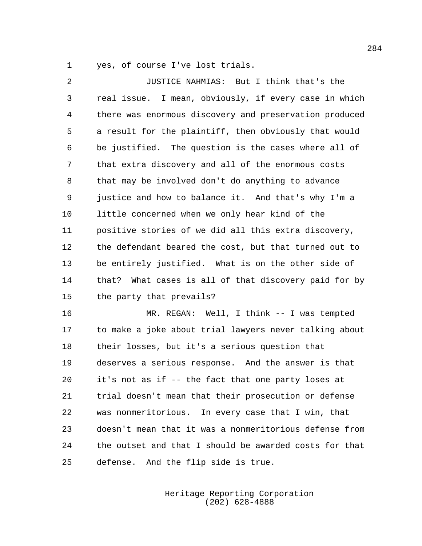yes, of course I've lost trials.

 JUSTICE NAHMIAS: But I think that's the real issue. I mean, obviously, if every case in which there was enormous discovery and preservation produced a result for the plaintiff, then obviously that would be justified. The question is the cases where all of that extra discovery and all of the enormous costs that may be involved don't do anything to advance justice and how to balance it. And that's why I'm a little concerned when we only hear kind of the positive stories of we did all this extra discovery, the defendant beared the cost, but that turned out to be entirely justified. What is on the other side of that? What cases is all of that discovery paid for by the party that prevails?

 MR. REGAN: Well, I think -- I was tempted to make a joke about trial lawyers never talking about their losses, but it's a serious question that deserves a serious response. And the answer is that it's not as if -- the fact that one party loses at trial doesn't mean that their prosecution or defense was nonmeritorious. In every case that I win, that doesn't mean that it was a nonmeritorious defense from the outset and that I should be awarded costs for that defense. And the flip side is true.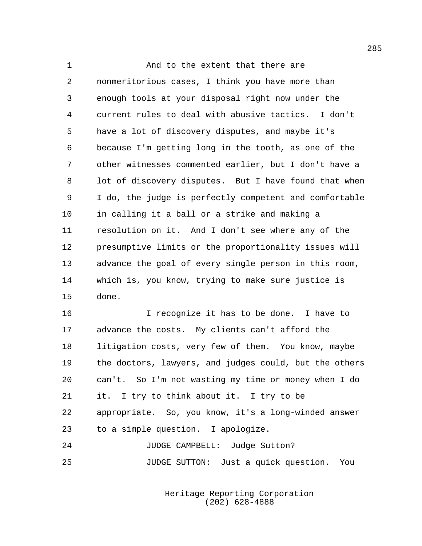1 And to the extent that there are nonmeritorious cases, I think you have more than enough tools at your disposal right now under the current rules to deal with abusive tactics. I don't have a lot of discovery disputes, and maybe it's because I'm getting long in the tooth, as one of the other witnesses commented earlier, but I don't have a lot of discovery disputes. But I have found that when I do, the judge is perfectly competent and comfortable in calling it a ball or a strike and making a resolution on it. And I don't see where any of the presumptive limits or the proportionality issues will advance the goal of every single person in this room, which is, you know, trying to make sure justice is done.

 I recognize it has to be done. I have to advance the costs. My clients can't afford the litigation costs, very few of them. You know, maybe the doctors, lawyers, and judges could, but the others can't. So I'm not wasting my time or money when I do it. I try to think about it. I try to be appropriate. So, you know, it's a long-winded answer to a simple question. I apologize. JUDGE CAMPBELL: Judge Sutton?

JUDGE SUTTON: Just a quick question. You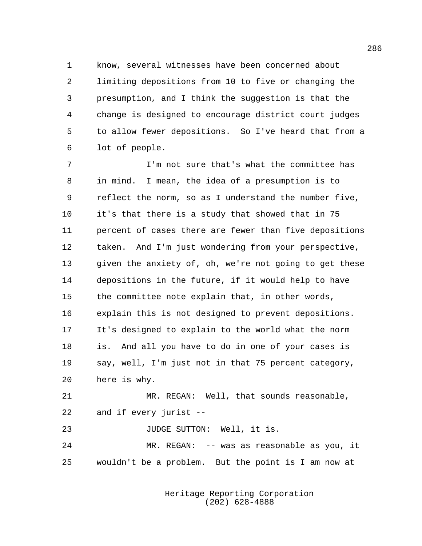know, several witnesses have been concerned about limiting depositions from 10 to five or changing the presumption, and I think the suggestion is that the change is designed to encourage district court judges to allow fewer depositions. So I've heard that from a lot of people.

 I'm not sure that's what the committee has in mind. I mean, the idea of a presumption is to reflect the norm, so as I understand the number five, it's that there is a study that showed that in 75 percent of cases there are fewer than five depositions taken. And I'm just wondering from your perspective, given the anxiety of, oh, we're not going to get these depositions in the future, if it would help to have the committee note explain that, in other words, explain this is not designed to prevent depositions. It's designed to explain to the world what the norm is. And all you have to do in one of your cases is say, well, I'm just not in that 75 percent category, here is why.

 MR. REGAN: Well, that sounds reasonable, and if every jurist --

23 JUDGE SUTTON: Well, it is. MR. REGAN: -- was as reasonable as you, it

wouldn't be a problem. But the point is I am now at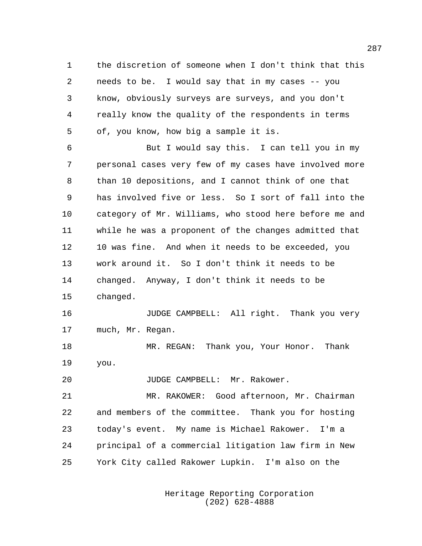the discretion of someone when I don't think that this needs to be. I would say that in my cases -- you know, obviously surveys are surveys, and you don't really know the quality of the respondents in terms of, you know, how big a sample it is.

 But I would say this. I can tell you in my personal cases very few of my cases have involved more than 10 depositions, and I cannot think of one that has involved five or less. So I sort of fall into the category of Mr. Williams, who stood here before me and while he was a proponent of the changes admitted that 10 was fine. And when it needs to be exceeded, you work around it. So I don't think it needs to be changed. Anyway, I don't think it needs to be changed.

 JUDGE CAMPBELL: All right. Thank you very much, Mr. Regan.

 MR. REGAN: Thank you, Your Honor. Thank you.

20 JUDGE CAMPBELL: Mr. Rakower.

 MR. RAKOWER: Good afternoon, Mr. Chairman and members of the committee. Thank you for hosting today's event. My name is Michael Rakower. I'm a principal of a commercial litigation law firm in New York City called Rakower Lupkin. I'm also on the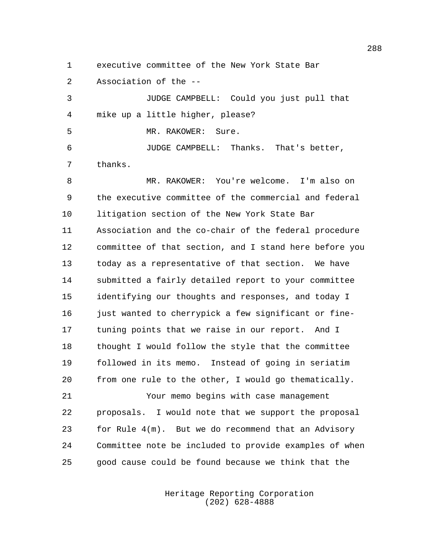executive committee of the New York State Bar

Association of the --

 JUDGE CAMPBELL: Could you just pull that mike up a little higher, please?

MR. RAKOWER: Sure.

 JUDGE CAMPBELL: Thanks. That's better, thanks.

 MR. RAKOWER: You're welcome. I'm also on the executive committee of the commercial and federal litigation section of the New York State Bar Association and the co-chair of the federal procedure committee of that section, and I stand here before you today as a representative of that section. We have submitted a fairly detailed report to your committee identifying our thoughts and responses, and today I 16 just wanted to cherrypick a few significant or fine- tuning points that we raise in our report. And I thought I would follow the style that the committee followed in its memo. Instead of going in seriatim from one rule to the other, I would go thematically.

 Your memo begins with case management proposals. I would note that we support the proposal for Rule 4(m). But we do recommend that an Advisory Committee note be included to provide examples of when good cause could be found because we think that the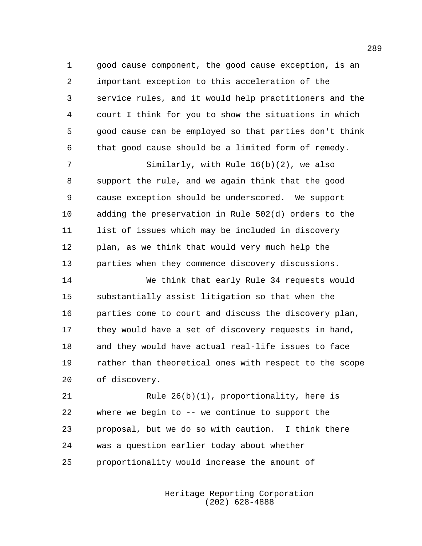1 good cause component, the good cause exception, is an important exception to this acceleration of the service rules, and it would help practitioners and the court I think for you to show the situations in which good cause can be employed so that parties don't think that good cause should be a limited form of remedy.

 Similarly, with Rule 16(b)(2), we also support the rule, and we again think that the good cause exception should be underscored. We support adding the preservation in Rule 502(d) orders to the list of issues which may be included in discovery plan, as we think that would very much help the parties when they commence discovery discussions.

 We think that early Rule 34 requests would substantially assist litigation so that when the parties come to court and discuss the discovery plan, they would have a set of discovery requests in hand, and they would have actual real-life issues to face rather than theoretical ones with respect to the scope of discovery.

 Rule 26(b)(1), proportionality, here is where we begin to -- we continue to support the proposal, but we do so with caution. I think there was a question earlier today about whether proportionality would increase the amount of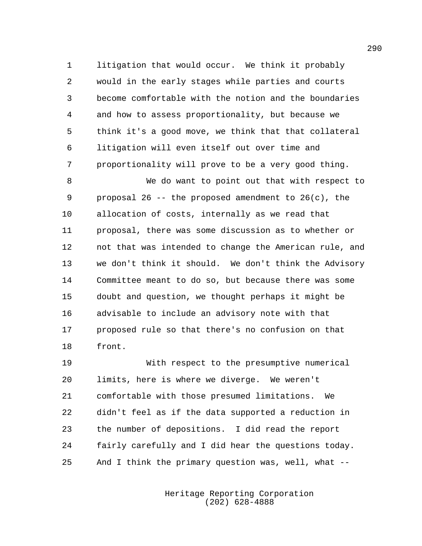litigation that would occur. We think it probably would in the early stages while parties and courts become comfortable with the notion and the boundaries and how to assess proportionality, but because we think it's a good move, we think that that collateral litigation will even itself out over time and proportionality will prove to be a very good thing.

 We do want to point out that with respect to proposal 26 -- the proposed amendment to 26(c), the allocation of costs, internally as we read that proposal, there was some discussion as to whether or not that was intended to change the American rule, and we don't think it should. We don't think the Advisory Committee meant to do so, but because there was some doubt and question, we thought perhaps it might be advisable to include an advisory note with that proposed rule so that there's no confusion on that front.

 With respect to the presumptive numerical limits, here is where we diverge. We weren't comfortable with those presumed limitations. We didn't feel as if the data supported a reduction in the number of depositions. I did read the report fairly carefully and I did hear the questions today. And I think the primary question was, well, what --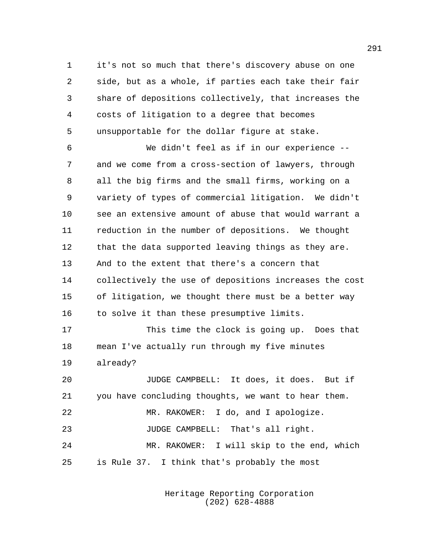it's not so much that there's discovery abuse on one side, but as a whole, if parties each take their fair share of depositions collectively, that increases the costs of litigation to a degree that becomes unsupportable for the dollar figure at stake.

 We didn't feel as if in our experience -- and we come from a cross-section of lawyers, through all the big firms and the small firms, working on a variety of types of commercial litigation. We didn't see an extensive amount of abuse that would warrant a reduction in the number of depositions. We thought that the data supported leaving things as they are. And to the extent that there's a concern that collectively the use of depositions increases the cost of litigation, we thought there must be a better way to solve it than these presumptive limits.

 This time the clock is going up. Does that mean I've actually run through my five minutes already?

 JUDGE CAMPBELL: It does, it does. But if you have concluding thoughts, we want to hear them. MR. RAKOWER: I do, and I apologize. JUDGE CAMPBELL: That's all right. MR. RAKOWER: I will skip to the end, which is Rule 37. I think that's probably the most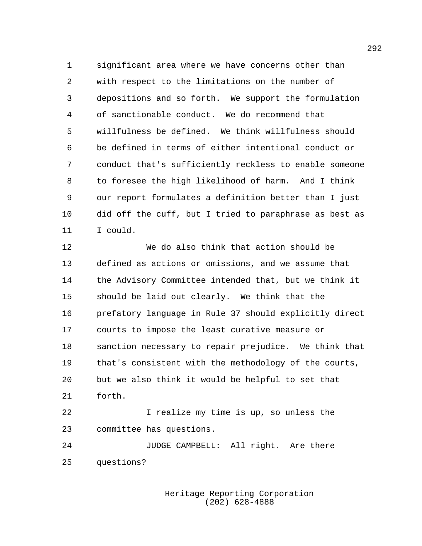significant area where we have concerns other than with respect to the limitations on the number of depositions and so forth. We support the formulation of sanctionable conduct. We do recommend that willfulness be defined. We think willfulness should be defined in terms of either intentional conduct or conduct that's sufficiently reckless to enable someone to foresee the high likelihood of harm. And I think our report formulates a definition better than I just did off the cuff, but I tried to paraphrase as best as I could.

 We do also think that action should be defined as actions or omissions, and we assume that the Advisory Committee intended that, but we think it should be laid out clearly. We think that the prefatory language in Rule 37 should explicitly direct courts to impose the least curative measure or sanction necessary to repair prejudice. We think that that's consistent with the methodology of the courts, but we also think it would be helpful to set that forth.

 I realize my time is up, so unless the committee has questions.

 JUDGE CAMPBELL: All right. Are there questions?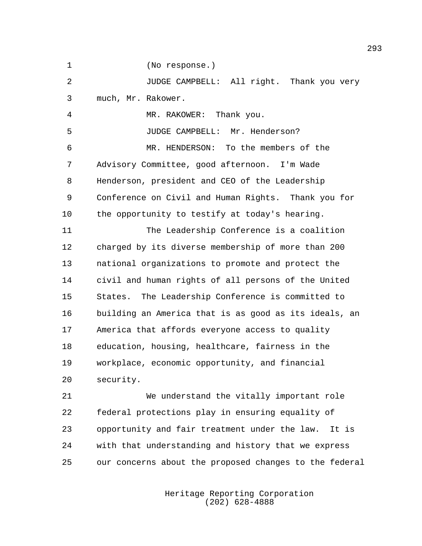(No response.)

 JUDGE CAMPBELL: All right. Thank you very much, Mr. Rakower.

MR. RAKOWER: Thank you.

JUDGE CAMPBELL: Mr. Henderson?

 MR. HENDERSON: To the members of the Advisory Committee, good afternoon. I'm Wade Henderson, president and CEO of the Leadership Conference on Civil and Human Rights. Thank you for the opportunity to testify at today's hearing.

 The Leadership Conference is a coalition charged by its diverse membership of more than 200 national organizations to promote and protect the civil and human rights of all persons of the United States. The Leadership Conference is committed to building an America that is as good as its ideals, an America that affords everyone access to quality education, housing, healthcare, fairness in the workplace, economic opportunity, and financial security.

 We understand the vitally important role federal protections play in ensuring equality of opportunity and fair treatment under the law. It is with that understanding and history that we express our concerns about the proposed changes to the federal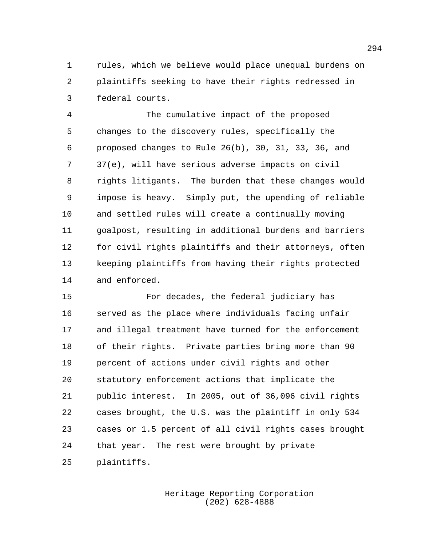rules, which we believe would place unequal burdens on plaintiffs seeking to have their rights redressed in federal courts.

 The cumulative impact of the proposed changes to the discovery rules, specifically the proposed changes to Rule 26(b), 30, 31, 33, 36, and 37(e), will have serious adverse impacts on civil rights litigants. The burden that these changes would impose is heavy. Simply put, the upending of reliable and settled rules will create a continually moving goalpost, resulting in additional burdens and barriers for civil rights plaintiffs and their attorneys, often keeping plaintiffs from having their rights protected and enforced.

 For decades, the federal judiciary has served as the place where individuals facing unfair and illegal treatment have turned for the enforcement of their rights. Private parties bring more than 90 percent of actions under civil rights and other statutory enforcement actions that implicate the public interest. In 2005, out of 36,096 civil rights cases brought, the U.S. was the plaintiff in only 534 cases or 1.5 percent of all civil rights cases brought that year. The rest were brought by private plaintiffs.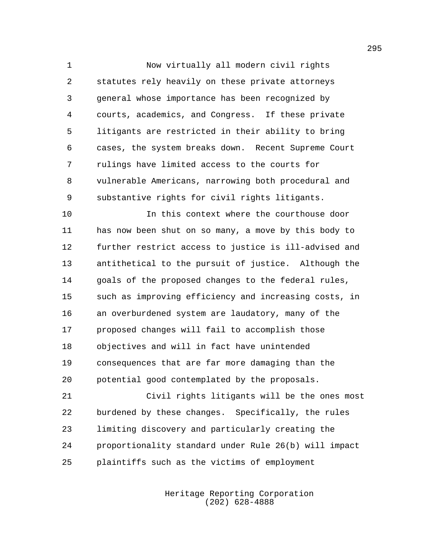Now virtually all modern civil rights statutes rely heavily on these private attorneys general whose importance has been recognized by courts, academics, and Congress. If these private litigants are restricted in their ability to bring cases, the system breaks down. Recent Supreme Court rulings have limited access to the courts for vulnerable Americans, narrowing both procedural and substantive rights for civil rights litigants.

 In this context where the courthouse door has now been shut on so many, a move by this body to further restrict access to justice is ill-advised and antithetical to the pursuit of justice. Although the goals of the proposed changes to the federal rules, such as improving efficiency and increasing costs, in an overburdened system are laudatory, many of the proposed changes will fail to accomplish those objectives and will in fact have unintended consequences that are far more damaging than the potential good contemplated by the proposals.

 Civil rights litigants will be the ones most burdened by these changes. Specifically, the rules limiting discovery and particularly creating the proportionality standard under Rule 26(b) will impact plaintiffs such as the victims of employment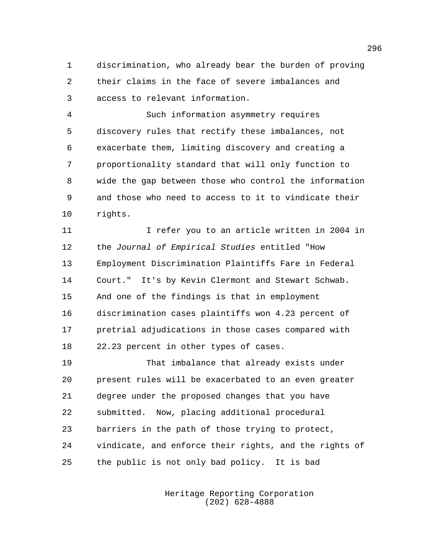discrimination, who already bear the burden of proving their claims in the face of severe imbalances and access to relevant information.

 Such information asymmetry requires discovery rules that rectify these imbalances, not exacerbate them, limiting discovery and creating a proportionality standard that will only function to wide the gap between those who control the information and those who need to access to it to vindicate their rights.

 I refer you to an article written in 2004 in the *Journal of Empirical Studies* entitled "How Employment Discrimination Plaintiffs Fare in Federal Court." It's by Kevin Clermont and Stewart Schwab. And one of the findings is that in employment discrimination cases plaintiffs won 4.23 percent of pretrial adjudications in those cases compared with 22.23 percent in other types of cases.

 That imbalance that already exists under present rules will be exacerbated to an even greater degree under the proposed changes that you have submitted. Now, placing additional procedural barriers in the path of those trying to protect, vindicate, and enforce their rights, and the rights of the public is not only bad policy. It is bad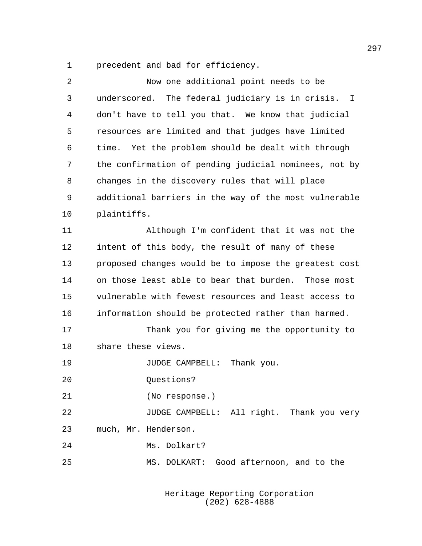precedent and bad for efficiency.

| 2  | Now one additional point needs to be                  |
|----|-------------------------------------------------------|
| 3  | underscored. The federal judiciary is in crisis. I    |
| 4  | don't have to tell you that. We know that judicial    |
| 5  | resources are limited and that judges have limited    |
| 6  | Yet the problem should be dealt with through<br>time. |
| 7  | the confirmation of pending judicial nominees, not by |
| 8  | changes in the discovery rules that will place        |
| 9  | additional barriers in the way of the most vulnerable |
| 10 | plaintiffs.                                           |
| 11 | Although I'm confident that it was not the            |
| 12 | intent of this body, the result of many of these      |
| 13 | proposed changes would be to impose the greatest cost |
| 14 | on those least able to bear that burden. Those most   |
| 15 | vulnerable with fewest resources and least access to  |
| 16 | information should be protected rather than harmed.   |
| 17 | Thank you for giving me the opportunity to            |
| 18 | share these views.                                    |
| 19 | Thank you.<br>JUDGE CAMPBELL:                         |
| 20 | Questions?                                            |
| 21 | (No response.)                                        |
| 22 | JUDGE CAMPBELL: All right. Thank you very             |
| 23 | much, Mr. Henderson.                                  |
| 24 | Ms. Dolkart?                                          |
| 25 | MS. DOLKART: Good afternoon, and to the               |
|    |                                                       |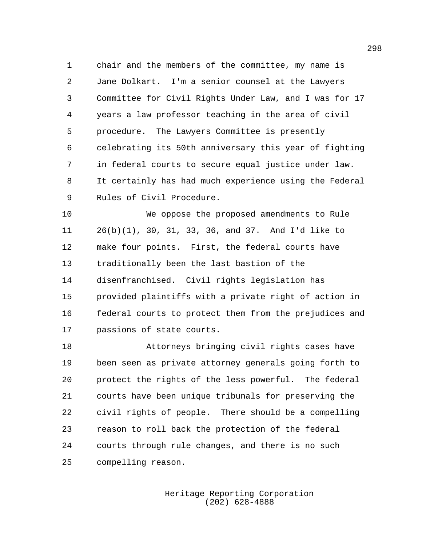chair and the members of the committee, my name is Jane Dolkart. I'm a senior counsel at the Lawyers Committee for Civil Rights Under Law, and I was for 17 years a law professor teaching in the area of civil procedure. The Lawyers Committee is presently celebrating its 50th anniversary this year of fighting in federal courts to secure equal justice under law. It certainly has had much experience using the Federal Rules of Civil Procedure.

 We oppose the proposed amendments to Rule 26(b)(1), 30, 31, 33, 36, and 37. And I'd like to make four points. First, the federal courts have traditionally been the last bastion of the disenfranchised. Civil rights legislation has provided plaintiffs with a private right of action in federal courts to protect them from the prejudices and passions of state courts.

 Attorneys bringing civil rights cases have been seen as private attorney generals going forth to protect the rights of the less powerful. The federal courts have been unique tribunals for preserving the civil rights of people. There should be a compelling reason to roll back the protection of the federal courts through rule changes, and there is no such compelling reason.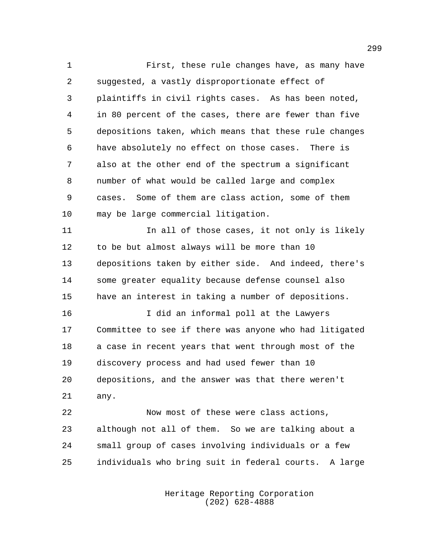First, these rule changes have, as many have suggested, a vastly disproportionate effect of plaintiffs in civil rights cases. As has been noted, in 80 percent of the cases, there are fewer than five depositions taken, which means that these rule changes have absolutely no effect on those cases. There is also at the other end of the spectrum a significant number of what would be called large and complex cases. Some of them are class action, some of them may be large commercial litigation. 11 11 In all of those cases, it not only is likely to be but almost always will be more than 10 depositions taken by either side. And indeed, there's some greater equality because defense counsel also have an interest in taking a number of depositions. I did an informal poll at the Lawyers Committee to see if there was anyone who had litigated a case in recent years that went through most of the discovery process and had used fewer than 10 depositions, and the answer was that there weren't any. Now most of these were class actions, although not all of them. So we are talking about a small group of cases involving individuals or a few individuals who bring suit in federal courts. A large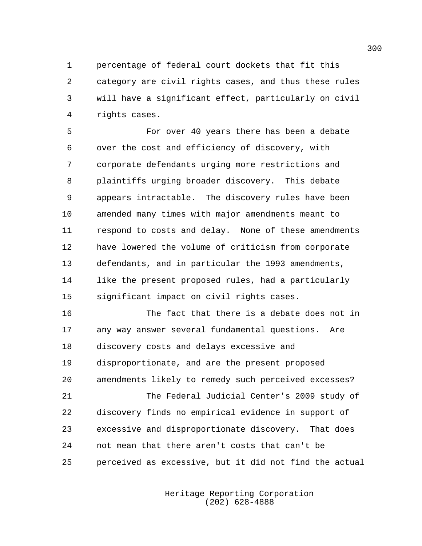percentage of federal court dockets that fit this category are civil rights cases, and thus these rules will have a significant effect, particularly on civil rights cases.

 For over 40 years there has been a debate over the cost and efficiency of discovery, with corporate defendants urging more restrictions and plaintiffs urging broader discovery. This debate appears intractable. The discovery rules have been amended many times with major amendments meant to respond to costs and delay. None of these amendments have lowered the volume of criticism from corporate defendants, and in particular the 1993 amendments, like the present proposed rules, had a particularly significant impact on civil rights cases.

 The fact that there is a debate does not in any way answer several fundamental questions. Are discovery costs and delays excessive and disproportionate, and are the present proposed amendments likely to remedy such perceived excesses? The Federal Judicial Center's 2009 study of discovery finds no empirical evidence in support of excessive and disproportionate discovery. That does not mean that there aren't costs that can't be perceived as excessive, but it did not find the actual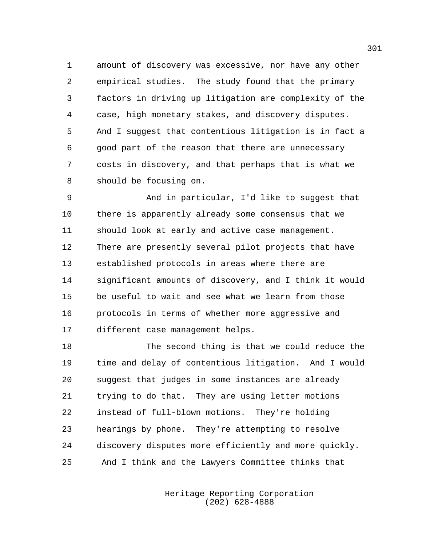amount of discovery was excessive, nor have any other empirical studies. The study found that the primary factors in driving up litigation are complexity of the case, high monetary stakes, and discovery disputes. And I suggest that contentious litigation is in fact a good part of the reason that there are unnecessary costs in discovery, and that perhaps that is what we should be focusing on.

 And in particular, I'd like to suggest that there is apparently already some consensus that we should look at early and active case management. There are presently several pilot projects that have established protocols in areas where there are significant amounts of discovery, and I think it would be useful to wait and see what we learn from those protocols in terms of whether more aggressive and different case management helps.

 The second thing is that we could reduce the time and delay of contentious litigation. And I would suggest that judges in some instances are already trying to do that. They are using letter motions instead of full-blown motions. They're holding hearings by phone. They're attempting to resolve discovery disputes more efficiently and more quickly. And I think and the Lawyers Committee thinks that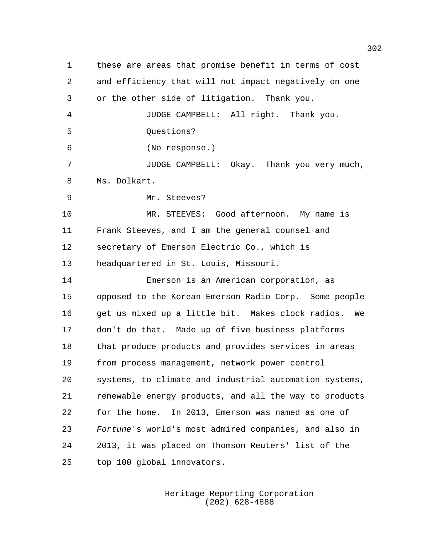these are areas that promise benefit in terms of cost and efficiency that will not impact negatively on one or the other side of litigation. Thank you. JUDGE CAMPBELL: All right. Thank you. Questions? (No response.) JUDGE CAMPBELL: Okay. Thank you very much, Ms. Dolkart. Mr. Steeves? MR. STEEVES: Good afternoon. My name is Frank Steeves, and I am the general counsel and secretary of Emerson Electric Co., which is headquartered in St. Louis, Missouri. Emerson is an American corporation, as opposed to the Korean Emerson Radio Corp. Some people get us mixed up a little bit. Makes clock radios. We don't do that. Made up of five business platforms that produce products and provides services in areas from process management, network power control systems, to climate and industrial automation systems, renewable energy products, and all the way to products for the home. In 2013, Emerson was named as one of *Fortune*'s world's most admired companies, and also in 2013, it was placed on Thomson Reuters' list of the top 100 global innovators.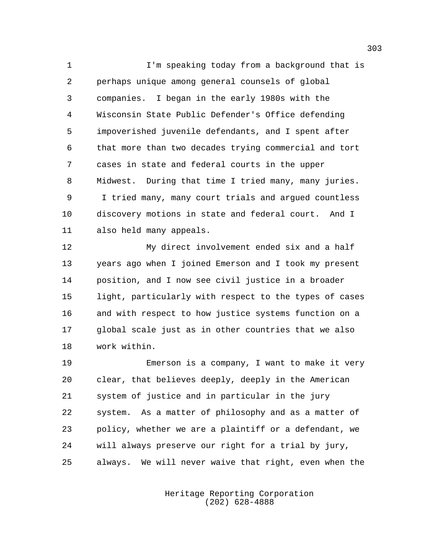I'm speaking today from a background that is perhaps unique among general counsels of global companies. I began in the early 1980s with the Wisconsin State Public Defender's Office defending impoverished juvenile defendants, and I spent after that more than two decades trying commercial and tort cases in state and federal courts in the upper Midwest. During that time I tried many, many juries. I tried many, many court trials and argued countless discovery motions in state and federal court. And I also held many appeals.

 My direct involvement ended six and a half years ago when I joined Emerson and I took my present position, and I now see civil justice in a broader light, particularly with respect to the types of cases and with respect to how justice systems function on a global scale just as in other countries that we also work within.

 Emerson is a company, I want to make it very clear, that believes deeply, deeply in the American system of justice and in particular in the jury system. As a matter of philosophy and as a matter of policy, whether we are a plaintiff or a defendant, we will always preserve our right for a trial by jury, always. We will never waive that right, even when the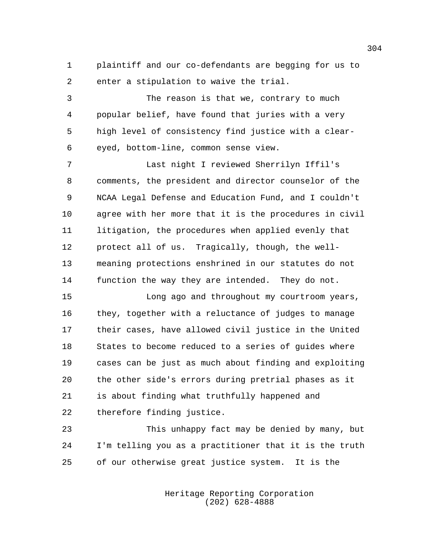plaintiff and our co-defendants are begging for us to enter a stipulation to waive the trial.

 The reason is that we, contrary to much popular belief, have found that juries with a very high level of consistency find justice with a clear-eyed, bottom-line, common sense view.

 Last night I reviewed Sherrilyn Iffil's comments, the president and director counselor of the NCAA Legal Defense and Education Fund, and I couldn't agree with her more that it is the procedures in civil litigation, the procedures when applied evenly that protect all of us. Tragically, though, the well- meaning protections enshrined in our statutes do not function the way they are intended. They do not.

 Long ago and throughout my courtroom years, they, together with a reluctance of judges to manage their cases, have allowed civil justice in the United States to become reduced to a series of guides where cases can be just as much about finding and exploiting the other side's errors during pretrial phases as it is about finding what truthfully happened and therefore finding justice.

 This unhappy fact may be denied by many, but I'm telling you as a practitioner that it is the truth of our otherwise great justice system. It is the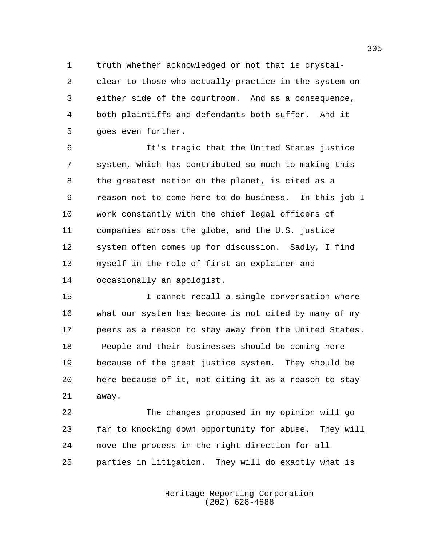truth whether acknowledged or not that is crystal- clear to those who actually practice in the system on either side of the courtroom. And as a consequence, both plaintiffs and defendants both suffer. And it goes even further.

 It's tragic that the United States justice system, which has contributed so much to making this the greatest nation on the planet, is cited as a reason not to come here to do business. In this job I work constantly with the chief legal officers of companies across the globe, and the U.S. justice system often comes up for discussion. Sadly, I find myself in the role of first an explainer and occasionally an apologist.

15 15 I cannot recall a single conversation where what our system has become is not cited by many of my peers as a reason to stay away from the United States. People and their businesses should be coming here because of the great justice system. They should be here because of it, not citing it as a reason to stay away.

 The changes proposed in my opinion will go far to knocking down opportunity for abuse. They will move the process in the right direction for all parties in litigation. They will do exactly what is

> Heritage Reporting Corporation (202) 628-4888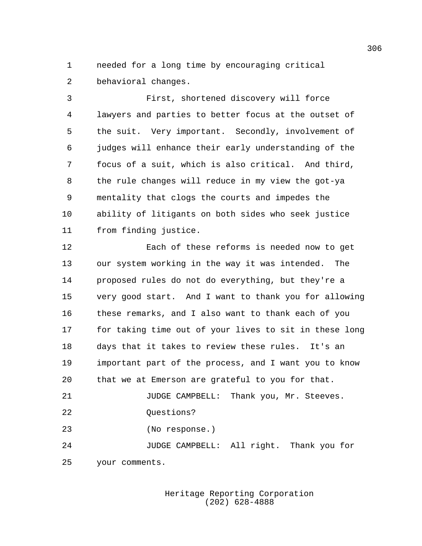needed for a long time by encouraging critical behavioral changes.

 First, shortened discovery will force lawyers and parties to better focus at the outset of the suit. Very important. Secondly, involvement of judges will enhance their early understanding of the focus of a suit, which is also critical. And third, the rule changes will reduce in my view the got-ya mentality that clogs the courts and impedes the ability of litigants on both sides who seek justice from finding justice.

 Each of these reforms is needed now to get our system working in the way it was intended. The proposed rules do not do everything, but they're a very good start. And I want to thank you for allowing these remarks, and I also want to thank each of you for taking time out of your lives to sit in these long days that it takes to review these rules. It's an important part of the process, and I want you to know that we at Emerson are grateful to you for that. JUDGE CAMPBELL: Thank you, Mr. Steeves. 22 Ouestions? (No response.) JUDGE CAMPBELL: All right. Thank you for your comments.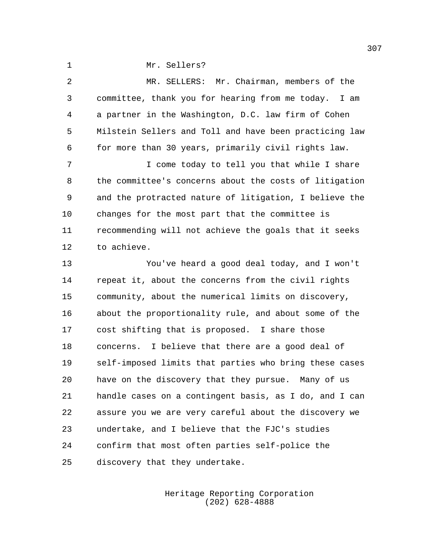Mr. Sellers?

 MR. SELLERS: Mr. Chairman, members of the committee, thank you for hearing from me today. I am a partner in the Washington, D.C. law firm of Cohen Milstein Sellers and Toll and have been practicing law for more than 30 years, primarily civil rights law. I come today to tell you that while I share the committee's concerns about the costs of litigation and the protracted nature of litigation, I believe the changes for the most part that the committee is recommending will not achieve the goals that it seeks to achieve.

 You've heard a good deal today, and I won't repeat it, about the concerns from the civil rights community, about the numerical limits on discovery, about the proportionality rule, and about some of the cost shifting that is proposed. I share those concerns. I believe that there are a good deal of self-imposed limits that parties who bring these cases have on the discovery that they pursue. Many of us handle cases on a contingent basis, as I do, and I can assure you we are very careful about the discovery we undertake, and I believe that the FJC's studies confirm that most often parties self-police the discovery that they undertake.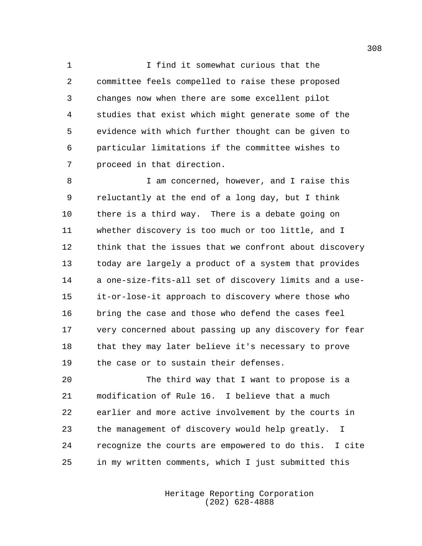I find it somewhat curious that the committee feels compelled to raise these proposed changes now when there are some excellent pilot studies that exist which might generate some of the evidence with which further thought can be given to particular limitations if the committee wishes to proceed in that direction.

8 I am concerned, however, and I raise this reluctantly at the end of a long day, but I think there is a third way. There is a debate going on whether discovery is too much or too little, and I think that the issues that we confront about discovery today are largely a product of a system that provides a one-size-fits-all set of discovery limits and a use- it-or-lose-it approach to discovery where those who bring the case and those who defend the cases feel very concerned about passing up any discovery for fear that they may later believe it's necessary to prove the case or to sustain their defenses.

 The third way that I want to propose is a modification of Rule 16. I believe that a much earlier and more active involvement by the courts in the management of discovery would help greatly. I recognize the courts are empowered to do this. I cite in my written comments, which I just submitted this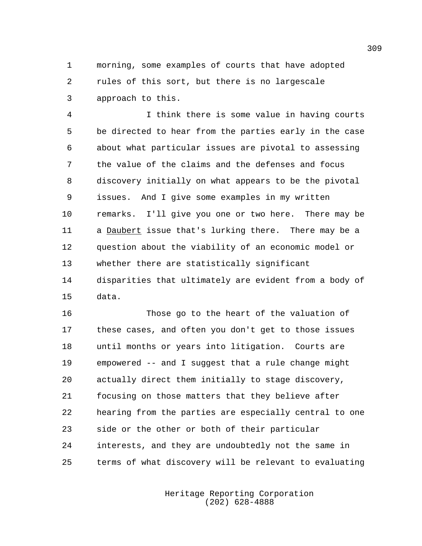morning, some examples of courts that have adopted rules of this sort, but there is no largescale approach to this.

 I think there is some value in having courts be directed to hear from the parties early in the case about what particular issues are pivotal to assessing the value of the claims and the defenses and focus discovery initially on what appears to be the pivotal issues. And I give some examples in my written remarks. I'll give you one or two here. There may be a Daubert issue that's lurking there. There may be a question about the viability of an economic model or whether there are statistically significant disparities that ultimately are evident from a body of data.

 Those go to the heart of the valuation of these cases, and often you don't get to those issues until months or years into litigation. Courts are empowered -- and I suggest that a rule change might actually direct them initially to stage discovery, focusing on those matters that they believe after hearing from the parties are especially central to one side or the other or both of their particular interests, and they are undoubtedly not the same in terms of what discovery will be relevant to evaluating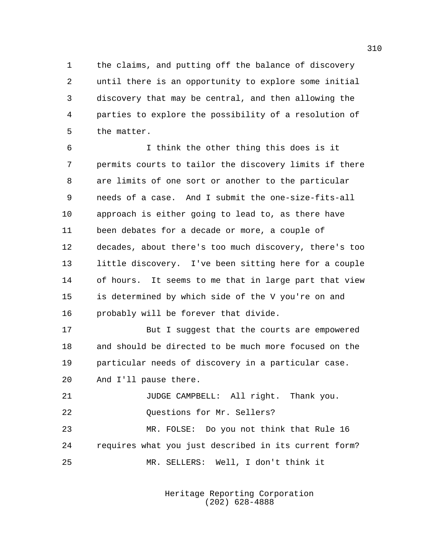the claims, and putting off the balance of discovery until there is an opportunity to explore some initial discovery that may be central, and then allowing the parties to explore the possibility of a resolution of the matter.

 I think the other thing this does is it permits courts to tailor the discovery limits if there are limits of one sort or another to the particular needs of a case. And I submit the one-size-fits-all approach is either going to lead to, as there have been debates for a decade or more, a couple of decades, about there's too much discovery, there's too little discovery. I've been sitting here for a couple of hours. It seems to me that in large part that view is determined by which side of the V you're on and probably will be forever that divide.

17 But I suggest that the courts are empowered and should be directed to be much more focused on the particular needs of discovery in a particular case. And I'll pause there.

 JUDGE CAMPBELL: All right. Thank you. 22 Ouestions for Mr. Sellers? MR. FOLSE: Do you not think that Rule 16 requires what you just described in its current form? MR. SELLERS: Well, I don't think it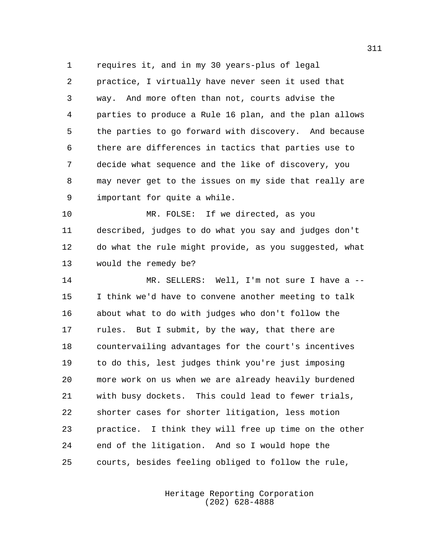requires it, and in my 30 years-plus of legal practice, I virtually have never seen it used that way. And more often than not, courts advise the parties to produce a Rule 16 plan, and the plan allows the parties to go forward with discovery. And because there are differences in tactics that parties use to decide what sequence and the like of discovery, you may never get to the issues on my side that really are important for quite a while.

 MR. FOLSE: If we directed, as you described, judges to do what you say and judges don't do what the rule might provide, as you suggested, what would the remedy be?

 MR. SELLERS: Well, I'm not sure I have a -- I think we'd have to convene another meeting to talk about what to do with judges who don't follow the rules. But I submit, by the way, that there are countervailing advantages for the court's incentives to do this, lest judges think you're just imposing more work on us when we are already heavily burdened with busy dockets. This could lead to fewer trials, shorter cases for shorter litigation, less motion practice. I think they will free up time on the other end of the litigation. And so I would hope the courts, besides feeling obliged to follow the rule,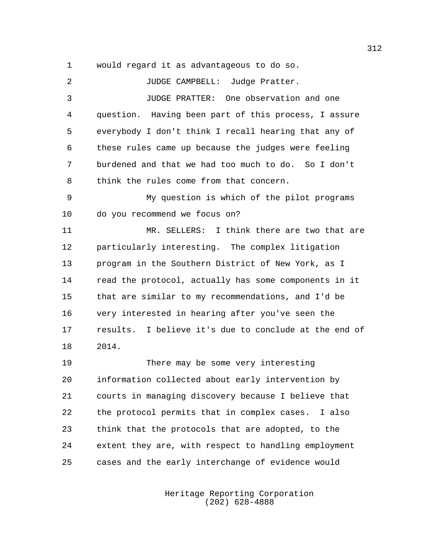would regard it as advantageous to do so.

| 2              | JUDGE CAMPBELL: Judge Pratter.                        |
|----------------|-------------------------------------------------------|
| 3              | JUDGE PRATTER: One observation and one                |
| $\overline{4}$ | question. Having been part of this process, I assure  |
| 5              | everybody I don't think I recall hearing that any of  |
| 6              | these rules came up because the judges were feeling   |
| 7              | burdened and that we had too much to do. So I don't   |
| 8              | think the rules come from that concern.               |
| 9              | My question is which of the pilot programs            |
| 10             | do you recommend we focus on?                         |
| 11             | MR. SELLERS: I think there are two that are           |
| 12             | particularly interesting. The complex litigation      |
| 13             | program in the Southern District of New York, as I    |
| 14             | read the protocol, actually has some components in it |
| 15             | that are similar to my recommendations, and I'd be    |
| 16             | very interested in hearing after you've seen the      |
| 17             | results. I believe it's due to conclude at the end of |
| 18             | 2014.                                                 |
| 19             | There may be some very interesting                    |
| 20             | information collected about early intervention by     |
| 21             | courts in managing discovery because I believe that   |
| 22             | the protocol permits that in complex cases. I also    |
| 23             | think that the protocols that are adopted, to the     |
| 24             | extent they are, with respect to handling employment  |
| 25             | cases and the early interchange of evidence would     |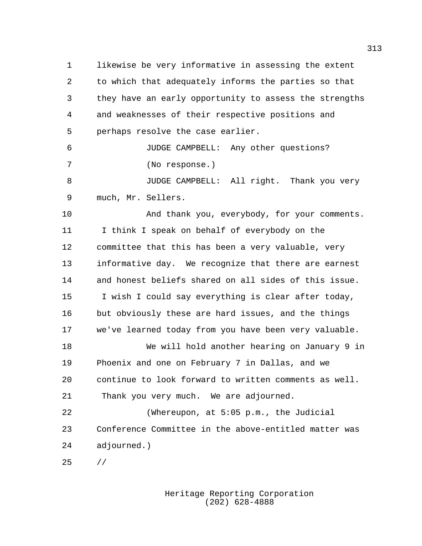likewise be very informative in assessing the extent to which that adequately informs the parties so that they have an early opportunity to assess the strengths and weaknesses of their respective positions and perhaps resolve the case earlier.

 JUDGE CAMPBELL: Any other questions? (No response.)

 JUDGE CAMPBELL: All right. Thank you very much, Mr. Sellers.

 And thank you, everybody, for your comments. I think I speak on behalf of everybody on the committee that this has been a very valuable, very informative day. We recognize that there are earnest and honest beliefs shared on all sides of this issue. I wish I could say everything is clear after today, but obviously these are hard issues, and the things we've learned today from you have been very valuable.

 We will hold another hearing on January 9 in Phoenix and one on February 7 in Dallas, and we continue to look forward to written comments as well. Thank you very much. We are adjourned.

 (Whereupon, at 5:05 p.m., the Judicial Conference Committee in the above-entitled matter was adjourned.)

//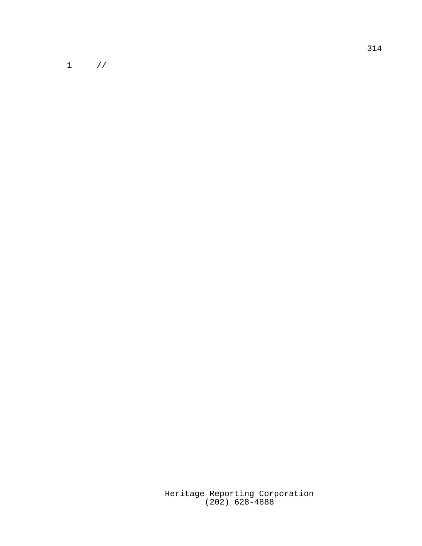$1$  //